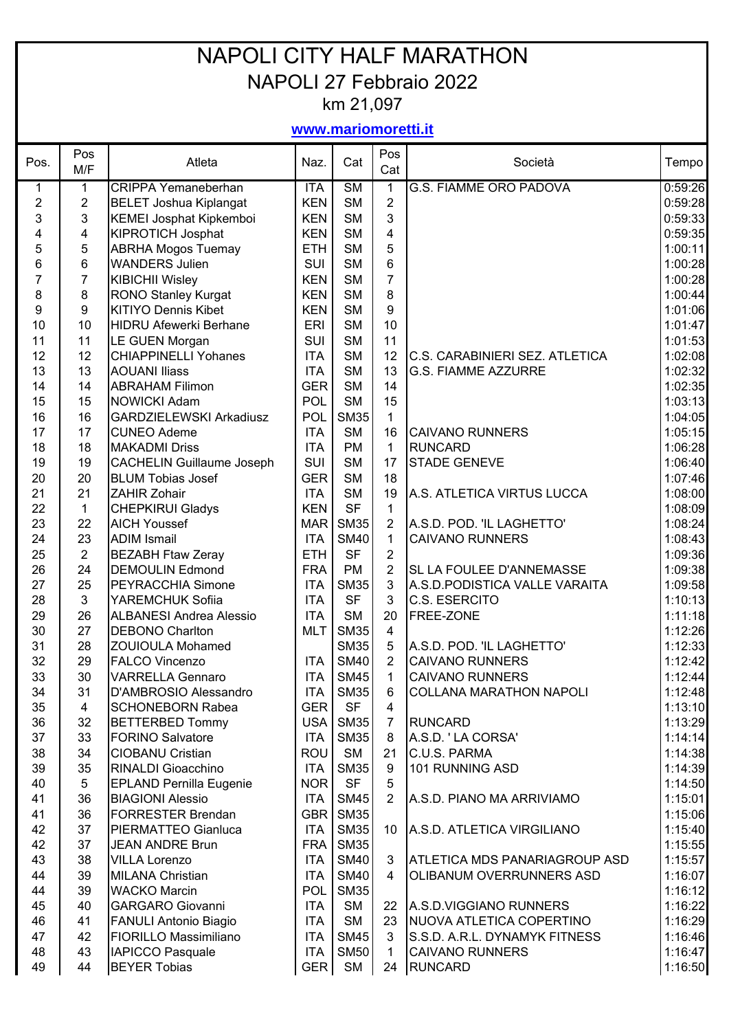## NAPOLI CITY HALF MARATHON NAPOLI 27 Febbraio 2022 km 21,097

## **www.mariomoretti.it**

| Pos.           | Pos<br>M/F       | Atleta                                                | Naz.             | Cat                      | Pos<br>Cat      | Società                               | Tempo              |
|----------------|------------------|-------------------------------------------------------|------------------|--------------------------|-----------------|---------------------------------------|--------------------|
| 1              | 1                | CRIPPA Yemaneberhan                                   | <b>ITA</b>       | $\overline{\text{SM}}$   | 1               | <b>G.S. FIAMME ORO PADOVA</b>         | 0:59:26            |
| $\overline{2}$ | $\boldsymbol{2}$ | <b>BELET Joshua Kiplangat</b>                         | <b>KEN</b>       | <b>SM</b>                | $\overline{2}$  |                                       | 0:59:28            |
| 3              | $\mathfrak{S}$   | KEMEI Josphat Kipkemboi                               | <b>KEN</b>       | <b>SM</b>                | $\mathbf{3}$    |                                       | 0:59:33            |
| 4              | 4                | <b>KIPROTICH Josphat</b>                              | <b>KEN</b>       | <b>SM</b>                | $\overline{4}$  |                                       | 0:59:35            |
| 5              | 5                | <b>ABRHA Mogos Tuemay</b>                             | <b>ETH</b>       | <b>SM</b>                | 5               |                                       | 1:00:11            |
| 6              | 6                | <b>WANDERS Julien</b>                                 | <b>SUI</b>       | <b>SM</b>                | 6               |                                       | 1:00:28            |
| 7              | $\overline{7}$   | <b>KIBICHII Wisley</b>                                | <b>KEN</b>       | <b>SM</b>                | $\overline{7}$  |                                       | 1:00:28            |
| 8              | 8                | RONO Stanley Kurgat                                   | <b>KEN</b>       | <b>SM</b>                | 8               |                                       | 1:00:44            |
| 9              | 9                | <b>KITIYO Dennis Kibet</b>                            | <b>KEN</b>       | <b>SM</b>                | 9               |                                       | 1:01:06            |
| 10             | 10               | <b>HIDRU Afewerki Berhane</b>                         | <b>ERI</b>       | <b>SM</b>                | 10              |                                       | 1:01:47            |
| 11             | 11               | LE GUEN Morgan                                        | SUI              | <b>SM</b>                | 11              |                                       | 1:01:53            |
| 12             | 12               | <b>CHIAPPINELLI Yohanes</b>                           | <b>ITA</b>       | <b>SM</b>                | 12              | <b>C.S. CARABINIERI SEZ. ATLETICA</b> | 1:02:08            |
| 13             | 13               | <b>AOUANI Iliass</b>                                  | <b>ITA</b>       | <b>SM</b>                | 13              | <b>G.S. FIAMME AZZURRE</b>            | 1:02:32            |
| 14             | 14               | <b>ABRAHAM Filimon</b>                                | <b>GER</b>       | <b>SM</b>                | 14              |                                       | 1:02:35            |
| 15<br>16       | 15<br>16         | <b>NOWICKI Adam</b><br><b>GARDZIELEWSKI Arkadiusz</b> | POL<br>POL       | <b>SM</b><br><b>SM35</b> | 15<br>1         |                                       | 1:03:13<br>1:04:05 |
| 17             | 17               | <b>CUNEO Ademe</b>                                    | <b>ITA</b>       | <b>SM</b>                | 16              | <b>CAIVANO RUNNERS</b>                | 1:05:15            |
| 18             | 18               | <b>MAKADMI Driss</b>                                  | <b>ITA</b>       | <b>PM</b>                | $\mathbf{1}$    | <b>RUNCARD</b>                        | 1:06:28            |
| 19             | 19               | <b>CACHELIN Guillaume Joseph</b>                      | SUI              | <b>SM</b>                | 17              | <b>STADE GENEVE</b>                   | 1:06:40            |
| 20             | 20               | <b>BLUM Tobias Josef</b>                              | <b>GER</b>       | <b>SM</b>                | 18              |                                       | 1:07:46            |
| 21             | 21               | ZAHIR Zohair                                          | <b>ITA</b>       | <b>SM</b>                | 19              | A.S. ATLETICA VIRTUS LUCCA            | 1:08:00            |
| 22             | $\mathbf 1$      | <b>CHEPKIRUI Gladys</b>                               | <b>KEN</b>       | <b>SF</b>                | $\mathbf{1}$    |                                       | 1:08:09            |
| 23             | 22               | <b>AICH Youssef</b>                                   | <b>MAR</b>       | <b>SM35</b>              | $\overline{2}$  | A.S.D. POD. 'IL LAGHETTO'             | 1:08:24            |
| 24             | 23               | <b>ADIM Ismail</b>                                    | <b>ITA</b>       | <b>SM40</b>              | $\mathbf{1}$    | <b>CAIVANO RUNNERS</b>                | 1:08:43            |
| 25             | $\overline{2}$   | <b>BEZABH Ftaw Zeray</b>                              | <b>ETH</b>       | <b>SF</b>                | $\overline{2}$  |                                       | 1:09:36            |
| 26             | 24               | <b>DEMOULIN Edmond</b>                                | <b>FRA</b>       | <b>PM</b>                | $\overline{2}$  | SL LA FOULEE D'ANNEMASSE              | 1:09:38            |
| 27             | 25               | PEYRACCHIA Simone                                     | <b>ITA</b>       | <b>SM35</b>              | $\mathfrak{S}$  | A.S.D.PODISTICA VALLE VARAITA         | 1:09:58            |
| 28             | 3                | YAREMCHUK Sofiia                                      | <b>ITA</b>       | <b>SF</b>                | 3               | C.S. ESERCITO                         | 1:10:13            |
| 29             | 26               | <b>ALBANESI Andrea Alessio</b>                        | <b>ITA</b>       | <b>SM</b>                | 20              | FREE-ZONE                             | 1:11:18            |
| 30             | 27               | <b>DEBONO Charlton</b>                                | <b>MLT</b>       | <b>SM35</b>              | $\overline{4}$  |                                       | 1:12:26            |
| 31             | 28               | <b>ZOUIOULA Mohamed</b>                               |                  | <b>SM35</b>              | 5               | A.S.D. POD. 'IL LAGHETTO'             | 1:12:33            |
| 32             | 29               | <b>FALCO Vincenzo</b>                                 | <b>ITA</b>       | <b>SM40</b>              | $\overline{2}$  | <b>CAIVANO RUNNERS</b>                | 1:12:42            |
| 33             | 30               | <b>VARRELLA Gennaro</b>                               | <b>ITA</b>       | <b>SM45</b>              | 1               | <b>CAIVANO RUNNERS</b>                | 1:12:44            |
| 34             | 31               | D'AMBROSIO Alessandro                                 | <b>ITA</b>       | <b>SM35</b>              | 6               | <b>COLLANA MARATHON NAPOLI</b>        | 1:12:48            |
| 35             | $\overline{4}$   | <b>SCHONEBORN Rabea</b>                               | <b>GER</b>       | <b>SF</b>                | $\overline{4}$  |                                       | 1:13:10            |
| 36             | 32               | <b>BETTERBED Tommy</b>                                | USA <sup>I</sup> | <b>SM35</b>              | $\overline{7}$  | <b>RUNCARD</b>                        | 1:13:29            |
| 37             | 33               | <b>FORINO Salvatore</b>                               | <b>ITA</b>       | <b>SM35</b>              | 8               | A.S.D. 'LA CORSA'                     | 1:14:14            |
| 38             | 34               | <b>CIOBANU Cristian</b>                               | ROU              | <b>SM</b>                | 21              | C.U.S. PARMA                          | 1:14:38            |
| 39             | 35               | RINALDI Gioacchino                                    | <b>ITA</b>       | <b>SM35</b>              | 9               | 101 RUNNING ASD                       | 1:14:39            |
| 40             | 5                | <b>EPLAND Pernilla Eugenie</b>                        | <b>NOR</b>       | <b>SF</b>                | 5               |                                       | 1:14:50            |
| 41             | 36               | <b>BIAGIONI Alessio</b>                               | <b>ITA</b>       | <b>SM45</b>              | $\overline{2}$  | A.S.D. PIANO MA ARRIVIAMO             | 1:15:01            |
| 41             | 36               | <b>FORRESTER Brendan</b>                              | <b>GBR</b>       | <b>SM35</b>              |                 |                                       | 1:15:06            |
| 42             | 37               | PIERMATTEO Gianluca                                   | <b>ITA</b>       | <b>SM35</b>              | 10 <sup>°</sup> | A.S.D. ATLETICA VIRGILIANO            | 1:15:40            |
| 42             | 37               | <b>JEAN ANDRE Brun</b>                                | <b>FRA</b>       | SM35                     |                 |                                       | 1:15:55            |
| 43             | 38               | <b>VILLA Lorenzo</b>                                  | <b>ITA</b>       | <b>SM40</b>              | 3               | <b>ATLETICA MDS PANARIAGROUP ASD</b>  | 1:15:57            |
| 44             | 39               | <b>MILANA Christian</b>                               | <b>ITA</b>       | <b>SM40</b>              | 4               | OLIBANUM OVERRUNNERS ASD              | 1:16:07            |
| 44             | 39               | <b>WACKO Marcin</b>                                   | <b>POL</b>       | <b>SM35</b>              |                 |                                       | 1:16:12            |
| 45             | 40               | <b>GARGARO Giovanni</b>                               | <b>ITA</b>       | <b>SM</b>                | 22 <sub>2</sub> | A.S.D.VIGGIANO RUNNERS                | 1:16:22            |
| 46             | 41               | <b>FANULI Antonio Biagio</b>                          | <b>ITA</b>       | <b>SM</b>                | 23              | NUOVA ATLETICA COPERTINO              | 1:16:29            |
| 47             | 42               | FIORILLO Massimiliano                                 | <b>ITA</b>       | <b>SM45</b>              | 3               | S.S.D. A.R.L. DYNAMYK FITNESS         | 1:16:46            |
| 48             | 43               | <b>IAPICCO Pasquale</b>                               | <b>ITA</b>       | <b>SM50</b>              | 1               | <b>CAIVANO RUNNERS</b>                | 1:16:47            |
| 49             | 44               | <b>BEYER Tobias</b>                                   | GER <sup> </sup> | SM                       | 24              | <b>RUNCARD</b>                        | 1:16:50            |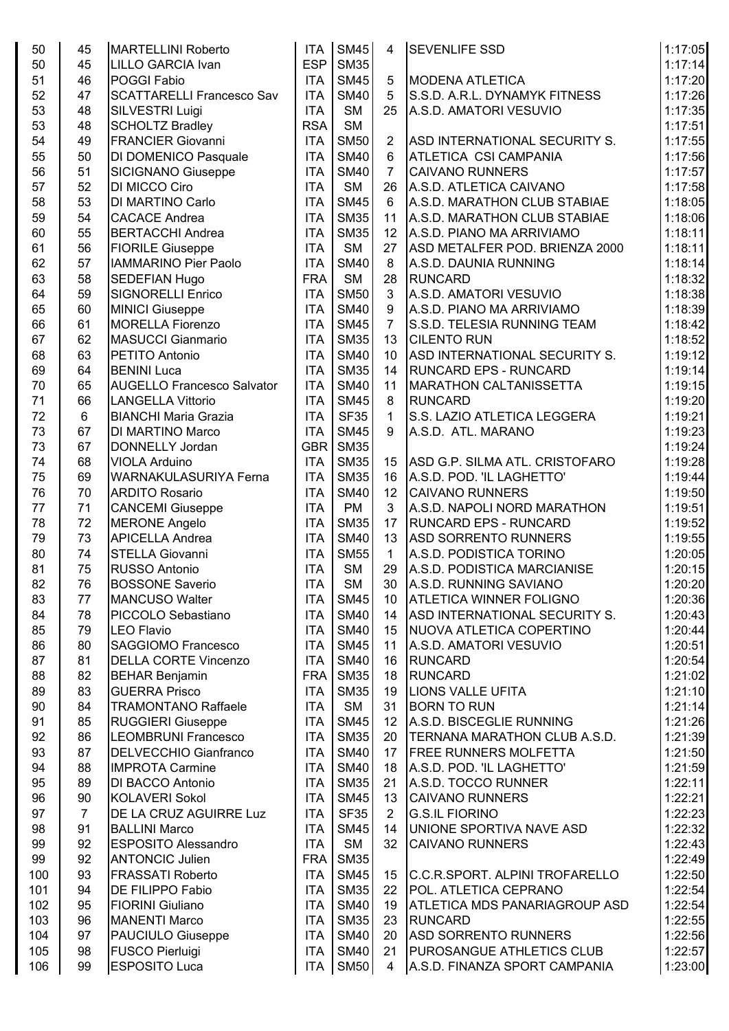| 50       | 45             | <b>MARTELLINI Roberto</b>                       | <b>ITA</b> | <b>SM45</b>              | 4                  | <b>SEVENLIFE SSD</b>                                             | 1:17:05 |
|----------|----------------|-------------------------------------------------|------------|--------------------------|--------------------|------------------------------------------------------------------|---------|
| 50       | 45             | LILLO GARCIA Ivan                               | <b>ESP</b> | <b>SM35</b>              |                    |                                                                  | 1:17:14 |
| 51       | 46             | POGGI Fabio                                     | <b>ITA</b> | <b>SM45</b>              | 5                  | <b>MODENA ATLETICA</b>                                           | 1:17:20 |
| 52       | 47             | <b>SCATTARELLI Francesco Sav</b>                | <b>ITA</b> | <b>SM40</b>              | 5                  | S.S.D. A.R.L. DYNAMYK FITNESS                                    | 1:17:26 |
| 53       | 48             | SILVESTRI Luigi                                 | <b>ITA</b> | <b>SM</b>                | 25                 | A.S.D. AMATORI VESUVIO                                           | 1:17:35 |
| 53       | 48             | <b>SCHOLTZ Bradley</b>                          | <b>RSA</b> | <b>SM</b>                |                    |                                                                  | 1:17:51 |
| 54       | 49             | <b>FRANCIER Giovanni</b>                        | <b>ITA</b> | <b>SM50</b>              | $\overline{2}$     | ASD INTERNATIONAL SECURITY S.                                    | 1:17:55 |
| 55       | 50             | DI DOMENICO Pasquale                            | <b>ITA</b> | <b>SM40</b>              | $6\phantom{1}$     | <b>ATLETICA CSI CAMPANIA</b>                                     | 1:17:56 |
| 56       | 51             | <b>SICIGNANO Giuseppe</b>                       | <b>ITA</b> | <b>SM40</b>              | $\overline{7}$     | <b>CAIVANO RUNNERS</b>                                           | 1:17:57 |
| 57       | 52             | DI MICCO Ciro                                   | <b>ITA</b> | <b>SM</b>                | 26                 | A.S.D. ATLETICA CAIVANO                                          | 1:17:58 |
| 58       | 53             | DI MARTINO Carlo                                | <b>ITA</b> | <b>SM45</b>              | 6                  | A.S.D. MARATHON CLUB STABIAE                                     | 1:18:05 |
| 59       | 54             | <b>CACACE Andrea</b>                            | <b>ITA</b> | <b>SM35</b>              | 11                 | A.S.D. MARATHON CLUB STABIAE                                     | 1:18:06 |
| 60       | 55             | <b>BERTACCHI Andrea</b>                         | <b>ITA</b> | <b>SM35</b>              | 12                 | A.S.D. PIANO MA ARRIVIAMO                                        | 1:18:11 |
| 61       | 56             | <b>FIORILE Giuseppe</b>                         | <b>ITA</b> | <b>SM</b>                | 27                 | ASD METALFER POD. BRIENZA 2000                                   | 1:18:11 |
| 62       | 57             | <b>IAMMARINO Pier Paolo</b>                     | <b>ITA</b> | <b>SM40</b>              | 8                  | A.S.D. DAUNIA RUNNING                                            | 1:18:14 |
| 63       | 58             | SEDEFIAN Hugo                                   | <b>FRA</b> | <b>SM</b>                | 28                 | <b>RUNCARD</b>                                                   | 1:18:32 |
| 64       | 59             | <b>SIGNORELLI Enrico</b>                        | <b>ITA</b> | <b>SM50</b>              | 3                  | A.S.D. AMATORI VESUVIO                                           | 1:18:38 |
| 65       | 60             | <b>MINICI Giuseppe</b>                          | <b>ITA</b> | <b>SM40</b>              | $\boldsymbol{9}$   | A.S.D. PIANO MA ARRIVIAMO                                        | 1:18:39 |
| 66       | 61             | <b>MORELLA Fiorenzo</b>                         | <b>ITA</b> | <b>SM45</b>              | $\overline{7}$     | S.S.D. TELESIA RUNNING TEAM                                      | 1:18:42 |
| 67       | 62             | <b>MASUCCI Gianmario</b>                        | <b>ITA</b> | <b>SM35</b>              | 13                 | <b>CILENTO RUN</b>                                               | 1:18:52 |
| 68       | 63             | PETITO Antonio                                  | <b>ITA</b> | <b>SM40</b>              | 10                 | ASD INTERNATIONAL SECURITY S.                                    | 1:19:12 |
| 69       | 64             | <b>BENINI Luca</b>                              | <b>ITA</b> | <b>SM35</b>              | 14                 | <b>RUNCARD EPS - RUNCARD</b>                                     | 1:19:14 |
| 70       | 65             | <b>AUGELLO Francesco Salvator</b>               | <b>ITA</b> | <b>SM40</b>              | 11                 | MARATHON CALTANISSETTA                                           | 1:19:15 |
| 71       | 66             | <b>LANGELLA Vittorio</b>                        | <b>ITA</b> | <b>SM45</b>              | 8                  | <b>RUNCARD</b>                                                   | 1:19:20 |
| 72       | 6              | <b>BIANCHI Maria Grazia</b>                     | <b>ITA</b> | <b>SF35</b>              | $\mathbf{1}$       | S.S. LAZIO ATLETICA LEGGERA                                      | 1:19:21 |
| 73       | 67             | DI MARTINO Marco                                | <b>ITA</b> | <b>SM45</b>              | 9                  | A.S.D. ATL. MARANO                                               | 1:19:23 |
| 73       | 67             | DONNELLY Jordan                                 | <b>GBR</b> | <b>SM35</b>              |                    |                                                                  | 1:19:24 |
| 74       | 68             | <b>VIOLA Arduino</b>                            | <b>ITA</b> | <b>SM35</b>              | 15                 | <b>ASD G.P. SILMA ATL. CRISTOFARO</b>                            | 1:19:28 |
| 75       | 69             | <b>WARNAKULASURIYA Ferna</b>                    | <b>ITA</b> | <b>SM35</b>              | 16                 | A.S.D. POD. 'IL LAGHETTO'                                        | 1:19:44 |
| 76       | 70             | <b>ARDITO Rosario</b>                           | <b>ITA</b> | <b>SM40</b>              | 12                 | <b>CAIVANO RUNNERS</b>                                           | 1:19:50 |
| 77       | 71             |                                                 | <b>ITA</b> | <b>PM</b>                | 3                  | A.S.D. NAPOLI NORD MARATHON                                      | 1:19:51 |
| 78       | 72             | <b>CANCEMI Giuseppe</b><br><b>MERONE Angelo</b> | <b>ITA</b> | <b>SM35</b>              | 17                 | <b>RUNCARD EPS - RUNCARD</b>                                     | 1:19:52 |
| 79       | 73             | <b>APICELLA Andrea</b>                          | <b>ITA</b> | <b>SM40</b>              | 13                 | <b>ASD SORRENTO RUNNERS</b>                                      | 1:19:55 |
|          | 74             | STELLA Giovanni                                 | <b>ITA</b> | <b>SM55</b>              |                    | A.S.D. PODISTICA TORINO                                          |         |
| 80<br>81 | 75             | <b>RUSSO Antonio</b>                            | <b>ITA</b> | <b>SM</b>                | $\mathbf{1}$<br>29 | A.S.D. PODISTICA MARCIANISE                                      | 1:20:05 |
|          | 76             |                                                 | <b>ITA</b> |                          |                    |                                                                  | 1:20:15 |
| 82       |                | <b>BOSSONE Saverio</b><br><b>MANCUSO Walter</b> |            | <b>SM</b><br><b>SM45</b> | 30                 | A.S.D. RUNNING SAVIANO                                           | 1:20:20 |
| 83       | 77             |                                                 | <b>ITA</b> | <b>SM40</b>              | 10                 | <b>ATLETICA WINNER FOLIGNO</b>                                   | 1:20:36 |
| 84       | 78             | PICCOLO Sebastiano                              | <b>ITA</b> |                          | 14                 | ASD INTERNATIONAL SECURITY S.<br><b>NUOVA ATLETICA COPERTINO</b> | 1:20:43 |
| 85       | 79             | LEO Flavio                                      | <b>ITA</b> | <b>SM40</b>              | 15                 |                                                                  | 1:20:44 |
| 86       | 80             | SAGGIOMO Francesco                              | <b>ITA</b> | <b>SM45</b>              | 11                 | A.S.D. AMATORI VESUVIO                                           | 1:20:51 |
| 87       | 81             | <b>DELLA CORTE Vincenzo</b>                     | <b>ITA</b> | <b>SM40</b>              | 16                 | <b>RUNCARD</b>                                                   | 1:20:54 |
| 88       | 82             | <b>BEHAR Benjamin</b>                           | <b>FRA</b> | <b>SM35</b>              | 18                 | <b>RUNCARD</b>                                                   | 1:21:02 |
| 89       | 83             | <b>GUERRA Prisco</b>                            | <b>ITA</b> | <b>SM35</b>              | 19                 | <b>LIONS VALLE UFITA</b>                                         | 1:21:10 |
| 90       | 84             | <b>TRAMONTANO Raffaele</b>                      | <b>ITA</b> | <b>SM</b>                | 31                 | <b>BORN TO RUN</b>                                               | 1:21:14 |
| 91       | 85             | <b>RUGGIERI Giuseppe</b>                        | <b>ITA</b> | <b>SM45</b>              | 12                 | A.S.D. BISCEGLIE RUNNING                                         | 1:21:26 |
| 92       | 86             | LEOMBRUNI Francesco                             | <b>ITA</b> | <b>SM35</b>              | 20                 | TERNANA MARATHON CLUB A.S.D.                                     | 1:21:39 |
| 93       | 87             | <b>DELVECCHIO Gianfranco</b>                    | <b>ITA</b> | <b>SM40</b>              | 17                 | <b>FREE RUNNERS MOLFETTA</b>                                     | 1:21:50 |
| 94       | 88             | <b>IMPROTA Carmine</b>                          | <b>ITA</b> | <b>SM40</b>              | 18                 | A.S.D. POD. 'IL LAGHETTO'                                        | 1:21:59 |
| 95       | 89             | DI BACCO Antonio                                | <b>ITA</b> | <b>SM35</b>              | 21                 | A.S.D. TOCCO RUNNER                                              | 1:22:11 |
| 96       | 90             | <b>KOLAVERI Sokol</b>                           | <b>ITA</b> | <b>SM45</b>              | 13                 | <b>CAIVANO RUNNERS</b>                                           | 1:22:21 |
| 97       | $\overline{7}$ | DE LA CRUZ AGUIRRE Luz                          | <b>ITA</b> | <b>SF35</b>              | $\overline{2}$     | <b>G.S.IL FIORINO</b>                                            | 1:22:23 |
| 98       | 91             | <b>BALLINI Marco</b>                            | <b>ITA</b> | <b>SM45</b>              | 14                 | UNIONE SPORTIVA NAVE ASD                                         | 1:22:32 |
| 99       | 92             | <b>ESPOSITO Alessandro</b>                      | <b>ITA</b> | <b>SM</b>                | 32                 | <b>CAIVANO RUNNERS</b>                                           | 1:22:43 |
| 99       | 92             | <b>ANTONCIC Julien</b>                          | <b>FRA</b> | <b>SM35</b>              |                    |                                                                  | 1:22:49 |
| 100      | 93             | <b>FRASSATI Roberto</b>                         | <b>ITA</b> | <b>SM45</b>              | 15                 | C.C.R.SPORT. ALPINI TROFARELLO                                   | 1:22:50 |
| 101      | 94             | DE FILIPPO Fabio                                | <b>ITA</b> | <b>SM35</b>              | 22                 | POL. ATLETICA CEPRANO                                            | 1:22:54 |
| 102      | 95             | <b>FIORINI Giuliano</b>                         | <b>ITA</b> | <b>SM40</b>              | 19                 | <b>ATLETICA MDS PANARIAGROUP ASD</b>                             | 1:22:54 |
| 103      | 96             | <b>MANENTI Marco</b>                            | <b>ITA</b> | <b>SM35</b>              | 23                 | <b>RUNCARD</b>                                                   | 1:22:55 |
| 104      | 97             | <b>PAUCIULO Giuseppe</b>                        | <b>ITA</b> | <b>SM40</b>              | 20                 | <b>ASD SORRENTO RUNNERS</b>                                      | 1:22:56 |
| 105      | 98             | <b>FUSCO Pierluigi</b>                          | <b>ITA</b> | <b>SM40</b>              | 21                 | <b>PUROSANGUE ATHLETICS CLUB</b>                                 | 1:22:57 |
| 106      | 99             | <b>ESPOSITO Luca</b>                            | <b>ITA</b> | <b>SM50</b>              | 4                  | A.S.D. FINANZA SPORT CAMPANIA                                    | 1:23:00 |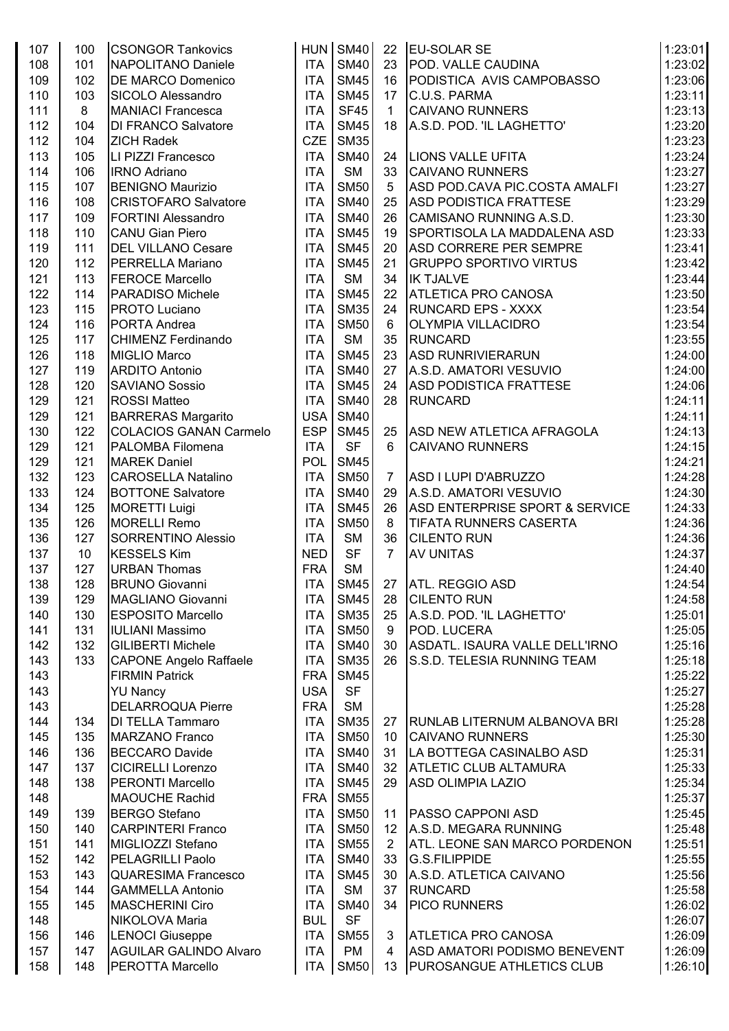| 107 | 100 | <b>CSONGOR Tankovics</b>      |            | HUN SM40    | 22             | <b>EU-SOLAR SE</b>                        | 1:23:01 |
|-----|-----|-------------------------------|------------|-------------|----------------|-------------------------------------------|---------|
| 108 | 101 | NAPOLITANO Daniele            | <b>ITA</b> | <b>SM40</b> | 23             | POD. VALLE CAUDINA                        | 1:23:02 |
| 109 | 102 | <b>DE MARCO Domenico</b>      | <b>ITA</b> | <b>SM45</b> | 16             | PODISTICA AVIS CAMPOBASSO                 | 1:23:06 |
| 110 | 103 | SICOLO Alessandro             | <b>ITA</b> | <b>SM45</b> | 17             | C.U.S. PARMA                              | 1:23:11 |
| 111 | 8   | <b>MANIACI Francesca</b>      | <b>ITA</b> | <b>SF45</b> | $\mathbf{1}$   | <b>CAIVANO RUNNERS</b>                    | 1:23:13 |
| 112 | 104 | <b>DI FRANCO Salvatore</b>    | <b>ITA</b> | <b>SM45</b> | 18             | A.S.D. POD. 'IL LAGHETTO'                 | 1:23:20 |
| 112 | 104 | <b>ZICH Radek</b>             | <b>CZE</b> | <b>SM35</b> |                |                                           | 1:23:23 |
| 113 | 105 | LI PIZZI Francesco            | <b>ITA</b> | <b>SM40</b> | 24             | <b>LIONS VALLE UFITA</b>                  | 1:23:24 |
| 114 | 106 | <b>IRNO Adriano</b>           | <b>ITA</b> | <b>SM</b>   | 33             | <b>CAIVANO RUNNERS</b>                    | 1:23:27 |
| 115 | 107 | <b>BENIGNO Maurizio</b>       | <b>ITA</b> | <b>SM50</b> | 5              | ASD POD.CAVA PIC.COSTA AMALFI             | 1:23:27 |
| 116 | 108 | <b>CRISTOFARO Salvatore</b>   | <b>ITA</b> | <b>SM40</b> | 25             | <b>ASD PODISTICA FRATTESE</b>             | 1:23:29 |
| 117 | 109 | <b>FORTINI Alessandro</b>     | <b>ITA</b> | <b>SM40</b> | 26             | CAMISANO RUNNING A.S.D.                   | 1:23:30 |
| 118 | 110 | <b>CANU Gian Piero</b>        | <b>ITA</b> | <b>SM45</b> | 19             | SPORTISOLA LA MADDALENA ASD               | 1:23:33 |
| 119 | 111 | <b>DEL VILLANO Cesare</b>     | <b>ITA</b> | <b>SM45</b> | 20             | <b>ASD CORRERE PER SEMPRE</b>             | 1:23:41 |
| 120 | 112 | <b>PERRELLA Mariano</b>       | <b>ITA</b> | <b>SM45</b> | 21             | <b>GRUPPO SPORTIVO VIRTUS</b>             | 1:23:42 |
| 121 | 113 | <b>FEROCE Marcello</b>        | <b>ITA</b> | <b>SM</b>   | 34             | <b>IK TJALVE</b>                          | 1:23:44 |
| 122 | 114 | <b>PARADISO Michele</b>       | <b>ITA</b> | <b>SM45</b> | 22             | <b>ATLETICA PRO CANOSA</b>                | 1:23:50 |
| 123 | 115 | <b>PROTO Luciano</b>          | <b>ITA</b> | <b>SM35</b> | 24             | <b>RUNCARD EPS - XXXX</b>                 | 1:23:54 |
| 124 | 116 | PORTA Andrea                  | <b>ITA</b> | <b>SM50</b> | $6\phantom{1}$ | <b>OLYMPIA VILLACIDRO</b>                 | 1:23:54 |
| 125 | 117 | <b>CHIMENZ Ferdinando</b>     | <b>ITA</b> | <b>SM</b>   | 35             | RUNCARD                                   | 1:23:55 |
| 126 | 118 | MIGLIO Marco                  | <b>ITA</b> | <b>SM45</b> | 23             | <b>ASD RUNRIVIERARUN</b>                  | 1:24:00 |
| 127 | 119 | <b>ARDITO Antonio</b>         | <b>ITA</b> | <b>SM40</b> | 27             | A.S.D. AMATORI VESUVIO                    | 1:24:00 |
| 128 | 120 | <b>SAVIANO Sossio</b>         | <b>ITA</b> | <b>SM45</b> | 24             | <b>ASD PODISTICA FRATTESE</b>             | 1:24:06 |
| 129 | 121 | <b>ROSSI Matteo</b>           | <b>ITA</b> | <b>SM40</b> | 28             | <b>RUNCARD</b>                            | 1:24:11 |
| 129 | 121 | <b>BARRERAS Margarito</b>     | <b>USA</b> | <b>SM40</b> |                |                                           | 1:24:11 |
| 130 | 122 | <b>COLACIOS GANAN Carmelo</b> | <b>ESP</b> | <b>SM45</b> | 25             | ASD NEW ATLETICA AFRAGOLA                 | 1:24:13 |
| 129 | 121 | PALOMBA Filomena              | <b>ITA</b> | <b>SF</b>   | 6              | <b>CAIVANO RUNNERS</b>                    | 1:24:15 |
| 129 | 121 | <b>MAREK Daniel</b>           | POL        | <b>SM45</b> |                |                                           | 1:24:21 |
| 132 | 123 | <b>CAROSELLA Natalino</b>     | <b>ITA</b> | <b>SM50</b> | $\overline{7}$ | ASD I LUPI D'ABRUZZO                      | 1:24:28 |
| 133 | 124 | <b>BOTTONE Salvatore</b>      | <b>ITA</b> | <b>SM40</b> | 29             | A.S.D. AMATORI VESUVIO                    | 1:24:30 |
| 134 | 125 | <b>MORETTI Luigi</b>          | <b>ITA</b> | <b>SM45</b> | 26             | <b>ASD ENTERPRISE SPORT &amp; SERVICE</b> | 1:24:33 |
| 135 | 126 | <b>MORELLI Remo</b>           | <b>ITA</b> | <b>SM50</b> | 8              | <b>TIFATA RUNNERS CASERTA</b>             | 1:24:36 |
| 136 | 127 | SORRENTINO Alessio            | <b>ITA</b> | <b>SM</b>   | 36             | <b>CILENTO RUN</b>                        | 1:24:36 |
| 137 | 10  | <b>KESSELS Kim</b>            | <b>NED</b> | <b>SF</b>   | $\overline{7}$ | <b>AV UNITAS</b>                          | 1:24:37 |
| 137 | 127 | <b>URBAN Thomas</b>           | <b>FRA</b> | <b>SM</b>   |                |                                           | 1:24:40 |
| 138 | 128 | <b>BRUNO Giovanni</b>         | <b>ITA</b> | <b>SM45</b> | 27             | <b>ATL. REGGIO ASD</b>                    | 1:24:54 |
| 139 | 129 | MAGLIANO Giovanni             | <b>ITA</b> | <b>SM45</b> | 28             | <b>CILENTO RUN</b>                        | 1:24:58 |
| 140 | 130 | <b>ESPOSITO Marcello</b>      | <b>ITA</b> | <b>SM35</b> | 25             | A.S.D. POD. 'IL LAGHETTO'                 | 1:25:01 |
| 141 | 131 | <b>IULIANI Massimo</b>        | <b>ITA</b> | <b>SM50</b> | 9              | POD. LUCERA                               | 1:25:05 |
| 142 | 132 | <b>GILIBERTI Michele</b>      | <b>ITA</b> | <b>SM40</b> | 30             | ASDATL. ISAURA VALLE DELL'IRNO            | 1:25:16 |
| 143 | 133 | <b>CAPONE Angelo Raffaele</b> | <b>ITA</b> | <b>SM35</b> | 26             | S.S.D. TELESIA RUNNING TEAM               | 1:25:18 |
| 143 |     | <b>FIRMIN Patrick</b>         | <b>FRA</b> | <b>SM45</b> |                |                                           | 1:25:22 |
| 143 |     | <b>YU Nancy</b>               | <b>USA</b> | <b>SF</b>   |                |                                           | 1:25:27 |
| 143 |     | <b>DELARROQUA Pierre</b>      | <b>FRA</b> | <b>SM</b>   |                |                                           | 1:25:28 |
| 144 | 134 | <b>DI TELLA Tammaro</b>       | <b>ITA</b> | <b>SM35</b> | 27             | <b>RUNLAB LITERNUM ALBANOVA BRI</b>       | 1:25:28 |
| 145 | 135 | MARZANO Franco                | <b>ITA</b> | <b>SM50</b> | 10             | <b>CAIVANO RUNNERS</b>                    | 1:25:30 |
| 146 | 136 | <b>BECCARO Davide</b>         | <b>ITA</b> | <b>SM40</b> | 31             | LA BOTTEGA CASINALBO ASD                  | 1:25:31 |
| 147 | 137 | <b>CICIRELLI Lorenzo</b>      | <b>ITA</b> | <b>SM40</b> | 32             | <b>ATLETIC CLUB ALTAMURA</b>              | 1:25:33 |
| 148 | 138 | PERONTI Marcello              | <b>ITA</b> | <b>SM45</b> | 29             | <b>ASD OLIMPIA LAZIO</b>                  | 1:25:34 |
| 148 |     | <b>MAOUCHE Rachid</b>         | <b>FRA</b> | <b>SM55</b> |                |                                           | 1:25:37 |
| 149 | 139 | <b>BERGO Stefano</b>          | <b>ITA</b> | <b>SM50</b> | 11             | <b>PASSO CAPPONI ASD</b>                  | 1:25:45 |
| 150 | 140 | <b>CARPINTERI Franco</b>      | <b>ITA</b> | <b>SM50</b> | 12             | A.S.D. MEGARA RUNNING                     | 1:25:48 |
| 151 | 141 | MIGLIOZZI Stefano             | <b>ITA</b> | <b>SM55</b> | 2              | <b>ATL. LEONE SAN MARCO PORDENON</b>      | 1:25:51 |
| 152 | 142 | <b>PELAGRILLI Paolo</b>       | <b>ITA</b> | <b>SM40</b> | 33             | <b>G.S.FILIPPIDE</b>                      | 1:25:55 |
| 153 | 143 | <b>QUARESIMA Francesco</b>    | <b>ITA</b> | <b>SM45</b> | 30             | A.S.D. ATLETICA CAIVANO                   | 1:25:56 |
| 154 | 144 | <b>GAMMELLA Antonio</b>       | <b>ITA</b> | <b>SM</b>   | 37             | <b>RUNCARD</b>                            | 1:25:58 |
| 155 | 145 | <b>MASCHERINI Ciro</b>        | <b>ITA</b> | <b>SM40</b> | 34             | <b>PICO RUNNERS</b>                       | 1:26:02 |
| 148 |     | NIKOLOVA Maria                | <b>BUL</b> | <b>SF</b>   |                |                                           | 1:26:07 |
| 156 | 146 | <b>LENOCI</b> Giuseppe        | <b>ITA</b> | <b>SM55</b> | 3              | <b>ATLETICA PRO CANOSA</b>                | 1:26:09 |
| 157 | 147 | <b>AGUILAR GALINDO Alvaro</b> | <b>ITA</b> | <b>PM</b>   | $\overline{4}$ | ASD AMATORI PODISMO BENEVENT              | 1:26:09 |
| 158 | 148 | PEROTTA Marcello              |            | ITA SM50    | 13             | <b>PUROSANGUE ATHLETICS CLUB</b>          | 1:26:10 |
|     |     |                               |            |             |                |                                           |         |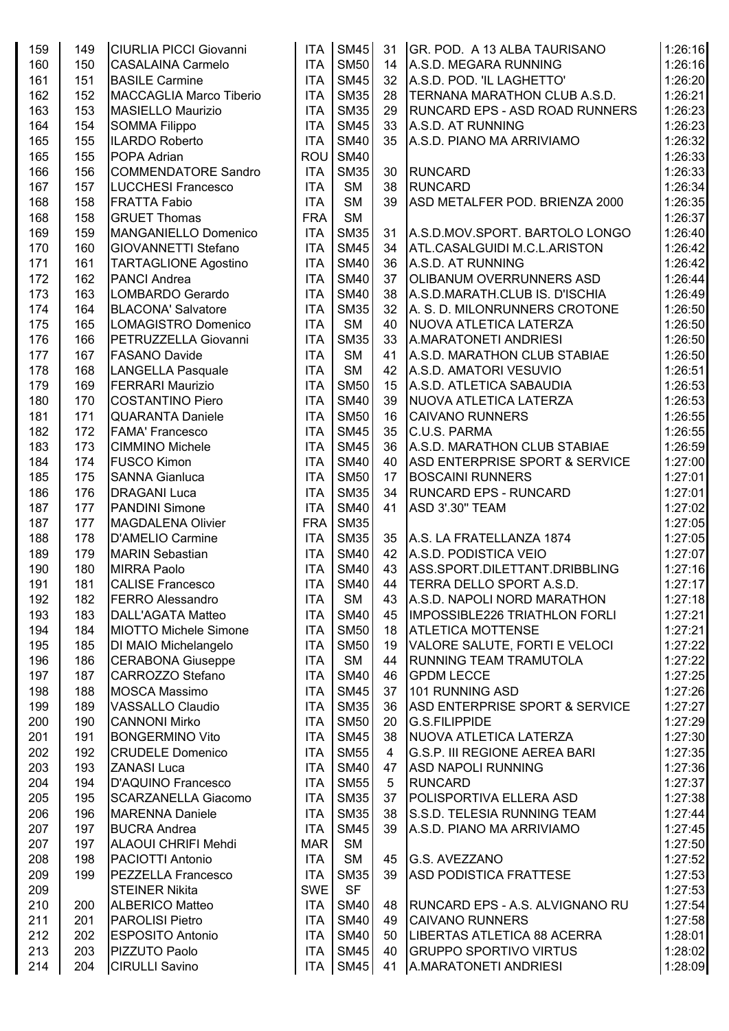| 159 | 149 | <b>CIURLIA PICCI Giovanni</b>  | <b>ITA</b> | <b>SM45</b> | 31             | GR. POD. A 13 ALBA TAURISANO              | 1:26:16 |
|-----|-----|--------------------------------|------------|-------------|----------------|-------------------------------------------|---------|
| 160 | 150 | <b>CASALAINA Carmelo</b>       | <b>ITA</b> | <b>SM50</b> | 14             | A.S.D. MEGARA RUNNING                     | 1:26:16 |
| 161 | 151 | <b>BASILE Carmine</b>          | <b>ITA</b> | <b>SM45</b> | 32             | A.S.D. POD. 'IL LAGHETTO'                 | 1:26:20 |
| 162 | 152 | <b>MACCAGLIA Marco Tiberio</b> | <b>ITA</b> | <b>SM35</b> | 28             | TERNANA MARATHON CLUB A.S.D.              | 1:26:21 |
| 163 | 153 | <b>MASIELLO Maurizio</b>       | <b>ITA</b> | <b>SM35</b> | 29             | RUNCARD EPS - ASD ROAD RUNNERS            | 1:26:23 |
|     |     |                                |            |             |                |                                           |         |
| 164 | 154 | <b>SOMMA Filippo</b>           | <b>ITA</b> | <b>SM45</b> | 33             | A.S.D. AT RUNNING                         | 1:26:23 |
| 165 | 155 | <b>ILARDO Roberto</b>          | <b>ITA</b> | <b>SM40</b> | 35             | A.S.D. PIANO MA ARRIVIAMO                 | 1:26:32 |
| 165 | 155 | POPA Adrian                    | <b>ROU</b> | <b>SM40</b> |                |                                           | 1:26:33 |
| 166 | 156 | <b>COMMENDATORE Sandro</b>     | <b>ITA</b> | <b>SM35</b> | 30             | <b>RUNCARD</b>                            | 1:26:33 |
| 167 | 157 | <b>LUCCHESI Francesco</b>      | <b>ITA</b> | <b>SM</b>   | 38             | <b>RUNCARD</b>                            | 1:26:34 |
| 168 | 158 | <b>FRATTA Fabio</b>            | <b>ITA</b> | <b>SM</b>   | 39             | ASD METALFER POD. BRIENZA 2000            | 1:26:35 |
| 168 | 158 | <b>GRUET Thomas</b>            | <b>FRA</b> | <b>SM</b>   |                |                                           | 1:26:37 |
| 169 | 159 | <b>MANGANIELLO Domenico</b>    | <b>ITA</b> | <b>SM35</b> | 31             | A.S.D.MOV.SPORT. BARTOLO LONGO            | 1:26:40 |
| 170 | 160 | GIOVANNETTI Stefano            | <b>ITA</b> | <b>SM45</b> | 34             | ATL.CASALGUIDI M.C.L.ARISTON              | 1:26:42 |
| 171 | 161 | <b>TARTAGLIONE Agostino</b>    | <b>ITA</b> | <b>SM40</b> | 36             | A.S.D. AT RUNNING                         | 1:26:42 |
|     | 162 |                                | <b>ITA</b> | <b>SM40</b> | 37             |                                           | 1:26:44 |
| 172 |     | <b>PANCI Andrea</b>            |            |             |                | <b>OLIBANUM OVERRUNNERS ASD</b>           |         |
| 173 | 163 | LOMBARDO Gerardo               | <b>ITA</b> | <b>SM40</b> | 38             | A.S.D.MARATH.CLUB IS. D'ISCHIA            | 1:26:49 |
| 174 | 164 | <b>BLACONA' Salvatore</b>      | <b>ITA</b> | <b>SM35</b> | 32             | A. S. D. MILONRUNNERS CROTONE             | 1:26:50 |
| 175 | 165 | LOMAGISTRO Domenico            | <b>ITA</b> | <b>SM</b>   | 40             | NUOVA ATLETICA LATERZA                    | 1:26:50 |
| 176 | 166 | PETRUZZELLA Giovanni           | <b>ITA</b> | <b>SM35</b> | 33             | A.MARATONETI ANDRIESI                     | 1:26:50 |
| 177 | 167 | <b>FASANO Davide</b>           | <b>ITA</b> | <b>SM</b>   | 41             | A.S.D. MARATHON CLUB STABIAE              | 1:26:50 |
| 178 | 168 | <b>LANGELLA Pasquale</b>       | <b>ITA</b> | <b>SM</b>   | 42             | A.S.D. AMATORI VESUVIO                    | 1:26:51 |
| 179 | 169 | <b>FERRARI Maurizio</b>        | <b>ITA</b> | <b>SM50</b> | 15             | A.S.D. ATLETICA SABAUDIA                  | 1:26:53 |
| 180 | 170 | <b>COSTANTINO Piero</b>        | <b>ITA</b> | <b>SM40</b> | 39             | NUOVA ATLETICA LATERZA                    | 1:26:53 |
| 181 | 171 | <b>QUARANTA Daniele</b>        | <b>ITA</b> | <b>SM50</b> | 16             | <b>CAIVANO RUNNERS</b>                    | 1:26:55 |
|     |     |                                |            |             |                |                                           |         |
| 182 | 172 | <b>FAMA' Francesco</b>         | <b>ITA</b> | <b>SM45</b> | 35             | C.U.S. PARMA                              | 1:26:55 |
| 183 | 173 | <b>CIMMINO Michele</b>         | <b>ITA</b> | <b>SM45</b> | 36             | A.S.D. MARATHON CLUB STABIAE              | 1:26:59 |
| 184 | 174 | <b>FUSCO Kimon</b>             | <b>ITA</b> | <b>SM40</b> | 40             | <b>ASD ENTERPRISE SPORT &amp; SERVICE</b> | 1:27:00 |
| 185 | 175 | <b>SANNA Gianluca</b>          | <b>ITA</b> | <b>SM50</b> | 17             | <b>BOSCAINI RUNNERS</b>                   | 1:27:01 |
| 186 | 176 | <b>DRAGANI Luca</b>            | <b>ITA</b> | <b>SM35</b> | 34             | <b>RUNCARD EPS - RUNCARD</b>              | 1:27:01 |
| 187 | 177 | <b>PANDINI Simone</b>          | <b>ITA</b> | <b>SM40</b> | 41             | ASD 3'.30" TEAM                           | 1:27:02 |
| 187 | 177 | <b>MAGDALENA Olivier</b>       | <b>FRA</b> | <b>SM35</b> |                |                                           | 1:27:05 |
| 188 | 178 | <b>D'AMELIO Carmine</b>        | <b>ITA</b> | <b>SM35</b> | 35             | A.S. LA FRATELLANZA 1874                  | 1:27:05 |
| 189 | 179 | <b>MARIN Sebastian</b>         | <b>ITA</b> | <b>SM40</b> | 42             | A.S.D. PODISTICA VEIO                     | 1:27:07 |
| 190 | 180 | <b>MIRRA Paolo</b>             | <b>ITA</b> | <b>SM40</b> | 43             | ASS.SPORT.DILETTANT.DRIBBLING             | 1:27:16 |
| 191 | 181 |                                | <b>ITA</b> | <b>SM40</b> | 44             | <b>TERRA DELLO SPORT A.S.D.</b>           | 1:27:17 |
|     |     | <b>CALISE Francesco</b>        |            |             |                |                                           |         |
| 192 | 182 | <b>FERRO Alessandro</b>        | <b>ITA</b> | <b>SM</b>   | 43             | A.S.D. NAPOLI NORD MARATHON               | 1:27:18 |
| 193 | 183 | <b>DALL'AGATA Matteo</b>       | <b>ITA</b> | <b>SM40</b> | 45             | IMPOSSIBLE226 TRIATHLON FORLI             | 1:27:21 |
| 194 | 184 | <b>MIOTTO Michele Simone</b>   | <b>ITA</b> | <b>SM50</b> | 18             | <b>ATLETICA MOTTENSE</b>                  | 1:27:21 |
| 195 | 185 | DI MAIO Michelangelo           | <b>ITA</b> | <b>SM50</b> | 19             | VALORE SALUTE, FORTI E VELOCI             | 1:27:22 |
| 196 | 186 | <b>CERABONA Giuseppe</b>       | <b>ITA</b> | <b>SM</b>   | 44             | <b>RUNNING TEAM TRAMUTOLA</b>             | 1:27:22 |
| 197 | 187 | <b>CARROZZO Stefano</b>        | <b>ITA</b> | <b>SM40</b> | 46             | <b>GPDM LECCE</b>                         | 1:27:25 |
| 198 | 188 | <b>MOSCA Massimo</b>           | <b>ITA</b> | <b>SM45</b> | 37             | 101 RUNNING ASD                           | 1:27:26 |
| 199 | 189 | VASSALLO Claudio               | <b>ITA</b> | <b>SM35</b> | 36             | <b>ASD ENTERPRISE SPORT &amp; SERVICE</b> | 1:27:27 |
| 200 | 190 | <b>CANNONI Mirko</b>           | <b>ITA</b> | <b>SM50</b> | 20             | <b>G.S.FILIPPIDE</b>                      | 1:27:29 |
|     |     | <b>BONGERMINO Vito</b>         |            | <b>SM45</b> | 38             | <b>NUOVA ATLETICA LATERZA</b>             |         |
| 201 | 191 |                                | <b>ITA</b> |             |                |                                           | 1:27:30 |
| 202 | 192 | <b>CRUDELE Domenico</b>        | <b>ITA</b> | <b>SM55</b> | $\overline{4}$ | <b>G.S.P. III REGIONE AEREA BARI</b>      | 1:27:35 |
| 203 | 193 | <b>ZANASI Luca</b>             | <b>ITA</b> | <b>SM40</b> | 47             | <b>ASD NAPOLI RUNNING</b>                 | 1:27:36 |
| 204 | 194 | <b>D'AQUINO Francesco</b>      | <b>ITA</b> | <b>SM55</b> | 5              | <b>RUNCARD</b>                            | 1:27:37 |
| 205 | 195 | <b>SCARZANELLA Giacomo</b>     | <b>ITA</b> | <b>SM35</b> | 37             | POLISPORTIVA ELLERA ASD                   | 1:27:38 |
| 206 | 196 | <b>MARENNA Daniele</b>         | <b>ITA</b> | <b>SM35</b> | 38             | S.S.D. TELESIA RUNNING TEAM               | 1:27:44 |
| 207 | 197 | <b>BUCRA Andrea</b>            | <b>ITA</b> | <b>SM45</b> | 39             | A.S.D. PIANO MA ARRIVIAMO                 | 1:27:45 |
| 207 | 197 | <b>ALAOUI CHRIFI Mehdi</b>     | <b>MAR</b> | <b>SM</b>   |                |                                           | 1:27:50 |
| 208 | 198 | PACIOTTI Antonio               | <b>ITA</b> | <b>SM</b>   | 45             | G.S. AVEZZANO                             | 1:27:52 |
| 209 | 199 | <b>PEZZELLA Francesco</b>      | <b>ITA</b> | <b>SM35</b> | 39             | <b>ASD PODISTICA FRATTESE</b>             | 1:27:53 |
|     |     |                                |            | <b>SF</b>   |                |                                           |         |
| 209 |     | <b>STEINER Nikita</b>          | SWE        |             |                |                                           | 1:27:53 |
| 210 | 200 | <b>ALBERICO Matteo</b>         | <b>ITA</b> | <b>SM40</b> | 48             | <b>RUNCARD EPS - A.S. ALVIGNANO RU</b>    | 1:27:54 |
| 211 | 201 | <b>PAROLISI Pietro</b>         | <b>ITA</b> | <b>SM40</b> | 49             | <b>CAIVANO RUNNERS</b>                    | 1:27:58 |
| 212 | 202 | <b>ESPOSITO Antonio</b>        | <b>ITA</b> | <b>SM40</b> | 50             | LIBERTAS ATLETICA 88 ACERRA               | 1:28:01 |
| 213 | 203 | PIZZUTO Paolo                  | <b>ITA</b> | <b>SM45</b> | 40             | <b>GRUPPO SPORTIVO VIRTUS</b>             | 1:28:02 |
| 214 | 204 | <b>CIRULLI Savino</b>          | ITA        | <b>SM45</b> | 41             | A.MARATONETI ANDRIESI                     | 1:28:09 |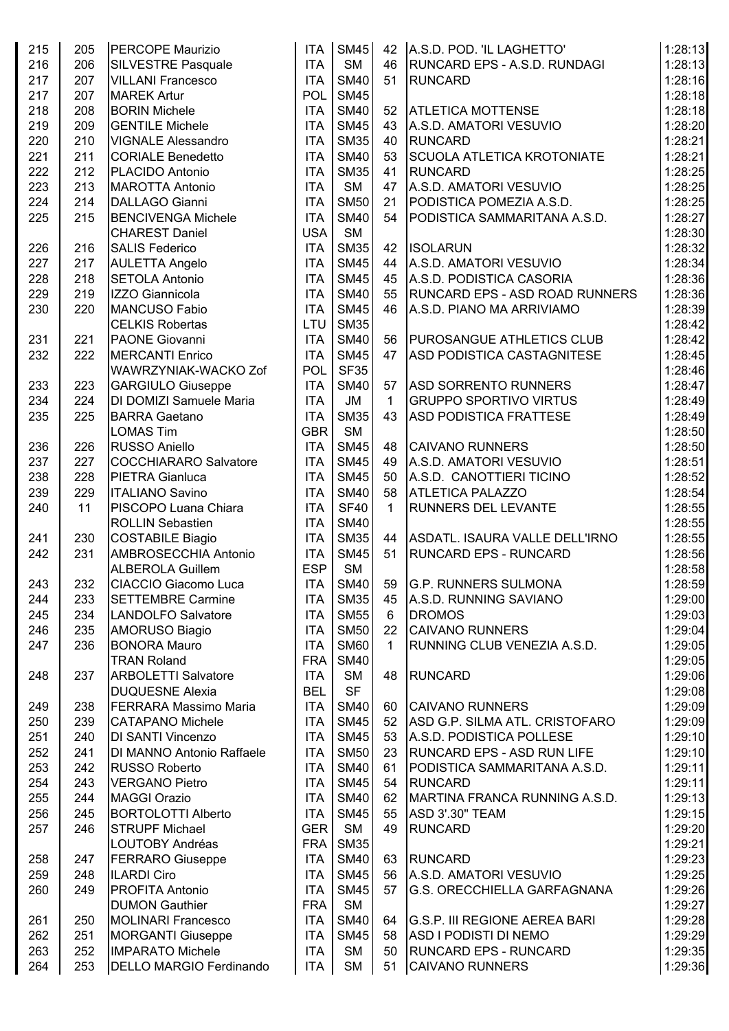| 215 | 205 | <b>PERCOPE Maurizio</b>        | <b>ITA</b>       | <b>SM45</b> | 42           | A.S.D. POD. 'IL LAGHETTO'             | 1:28:13 |
|-----|-----|--------------------------------|------------------|-------------|--------------|---------------------------------------|---------|
| 216 | 206 | <b>SILVESTRE Pasquale</b>      | <b>ITA</b>       | <b>SM</b>   | 46           | <b>RUNCARD EPS - A.S.D. RUNDAGI</b>   | 1:28:13 |
| 217 | 207 | <b>VILLANI Francesco</b>       | <b>ITA</b>       | <b>SM40</b> | 51           | RUNCARD                               | 1:28:16 |
| 217 | 207 | <b>MAREK Artur</b>             | <b>POL</b>       | <b>SM45</b> |              |                                       | 1:28:18 |
| 218 | 208 | <b>BORIN Michele</b>           | <b>ITA</b>       | <b>SM40</b> | 52           | <b>ATLETICA MOTTENSE</b>              | 1:28:18 |
| 219 | 209 | <b>GENTILE Michele</b>         | <b>ITA</b>       | <b>SM45</b> | 43           | A.S.D. AMATORI VESUVIO                | 1:28:20 |
| 220 | 210 | <b>VIGNALE Alessandro</b>      | <b>ITA</b>       | <b>SM35</b> | 40           | <b>RUNCARD</b>                        | 1:28:21 |
| 221 | 211 | <b>CORIALE Benedetto</b>       | <b>ITA</b>       | <b>SM40</b> | 53           | <b>SCUOLA ATLETICA KROTONIATE</b>     | 1:28:21 |
| 222 | 212 | PLACIDO Antonio                | <b>ITA</b>       | <b>SM35</b> | 41           | <b>RUNCARD</b>                        | 1:28:25 |
|     |     |                                | <b>ITA</b>       | <b>SM</b>   |              | A.S.D. AMATORI VESUVIO                |         |
| 223 | 213 | <b>MAROTTA Antonio</b>         |                  |             | 47           |                                       | 1:28:25 |
| 224 | 214 | DALLAGO Gianni                 | <b>ITA</b>       | <b>SM50</b> | 21           | PODISTICA POMEZIA A.S.D.              | 1:28:25 |
| 225 | 215 | <b>BENCIVENGA Michele</b>      | <b>ITA</b>       | <b>SM40</b> | 54           | PODISTICA SAMMARITANA A.S.D.          | 1:28:27 |
|     |     | <b>CHAREST Daniel</b>          | <b>USA</b>       | <b>SM</b>   |              |                                       | 1:28:30 |
| 226 | 216 | <b>SALIS Federico</b>          | <b>ITA</b>       | <b>SM35</b> | 42           | <b>ISOLARUN</b>                       | 1:28:32 |
| 227 | 217 | <b>AULETTA Angelo</b>          | <b>ITA</b>       | <b>SM45</b> | 44           | A.S.D. AMATORI VESUVIO                | 1:28:34 |
| 228 | 218 | <b>SETOLA Antonio</b>          | <b>ITA</b>       | <b>SM45</b> | 45           | A.S.D. PODISTICA CASORIA              | 1:28:36 |
| 229 | 219 | IZZO Giannicola                | <b>ITA</b>       | <b>SM40</b> | 55           | <b>RUNCARD EPS - ASD ROAD RUNNERS</b> | 1:28:36 |
| 230 | 220 | MANCUSO Fabio                  | <b>ITA</b>       | <b>SM45</b> | 46           | A.S.D. PIANO MA ARRIVIAMO             | 1:28:39 |
|     |     | <b>CELKIS Robertas</b>         | LTU              | <b>SM35</b> |              |                                       | 1:28:42 |
| 231 | 221 | <b>PAONE Giovanni</b>          | <b>ITA</b>       | <b>SM40</b> | 56           | <b>PUROSANGUE ATHLETICS CLUB</b>      | 1:28:42 |
| 232 | 222 | <b>MERCANTI Enrico</b>         | <b>ITA</b>       | <b>SM45</b> | 47           | <b>ASD PODISTICA CASTAGNITESE</b>     | 1:28:45 |
|     |     | WAWRZYNIAK-WACKO Zof           | POL              | <b>SF35</b> |              |                                       | 1:28:46 |
| 233 | 223 | <b>GARGIULO Giuseppe</b>       | <b>ITA</b>       | <b>SM40</b> | 57           | <b>ASD SORRENTO RUNNERS</b>           | 1:28:47 |
| 234 | 224 | DI DOMIZI Samuele Maria        | <b>ITA</b>       | JM          | $\mathbf 1$  | <b>GRUPPO SPORTIVO VIRTUS</b>         | 1:28:49 |
| 235 | 225 | <b>BARRA Gaetano</b>           | <b>ITA</b>       | <b>SM35</b> | 43           | <b>ASD PODISTICA FRATTESE</b>         | 1:28:49 |
|     |     | <b>LOMAS Tim</b>               | <b>GBR</b>       | <b>SM</b>   |              |                                       | 1:28:50 |
|     |     |                                |                  |             |              |                                       |         |
| 236 | 226 | RUSSO Aniello                  | <b>ITA</b>       | <b>SM45</b> | 48           | <b>CAIVANO RUNNERS</b>                | 1:28:50 |
| 237 | 227 | <b>COCCHIARARO Salvatore</b>   | <b>ITA</b>       | <b>SM45</b> | 49           | A.S.D. AMATORI VESUVIO                | 1:28:51 |
| 238 | 228 | <b>PIETRA Gianluca</b>         | <b>ITA</b>       | <b>SM45</b> | 50           | A.S.D. CANOTTIERI TICINO              | 1:28:52 |
| 239 | 229 | <b>ITALIANO Savino</b>         | <b>ITA</b>       | <b>SM40</b> | 58           | <b>ATLETICA PALAZZO</b>               | 1:28:54 |
| 240 | 11  | PISCOPO Luana Chiara           | <b>ITA</b>       | <b>SF40</b> | $\mathbf{1}$ | <b>RUNNERS DEL LEVANTE</b>            | 1:28:55 |
|     |     | <b>ROLLIN Sebastien</b>        | <b>ITA</b>       | <b>SM40</b> |              |                                       | 1:28:55 |
| 241 | 230 | <b>COSTABILE Biagio</b>        | <b>ITA</b>       | <b>SM35</b> | 44           | ASDATL. ISAURA VALLE DELL'IRNO        | 1:28:55 |
| 242 | 231 | <b>AMBROSECCHIA Antonio</b>    | <b>ITA</b>       | <b>SM45</b> | 51           | <b>RUNCARD EPS - RUNCARD</b>          | 1:28:56 |
|     |     | <b>ALBEROLA Guillem</b>        | <b>ESP</b>       | <b>SM</b>   |              |                                       | 1:28:58 |
| 243 | 232 | CIACCIO Giacomo Luca           | ITA              | <b>SM40</b> |              | 59 G.P. RUNNERS SULMONA               | 1:28:59 |
| 244 | 233 | <b>SETTEMBRE Carmine</b>       | <b>ITA</b>       | <b>SM35</b> | 45           | A.S.D. RUNNING SAVIANO                | 1:29:00 |
| 245 | 234 | LANDOLFO Salvatore             | <b>ITA</b>       | <b>SM55</b> | 6            | <b>DROMOS</b>                         | 1:29:03 |
| 246 | 235 | <b>AMORUSO Biagio</b>          | <b>ITA</b>       | <b>SM50</b> | 22           | <b>CAIVANO RUNNERS</b>                | 1:29:04 |
| 247 | 236 | <b>BONORA Mauro</b>            | <b>ITA</b>       | <b>SM60</b> | $\mathbf{1}$ | RUNNING CLUB VENEZIA A.S.D.           | 1:29:05 |
|     |     | <b>TRAN Roland</b>             | <b>FRA</b>       | <b>SM40</b> |              |                                       | 1:29:05 |
| 248 | 237 | <b>ARBOLETTI Salvatore</b>     | <b>ITA</b>       | <b>SM</b>   | 48           | <b>RUNCARD</b>                        | 1:29:06 |
|     |     | <b>DUQUESNE Alexia</b>         | <b>BEL</b>       | <b>SF</b>   |              |                                       | 1:29:08 |
| 249 | 238 | <b>FERRARA Massimo Maria</b>   | <b>ITA</b>       | <b>SM40</b> | 60           | <b>CAIVANO RUNNERS</b>                | 1:29:09 |
| 250 | 239 | <b>CATAPANO Michele</b>        | <b>ITA</b>       | <b>SM45</b> | 52           | <b>ASD G.P. SILMA ATL. CRISTOFARO</b> | 1:29:09 |
|     |     |                                |                  |             |              |                                       |         |
| 251 | 240 | <b>DI SANTI Vincenzo</b>       | <b>ITA</b>       | <b>SM45</b> | 53           | A.S.D. PODISTICA POLLESE              | 1:29:10 |
| 252 | 241 | DI MANNO Antonio Raffaele      | <b>ITA</b>       | <b>SM50</b> | 23           | <b>RUNCARD EPS - ASD RUN LIFE</b>     | 1:29:10 |
| 253 | 242 | <b>RUSSO Roberto</b>           | <b>ITA</b>       | <b>SM40</b> | 61           | PODISTICA SAMMARITANA A.S.D.          | 1:29:11 |
| 254 | 243 | <b>VERGANO Pietro</b>          | <b>ITA</b>       | <b>SM45</b> | 54           | <b>RUNCARD</b>                        | 1:29:11 |
| 255 | 244 | <b>MAGGI Orazio</b>            | <b>ITA</b>       | <b>SM40</b> | 62           | MARTINA FRANCA RUNNING A.S.D.         | 1:29:13 |
| 256 | 245 | <b>BORTOLOTTI Alberto</b>      | <b>ITA</b>       | <b>SM45</b> | 55           | ASD 3'.30" TEAM                       | 1:29:15 |
| 257 | 246 | <b>STRUPF Michael</b>          | GER <sup>I</sup> | <b>SM</b>   | 49           | <b>RUNCARD</b>                        | 1:29:20 |
|     |     | LOUTOBY Andréas                | <b>FRA</b>       | <b>SM35</b> |              |                                       | 1:29:21 |
| 258 | 247 | <b>FERRARO Giuseppe</b>        | <b>ITA</b>       | <b>SM40</b> | 63           | <b>RUNCARD</b>                        | 1:29:23 |
| 259 | 248 | <b>ILARDI Ciro</b>             | <b>ITA</b>       | <b>SM45</b> | 56           | A.S.D. AMATORI VESUVIO                | 1:29:25 |
| 260 | 249 | <b>PROFITA Antonio</b>         | <b>ITA</b>       | <b>SM45</b> | 57           | G.S. ORECCHIELLA GARFAGNANA           | 1:29:26 |
|     |     | <b>DUMON Gauthier</b>          | <b>FRA</b>       | <b>SM</b>   |              |                                       | 1:29:27 |
| 261 | 250 | <b>MOLINARI Francesco</b>      | <b>ITA</b>       | <b>SM40</b> | 64           | G.S.P. III REGIONE AEREA BARI         | 1:29:28 |
| 262 | 251 | MORGANTI Giuseppe              | <b>ITA</b>       | <b>SM45</b> | 58           | ASD I PODISTI DI NEMO                 | 1:29:29 |
| 263 | 252 | <b>IMPARATO Michele</b>        | <b>ITA</b>       | <b>SM</b>   | 50           | <b>RUNCARD EPS - RUNCARD</b>          | 1:29:35 |
| 264 | 253 | <b>DELLO MARGIO Ferdinando</b> | ITA              | <b>SM</b>   | 51           | <b>CAIVANO RUNNERS</b>                | 1:29:36 |
|     |     |                                |                  |             |              |                                       |         |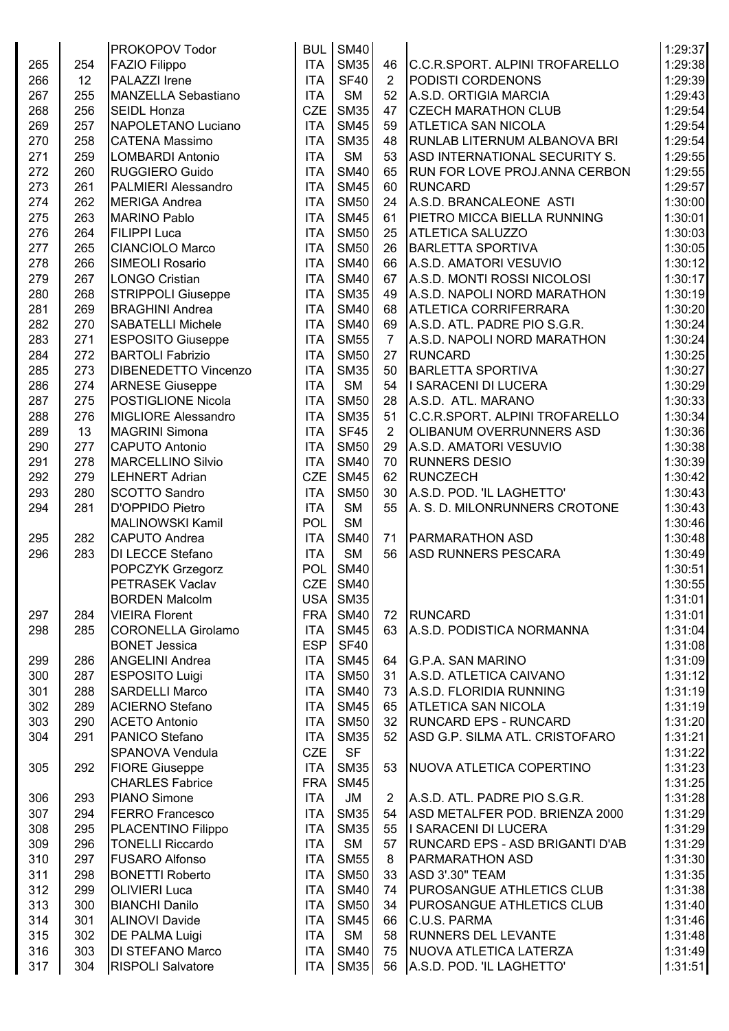|     |     | <b>PROKOPOV Todor</b>       | <b>BUL</b> | <b>SM40</b> |                |                                        | 1:29:37 |
|-----|-----|-----------------------------|------------|-------------|----------------|----------------------------------------|---------|
| 265 | 254 | <b>FAZIO Filippo</b>        | <b>ITA</b> | <b>SM35</b> | 46             | C.C.R.SPORT. ALPINI TROFARELLO         | 1:29:38 |
| 266 | 12  | PALAZZI Irene               | <b>ITA</b> | <b>SF40</b> | $\overline{2}$ | PODISTI CORDENONS                      | 1:29:39 |
| 267 | 255 | MANZELLA Sebastiano         | <b>ITA</b> | <b>SM</b>   | 52             | A.S.D. ORTIGIA MARCIA                  | 1:29:43 |
| 268 | 256 | <b>SEIDL Honza</b>          | <b>CZE</b> | <b>SM35</b> | 47             | <b>CZECH MARATHON CLUB</b>             | 1:29:54 |
| 269 | 257 | NAPOLETANO Luciano          | <b>ITA</b> | <b>SM45</b> | 59             | <b>ATLETICA SAN NICOLA</b>             | 1:29:54 |
| 270 | 258 | <b>CATENA Massimo</b>       | <b>ITA</b> | <b>SM35</b> | 48             | <b>RUNLAB LITERNUM ALBANOVA BRI</b>    | 1:29:54 |
|     | 259 |                             | <b>ITA</b> | <b>SM</b>   | 53             |                                        |         |
| 271 |     | <b>LOMBARDI Antonio</b>     |            |             |                | ASD INTERNATIONAL SECURITY S.          | 1:29:55 |
| 272 | 260 | <b>RUGGIERO Guido</b>       | <b>ITA</b> | <b>SM40</b> | 65             | <b>RUN FOR LOVE PROJ.ANNA CERBON</b>   | 1:29:55 |
| 273 | 261 | PALMIERI Alessandro         | <b>ITA</b> | <b>SM45</b> | 60             | <b>RUNCARD</b>                         | 1:29:57 |
| 274 | 262 | <b>MERIGA Andrea</b>        | <b>ITA</b> | <b>SM50</b> | 24             | A.S.D. BRANCALEONE ASTI                | 1:30:00 |
| 275 | 263 | <b>MARINO Pablo</b>         | <b>ITA</b> | <b>SM45</b> | 61             | <b>PIETRO MICCA BIELLA RUNNING</b>     | 1:30:01 |
| 276 | 264 | <b>FILIPPI Luca</b>         | <b>ITA</b> | <b>SM50</b> | 25             | <b>ATLETICA SALUZZO</b>                | 1:30:03 |
| 277 | 265 | <b>CIANCIOLO Marco</b>      | <b>ITA</b> | <b>SM50</b> | 26             | <b>BARLETTA SPORTIVA</b>               | 1:30:05 |
| 278 | 266 | SIMEOLI Rosario             | <b>ITA</b> | <b>SM40</b> | 66             | A.S.D. AMATORI VESUVIO                 | 1:30:12 |
| 279 | 267 | <b>LONGO Cristian</b>       | <b>ITA</b> | <b>SM40</b> | 67             | A.S.D. MONTI ROSSI NICOLOSI            | 1:30:17 |
| 280 | 268 | <b>STRIPPOLI Giuseppe</b>   | <b>ITA</b> | <b>SM35</b> | 49             | A.S.D. NAPOLI NORD MARATHON            | 1:30:19 |
| 281 | 269 | <b>BRAGHINI Andrea</b>      | <b>ITA</b> | <b>SM40</b> | 68             | <b>ATLETICA CORRIFERRARA</b>           | 1:30:20 |
| 282 | 270 | <b>SABATELLI Michele</b>    | <b>ITA</b> | <b>SM40</b> | 69             | A.S.D. ATL. PADRE PIO S.G.R.           | 1:30:24 |
| 283 | 271 | <b>ESPOSITO Giuseppe</b>    | <b>ITA</b> | <b>SM55</b> | $\overline{7}$ | A.S.D. NAPOLI NORD MARATHON            | 1:30:24 |
| 284 | 272 | <b>BARTOLI Fabrizio</b>     | <b>ITA</b> | <b>SM50</b> | 27             | <b>RUNCARD</b>                         | 1:30:25 |
| 285 | 273 | <b>DIBENEDETTO Vincenzo</b> | <b>ITA</b> | <b>SM35</b> | 50             | <b>BARLETTA SPORTIVA</b>               | 1:30:27 |
| 286 | 274 | <b>ARNESE Giuseppe</b>      | <b>ITA</b> | <b>SM</b>   | 54             | I SARACENI DI LUCERA                   | 1:30:29 |
| 287 | 275 | POSTIGLIONE Nicola          | <b>ITA</b> | <b>SM50</b> | 28             | A.S.D. ATL. MARANO                     | 1:30:33 |
| 288 | 276 | MIGLIORE Alessandro         | <b>ITA</b> | <b>SM35</b> | 51             | C.C.R.SPORT. ALPINI TROFARELLO         | 1:30:34 |
| 289 | 13  | <b>MAGRINI Simona</b>       | <b>ITA</b> | <b>SF45</b> | $\overline{2}$ | <b>OLIBANUM OVERRUNNERS ASD</b>        | 1:30:36 |
| 290 | 277 | <b>CAPUTO Antonio</b>       | <b>ITA</b> | <b>SM50</b> | 29             | A.S.D. AMATORI VESUVIO                 | 1:30:38 |
|     |     |                             |            | <b>SM40</b> |                |                                        | 1:30:39 |
| 291 | 278 | <b>MARCELLINO Silvio</b>    | <b>ITA</b> |             | 70             | <b>RUNNERS DESIO</b>                   |         |
| 292 | 279 | <b>LEHNERT Adrian</b>       | <b>CZE</b> | <b>SM45</b> | 62             | RUNCZECH                               | 1:30:42 |
| 293 | 280 | <b>SCOTTO Sandro</b>        | <b>ITA</b> | <b>SM50</b> | 30             | A.S.D. POD. 'IL LAGHETTO'              | 1:30:43 |
| 294 | 281 | D'OPPIDO Pietro             | <b>ITA</b> | <b>SM</b>   | 55             | A. S. D. MILONRUNNERS CROTONE          | 1:30:43 |
|     |     | <b>MALINOWSKI Kamil</b>     | POL        | <b>SM</b>   |                |                                        | 1:30:46 |
| 295 | 282 | <b>CAPUTO Andrea</b>        | <b>ITA</b> | <b>SM40</b> | 71             | <b>PARMARATHON ASD</b>                 | 1:30:48 |
| 296 | 283 | DI LECCE Stefano            | <b>ITA</b> | <b>SM</b>   | 56             | <b>ASD RUNNERS PESCARA</b>             | 1:30:49 |
|     |     | POPCZYK Grzegorz            | <b>POL</b> | <b>SM40</b> |                |                                        | 1:30:51 |
|     |     | PETRASEK Vaclav             |            | $CZE$ SM40  |                |                                        | 1:30:55 |
|     |     | <b>BORDEN Malcolm</b>       | USA        | <b>SM35</b> |                |                                        | 1:31:01 |
| 297 | 284 | <b>VIEIRA Florent</b>       | FRA        | <b>SM40</b> | 72             | RUNCARD                                | 1:31:01 |
| 298 | 285 | <b>CORONELLA Girolamo</b>   | <b>ITA</b> | <b>SM45</b> | 63             | A.S.D. PODISTICA NORMANNA              | 1:31:04 |
|     |     | <b>BONET Jessica</b>        | <b>ESP</b> | <b>SF40</b> |                |                                        | 1:31:08 |
| 299 | 286 | <b>ANGELINI Andrea</b>      | <b>ITA</b> | <b>SM45</b> | 64             | <b>G.P.A. SAN MARINO</b>               | 1:31:09 |
| 300 | 287 | <b>ESPOSITO Luigi</b>       | <b>ITA</b> | <b>SM50</b> | 31             | A.S.D. ATLETICA CAIVANO                | 1:31:12 |
| 301 | 288 | <b>SARDELLI Marco</b>       | <b>ITA</b> | <b>SM40</b> | 73             | A.S.D. FLORIDIA RUNNING                | 1:31:19 |
| 302 | 289 | <b>ACIERNO Stefano</b>      | <b>ITA</b> | <b>SM45</b> | 65             | <b>ATLETICA SAN NICOLA</b>             | 1:31:19 |
| 303 | 290 | <b>ACETO Antonio</b>        | <b>ITA</b> | <b>SM50</b> | 32             | <b>RUNCARD EPS - RUNCARD</b>           | 1:31:20 |
| 304 | 291 | PANICO Stefano              | <b>ITA</b> | <b>SM35</b> | 52             | ASD G.P. SILMA ATL. CRISTOFARO         | 1:31:21 |
|     |     | SPANOVA Vendula             | <b>CZE</b> | <b>SF</b>   |                |                                        | 1:31:22 |
| 305 | 292 | <b>FIORE Giuseppe</b>       | <b>ITA</b> | <b>SM35</b> | 53             | NUOVA ATLETICA COPERTINO               | 1:31:23 |
|     |     | <b>CHARLES Fabrice</b>      | <b>FRA</b> | <b>SM45</b> |                |                                        | 1:31:25 |
| 306 | 293 | <b>PIANO Simone</b>         | <b>ITA</b> | JM          | $\overline{2}$ | A.S.D. ATL. PADRE PIO S.G.R.           | 1:31:28 |
| 307 | 294 | <b>FERRO Francesco</b>      | <b>ITA</b> | <b>SM35</b> | 54             | ASD METALFER POD. BRIENZA 2000         | 1:31:29 |
| 308 | 295 |                             | <b>ITA</b> | <b>SM35</b> | 55             | I SARACENI DI LUCERA                   | 1:31:29 |
|     |     | PLACENTINO Filippo          |            |             |                |                                        |         |
| 309 | 296 | <b>TONELLI Riccardo</b>     | <b>ITA</b> | <b>SM</b>   | 57             | <b>RUNCARD EPS - ASD BRIGANTI D'AB</b> | 1:31:29 |
| 310 | 297 | <b>FUSARO Alfonso</b>       | <b>ITA</b> | <b>SM55</b> | 8              | <b>PARMARATHON ASD</b>                 | 1:31:30 |
| 311 | 298 | <b>BONETTI Roberto</b>      | <b>ITA</b> | <b>SM50</b> | 33             | <b>ASD 3'.30" TEAM</b>                 | 1:31:35 |
| 312 | 299 | <b>OLIVIERI Luca</b>        | <b>ITA</b> | <b>SM40</b> | 74             | <b>PUROSANGUE ATHLETICS CLUB</b>       | 1:31:38 |
| 313 | 300 | <b>BIANCHI Danilo</b>       | <b>ITA</b> | <b>SM50</b> | 34             | <b>PUROSANGUE ATHLETICS CLUB</b>       | 1:31:40 |
| 314 | 301 | <b>ALINOVI Davide</b>       | <b>ITA</b> | <b>SM45</b> | 66             | C.U.S. PARMA                           | 1:31:46 |
| 315 | 302 | <b>DE PALMA Luigi</b>       | <b>ITA</b> | <b>SM</b>   | 58             | <b>RUNNERS DEL LEVANTE</b>             | 1:31:48 |
| 316 | 303 | <b>DI STEFANO Marco</b>     | <b>ITA</b> | <b>SM40</b> | 75             | NUOVA ATLETICA LATERZA                 | 1:31:49 |
| 317 | 304 | <b>RISPOLI Salvatore</b>    | ITA        | <b>SM35</b> | 56             | A.S.D. POD. 'IL LAGHETTO'              | 1:31:51 |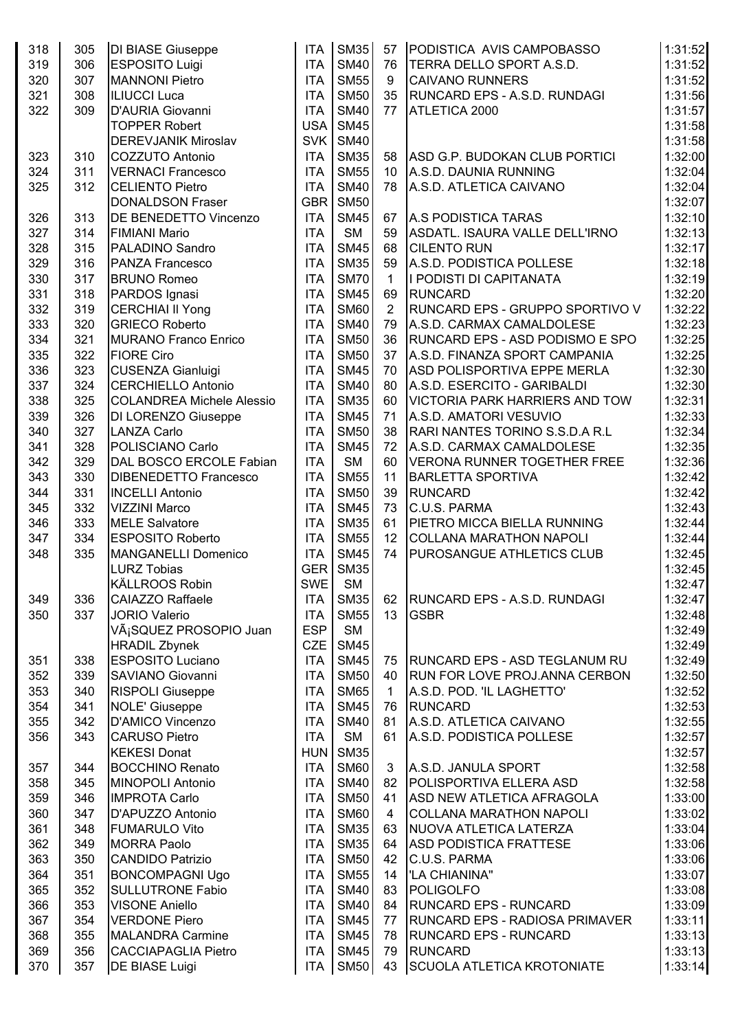| 318 | 305 | <b>DI BIASE Giuseppe</b>         | <b>ITA</b> | <b>SM35</b> | 57             | PODISTICA AVIS CAMPOBASSO              | 1:31:52 |
|-----|-----|----------------------------------|------------|-------------|----------------|----------------------------------------|---------|
| 319 | 306 | <b>ESPOSITO Luigi</b>            | <b>ITA</b> | <b>SM40</b> | 76             | <b>TERRA DELLO SPORT A.S.D.</b>        | 1:31:52 |
| 320 | 307 | <b>MANNONI Pietro</b>            | <b>ITA</b> | <b>SM55</b> | 9              | <b>CAIVANO RUNNERS</b>                 | 1:31:52 |
| 321 | 308 | <b>ILIUCCI Luca</b>              | <b>ITA</b> | <b>SM50</b> | 35             | <b>RUNCARD EPS - A.S.D. RUNDAGI</b>    | 1:31:56 |
| 322 | 309 | <b>D'AURIA Giovanni</b>          | <b>ITA</b> | <b>SM40</b> | 77             | ATLETICA 2000                          | 1:31:57 |
|     |     | <b>TOPPER Robert</b>             | <b>USA</b> | <b>SM45</b> |                |                                        | 1:31:58 |
|     |     | <b>DEREVJANIK Miroslav</b>       | SVK        | <b>SM40</b> |                |                                        | 1:31:58 |
|     |     |                                  |            |             |                |                                        |         |
| 323 | 310 | <b>COZZUTO Antonio</b>           | <b>ITA</b> | <b>SM35</b> | 58             | ASD G.P. BUDOKAN CLUB PORTICI          | 1:32:00 |
| 324 | 311 | <b>VERNACI Francesco</b>         | <b>ITA</b> | <b>SM55</b> | 10             | A.S.D. DAUNIA RUNNING                  | 1:32:04 |
| 325 | 312 | <b>CELIENTO Pietro</b>           | <b>ITA</b> | <b>SM40</b> | 78             | A.S.D. ATLETICA CAIVANO                | 1:32:04 |
|     |     | <b>DONALDSON Fraser</b>          | <b>GBR</b> | <b>SM50</b> |                |                                        | 1:32:07 |
| 326 | 313 | DE BENEDETTO Vincenzo            | <b>ITA</b> | <b>SM45</b> | 67             | A.S PODISTICA TARAS                    | 1:32:10 |
| 327 | 314 | <b>FIMIANI Mario</b>             | <b>ITA</b> | <b>SM</b>   | 59             | ASDATL. ISAURA VALLE DELL'IRNO         | 1:32:13 |
| 328 | 315 | PALADINO Sandro                  | <b>ITA</b> | <b>SM45</b> | 68             | <b>CILENTO RUN</b>                     | 1:32:17 |
| 329 | 316 | <b>PANZA Francesco</b>           | <b>ITA</b> | <b>SM35</b> | 59             | A.S.D. PODISTICA POLLESE               | 1:32:18 |
| 330 | 317 | <b>BRUNO Romeo</b>               | <b>ITA</b> | <b>SM70</b> | 1              | I PODISTI DI CAPITANATA                | 1:32:19 |
| 331 | 318 | PARDOS Ignasi                    | <b>ITA</b> | <b>SM45</b> | 69             | RUNCARD                                | 1:32:20 |
| 332 | 319 | <b>CERCHIAI II Yong</b>          | <b>ITA</b> | <b>SM60</b> | $\overline{2}$ | <b>RUNCARD EPS - GRUPPO SPORTIVO V</b> | 1:32:22 |
| 333 | 320 | <b>GRIECO Roberto</b>            | <b>ITA</b> | <b>SM40</b> | 79             | A.S.D. CARMAX CAMALDOLESE              | 1:32:23 |
| 334 | 321 | <b>MURANO Franco Enrico</b>      | <b>ITA</b> | <b>SM50</b> | 36             | RUNCARD EPS - ASD PODISMO E SPO        | 1:32:25 |
| 335 | 322 | <b>FIORE Ciro</b>                | <b>ITA</b> | <b>SM50</b> | 37             | A.S.D. FINANZA SPORT CAMPANIA          | 1:32:25 |
| 336 | 323 | <b>CUSENZA Gianluigi</b>         | <b>ITA</b> | <b>SM45</b> | 70             | <b>ASD POLISPORTIVA EPPE MERLA</b>     | 1:32:30 |
| 337 | 324 | <b>CERCHIELLO Antonio</b>        | <b>ITA</b> | <b>SM40</b> | 80             | A.S.D. ESERCITO - GARIBALDI            | 1:32:30 |
| 338 | 325 | <b>COLANDREA Michele Alessio</b> | <b>ITA</b> | <b>SM35</b> | 60             | <b>VICTORIA PARK HARRIERS AND TOW</b>  | 1:32:31 |
| 339 | 326 | DI LORENZO Giuseppe              | <b>ITA</b> | <b>SM45</b> | 71             | A.S.D. AMATORI VESUVIO                 | 1:32:33 |
| 340 | 327 | <b>LANZA Carlo</b>               | <b>ITA</b> | <b>SM50</b> | 38             | RARI NANTES TORINO S.S.D.A R.L         | 1:32:34 |
| 341 | 328 | POLISCIANO Carlo                 | <b>ITA</b> | <b>SM45</b> | 72             | A.S.D. CARMAX CAMALDOLESE              | 1:32:35 |
| 342 | 329 | DAL BOSCO ERCOLE Fabian          | <b>ITA</b> | <b>SM</b>   | 60             | VERONA RUNNER TOGETHER FREE            | 1:32:36 |
| 343 | 330 | <b>DIBENEDETTO Francesco</b>     | <b>ITA</b> | <b>SM55</b> | 11             | <b>BARLETTA SPORTIVA</b>               | 1:32:42 |
| 344 | 331 | <b>INCELLI Antonio</b>           | <b>ITA</b> | <b>SM50</b> | 39             | RUNCARD                                | 1:32:42 |
| 345 | 332 | <b>VIZZINI Marco</b>             | <b>ITA</b> | <b>SM45</b> | 73             | C.U.S. PARMA                           | 1:32:43 |
| 346 | 333 | <b>MELE Salvatore</b>            | <b>ITA</b> | <b>SM35</b> | 61             | PIETRO MICCA BIELLA RUNNING            | 1:32:44 |
|     |     | <b>ESPOSITO Roberto</b>          | <b>ITA</b> | <b>SM55</b> |                |                                        | 1:32:44 |
| 347 | 334 |                                  |            |             | 12             | <b>COLLANA MARATHON NAPOLI</b>         |         |
| 348 | 335 | <b>MANGANELLI Domenico</b>       | <b>ITA</b> | <b>SM45</b> | 74             | <b>PUROSANGUE ATHLETICS CLUB</b>       | 1:32:45 |
|     |     | <b>LURZ Tobias</b>               | <b>GER</b> | <b>SM35</b> |                |                                        | 1:32:45 |
|     |     | KÄLLROOS Robin                   | SWE        | <b>SM</b>   |                |                                        | 1:32:47 |
| 349 | 336 | <b>CAIAZZO Raffaele</b>          | <b>ITA</b> | <b>SM35</b> | 62             | <b>RUNCARD EPS - A.S.D. RUNDAGI</b>    | 1:32:47 |
| 350 | 337 | <b>JORIO Valerio</b>             | <b>ITA</b> | <b>SM55</b> | 13             | <b>GSBR</b>                            | 1:32:48 |
|     |     | VáSQUEZ PROSOPIO Juan            | <b>ESP</b> | <b>SM</b>   |                |                                        | 1:32:49 |
|     |     | <b>HRADIL Zbynek</b>             | <b>CZE</b> | <b>SM45</b> |                |                                        | 1:32:49 |
| 351 | 338 | <b>ESPOSITO Luciano</b>          | <b>ITA</b> | <b>SM45</b> | 75             | <b>RUNCARD EPS - ASD TEGLANUM RU</b>   | 1:32:49 |
| 352 | 339 | <b>SAVIANO Giovanni</b>          | <b>ITA</b> | <b>SM50</b> | 40             | <b>RUN FOR LOVE PROJ.ANNA CERBON</b>   | 1:32:50 |
| 353 | 340 | <b>RISPOLI Giuseppe</b>          | <b>ITA</b> | <b>SM65</b> | $\mathbf{1}$   | A.S.D. POD. 'IL LAGHETTO'              | 1:32:52 |
| 354 | 341 | NOLE' Giuseppe                   | <b>ITA</b> | <b>SM45</b> | 76             | RUNCARD                                | 1:32:53 |
| 355 | 342 | D'AMICO Vincenzo                 | <b>ITA</b> | <b>SM40</b> | 81             | A.S.D. ATLETICA CAIVANO                | 1:32:55 |
| 356 | 343 | <b>CARUSO Pietro</b>             | <b>ITA</b> | <b>SM</b>   | 61             | A.S.D. PODISTICA POLLESE               | 1:32:57 |
|     |     | <b>KEKESI Donat</b>              | HUN        | <b>SM35</b> |                |                                        | 1:32:57 |
| 357 | 344 | <b>BOCCHINO Renato</b>           | <b>ITA</b> | <b>SM60</b> | 3              | A.S.D. JANULA SPORT                    | 1:32:58 |
| 358 | 345 | <b>MINOPOLI Antonio</b>          | <b>ITA</b> | <b>SM40</b> | 82             | <b>POLISPORTIVA ELLERA ASD</b>         | 1:32:58 |
| 359 | 346 | <b>IMPROTA Carlo</b>             | <b>ITA</b> | <b>SM50</b> | 41             | <b>ASD NEW ATLETICA AFRAGOLA</b>       | 1:33:00 |
| 360 | 347 | D'APUZZO Antonio                 | <b>ITA</b> | <b>SM60</b> | 4              | COLLANA MARATHON NAPOLI                | 1:33:02 |
| 361 | 348 | <b>FUMARULO Vito</b>             | <b>ITA</b> | <b>SM35</b> | 63             | NUOVA ATLETICA LATERZA                 | 1:33:04 |
| 362 | 349 | <b>MORRA Paolo</b>               | <b>ITA</b> | <b>SM35</b> | 64             | <b>ASD PODISTICA FRATTESE</b>          | 1:33:06 |
| 363 | 350 | <b>CANDIDO Patrizio</b>          | <b>ITA</b> | <b>SM50</b> | 42             | C.U.S. PARMA                           | 1:33:06 |
| 364 | 351 | <b>BONCOMPAGNI Ugo</b>           | <b>ITA</b> | <b>SM55</b> | 14             | <b>LA CHIANINA"</b>                    | 1:33:07 |
| 365 | 352 | <b>SULLUTRONE Fabio</b>          | <b>ITA</b> | <b>SM40</b> | 83             | POLIGOLFO                              | 1:33:08 |
| 366 | 353 | <b>VISONE Aniello</b>            | <b>ITA</b> | <b>SM40</b> | 84             | <b>RUNCARD EPS - RUNCARD</b>           | 1:33:09 |
| 367 | 354 | <b>VERDONE Piero</b>             | <b>ITA</b> | <b>SM45</b> | 77             | <b>RUNCARD EPS - RADIOSA PRIMAVER</b>  | 1:33:11 |
| 368 | 355 | <b>MALANDRA Carmine</b>          | <b>ITA</b> | <b>SM45</b> | 78             | <b>RUNCARD EPS - RUNCARD</b>           | 1:33:13 |
| 369 | 356 | <b>CACCIAPAGLIA Pietro</b>       | <b>ITA</b> | <b>SM45</b> | 79             | <b>RUNCARD</b>                         | 1:33:13 |
| 370 | 357 | DE BIASE Luigi                   | ITA        | <b>SM50</b> | 43             | SCUOLA ATLETICA KROTONIATE             | 1:33:14 |
|     |     |                                  |            |             |                |                                        |         |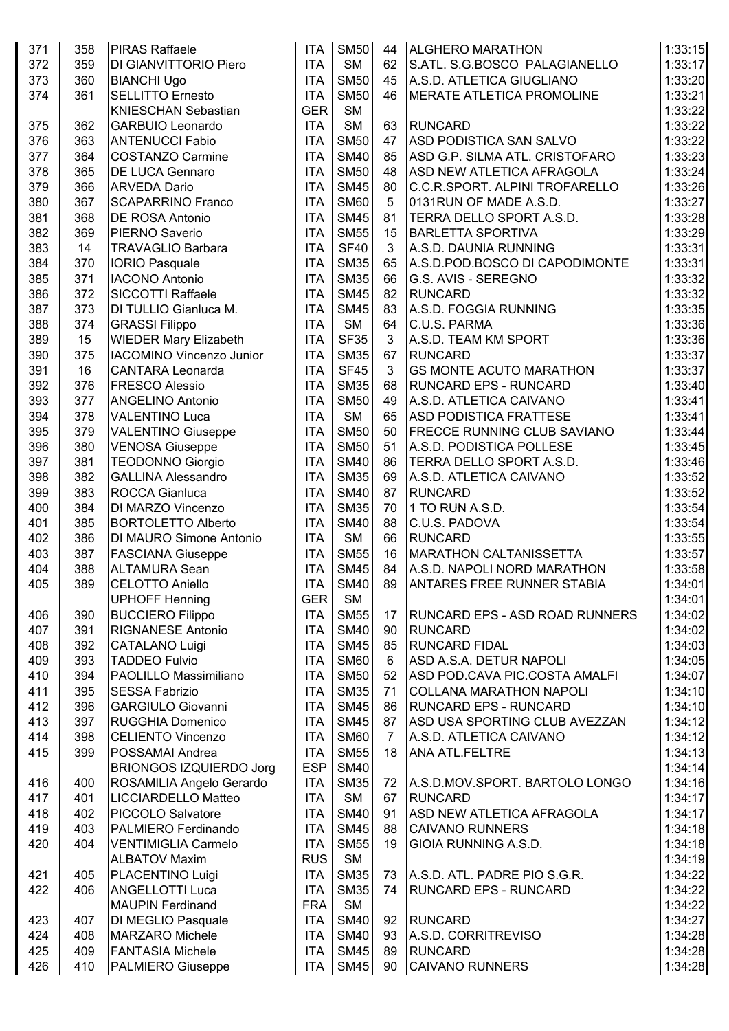| 371 | 358 | <b>PIRAS Raffaele</b>           | <b>ITA</b> | <b>SM50</b> | 44             | <b>ALGHERO MARATHON</b>               | 1:33:15 |
|-----|-----|---------------------------------|------------|-------------|----------------|---------------------------------------|---------|
| 372 | 359 | <b>DI GIANVITTORIO Piero</b>    | <b>ITA</b> | <b>SM</b>   | 62             | S.ATL. S.G.BOSCO PALAGIANELLO         | 1:33:17 |
| 373 | 360 | <b>BIANCHI Ugo</b>              | <b>ITA</b> | <b>SM50</b> | 45             | A.S.D. ATLETICA GIUGLIANO             | 1:33:20 |
| 374 | 361 | <b>SELLITTO Ernesto</b>         | <b>ITA</b> | <b>SM50</b> | 46             | <b>MERATE ATLETICA PROMOLINE</b>      | 1:33:21 |
|     |     | <b>KNIESCHAN Sebastian</b>      | <b>GER</b> | <b>SM</b>   |                |                                       | 1:33:22 |
| 375 | 362 | <b>GARBUIO Leonardo</b>         | <b>ITA</b> | <b>SM</b>   | 63             | <b>RUNCARD</b>                        | 1:33:22 |
| 376 | 363 | <b>ANTENUCCI Fabio</b>          | <b>ITA</b> | <b>SM50</b> | 47             | ASD PODISTICA SAN SALVO               | 1:33:22 |
| 377 | 364 | <b>COSTANZO Carmine</b>         | <b>ITA</b> | <b>SM40</b> | 85             | ASD G.P. SILMA ATL. CRISTOFARO        | 1:33:23 |
| 378 | 365 | <b>DE LUCA Gennaro</b>          | <b>ITA</b> | <b>SM50</b> | 48             | <b>ASD NEW ATLETICA AFRAGOLA</b>      | 1:33:24 |
| 379 | 366 | <b>ARVEDA Dario</b>             | <b>ITA</b> | <b>SM45</b> | 80             | C.C.R.SPORT. ALPINI TROFARELLO        | 1:33:26 |
| 380 | 367 | <b>SCAPARRINO Franco</b>        | <b>ITA</b> | <b>SM60</b> | 5              | 0131RUN OF MADE A.S.D.                | 1:33:27 |
| 381 | 368 | <b>DE ROSA Antonio</b>          | <b>ITA</b> | <b>SM45</b> | 81             | TERRA DELLO SPORT A.S.D.              | 1:33:28 |
| 382 | 369 | PIERNO Saverio                  | <b>ITA</b> | <b>SM55</b> | 15             | <b>BARLETTA SPORTIVA</b>              | 1:33:29 |
| 383 | 14  | <b>TRAVAGLIO Barbara</b>        | <b>ITA</b> | <b>SF40</b> | 3              | A.S.D. DAUNIA RUNNING                 | 1:33:31 |
| 384 | 370 | <b>IORIO Pasquale</b>           | <b>ITA</b> | <b>SM35</b> | 65             | A.S.D.POD.BOSCO DI CAPODIMONTE        | 1:33:31 |
| 385 | 371 | <b>IACONO Antonio</b>           | <b>ITA</b> | <b>SM35</b> | 66             | G.S. AVIS - SEREGNO                   | 1:33:32 |
| 386 | 372 | <b>SICCOTTI Raffaele</b>        | <b>ITA</b> | <b>SM45</b> | 82             | RUNCARD                               | 1:33:32 |
|     | 373 |                                 | <b>ITA</b> | <b>SM45</b> | 83             | A.S.D. FOGGIA RUNNING                 |         |
| 387 |     | DI TULLIO Gianluca M.           |            |             |                |                                       | 1:33:35 |
| 388 | 374 | <b>GRASSI Filippo</b>           | <b>ITA</b> | <b>SM</b>   | 64             | C.U.S. PARMA                          | 1:33:36 |
| 389 | 15  | <b>WIEDER Mary Elizabeth</b>    | <b>ITA</b> | <b>SF35</b> | 3              | A.S.D. TEAM KM SPORT                  | 1:33:36 |
| 390 | 375 | <b>IACOMINO Vincenzo Junior</b> | <b>ITA</b> | <b>SM35</b> | 67             | RUNCARD                               | 1:33:37 |
| 391 | 16  | <b>CANTARA Leonarda</b>         | <b>ITA</b> | <b>SF45</b> | 3              | <b>GS MONTE ACUTO MARATHON</b>        | 1:33:37 |
| 392 | 376 | <b>FRESCO Alessio</b>           | <b>ITA</b> | <b>SM35</b> | 68             | <b>RUNCARD EPS - RUNCARD</b>          | 1:33:40 |
| 393 | 377 | <b>ANGELINO Antonio</b>         | <b>ITA</b> | <b>SM50</b> | 49             | A.S.D. ATLETICA CAIVANO               | 1:33:41 |
| 394 | 378 | <b>VALENTINO Luca</b>           | <b>ITA</b> | <b>SM</b>   | 65             | <b>ASD PODISTICA FRATTESE</b>         | 1:33:41 |
| 395 | 379 | <b>VALENTINO Giuseppe</b>       | <b>ITA</b> | <b>SM50</b> | 50             | <b>FRECCE RUNNING CLUB SAVIANO</b>    | 1:33:44 |
| 396 | 380 | <b>VENOSA Giuseppe</b>          | <b>ITA</b> | <b>SM50</b> | 51             | A.S.D. PODISTICA POLLESE              | 1:33:45 |
| 397 | 381 | <b>TEODONNO Giorgio</b>         | <b>ITA</b> | <b>SM40</b> | 86             | <b>TERRA DELLO SPORT A.S.D.</b>       | 1:33:46 |
| 398 | 382 | <b>GALLINA Alessandro</b>       | <b>ITA</b> | <b>SM35</b> | 69             | A.S.D. ATLETICA CAIVANO               | 1:33:52 |
| 399 | 383 | <b>ROCCA Gianluca</b>           | <b>ITA</b> | <b>SM40</b> | 87             | <b>RUNCARD</b>                        | 1:33:52 |
| 400 | 384 | DI MARZO Vincenzo               | <b>ITA</b> | <b>SM35</b> | 70             | 1 TO RUN A.S.D.                       | 1:33:54 |
| 401 | 385 | <b>BORTOLETTO Alberto</b>       | <b>ITA</b> | <b>SM40</b> | 88             | C.U.S. PADOVA                         | 1:33:54 |
| 402 | 386 | <b>DI MAURO Simone Antonio</b>  | <b>ITA</b> | <b>SM</b>   | 66             | RUNCARD                               | 1:33:55 |
| 403 | 387 | <b>FASCIANA Giuseppe</b>        | <b>ITA</b> | <b>SM55</b> | 16             | <b>MARATHON CALTANISSETTA</b>         | 1:33:57 |
| 404 | 388 | <b>ALTAMURA Sean</b>            | <b>ITA</b> | <b>SM45</b> | 84             | A.S.D. NAPOLI NORD MARATHON           | 1:33:58 |
| 405 | 389 | <b>CELOTTO Aniello</b>          | <b>ITA</b> | <b>SM40</b> | 89             | <b>ANTARES FREE RUNNER STABIA</b>     | 1:34:01 |
|     |     | <b>UPHOFF Henning</b>           | <b>GER</b> | <b>SM</b>   |                |                                       | 1:34:01 |
| 406 | 390 | <b>BUCCIERO Filippo</b>         | <b>ITA</b> | <b>SM55</b> | 17             | <b>RUNCARD EPS - ASD ROAD RUNNERS</b> | 1:34:02 |
| 407 | 391 | <b>RIGNANESE Antonio</b>        | <b>ITA</b> | <b>SM40</b> | 90             | <b>RUNCARD</b>                        | 1:34:02 |
| 408 | 392 | <b>CATALANO Luigi</b>           | <b>ITA</b> | <b>SM45</b> | 85             | <b>RUNCARD FIDAL</b>                  | 1:34:03 |
| 409 | 393 | <b>TADDEO Fulvio</b>            | <b>ITA</b> | <b>SM60</b> | 6              | ASD A.S.A. DETUR NAPOLI               | 1:34:05 |
| 410 | 394 | PAOLILLO Massimiliano           | <b>ITA</b> | <b>SM50</b> | 52             | ASD POD.CAVA PIC.COSTA AMALFI         | 1:34:07 |
| 411 | 395 | <b>SESSA Fabrizio</b>           | <b>ITA</b> | <b>SM35</b> | 71             | <b>COLLANA MARATHON NAPOLI</b>        | 1:34:10 |
| 412 | 396 | <b>GARGIULO Giovanni</b>        | <b>ITA</b> | <b>SM45</b> | 86             | <b>RUNCARD EPS - RUNCARD</b>          | 1:34:10 |
| 413 | 397 | <b>RUGGHIA Domenico</b>         | <b>ITA</b> | <b>SM45</b> | 87             | ASD USA SPORTING CLUB AVEZZAN         | 1:34:12 |
| 414 | 398 | <b>CELIENTO Vincenzo</b>        | <b>ITA</b> | <b>SM60</b> | $\overline{7}$ | A.S.D. ATLETICA CAIVANO               | 1:34:12 |
| 415 | 399 | POSSAMAI Andrea                 | <b>ITA</b> | <b>SM55</b> | 18             | <b>ANA ATL.FELTRE</b>                 | 1:34:13 |
|     |     | <b>BRIONGOS IZQUIERDO Jorg</b>  | <b>ESP</b> | <b>SM40</b> |                |                                       | 1:34:14 |
| 416 | 400 | ROSAMILIA Angelo Gerardo        | <b>ITA</b> | <b>SM35</b> | 72             | A.S.D.MOV.SPORT. BARTOLO LONGO        | 1:34:16 |
| 417 | 401 | LICCIARDELLO Matteo             | <b>ITA</b> | <b>SM</b>   | 67             | RUNCARD                               | 1:34:17 |
| 418 | 402 | PICCOLO Salvatore               | <b>ITA</b> | <b>SM40</b> | 91             | <b>ASD NEW ATLETICA AFRAGOLA</b>      | 1:34:17 |
| 419 | 403 | PALMIERO Ferdinando             | <b>ITA</b> | <b>SM45</b> | 88             | <b>CAIVANO RUNNERS</b>                | 1:34:18 |
|     |     |                                 |            |             |                |                                       |         |
| 420 | 404 | <b>VENTIMIGLIA Carmelo</b>      | <b>ITA</b> | <b>SM55</b> | 19             | <b>GIOIA RUNNING A.S.D.</b>           | 1:34:18 |
|     |     | <b>ALBATOV Maxim</b>            | <b>RUS</b> | <b>SM</b>   |                |                                       | 1:34:19 |
| 421 | 405 | PLACENTINO Luigi                | <b>ITA</b> | <b>SM35</b> | 73             | A.S.D. ATL. PADRE PIO S.G.R.          | 1:34:22 |
| 422 | 406 | <b>ANGELLOTTI Luca</b>          | <b>ITA</b> | <b>SM35</b> | 74             | <b>RUNCARD EPS - RUNCARD</b>          | 1:34:22 |
|     |     | <b>MAUPIN Ferdinand</b>         | <b>FRA</b> | <b>SM</b>   |                |                                       | 1:34:22 |
| 423 | 407 | DI MEGLIO Pasquale              | <b>ITA</b> | <b>SM40</b> | 92             | <b>RUNCARD</b>                        | 1:34:27 |
| 424 | 408 | <b>MARZARO</b> Michele          | <b>ITA</b> | <b>SM40</b> | 93             | A.S.D. CORRITREVISO                   | 1:34:28 |
| 425 | 409 | <b>FANTASIA Michele</b>         | <b>ITA</b> | <b>SM45</b> | 89             | <b>RUNCARD</b>                        | 1:34:28 |
| 426 | 410 | PALMIERO Giuseppe               | <b>ITA</b> | <b>SM45</b> | 90             | <b>CAIVANO RUNNERS</b>                | 1:34:28 |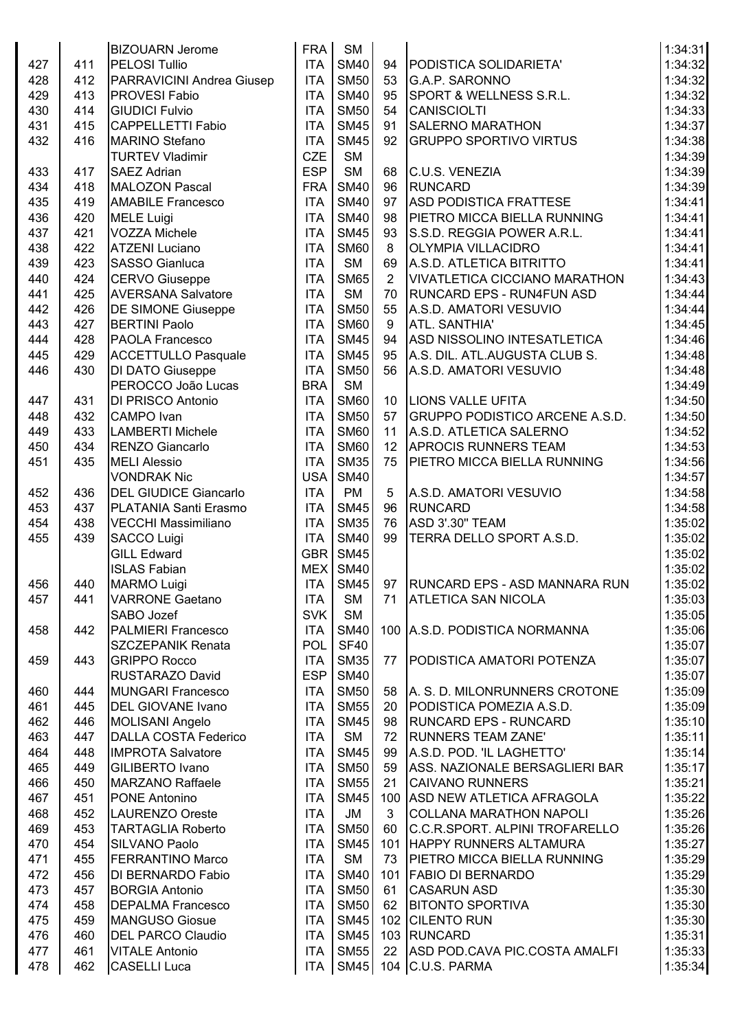|     |     | <b>BIZOUARN Jerome</b>       | <b>FRA</b> | <b>SM</b>   |                |                                       | 1:34:31 |
|-----|-----|------------------------------|------------|-------------|----------------|---------------------------------------|---------|
| 427 | 411 | <b>PELOSI Tullio</b>         | <b>ITA</b> | <b>SM40</b> | 94             | PODISTICA SOLIDARIETA'                | 1:34:32 |
| 428 | 412 | PARRAVICINI Andrea Giusep    | <b>ITA</b> | <b>SM50</b> | 53             | G.A.P. SARONNO                        | 1:34:32 |
| 429 | 413 | <b>PROVESI Fabio</b>         | <b>ITA</b> | <b>SM40</b> | 95             | SPORT & WELLNESS S.R.L.               | 1:34:32 |
| 430 | 414 | <b>GIUDICI Fulvio</b>        | <b>ITA</b> | <b>SM50</b> | 54             | CANISCIOLTI                           | 1:34:33 |
| 431 | 415 | <b>CAPPELLETTI Fabio</b>     | <b>ITA</b> | <b>SM45</b> | 91             | <b>SALERNO MARATHON</b>               | 1:34:37 |
| 432 | 416 | <b>MARINO Stefano</b>        | <b>ITA</b> | <b>SM45</b> | 92             | <b>GRUPPO SPORTIVO VIRTUS</b>         | 1:34:38 |
|     |     | <b>TURTEV Vladimir</b>       | <b>CZE</b> | <b>SM</b>   |                |                                       | 1:34:39 |
| 433 | 417 | <b>SAEZ Adrian</b>           | <b>ESP</b> | <b>SM</b>   | 68             | C.U.S. VENEZIA                        | 1:34:39 |
| 434 | 418 | MALOZON Pascal               | <b>FRA</b> | <b>SM40</b> | 96             | <b>RUNCARD</b>                        | 1:34:39 |
| 435 | 419 | <b>AMABILE Francesco</b>     | <b>ITA</b> | <b>SM40</b> | 97             | <b>ASD PODISTICA FRATTESE</b>         | 1:34:41 |
| 436 | 420 | <b>MELE Luigi</b>            | <b>ITA</b> | <b>SM40</b> | 98             | PIETRO MICCA BIELLA RUNNING           | 1:34:41 |
| 437 | 421 | <b>VOZZA Michele</b>         | <b>ITA</b> | <b>SM45</b> | 93             | S.S.D. REGGIA POWER A.R.L.            | 1:34:41 |
| 438 | 422 | <b>ATZENI Luciano</b>        | <b>ITA</b> | <b>SM60</b> | 8              | <b>OLYMPIA VILLACIDRO</b>             | 1:34:41 |
| 439 | 423 | <b>SASSO Gianluca</b>        | <b>ITA</b> | <b>SM</b>   | 69             | A.S.D. ATLETICA BITRITTO              | 1:34:41 |
| 440 | 424 | <b>CERVO Giuseppe</b>        | <b>ITA</b> | <b>SM65</b> | $\overline{2}$ | <b>VIVATLETICA CICCIANO MARATHON</b>  | 1:34:43 |
| 441 | 425 | <b>AVERSANA Salvatore</b>    | <b>ITA</b> | <b>SM</b>   | 70             | <b>RUNCARD EPS - RUN4FUN ASD</b>      | 1:34:44 |
| 442 | 426 | <b>DE SIMONE Giuseppe</b>    | <b>ITA</b> | <b>SM50</b> | 55             | A.S.D. AMATORI VESUVIO                | 1:34:44 |
| 443 | 427 | <b>BERTINI Paolo</b>         | <b>ITA</b> | <b>SM60</b> | 9              | ATL. SANTHIA'                         | 1:34:45 |
| 444 | 428 | PAOLA Francesco              | <b>ITA</b> | <b>SM45</b> | 94             | ASD NISSOLINO INTESATLETICA           | 1:34:46 |
| 445 | 429 | <b>ACCETTULLO Pasquale</b>   | <b>ITA</b> | <b>SM45</b> | 95             | A.S. DIL. ATL.AUGUSTA CLUB S.         | 1:34:48 |
| 446 | 430 | DI DATO Giuseppe             | <b>ITA</b> | <b>SM50</b> | 56             | A.S.D. AMATORI VESUVIO                | 1:34:48 |
|     |     | PEROCCO João Lucas           | <b>BRA</b> | <b>SM</b>   |                |                                       | 1:34:49 |
| 447 | 431 | <b>DI PRISCO Antonio</b>     | <b>ITA</b> | <b>SM60</b> | 10             | <b>LIONS VALLE UFITA</b>              | 1:34:50 |
| 448 | 432 | <b>CAMPO</b> Ivan            | <b>ITA</b> | <b>SM50</b> | 57             | <b>GRUPPO PODISTICO ARCENE A.S.D.</b> | 1:34:50 |
| 449 | 433 | <b>LAMBERTI Michele</b>      | <b>ITA</b> | <b>SM60</b> | 11             | A.S.D. ATLETICA SALERNO               | 1:34:52 |
| 450 | 434 | RENZO Giancarlo              | <b>ITA</b> | <b>SM60</b> | 12             | <b>APROCIS RUNNERS TEAM</b>           | 1:34:53 |
| 451 | 435 | <b>MELI Alessio</b>          | <b>ITA</b> | <b>SM35</b> | 75             | PIETRO MICCA BIELLA RUNNING           | 1:34:56 |
|     |     | <b>VONDRAK Nic</b>           | <b>USA</b> | <b>SM40</b> |                |                                       | 1:34:57 |
| 452 | 436 | <b>DEL GIUDICE Giancarlo</b> | <b>ITA</b> | <b>PM</b>   | 5              | A.S.D. AMATORI VESUVIO                | 1:34:58 |
| 453 | 437 | PLATANIA Santi Erasmo        | <b>ITA</b> | <b>SM45</b> | 96             | RUNCARD                               | 1:34:58 |
| 454 | 438 | <b>VECCHI Massimiliano</b>   | <b>ITA</b> | <b>SM35</b> | 76             | <b>ASD 3'.30" TEAM</b>                | 1:35:02 |
| 455 | 439 | <b>SACCO Luigi</b>           | <b>ITA</b> | <b>SM40</b> | 99             | <b>TERRA DELLO SPORT A.S.D.</b>       | 1:35:02 |
|     |     | <b>GILL Edward</b>           | GBR        | <b>SM45</b> |                |                                       | 1:35:02 |
|     |     | <b>ISLAS Fabian</b>          |            | MEX SM40    |                |                                       | 1:35:02 |
| 456 | 440 | <b>MARMO Luigi</b>           | ITA        | <b>SM45</b> |                | 97   RUNCARD EPS - ASD MANNARA RUN    | 1:35:02 |
| 457 | 441 | <b>VARRONE Gaetano</b>       | <b>ITA</b> | <b>SM</b>   | 71             | <b>ATLETICA SAN NICOLA</b>            | 1:35:03 |
|     |     | SABO Jozef                   | <b>SVK</b> | <b>SM</b>   |                |                                       | 1:35:05 |
| 458 | 442 | <b>PALMIERI Francesco</b>    | <b>ITA</b> | <b>SM40</b> |                | 100   A.S.D. PODISTICA NORMANNA       | 1:35:06 |
|     |     | <b>SZCZEPANIK Renata</b>     | <b>POL</b> | <b>SF40</b> |                |                                       | 1:35:07 |
| 459 | 443 | <b>GRIPPO Rocco</b>          | <b>ITA</b> | <b>SM35</b> | 77             | <b>PODISTICA AMATORI POTENZA</b>      | 1:35:07 |
|     |     | <b>RUSTARAZO David</b>       | <b>ESP</b> | <b>SM40</b> |                |                                       | 1:35:07 |
| 460 | 444 | <b>MUNGARI Francesco</b>     | <b>ITA</b> | <b>SM50</b> | 58             | A. S. D. MILONRUNNERS CROTONE         | 1:35:09 |
| 461 | 445 | <b>DEL GIOVANE Ivano</b>     | <b>ITA</b> | <b>SM55</b> | 20             | PODISTICA POMEZIA A.S.D.              | 1:35:09 |
| 462 | 446 | MOLISANI Angelo              | <b>ITA</b> | <b>SM45</b> | 98             | <b>RUNCARD EPS - RUNCARD</b>          | 1:35:10 |
| 463 | 447 | <b>DALLA COSTA Federico</b>  | <b>ITA</b> | <b>SM</b>   | 72             | <b>RUNNERS TEAM ZANE'</b>             | 1:35:11 |
| 464 | 448 | <b>IMPROTA Salvatore</b>     | <b>ITA</b> | <b>SM45</b> | 99             | A.S.D. POD. 'IL LAGHETTO'             | 1:35:14 |
| 465 | 449 | GILIBERTO Ivano              | <b>ITA</b> | <b>SM50</b> | 59             | ASS. NAZIONALE BERSAGLIERI BAR        | 1:35:17 |
| 466 | 450 | <b>MARZANO Raffaele</b>      | <b>ITA</b> | <b>SM55</b> | 21             | <b>CAIVANO RUNNERS</b>                | 1:35:21 |
| 467 | 451 | <b>PONE Antonino</b>         | <b>ITA</b> | <b>SM45</b> | 100            | ASD NEW ATLETICA AFRAGOLA             | 1:35:22 |
| 468 | 452 | <b>LAURENZO Oreste</b>       | <b>ITA</b> | JM          | 3              | <b>COLLANA MARATHON NAPOLI</b>        | 1:35:26 |
| 469 | 453 | <b>TARTAGLIA Roberto</b>     | <b>ITA</b> | <b>SM50</b> | 60             | C.C.R.SPORT. ALPINI TROFARELLO        | 1:35:26 |
| 470 | 454 | SILVANO Paolo                | <b>ITA</b> | <b>SM45</b> | 101            | <b>HAPPY RUNNERS ALTAMURA</b>         | 1:35:27 |
| 471 | 455 | <b>FERRANTINO Marco</b>      | <b>ITA</b> | <b>SM</b>   | 73             | PIETRO MICCA BIELLA RUNNING           | 1:35:29 |
| 472 | 456 | DI BERNARDO Fabio            | <b>ITA</b> | <b>SM40</b> | 101            | <b>FABIO DI BERNARDO</b>              | 1:35:29 |
| 473 | 457 | <b>BORGIA Antonio</b>        | <b>ITA</b> | <b>SM50</b> | 61             | <b>CASARUN ASD</b>                    | 1:35:30 |
| 474 | 458 | <b>DEPALMA Francesco</b>     | <b>ITA</b> | <b>SM50</b> | 62             | <b>BITONTO SPORTIVA</b>               | 1:35:30 |
| 475 | 459 | <b>MANGUSO Giosue</b>        | <b>ITA</b> | <b>SM45</b> |                | 102 CILENTO RUN                       | 1:35:30 |
| 476 | 460 | <b>DEL PARCO Claudio</b>     | <b>ITA</b> | <b>SM45</b> |                | 103 RUNCARD                           | 1:35:31 |
| 477 | 461 | <b>VITALE Antonio</b>        | <b>ITA</b> | <b>SM55</b> | 22             | ASD POD.CAVA PIC.COSTA AMALFI         | 1:35:33 |
| 478 | 462 | <b>CASELLI Luca</b>          | ITA        |             |                | SM45   104   C.U.S. PARMA             | 1:35:34 |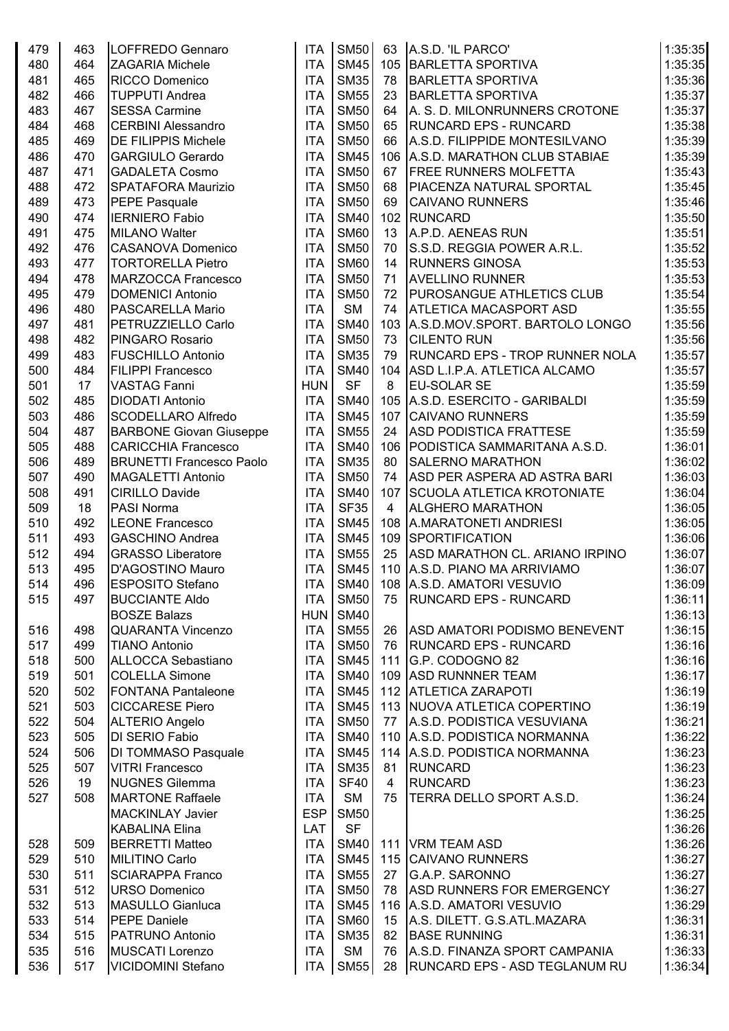| 479 | 463 | LOFFREDO Gennaro                | <b>ITA</b> | <b>SM50</b> | 63             | A.S.D. 'IL PARCO'                     | 1:35:35 |
|-----|-----|---------------------------------|------------|-------------|----------------|---------------------------------------|---------|
| 480 | 464 | <b>ZAGARIA Michele</b>          | <b>ITA</b> | <b>SM45</b> | 105            | BARLETTA SPORTIVA                     | 1:35:35 |
| 481 | 465 | <b>RICCO Domenico</b>           | <b>ITA</b> | <b>SM35</b> | 78             | <b>BARLETTA SPORTIVA</b>              | 1:35:36 |
| 482 | 466 | <b>TUPPUTI Andrea</b>           | <b>ITA</b> | <b>SM55</b> | 23             | <b>BARLETTA SPORTIVA</b>              | 1:35:37 |
| 483 | 467 | <b>SESSA Carmine</b>            | <b>ITA</b> | <b>SM50</b> | 64             | A. S. D. MILONRUNNERS CROTONE         | 1:35:37 |
| 484 | 468 | <b>CERBINI Alessandro</b>       | <b>ITA</b> | <b>SM50</b> | 65             | <b>RUNCARD EPS - RUNCARD</b>          | 1:35:38 |
| 485 | 469 | <b>DE FILIPPIS Michele</b>      | <b>ITA</b> | <b>SM50</b> | 66             | A.S.D. FILIPPIDE MONTESILVANO         | 1:35:39 |
| 486 | 470 | <b>GARGIULO Gerardo</b>         | <b>ITA</b> | <b>SM45</b> | 106            | A.S.D. MARATHON CLUB STABIAE          | 1:35:39 |
| 487 | 471 | <b>GADALETA Cosmo</b>           | <b>ITA</b> | <b>SM50</b> | 67             | <b>FREE RUNNERS MOLFETTA</b>          | 1:35:43 |
| 488 | 472 | <b>SPATAFORA Maurizio</b>       | <b>ITA</b> | <b>SM50</b> | 68             | <b>PIACENZA NATURAL SPORTAL</b>       | 1:35:45 |
| 489 | 473 | PEPE Pasquale                   | <b>ITA</b> | <b>SM50</b> | 69             | <b>CAIVANO RUNNERS</b>                | 1:35:46 |
| 490 | 474 | <b>IERNIERO Fabio</b>           | <b>ITA</b> | <b>SM40</b> | 102            | <b>RUNCARD</b>                        | 1:35:50 |
| 491 | 475 | <b>MILANO Walter</b>            | <b>ITA</b> | <b>SM60</b> | 13             | A.P.D. AENEAS RUN                     | 1:35:51 |
| 492 | 476 | <b>CASANOVA Domenico</b>        | <b>ITA</b> | <b>SM50</b> | 70             | S.S.D. REGGIA POWER A.R.L.            | 1:35:52 |
| 493 | 477 | <b>TORTORELLA Pietro</b>        | <b>ITA</b> | <b>SM60</b> | 14             | <b>RUNNERS GINOSA</b>                 | 1:35:53 |
| 494 | 478 | <b>MARZOCCA Francesco</b>       | <b>ITA</b> | <b>SM50</b> | 71             | <b>AVELLINO RUNNER</b>                | 1:35:53 |
| 495 | 479 | <b>DOMENICI Antonio</b>         | <b>ITA</b> | <b>SM50</b> | 72             | <b>PUROSANGUE ATHLETICS CLUB</b>      | 1:35:54 |
| 496 | 480 | <b>PASCARELLA Mario</b>         | <b>ITA</b> | <b>SM</b>   | 74             | <b>ATLETICA MACASPORT ASD</b>         | 1:35:55 |
| 497 | 481 | PETRUZZIELLO Carlo              | <b>ITA</b> | <b>SM40</b> | 103            | A.S.D.MOV.SPORT. BARTOLO LONGO        | 1:35:56 |
| 498 | 482 | <b>PINGARO Rosario</b>          | <b>ITA</b> | <b>SM50</b> | 73             | <b>CILENTO RUN</b>                    | 1:35:56 |
| 499 | 483 | <b>FUSCHILLO Antonio</b>        | <b>ITA</b> | <b>SM35</b> | 79             | <b>RUNCARD EPS - TROP RUNNER NOLA</b> | 1:35:57 |
| 500 | 484 | <b>FILIPPI Francesco</b>        | <b>ITA</b> | <b>SM40</b> | 104            | ASD L.I.P.A. ATLETICA ALCAMO          | 1:35:57 |
| 501 | 17  | <b>VASTAG Fanni</b>             | <b>HUN</b> | <b>SF</b>   | 8              | <b>EU-SOLAR SE</b>                    | 1:35:59 |
| 502 | 485 | <b>DIODATI Antonio</b>          | <b>ITA</b> | <b>SM40</b> | 105            | A.S.D. ESERCITO - GARIBALDI           | 1:35:59 |
| 503 | 486 | <b>SCODELLARO Alfredo</b>       | <b>ITA</b> | <b>SM45</b> | 107            | <b>CAIVANO RUNNERS</b>                | 1:35:59 |
| 504 | 487 | <b>BARBONE Giovan Giuseppe</b>  | <b>ITA</b> | <b>SM55</b> | 24             | <b>ASD PODISTICA FRATTESE</b>         | 1:35:59 |
| 505 | 488 | <b>CARICCHIA Francesco</b>      | <b>ITA</b> | <b>SM40</b> |                | 106   PODISTICA SAMMARITANA A.S.D.    | 1:36:01 |
| 506 | 489 | <b>BRUNETTI Francesco Paolo</b> | <b>ITA</b> | <b>SM35</b> | 80             | <b>SALERNO MARATHON</b>               | 1:36:02 |
| 507 | 490 | MAGALETTI Antonio               | <b>ITA</b> | <b>SM50</b> | 74             | ASD PER ASPERA AD ASTRA BARI          | 1:36:03 |
| 508 | 491 | <b>CIRILLO Davide</b>           | <b>ITA</b> | <b>SM40</b> | 107            | <b>SCUOLA ATLETICA KROTONIATE</b>     | 1:36:04 |
| 509 | 18  | PASI Norma                      | <b>ITA</b> | <b>SF35</b> | $\overline{4}$ | <b>ALGHERO MARATHON</b>               | 1:36:05 |
| 510 | 492 | <b>LEONE Francesco</b>          | <b>ITA</b> | <b>SM45</b> | 108            | A.MARATONETI ANDRIESI                 | 1:36:05 |
| 511 | 493 | <b>GASCHINO Andrea</b>          | <b>ITA</b> | <b>SM45</b> | 109            | <b>SPORTIFICATION</b>                 | 1:36:06 |
| 512 | 494 | <b>GRASSO Liberatore</b>        | <b>ITA</b> | <b>SM55</b> | 25             | ASD MARATHON CL. ARIANO IRPINO        | 1:36:07 |
| 513 | 495 | D'AGOSTINO Mauro                | <b>ITA</b> | <b>SM45</b> | 110            | A.S.D. PIANO MA ARRIVIAMO             | 1:36:07 |
| 514 | 496 | <b>ESPOSITO Stefano</b>         | <b>ITA</b> | <b>SM40</b> |                | 108 A.S.D. AMATORI VESUVIO            | 1:36:09 |
| 515 | 497 | <b>BUCCIANTE Aldo</b>           | <b>ITA</b> | <b>SM50</b> | 75             | <b>RUNCARD EPS - RUNCARD</b>          | 1:36:11 |
|     |     | <b>BOSZE Balazs</b>             | <b>HUN</b> | <b>SM40</b> |                |                                       | 1:36:13 |
| 516 | 498 | <b>QUARANTA Vincenzo</b>        | <b>ITA</b> | <b>SM55</b> | 26             | <b>ASD AMATORI PODISMO BENEVENT</b>   | 1:36:15 |
| 517 | 499 | <b>TIANO Antonio</b>            | <b>ITA</b> | <b>SM50</b> | 76             | <b>RUNCARD EPS - RUNCARD</b>          | 1:36:16 |
| 518 | 500 | ALLOCCA Sebastiano              | <b>ITA</b> | <b>SM45</b> | 111            | G.P. CODOGNO 82                       | 1:36:16 |
|     | 501 |                                 | <b>ITA</b> | <b>SM40</b> |                | 109 ASD RUNNNER TEAM                  | 1:36:17 |
| 519 |     | <b>COLELLA Simone</b>           |            |             |                |                                       |         |
| 520 | 502 | <b>FONTANA Pantaleone</b>       | <b>ITA</b> | <b>SM45</b> |                | 112 ATLETICA ZARAPOTI                 | 1:36:19 |
| 521 | 503 | <b>CICCARESE Piero</b>          | <b>ITA</b> | <b>SM45</b> |                | 113 NUOVA ATLETICA COPERTINO          | 1:36:19 |
| 522 | 504 | ALTERIO Angelo                  | <b>ITA</b> | <b>SM50</b> | 77             | A.S.D. PODISTICA VESUVIANA            | 1:36:21 |
| 523 | 505 | <b>DI SERIO Fabio</b>           | <b>ITA</b> | <b>SM40</b> | 110            | A.S.D. PODISTICA NORMANNA             | 1:36:22 |
| 524 | 506 | DI TOMMASO Pasquale             | <b>ITA</b> | <b>SM45</b> |                | 114 A.S.D. PODISTICA NORMANNA         | 1:36:23 |
| 525 | 507 | <b>VITRI Francesco</b>          | <b>ITA</b> | <b>SM35</b> | 81             | <b>RUNCARD</b>                        | 1:36:23 |
| 526 | 19  | <b>NUGNES Gilemma</b>           | <b>ITA</b> | <b>SF40</b> | 4              | <b>RUNCARD</b>                        | 1:36:23 |
| 527 | 508 | <b>MARTONE Raffaele</b>         | <b>ITA</b> | <b>SM</b>   | 75             | TERRA DELLO SPORT A.S.D.              | 1:36:24 |
|     |     | <b>MACKINLAY Javier</b>         | <b>ESP</b> | <b>SM50</b> |                |                                       | 1:36:25 |
|     |     | <b>KABALINA Elina</b>           | LAT        | <b>SF</b>   |                |                                       | 1:36:26 |
| 528 | 509 | <b>BERRETTI Matteo</b>          | <b>ITA</b> | <b>SM40</b> | 111            | VRM TEAM ASD                          | 1:36:26 |
| 529 | 510 | MILITINO Carlo                  | <b>ITA</b> | <b>SM45</b> |                | 115 CAIVANO RUNNERS                   | 1:36:27 |
| 530 | 511 | <b>SCIARAPPA Franco</b>         | <b>ITA</b> | <b>SM55</b> | 27             | <b>G.A.P. SARONNO</b>                 | 1:36:27 |
| 531 | 512 | URSO Domenico                   | <b>ITA</b> | <b>SM50</b> | 78             | <b>ASD RUNNERS FOR EMERGENCY</b>      | 1:36:27 |
| 532 | 513 | MASULLO Gianluca                | <b>ITA</b> | <b>SM45</b> |                | 116 A.S.D. AMATORI VESUVIO            | 1:36:29 |
| 533 | 514 | <b>PEPE Daniele</b>             | <b>ITA</b> | <b>SM60</b> | 15             | A.S. DILETT. G.S.ATL.MAZARA           | 1:36:31 |
| 534 | 515 | <b>PATRUNO Antonio</b>          | <b>ITA</b> | <b>SM35</b> | 82             | <b>BASE RUNNING</b>                   | 1:36:31 |
| 535 | 516 | MUSCATI Lorenzo                 | <b>ITA</b> | <b>SM</b>   | 76             | A.S.D. FINANZA SPORT CAMPANIA         | 1:36:33 |
| 536 | 517 | <b>VICIDOMINI Stefano</b>       | ITA        | <b>SM55</b> | 28             | RUNCARD EPS - ASD TEGLANUM RU         | 1:36:34 |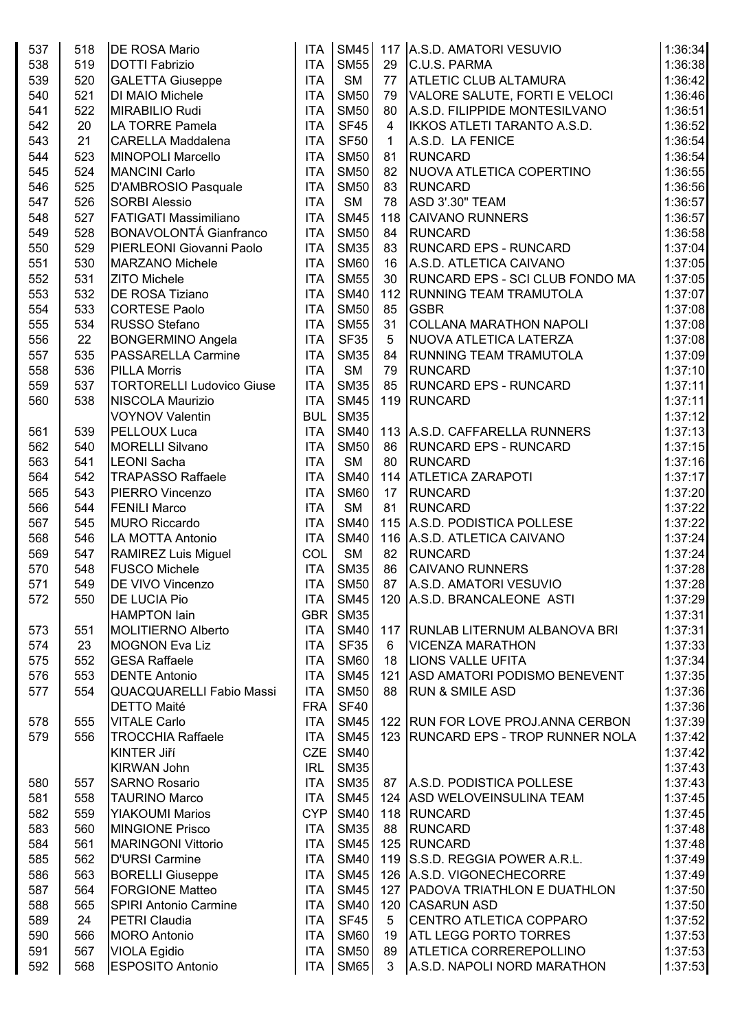| 537 | 518 | <b>DE ROSA Mario</b>             | <b>ITA</b> | <b>SM45</b> |                | 117 A.S.D. AMATORI VESUVIO          | 1:36:34 |
|-----|-----|----------------------------------|------------|-------------|----------------|-------------------------------------|---------|
| 538 | 519 | DOTTI Fabrizio                   | <b>ITA</b> | <b>SM55</b> | 29             | C.U.S. PARMA                        | 1:36:38 |
| 539 | 520 | <b>GALETTA Giuseppe</b>          | <b>ITA</b> | <b>SM</b>   | 77             | <b>ATLETIC CLUB ALTAMURA</b>        | 1:36:42 |
| 540 | 521 | DI MAIO Michele                  | <b>ITA</b> | <b>SM50</b> | 79             | VALORE SALUTE, FORTI E VELOCI       | 1:36:46 |
| 541 | 522 | MIRABILIO Rudi                   | <b>ITA</b> | <b>SM50</b> | 80             | A.S.D. FILIPPIDE MONTESILVANO       | 1:36:51 |
| 542 | 20  | LA TORRE Pamela                  | <b>ITA</b> | <b>SF45</b> | $\overline{4}$ | IKKOS ATLETI TARANTO A.S.D.         | 1:36:52 |
| 543 | 21  | <b>CARELLA Maddalena</b>         | <b>ITA</b> | <b>SF50</b> | 1              | A.S.D. LA FENICE                    | 1:36:54 |
| 544 | 523 | <b>MINOPOLI Marcello</b>         | <b>ITA</b> | <b>SM50</b> | 81             | <b>RUNCARD</b>                      | 1:36:54 |
| 545 | 524 | <b>MANCINI Carlo</b>             | <b>ITA</b> | <b>SM50</b> | 82             | NUOVA ATLETICA COPERTINO            | 1:36:55 |
| 546 | 525 | D'AMBROSIO Pasquale              | <b>ITA</b> | <b>SM50</b> | 83             | <b>RUNCARD</b>                      | 1:36:56 |
| 547 | 526 | <b>SORBI Alessio</b>             | <b>ITA</b> | <b>SM</b>   | 78             | <b>ASD 3'.30" TEAM</b>              | 1:36:57 |
| 548 | 527 | <b>FATIGATI Massimiliano</b>     | <b>ITA</b> | <b>SM45</b> | 118            | <b>CAIVANO RUNNERS</b>              | 1:36:57 |
| 549 | 528 | <b>BONAVOLONTÁ Gianfranco</b>    | <b>ITA</b> | <b>SM50</b> | 84             | <b>RUNCARD</b>                      | 1:36:58 |
| 550 | 529 | PIERLEONI Giovanni Paolo         | <b>ITA</b> | <b>SM35</b> | 83             | <b>RUNCARD EPS - RUNCARD</b>        | 1:37:04 |
|     | 530 |                                  | <b>ITA</b> | <b>SM60</b> |                |                                     | 1:37:05 |
| 551 |     | <b>MARZANO Michele</b>           |            |             | 16             | A.S.D. ATLETICA CAIVANO             |         |
| 552 | 531 | <b>ZITO Michele</b>              | <b>ITA</b> | <b>SM55</b> | 30             | RUNCARD EPS - SCI CLUB FONDO MA     | 1:37:05 |
| 553 | 532 | DE ROSA Tiziano                  | <b>ITA</b> | <b>SM40</b> | 112            | <b>RUNNING TEAM TRAMUTOLA</b>       | 1:37:07 |
| 554 | 533 | <b>CORTESE Paolo</b>             | <b>ITA</b> | <b>SM50</b> | 85             | <b>GSBR</b>                         | 1:37:08 |
| 555 | 534 | <b>RUSSO Stefano</b>             | <b>ITA</b> | <b>SM55</b> | 31             | COLLANA MARATHON NAPOLI             | 1:37:08 |
| 556 | 22  | <b>BONGERMINO Angela</b>         | <b>ITA</b> | <b>SF35</b> | 5              | NUOVA ATLETICA LATERZA              | 1:37:08 |
| 557 | 535 | <b>PASSARELLA Carmine</b>        | <b>ITA</b> | <b>SM35</b> | 84             | <b>RUNNING TEAM TRAMUTOLA</b>       | 1:37:09 |
| 558 | 536 | <b>PILLA Morris</b>              | <b>ITA</b> | <b>SM</b>   | 79             | <b>RUNCARD</b>                      | 1:37:10 |
| 559 | 537 | <b>TORTORELLI Ludovico Giuse</b> | <b>ITA</b> | <b>SM35</b> | 85             | <b>RUNCARD EPS - RUNCARD</b>        | 1:37:11 |
| 560 | 538 | NISCOLA Maurizio                 | <b>ITA</b> | <b>SM45</b> |                | 119 RUNCARD                         | 1:37:11 |
|     |     | <b>VOYNOV Valentin</b>           | <b>BUL</b> | <b>SM35</b> |                |                                     | 1:37:12 |
| 561 | 539 | PELLOUX Luca                     | <b>ITA</b> | <b>SM40</b> |                | 113 A.S.D. CAFFARELLA RUNNERS       | 1:37:13 |
| 562 | 540 | <b>MORELLI Silvano</b>           | <b>ITA</b> | <b>SM50</b> | 86             | <b>RUNCARD EPS - RUNCARD</b>        | 1:37:15 |
| 563 | 541 | <b>LEONI</b> Sacha               | <b>ITA</b> | <b>SM</b>   | 80             | <b>RUNCARD</b>                      | 1:37:16 |
| 564 | 542 | <b>TRAPASSO Raffaele</b>         | <b>ITA</b> | <b>SM40</b> | 114            | <b>ATLETICA ZARAPOTI</b>            | 1:37:17 |
| 565 | 543 | PIERRO Vincenzo                  | <b>ITA</b> | <b>SM60</b> | 17             | <b>RUNCARD</b>                      | 1:37:20 |
| 566 | 544 | <b>FENILI Marco</b>              | <b>ITA</b> | <b>SM</b>   | 81             | <b>RUNCARD</b>                      | 1:37:22 |
| 567 | 545 | <b>MURO Riccardo</b>             | <b>ITA</b> | <b>SM40</b> |                | 115 A.S.D. PODISTICA POLLESE        | 1:37:22 |
| 568 | 546 | LA MOTTA Antonio                 | <b>ITA</b> | <b>SM40</b> |                | 116 A.S.D. ATLETICA CAIVANO         | 1:37:24 |
| 569 | 547 | <b>RAMIREZ Luis Miguel</b>       | COL        | <b>SM</b>   | 82             | <b>RUNCARD</b>                      | 1:37:24 |
| 570 | 548 | <b>FUSCO Michele</b>             | <b>ITA</b> | <b>SM35</b> | 86             | <b>CAIVANO RUNNERS</b>              | 1:37:28 |
| 571 | 549 | <b>DE VIVO Vincenzo</b>          | <b>ITA</b> | <b>SM50</b> | 87             | A.S.D. AMATORI VESUVIO              | 1:37:28 |
| 572 | 550 | <b>DE LUCIA Pio</b>              | <b>ITA</b> | <b>SM45</b> |                | 120 A.S.D. BRANCALEONE ASTI         | 1:37:29 |
|     |     | <b>HAMPTON lain</b>              | GBR        | <b>SM35</b> |                |                                     | 1:37:31 |
| 573 | 551 | <b>MOLITIERNO Alberto</b>        | <b>ITA</b> | <b>SM40</b> |                | 117   RUNLAB LITERNUM ALBANOVA BRI  | 1:37:31 |
| 574 | 23  | <b>MOGNON Eva Liz</b>            | <b>ITA</b> | <b>SF35</b> | 6              | <b>VICENZA MARATHON</b>             | 1:37:33 |
| 575 | 552 | <b>GESA Raffaele</b>             | <b>ITA</b> | <b>SM60</b> | 18             | <b>LIONS VALLE UFITA</b>            | 1:37:34 |
| 576 | 553 | <b>DENTE Antonio</b>             | <b>ITA</b> | <b>SM45</b> | 121            | <b>ASD AMATORI PODISMO BENEVENT</b> | 1:37:35 |
| 577 | 554 | <b>QUACQUARELLI Fabio Massi</b>  | <b>ITA</b> | <b>SM50</b> | 88             | <b>RUN &amp; SMILE ASD</b>          | 1:37:36 |
|     |     | <b>DETTO Maité</b>               | <b>FRA</b> | <b>SF40</b> |                |                                     | 1:37:36 |
| 578 | 555 | <b>VITALE Carlo</b>              | <b>ITA</b> | <b>SM45</b> |                | 122 RUN FOR LOVE PROJ.ANNA CERBON   | 1:37:39 |
| 579 | 556 | <b>TROCCHIA Raffaele</b>         | <b>ITA</b> | <b>SM45</b> |                | 123 RUNCARD EPS - TROP RUNNER NOLA  | 1:37:42 |
|     |     | KINTER Jiří                      | <b>CZE</b> | <b>SM40</b> |                |                                     | 1:37:42 |
|     |     | <b>KIRWAN John</b>               | <b>IRL</b> | <b>SM35</b> |                |                                     | 1:37:43 |
| 580 | 557 | <b>SARNO Rosario</b>             | <b>ITA</b> | <b>SM35</b> | 87             | A.S.D. PODISTICA POLLESE            | 1:37:43 |
| 581 | 558 | <b>TAURINO Marco</b>             | <b>ITA</b> | <b>SM45</b> |                | 124 ASD WELOVEINSULINA TEAM         | 1:37:45 |
| 582 | 559 | <b>YIAKOUMI Marios</b>           | <b>CYP</b> | <b>SM40</b> |                | 118 RUNCARD                         | 1:37:45 |
| 583 | 560 | <b>MINGIONE Prisco</b>           | <b>ITA</b> | <b>SM35</b> | 88             | <b>RUNCARD</b>                      | 1:37:48 |
| 584 | 561 | <b>MARINGONI Vittorio</b>        | <b>ITA</b> | <b>SM45</b> |                | 125 RUNCARD                         | 1:37:48 |
| 585 | 562 | <b>D'URSI Carmine</b>            | <b>ITA</b> | <b>SM40</b> |                | 119 S.S.D. REGGIA POWER A.R.L.      | 1:37:49 |
| 586 | 563 | <b>BORELLI Giuseppe</b>          | <b>ITA</b> | <b>SM45</b> |                | 126 A.S.D. VIGONECHECORRE           | 1:37:49 |
| 587 | 564 | <b>FORGIONE Matteo</b>           | <b>ITA</b> | <b>SM45</b> | 127            | <b>PADOVA TRIATHLON E DUATHLON</b>  | 1:37:50 |
|     |     |                                  |            |             |                |                                     |         |
| 588 | 565 | SPIRI Antonio Carmine            | <b>ITA</b> | <b>SM40</b> |                | 120 CASARUN ASD                     | 1:37:50 |
| 589 | 24  | PETRI Claudia                    | <b>ITA</b> | <b>SF45</b> | 5              | <b>CENTRO ATLETICA COPPARO</b>      | 1:37:52 |
| 590 | 566 | <b>MORO</b> Antonio              | <b>ITA</b> | <b>SM60</b> | 19             | <b>ATL LEGG PORTO TORRES</b>        | 1:37:53 |
| 591 | 567 | VIOLA Egidio                     | <b>ITA</b> | <b>SM50</b> | 89             | <b>ATLETICA CORREREPOLLINO</b>      | 1:37:53 |
| 592 | 568 | <b>ESPOSITO Antonio</b>          | ITA        | <b>SM65</b> | 3              | A.S.D. NAPOLI NORD MARATHON         | 1:37:53 |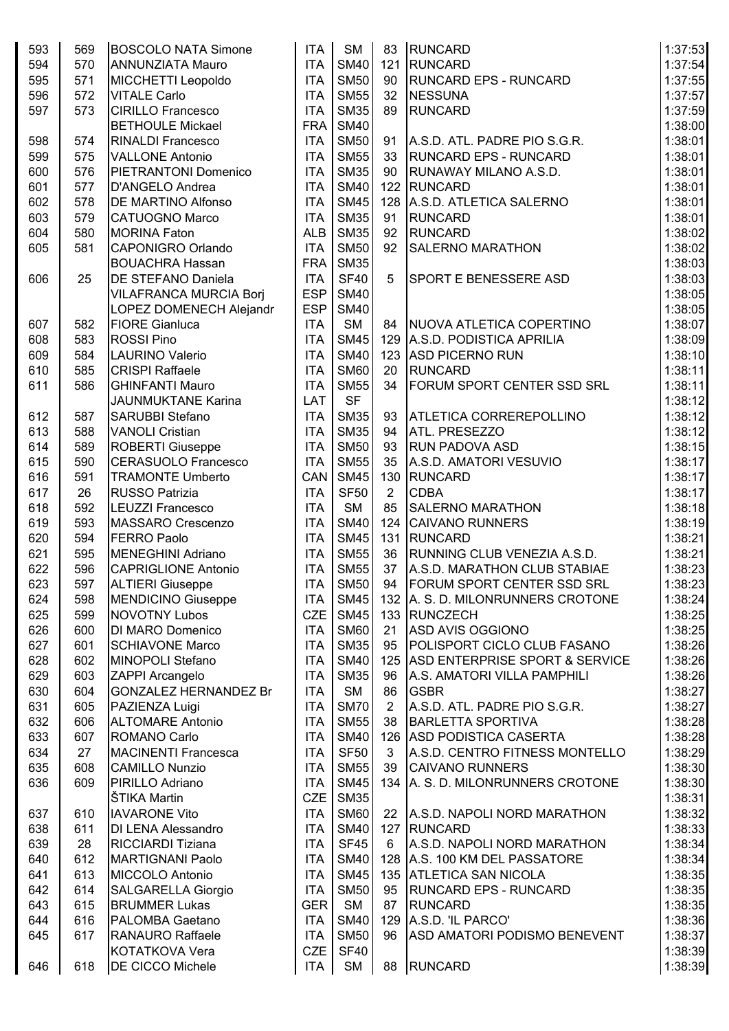| 593 | 569 | <b>BOSCOLO NATA Simone</b>    | <b>ITA</b> | SM          | 83             | <b>RUNCARD</b>                     | 1:37:53 |
|-----|-----|-------------------------------|------------|-------------|----------------|------------------------------------|---------|
| 594 | 570 | <b>ANNUNZIATA Mauro</b>       | <b>ITA</b> | <b>SM40</b> | 121            | <b>RUNCARD</b>                     | 1:37:54 |
| 595 | 571 | MICCHETTI Leopoldo            | <b>ITA</b> | <b>SM50</b> | 90             | <b>RUNCARD EPS - RUNCARD</b>       | 1:37:55 |
| 596 | 572 | <b>VITALE Carlo</b>           | <b>ITA</b> | <b>SM55</b> | 32             | <b>NESSUNA</b>                     | 1:37:57 |
| 597 | 573 | <b>CIRILLO Francesco</b>      | <b>ITA</b> | <b>SM35</b> | 89             | <b>RUNCARD</b>                     | 1:37:59 |
|     |     | <b>BETHOULE Mickael</b>       | <b>FRA</b> | <b>SM40</b> |                |                                    | 1:38:00 |
| 598 | 574 | <b>RINALDI Francesco</b>      | <b>ITA</b> | <b>SM50</b> | 91             | A.S.D. ATL. PADRE PIO S.G.R.       | 1:38:01 |
|     |     |                               |            |             |                |                                    |         |
| 599 | 575 | <b>VALLONE Antonio</b>        | <b>ITA</b> | <b>SM55</b> | 33             | <b>RUNCARD EPS - RUNCARD</b>       | 1:38:01 |
| 600 | 576 | <b>PIETRANTONI Domenico</b>   | <b>ITA</b> | <b>SM35</b> | 90             | <b>RUNAWAY MILANO A.S.D.</b>       | 1:38:01 |
| 601 | 577 | D'ANGELO Andrea               | <b>ITA</b> | <b>SM40</b> | 122            | RUNCARD                            | 1:38:01 |
| 602 | 578 | DE MARTINO Alfonso            | <b>ITA</b> | <b>SM45</b> | 128            | A.S.D. ATLETICA SALERNO            | 1:38:01 |
| 603 | 579 | <b>CATUOGNO Marco</b>         | <b>ITA</b> | <b>SM35</b> | 91             | <b>RUNCARD</b>                     | 1:38:01 |
| 604 | 580 | <b>MORINA Faton</b>           | <b>ALB</b> | <b>SM35</b> | 92             | <b>RUNCARD</b>                     | 1:38:02 |
| 605 | 581 | <b>CAPONIGRO Orlando</b>      | <b>ITA</b> | <b>SM50</b> | 92             | <b>SALERNO MARATHON</b>            | 1:38:02 |
|     |     | <b>BOUACHRA Hassan</b>        | <b>FRA</b> | <b>SM35</b> |                |                                    | 1:38:03 |
| 606 | 25  | DE STEFANO Daniela            | <b>ITA</b> | <b>SF40</b> | 5              | <b>SPORT E BENESSERE ASD</b>       | 1:38:03 |
|     |     | <b>VILAFRANCA MURCIA Borj</b> | <b>ESP</b> | <b>SM40</b> |                |                                    | 1:38:05 |
|     |     | LOPEZ DOMENECH Alejandr       | <b>ESP</b> | <b>SM40</b> |                |                                    | 1:38:05 |
| 607 | 582 | <b>FIORE Gianluca</b>         | <b>ITA</b> | <b>SM</b>   | 84             | NUOVA ATLETICA COPERTINO           | 1:38:07 |
| 608 | 583 | <b>ROSSI Pino</b>             | <b>ITA</b> | <b>SM45</b> | 129            | A.S.D. PODISTICA APRILIA           | 1:38:09 |
| 609 | 584 | <b>LAURINO Valerio</b>        | <b>ITA</b> | <b>SM40</b> | 123            | <b>ASD PICERNO RUN</b>             | 1:38:10 |
| 610 | 585 | <b>CRISPI Raffaele</b>        | <b>ITA</b> | <b>SM60</b> | 20             | <b>RUNCARD</b>                     | 1:38:11 |
| 611 | 586 | <b>GHINFANTI Mauro</b>        | <b>ITA</b> | <b>SM55</b> | 34             | <b>FORUM SPORT CENTER SSD SRL</b>  | 1:38:11 |
|     |     | <b>JAUNMUKTANE Karina</b>     | LAT        | <b>SF</b>   |                |                                    | 1:38:12 |
| 612 | 587 | SARUBBI Stefano               | <b>ITA</b> | <b>SM35</b> | 93             | <b>ATLETICA CORREREPOLLINO</b>     | 1:38:12 |
| 613 | 588 | <b>VANOLI Cristian</b>        | <b>ITA</b> | <b>SM35</b> | 94             | ATL. PRESEZZO                      | 1:38:12 |
| 614 | 589 | ROBERTI Giuseppe              | <b>ITA</b> | <b>SM50</b> | 93             | <b>RUN PADOVA ASD</b>              | 1:38:15 |
| 615 | 590 | <b>CERASUOLO Francesco</b>    | <b>ITA</b> | <b>SM55</b> | 35             | A.S.D. AMATORI VESUVIO             | 1:38:17 |
| 616 | 591 | <b>TRAMONTE Umberto</b>       | CAN        | <b>SM45</b> | 130            | RUNCARD                            | 1:38:17 |
| 617 | 26  | <b>RUSSO Patrizia</b>         | <b>ITA</b> | <b>SF50</b> | $\overline{2}$ | <b>CDBA</b>                        | 1:38:17 |
| 618 | 592 | <b>LEUZZI Francesco</b>       | <b>ITA</b> | <b>SM</b>   | 85             | <b>SALERNO MARATHON</b>            | 1:38:18 |
| 619 | 593 | MASSARO Crescenzo             | <b>ITA</b> | <b>SM40</b> | 124            | <b>CAIVANO RUNNERS</b>             | 1:38:19 |
| 620 | 594 | <b>FERRO Paolo</b>            | <b>ITA</b> | <b>SM45</b> | 131            | <b>RUNCARD</b>                     | 1:38:21 |
| 621 | 595 | <b>MENEGHINI Adriano</b>      | <b>ITA</b> | <b>SM55</b> | 36             | RUNNING CLUB VENEZIA A.S.D.        | 1:38:21 |
| 622 | 596 | <b>CAPRIGLIONE Antonio</b>    | <b>ITA</b> | <b>SM55</b> | 37             | A.S.D. MARATHON CLUB STABIAE       | 1:38:23 |
| 623 | 597 | <b>ALTIERI Giuseppe</b>       | <b>ITA</b> | <b>SM50</b> | 94             | FORUM SPORT CENTER SSD SRL         | 1:38:23 |
| 624 | 598 | <b>MENDICINO Giuseppe</b>     | <b>ITA</b> | <b>SM45</b> |                | 132 A. S. D. MILONRUNNERS CROTONE  | 1:38:24 |
| 625 | 599 | <b>NOVOTNY Lubos</b>          | <b>CZE</b> | <b>SM45</b> |                | 133 RUNCZECH                       | 1:38:25 |
| 626 | 600 | DI MARO Domenico              | <b>ITA</b> | <b>SM60</b> | 21             | <b>ASD AVIS OGGIONO</b>            | 1:38:25 |
| 627 | 601 | <b>SCHIAVONE Marco</b>        | <b>ITA</b> | <b>SM35</b> | 95             | POLISPORT CICLO CLUB FASANO        | 1:38:26 |
| 628 | 602 | MINOPOLI Stefano              | <b>ITA</b> | <b>SM40</b> |                | 125 ASD ENTERPRISE SPORT & SERVICE | 1:38:26 |
| 629 | 603 | <b>ZAPPI Arcangelo</b>        | <b>ITA</b> | <b>SM35</b> | 96             | A.S. AMATORI VILLA PAMPHILI        | 1:38:26 |
| 630 | 604 | <b>GONZALEZ HERNANDEZ Br</b>  | <b>ITA</b> | <b>SM</b>   | 86             | <b>GSBR</b>                        | 1:38:27 |
| 631 | 605 | PAZIENZA Luigi                | <b>ITA</b> | <b>SM70</b> | $\overline{2}$ | A.S.D. ATL. PADRE PIO S.G.R.       | 1:38:27 |
| 632 | 606 | <b>ALTOMARE Antonio</b>       | <b>ITA</b> | <b>SM55</b> | 38             | <b>BARLETTA SPORTIVA</b>           | 1:38:28 |
| 633 | 607 | ROMANO Carlo                  | <b>ITA</b> | <b>SM40</b> |                | 126 ASD PODISTICA CASERTA          | 1:38:28 |
| 634 | 27  | <b>MACINENTI Francesca</b>    | <b>ITA</b> | <b>SF50</b> | 3              | A.S.D. CENTRO FITNESS MONTELLO     | 1:38:29 |
|     | 608 | <b>CAMILLO Nunzio</b>         | <b>ITA</b> | <b>SM55</b> | 39             | <b>CAIVANO RUNNERS</b>             |         |
| 635 |     |                               |            |             | 134            |                                    | 1:38:30 |
| 636 | 609 | PIRILLO Adriano               | <b>ITA</b> | <b>SM45</b> |                | A. S. D. MILONRUNNERS CROTONE      | 1:38:30 |
|     |     | ŠTIKA Martin                  | <b>CZE</b> | <b>SM35</b> |                |                                    | 1:38:31 |
| 637 | 610 | <b>IAVARONE Vito</b>          | <b>ITA</b> | <b>SM60</b> | 22             | A.S.D. NAPOLI NORD MARATHON        | 1:38:32 |
| 638 | 611 | <b>DI LENA Alessandro</b>     | <b>ITA</b> | <b>SM40</b> | 127            | RUNCARD                            | 1:38:33 |
| 639 | 28  | <b>RICCIARDI Tiziana</b>      | <b>ITA</b> | <b>SF45</b> | 6              | A.S.D. NAPOLI NORD MARATHON        | 1:38:34 |
| 640 | 612 | <b>MARTIGNANI Paolo</b>       | <b>ITA</b> | <b>SM40</b> |                | 128 A.S. 100 KM DEL PASSATORE      | 1:38:34 |
| 641 | 613 | MICCOLO Antonio               | <b>ITA</b> | <b>SM45</b> |                | 135 ATLETICA SAN NICOLA            | 1:38:35 |
| 642 | 614 | <b>SALGARELLA Giorgio</b>     | <b>ITA</b> | <b>SM50</b> | 95             | <b>RUNCARD EPS - RUNCARD</b>       | 1:38:35 |
| 643 | 615 | <b>BRUMMER Lukas</b>          | <b>GER</b> | <b>SM</b>   | 87             | <b>RUNCARD</b>                     | 1:38:35 |
| 644 | 616 | PALOMBA Gaetano               | <b>ITA</b> | <b>SM40</b> | 129            | A.S.D. 'IL PARCO'                  | 1:38:36 |
| 645 | 617 | <b>RANAURO Raffaele</b>       | <b>ITA</b> | <b>SM50</b> | 96             | ASD AMATORI PODISMO BENEVENT       | 1:38:37 |
|     |     | KOTATKOVA Vera                | <b>CZE</b> | <b>SF40</b> |                |                                    | 1:38:39 |
| 646 | 618 | DE CICCO Michele              | <b>ITA</b> | <b>SM</b>   | 88             | <b>RUNCARD</b>                     | 1:38:39 |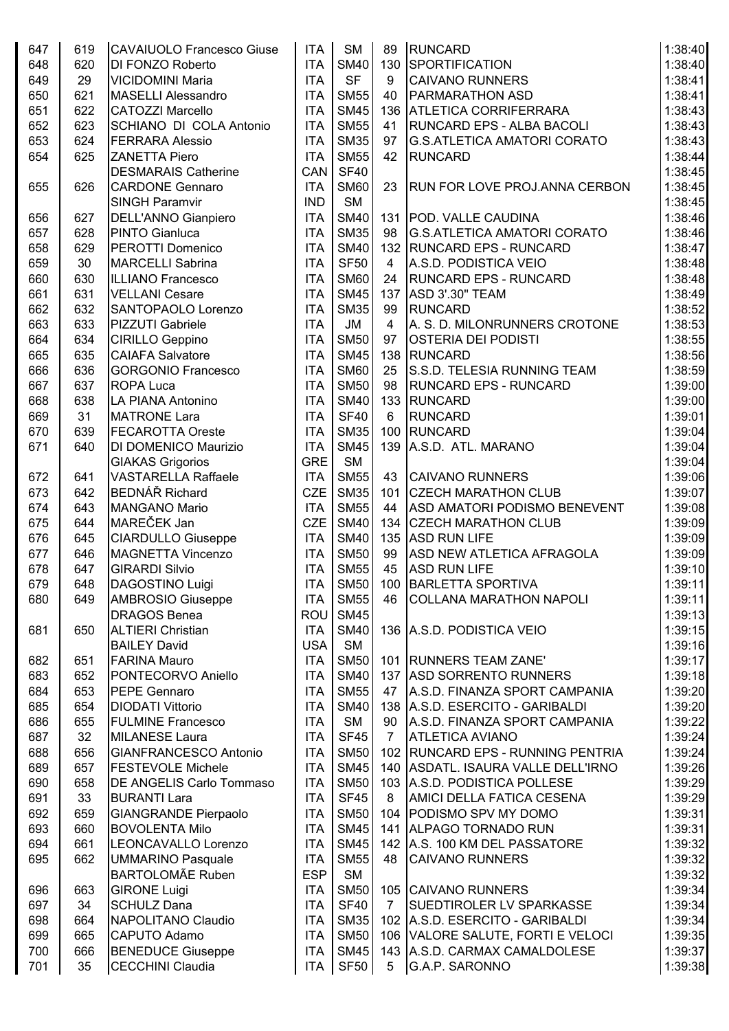| 647        | 619        | <b>CAVAIUOLO Francesco Giuse</b>                      | <b>ITA</b>               | <b>SM</b>                  | 89             | <b>RUNCARD</b>                                 | 1:38:40            |
|------------|------------|-------------------------------------------------------|--------------------------|----------------------------|----------------|------------------------------------------------|--------------------|
| 648        | 620        | DI FONZO Roberto                                      | <b>ITA</b>               | <b>SM40</b>                | 130            | <b>SPORTIFICATION</b>                          | 1:38:40            |
| 649        | 29         | <b>VICIDOMINI Maria</b>                               | <b>ITA</b>               | <b>SF</b>                  | 9              | <b>CAIVANO RUNNERS</b>                         | 1:38:41            |
| 650        | 621        | <b>MASELLI Alessandro</b>                             | <b>ITA</b>               | <b>SM55</b>                | 40             | <b>PARMARATHON ASD</b>                         | 1:38:41            |
| 651        | 622        | <b>CATOZZI Marcello</b>                               | <b>ITA</b>               | <b>SM45</b>                | 136            | <b>ATLETICA CORRIFERRARA</b>                   | 1:38:43            |
| 652        | 623        | SCHIANO DI COLA Antonio                               | <b>ITA</b>               | <b>SM55</b>                | 41             | <b>RUNCARD EPS - ALBA BACOLI</b>               | 1:38:43            |
| 653        | 624        | <b>FERRARA Alessio</b>                                | <b>ITA</b>               | <b>SM35</b>                | 97             | <b>G.S.ATLETICA AMATORI CORATO</b>             | 1:38:43            |
| 654        | 625        | <b>ZANETTA Piero</b>                                  | <b>ITA</b>               | <b>SM55</b>                | 42             | <b>RUNCARD</b>                                 | 1:38:44            |
|            |            | <b>DESMARAIS Catherine</b>                            | CAN                      | <b>SF40</b>                |                |                                                | 1:38:45            |
| 655        | 626        | <b>CARDONE Gennaro</b>                                | <b>ITA</b>               | <b>SM60</b>                | 23             | <b>RUN FOR LOVE PROJ.ANNA CERBON</b>           | 1:38:45            |
|            |            | <b>SINGH Paramvir</b>                                 | <b>IND</b>               | <b>SM</b>                  |                |                                                | 1:38:45            |
| 656        | 627        | DELL'ANNO Gianpiero                                   | <b>ITA</b>               | <b>SM40</b>                | 131            | <b>POD. VALLE CAUDINA</b>                      | 1:38:46            |
| 657        | 628        | <b>PINTO Gianluca</b>                                 | <b>ITA</b>               | <b>SM35</b>                | 98             | <b>G.S.ATLETICA AMATORI CORATO</b>             | 1:38:46            |
| 658        | 629        | PEROTTI Domenico                                      | <b>ITA</b>               | <b>SM40</b>                | 132            | <b>RUNCARD EPS - RUNCARD</b>                   | 1:38:47            |
| 659        | 30         | <b>MARCELLI Sabrina</b>                               | <b>ITA</b>               | <b>SF50</b>                | $\overline{4}$ | A.S.D. PODISTICA VEIO                          | 1:38:48            |
| 660        | 630        | <b>ILLIANO Francesco</b>                              | <b>ITA</b>               | <b>SM60</b>                | 24             | <b>RUNCARD EPS - RUNCARD</b>                   | 1:38:48            |
| 661        | 631        | <b>VELLANI Cesare</b>                                 | <b>ITA</b>               | <b>SM45</b>                | 137            | ASD 3'.30" TEAM                                | 1:38:49            |
| 662        | 632        | SANTOPAOLO Lorenzo                                    | <b>ITA</b>               | <b>SM35</b>                | 99             | RUNCARD                                        | 1:38:52            |
| 663        | 633        | <b>PIZZUTI Gabriele</b>                               | <b>ITA</b>               | JM                         | $\overline{4}$ | A. S. D. MILONRUNNERS CROTONE                  | 1:38:53            |
| 664        | 634        | CIRILLO Geppino                                       | <b>ITA</b>               | <b>SM50</b>                | 97             | <b>OSTERIA DEI PODISTI</b>                     | 1:38:55            |
| 665        | 635        | <b>CAIAFA Salvatore</b>                               | <b>ITA</b>               | <b>SM45</b>                | 138            | RUNCARD                                        | 1:38:56            |
| 666        | 636        | <b>GORGONIO Francesco</b>                             | <b>ITA</b>               | <b>SM60</b>                | 25             | S.S.D. TELESIA RUNNING TEAM                    | 1:38:59            |
| 667        | 637        | <b>ROPA Luca</b>                                      | <b>ITA</b>               | <b>SM50</b>                | 98             | <b>RUNCARD EPS - RUNCARD</b>                   | 1:39:00            |
| 668        | 638        | LA PIANA Antonino                                     | <b>ITA</b>               | <b>SM40</b>                |                | 133 RUNCARD                                    | 1:39:00            |
| 669        | 31         | <b>MATRONE Lara</b>                                   | <b>ITA</b>               | <b>SF40</b>                | 6              | <b>RUNCARD</b>                                 | 1:39:01            |
| 670        | 639        | <b>FECAROTTA Oreste</b>                               | <b>ITA</b>               | <b>SM35</b>                | 100            | RUNCARD                                        | 1:39:04            |
| 671        | 640        | DI DOMENICO Maurizio                                  | <b>ITA</b>               | <b>SM45</b>                | 139            | A.S.D. ATL. MARANO                             | 1:39:04            |
|            |            |                                                       | <b>GRE</b>               | <b>SM</b>                  |                |                                                | 1:39:04            |
| 672        | 641        | <b>GIAKAS Grigorios</b><br><b>VASTARELLA Raffaele</b> | <b>ITA</b>               | <b>SM55</b>                | 43             | <b>CAIVANO RUNNERS</b>                         | 1:39:06            |
| 673        | 642        | <b>BEDNÁŘ Richard</b>                                 | <b>CZE</b>               | <b>SM35</b>                | 101            | <b>CZECH MARATHON CLUB</b>                     | 1:39:07            |
| 674        |            |                                                       |                          | <b>SM55</b>                |                |                                                |                    |
|            | 643<br>644 | <b>MANGANO Mario</b><br>MAREČEK Jan                   | <b>ITA</b><br><b>CZE</b> | <b>SM40</b>                | 44             | <b>ASD AMATORI PODISMO BENEVENT</b>            | 1:39:08<br>1:39:09 |
| 675        |            |                                                       |                          | <b>SM40</b>                |                | 134 CZECH MARATHON CLUB<br><b>ASD RUN LIFE</b> | 1:39:09            |
| 676        | 645        | <b>CIARDULLO Giuseppe</b><br><b>MAGNETTA Vincenzo</b> | <b>ITA</b>               |                            | 135            | ASD NEW ATLETICA AFRAGOLA                      | 1:39:09            |
| 677        | 646        | <b>GIRARDI Silvio</b>                                 | <b>ITA</b>               | <b>SM50</b>                | 99<br>45       |                                                | 1:39:10            |
| 678        | 647<br>648 |                                                       | <b>ITA</b>               | <b>SM55</b><br><b>SM50</b> |                | <b>ASD RUN LIFE</b><br>100 BARLETTA SPORTIVA   |                    |
| 679<br>680 | 649        | DAGOSTINO Luigi                                       | <b>ITA</b><br><b>ITA</b> | <b>SM55</b>                | 46             | <b>COLLANA MARATHON NAPOLI</b>                 | 1:39:11<br>1:39:11 |
|            |            | <b>AMBROSIO Giuseppe</b><br><b>DRAGOS Benea</b>       | ROU                      | <b>SM45</b>                |                |                                                | 1:39:13            |
|            | 650        | <b>ALTIERI Christian</b>                              | <b>ITA</b>               | <b>SM40</b>                |                | 136 A.S.D. PODISTICA VEIO                      | 1:39:15            |
| 681        |            |                                                       | <b>USA</b>               | <b>SM</b>                  |                |                                                | 1:39:16            |
|            |            | <b>BAILEY David</b><br><b>FARINA Mauro</b>            | <b>ITA</b>               | <b>SM50</b>                |                | 101 RUNNERS TEAM ZANE'                         | 1:39:17            |
| 682        | 651<br>652 |                                                       | <b>ITA</b>               | <b>SM40</b>                |                | 137 ASD SORRENTO RUNNERS                       | 1:39:18            |
| 683        |            | PONTECORVO Aniello                                    |                          | <b>SM55</b>                |                | A.S.D. FINANZA SPORT CAMPANIA                  |                    |
| 684        | 653        | PEPE Gennaro                                          | <b>ITA</b>               | <b>SM40</b>                | 47             |                                                | 1:39:20            |
| 685        | 654        | <b>DIODATI Vittorio</b>                               | <b>ITA</b>               | <b>SM</b>                  |                | 138 A.S.D. ESERCITO - GARIBALDI                | 1:39:20            |
| 686        | 655        | <b>FULMINE Francesco</b>                              | <b>ITA</b>               |                            | 90             | A.S.D. FINANZA SPORT CAMPANIA                  | 1:39:22            |
| 687        | 32         | <b>MILANESE Laura</b>                                 | <b>ITA</b>               | <b>SF45</b>                | $\overline{7}$ | <b>ATLETICA AVIANO</b>                         | 1:39:24            |
| 688        | 656        | <b>GIANFRANCESCO Antonio</b>                          | <b>ITA</b>               | <b>SM50</b>                |                | 102 RUNCARD EPS - RUNNING PENTRIA              | 1:39:24            |
| 689        | 657        | <b>FESTEVOLE Michele</b>                              | <b>ITA</b>               | <b>SM45</b>                |                | 140 ASDATL. ISAURA VALLE DELL'IRNO             | 1:39:26            |
| 690        | 658        | DE ANGELIS Carlo Tommaso                              | <b>ITA</b>               | <b>SM50</b>                |                | 103 A.S.D. PODISTICA POLLESE                   | 1:39:29            |
| 691        | 33         | <b>BURANTI Lara</b>                                   | <b>ITA</b>               | <b>SF45</b>                | 8              | AMICI DELLA FATICA CESENA                      | 1:39:29            |
| 692        | 659        | <b>GIANGRANDE Pierpaolo</b>                           | <b>ITA</b>               | <b>SM50</b>                | 104            | PODISMO SPV MY DOMO                            | 1:39:31            |
| 693        | 660        | <b>BOVOLENTA Milo</b>                                 | <b>ITA</b>               | <b>SM45</b>                | 141            | <b>ALPAGO TORNADO RUN</b>                      | 1:39:31            |
| 694        | 661        | LEONCAVALLO Lorenzo                                   | <b>ITA</b>               | <b>SM45</b>                |                | 142 A.S. 100 KM DEL PASSATORE                  | 1:39:32            |
| 695        | 662        | <b>UMMARINO Pasquale</b>                              | <b>ITA</b>               | <b>SM55</b>                | 48             | <b>CAIVANO RUNNERS</b>                         | 1:39:32            |
|            |            | <b>BARTOLOMÃE Ruben</b>                               | <b>ESP</b>               | <b>SM</b>                  |                |                                                | 1:39:32            |
| 696        | 663        | <b>GIRONE Luigi</b>                                   | <b>ITA</b>               | <b>SM50</b>                |                | 105 CAIVANO RUNNERS                            | 1:39:34            |
| 697        | 34         | <b>SCHULZ Dana</b>                                    | <b>ITA</b>               | <b>SF40</b>                | $\overline{7}$ | <b>SUEDTIROLER LV SPARKASSE</b>                | 1:39:34            |
| 698        | 664        | NAPOLITANO Claudio                                    | <b>ITA</b>               | <b>SM35</b>                |                | 102 A.S.D. ESERCITO - GARIBALDI                | 1:39:34            |
| 699        | 665        | CAPUTO Adamo                                          | <b>ITA</b>               | <b>SM50</b>                |                | 106 VALORE SALUTE, FORTI E VELOCI              | 1:39:35            |
| 700        | 666        | <b>BENEDUCE Giuseppe</b>                              | <b>ITA</b>               | <b>SM45</b>                |                | 143 A.S.D. CARMAX CAMALDOLESE                  | 1:39:37            |
| 701        | 35         | <b>CECCHINI Claudia</b>                               | <b>ITA</b>               | SF <sub>50</sub>           | 5              | G.A.P. SARONNO                                 | 1:39:38            |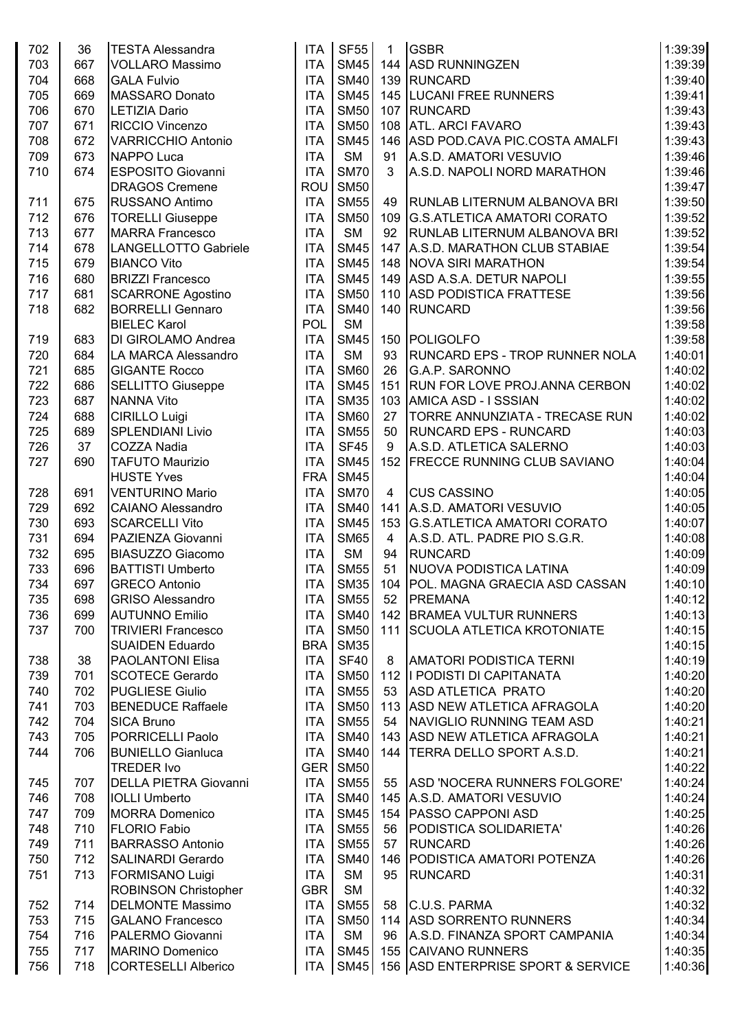| 702        | 36         | <b>TESTA Alessandra</b>                                | <b>ITA</b> | <b>SF55</b> | 1              | <b>GSBR</b>                                     | 1:39:39 |
|------------|------------|--------------------------------------------------------|------------|-------------|----------------|-------------------------------------------------|---------|
| 703        | 667        | <b>VOLLARO Massimo</b>                                 | <b>ITA</b> | <b>SM45</b> |                | 144 ASD RUNNINGZEN                              | 1:39:39 |
| 704        | 668        | <b>GALA Fulvio</b>                                     | <b>ITA</b> | <b>SM40</b> |                | 139 RUNCARD                                     | 1:39:40 |
| 705        | 669        | <b>MASSARO Donato</b>                                  | <b>ITA</b> | <b>SM45</b> |                | 145   LUCANI FREE RUNNERS                       | 1:39:41 |
| 706        | 670        | <b>LETIZIA Dario</b>                                   | <b>ITA</b> | <b>SM50</b> |                | 107 RUNCARD                                     | 1:39:43 |
| 707        | 671        | RICCIO Vincenzo                                        | <b>ITA</b> | <b>SM50</b> |                | 108 ATL. ARCI FAVARO                            | 1:39:43 |
| 708        | 672        | <b>VARRICCHIO Antonio</b>                              | <b>ITA</b> | <b>SM45</b> |                | 146 ASD POD.CAVA PIC.COSTA AMALFI               | 1:39:43 |
| 709        | 673        | NAPPO Luca                                             | <b>ITA</b> | <b>SM</b>   | 91             | A.S.D. AMATORI VESUVIO                          | 1:39:46 |
| 710        | 674        | <b>ESPOSITO Giovanni</b>                               | <b>ITA</b> | <b>SM70</b> | 3              | A.S.D. NAPOLI NORD MARATHON                     | 1:39:46 |
|            |            | <b>DRAGOS Cremene</b>                                  | <b>ROU</b> | <b>SM50</b> |                |                                                 | 1:39:47 |
| 711        | 675        | <b>RUSSANO Antimo</b>                                  | <b>ITA</b> | <b>SM55</b> | 49             | <b>RUNLAB LITERNUM ALBANOVA BRI</b>             | 1:39:50 |
| 712        | 676        | <b>TORELLI Giuseppe</b>                                | <b>ITA</b> | <b>SM50</b> |                | 109 G.S.ATLETICA AMATORI CORATO                 | 1:39:52 |
| 713        | 677        | <b>MARRA Francesco</b>                                 | <b>ITA</b> | <b>SM</b>   | 92             | <b>RUNLAB LITERNUM ALBANOVA BRI</b>             | 1:39:52 |
| 714        | 678        | LANGELLOTTO Gabriele                                   | <b>ITA</b> | <b>SM45</b> |                | 147 A.S.D. MARATHON CLUB STABIAE                | 1:39:54 |
| 715        | 679        | <b>BIANCO Vito</b>                                     | <b>ITA</b> | <b>SM45</b> |                | 148 NOVA SIRI MARATHON                          | 1:39:54 |
| 716        | 680        | <b>BRIZZI Francesco</b>                                | <b>ITA</b> | <b>SM45</b> |                | 149 ASD A.S.A. DETUR NAPOLI                     | 1:39:55 |
| 717        | 681        | <b>SCARRONE Agostino</b>                               | <b>ITA</b> | <b>SM50</b> |                | 110 ASD PODISTICA FRATTESE                      | 1:39:56 |
| 718        | 682        | <b>BORRELLI Gennaro</b>                                | <b>ITA</b> | <b>SM40</b> |                | 140 RUNCARD                                     | 1:39:56 |
|            |            | <b>BIELEC Karol</b>                                    | POL        | <b>SM</b>   |                |                                                 | 1:39:58 |
| 719        | 683        | DI GIROLAMO Andrea                                     | <b>ITA</b> | <b>SM45</b> |                | 150 POLIGOLFO                                   | 1:39:58 |
| 720        | 684        | LA MARCA Alessandro                                    | <b>ITA</b> | <b>SM</b>   | 93             | <b>RUNCARD EPS - TROP RUNNER NOLA</b>           | 1:40:01 |
| 721        | 685        | <b>GIGANTE Rocco</b>                                   | <b>ITA</b> | <b>SM60</b> | 26             | G.A.P. SARONNO                                  | 1:40:02 |
| 722        | 686        | <b>SELLITTO Giuseppe</b>                               | <b>ITA</b> | <b>SM45</b> | 151            | <b>RUN FOR LOVE PROJ.ANNA CERBON</b>            | 1:40:02 |
| 723        | 687        | <b>NANNA Vito</b>                                      | <b>ITA</b> | <b>SM35</b> |                | 103 AMICA ASD - I SSSIAN                        | 1:40:02 |
| 724        | 688        | <b>CIRILLO Luigi</b>                                   | <b>ITA</b> | <b>SM60</b> | 27             | TORRE ANNUNZIATA - TRECASE RUN                  | 1:40:02 |
| 725        | 689        | <b>SPLENDIANI Livio</b>                                | <b>ITA</b> | <b>SM55</b> | 50             | <b>RUNCARD EPS - RUNCARD</b>                    | 1:40:03 |
| 726        | 37         | <b>COZZA Nadia</b>                                     | <b>ITA</b> | <b>SF45</b> | 9              | A.S.D. ATLETICA SALERNO                         | 1:40:03 |
| 727        | 690        | <b>TAFUTO Maurizio</b>                                 | <b>ITA</b> | <b>SM45</b> |                | 152 FRECCE RUNNING CLUB SAVIANO                 | 1:40:04 |
|            |            | <b>HUSTE Yves</b>                                      | <b>FRA</b> | <b>SM45</b> |                |                                                 | 1:40:04 |
| 728        | 691        | <b>VENTURINO Mario</b>                                 | <b>ITA</b> | <b>SM70</b> | $\overline{4}$ | <b>CUS CASSINO</b>                              | 1:40:05 |
| 729        | 692        | <b>CAIANO Alessandro</b>                               | <b>ITA</b> | <b>SM40</b> |                | 141 A.S.D. AMATORI VESUVIO                      | 1:40:05 |
| 730        | 693        | <b>SCARCELLI Vito</b>                                  | <b>ITA</b> | <b>SM45</b> |                | 153 G.S.ATLETICA AMATORI CORATO                 | 1:40:07 |
| 731        | 694        | PAZIENZA Giovanni                                      | <b>ITA</b> | <b>SM65</b> | $\overline{4}$ | A.S.D. ATL. PADRE PIO S.G.R.                    | 1:40:08 |
| 732        | 695        | BIASUZZO Giacomo                                       | <b>ITA</b> | SM          | 94             | <b>RUNCARD</b>                                  | 1:40:09 |
| 733        | 696        | <b>BATTISTI Umberto</b>                                | <b>ITA</b> | <b>SM55</b> | 51             | <b>NUOVA PODISTICA LATINA</b>                   | 1:40:09 |
| 734        | 697        | <b>GRECO Antonio</b>                                   | <b>ITA</b> | <b>SM35</b> |                | 104 POL. MAGNA GRAECIA ASD CASSAN               | 1:40:10 |
| 735        | 698        | <b>GRISO Alessandro</b>                                | <b>ITA</b> | <b>SM55</b> | 52             | <b>PREMANA</b>                                  | 1:40:12 |
| 736        | 699        | <b>AUTUNNO Emilio</b>                                  | <b>ITA</b> | <b>SM40</b> |                | 142 BRAMEA VULTUR RUNNERS                       | 1:40:13 |
| 737        | 700        | <b>TRIVIERI Francesco</b>                              | <b>ITA</b> | <b>SM50</b> |                | 111 SCUOLA ATLETICA KROTONIATE                  | 1:40:15 |
|            |            | <b>SUAIDEN Eduardo</b>                                 | <b>BRA</b> | <b>SM35</b> |                |                                                 | 1:40:15 |
| 738        | 38         | <b>PAOLANTONI Elisa</b>                                | <b>ITA</b> | <b>SF40</b> | 8              | <b>AMATORI PODISTICA TERNI</b>                  | 1:40:19 |
| 739        | 701        | SCOTECE Gerardo                                        | <b>ITA</b> | <b>SM50</b> |                | 112   PODISTI DI CAPITANATA                     | 1:40:20 |
| 740        | 702        | <b>PUGLIESE Giulio</b>                                 | <b>ITA</b> | <b>SM55</b> | 53             | <b>ASD ATLETICA PRATO</b>                       | 1:40:20 |
| 741        | 703        | <b>BENEDUCE Raffaele</b>                               | <b>ITA</b> | <b>SM50</b> |                | 113 ASD NEW ATLETICA AFRAGOLA                   | 1:40:20 |
| 742        | 704        | <b>SICA Bruno</b>                                      | <b>ITA</b> | <b>SM55</b> | 54             | NAVIGLIO RUNNING TEAM ASD                       | 1:40:21 |
| 743        | 705        | PORRICELLI Paolo                                       | <b>ITA</b> | <b>SM40</b> |                | 143 ASD NEW ATLETICA AFRAGOLA                   | 1:40:21 |
| 744        | 706        | <b>BUNIELLO Gianluca</b>                               | <b>ITA</b> | <b>SM40</b> |                | 144   TERRA DELLO SPORT A.S.D.                  | 1:40:21 |
|            |            | <b>TREDER Ivo</b>                                      | <b>GER</b> | <b>SM50</b> |                |                                                 | 1:40:22 |
| 745        | 707        | <b>DELLA PIETRA Giovanni</b>                           | <b>ITA</b> | <b>SM55</b> | 55             | <b>ASD 'NOCERA RUNNERS FOLGORE'</b>             | 1:40:24 |
| 746        | 708        | <b>IOLLI Umberto</b>                                   | <b>ITA</b> | <b>SM40</b> |                | 145 A.S.D. AMATORI VESUVIO                      | 1:40:24 |
| 747        | 709        | <b>MORRA Domenico</b>                                  | <b>ITA</b> | <b>SM45</b> |                | 154   PASSO CAPPONI ASD                         | 1:40:25 |
| 748        | 710        | <b>FLORIO Fabio</b>                                    | <b>ITA</b> | <b>SM55</b> | 56             | PODISTICA SOLIDARIETA'                          | 1:40:26 |
|            | 711        | <b>BARRASSO Antonio</b>                                | <b>ITA</b> | <b>SM55</b> |                | <b>RUNCARD</b>                                  | 1:40:26 |
| 749<br>750 | 712        | <b>SALINARDI Gerardo</b>                               | <b>ITA</b> | <b>SM40</b> | 57             | 146   PODISTICA AMATORI POTENZA                 | 1:40:26 |
| 751        | 713        |                                                        | <b>ITA</b> | <b>SM</b>   | 95             | <b>RUNCARD</b>                                  | 1:40:31 |
|            |            | <b>FORMISANO Luigi</b>                                 | <b>GBR</b> | <b>SM</b>   |                |                                                 | 1:40:32 |
|            |            | <b>ROBINSON Christopher</b><br><b>DELMONTE Massimo</b> | <b>ITA</b> | <b>SM55</b> |                |                                                 | 1:40:32 |
| 752<br>753 | 714<br>715 | <b>GALANO Francesco</b>                                | <b>ITA</b> | <b>SM50</b> | 58             | <b>C.U.S. PARMA</b><br>114 ASD SORRENTO RUNNERS | 1:40:34 |
| 754        | 716        | PALERMO Giovanni                                       | <b>ITA</b> | <b>SM</b>   | 96             | A.S.D. FINANZA SPORT CAMPANIA                   | 1:40:34 |
| 755        | 717        | <b>MARINO Domenico</b>                                 | <b>ITA</b> | <b>SM45</b> |                | 155 CAIVANO RUNNERS                             | 1:40:35 |
| 756        | 718        | <b>CORTESELLI Alberico</b>                             | ITA        |             |                | SM45   156   ASD ENTERPRISE SPORT & SERVICE     | 1:40:36 |
|            |            |                                                        |            |             |                |                                                 |         |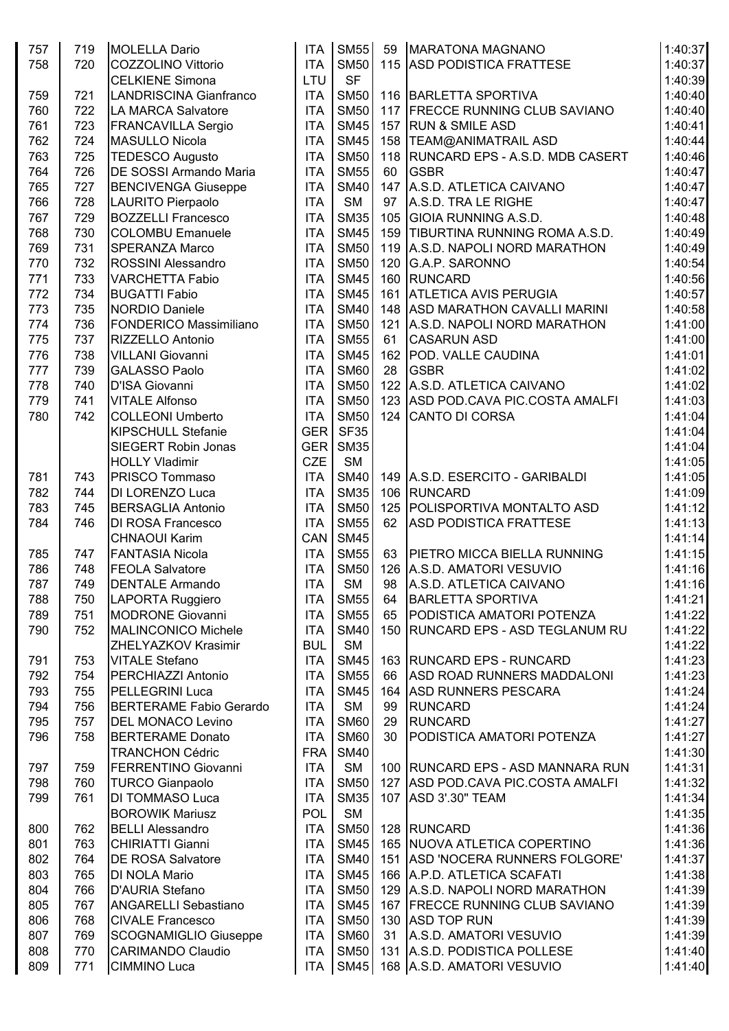| 757 | 719 | <b>MOLELLA Dario</b>           | <b>ITA</b> | <b>SM55</b> | 59  | <b>MARATONA MAGNANO</b>               | 1:40:37 |
|-----|-----|--------------------------------|------------|-------------|-----|---------------------------------------|---------|
| 758 | 720 | COZZOLINO Vittorio             | <b>ITA</b> | <b>SM50</b> |     | 115 ASD PODISTICA FRATTESE            | 1:40:37 |
|     |     | <b>CELKIENE Simona</b>         | LTU        | <b>SF</b>   |     |                                       | 1:40:39 |
| 759 | 721 | <b>LANDRISCINA Gianfranco</b>  | <b>ITA</b> | <b>SM50</b> |     | 116 BARLETTA SPORTIVA                 | 1:40:40 |
|     |     | LA MARCA Salvatore             |            |             |     |                                       | 1:40:40 |
| 760 | 722 |                                | <b>ITA</b> | <b>SM50</b> | 117 | <b>FRECCE RUNNING CLUB SAVIANO</b>    |         |
| 761 | 723 | <b>FRANCAVILLA Sergio</b>      | <b>ITA</b> | <b>SM45</b> |     | 157 RUN & SMILE ASD                   | 1:40:41 |
| 762 | 724 | <b>MASULLO Nicola</b>          | <b>ITA</b> | <b>SM45</b> |     | 158   TEAM@ANIMATRAIL ASD             | 1:40:44 |
| 763 | 725 | <b>TEDESCO Augusto</b>         | <b>ITA</b> | <b>SM50</b> |     | 118   RUNCARD EPS - A.S.D. MDB CASERT | 1:40:46 |
| 764 | 726 | DE SOSSI Armando Maria         | <b>ITA</b> | <b>SM55</b> | 60  | <b>GSBR</b>                           | 1:40:47 |
| 765 | 727 | <b>BENCIVENGA Giuseppe</b>     | <b>ITA</b> | <b>SM40</b> |     | 147 A.S.D. ATLETICA CAIVANO           | 1:40:47 |
| 766 | 728 | LAURITO Pierpaolo              | <b>ITA</b> | <b>SM</b>   | 97  | A.S.D. TRA LE RIGHE                   | 1:40:47 |
| 767 | 729 | <b>BOZZELLI Francesco</b>      | <b>ITA</b> | <b>SM35</b> |     | 105 GIOIA RUNNING A.S.D.              | 1:40:48 |
| 768 | 730 | <b>COLOMBU Emanuele</b>        | <b>ITA</b> | <b>SM45</b> |     | 159   TIBURTINA RUNNING ROMA A.S.D.   | 1:40:49 |
| 769 | 731 | <b>SPERANZA Marco</b>          | <b>ITA</b> | <b>SM50</b> |     | 119 A.S.D. NAPOLI NORD MARATHON       | 1:40:49 |
| 770 | 732 | ROSSINI Alessandro             | <b>ITA</b> | <b>SM50</b> |     | 120 G.A.P. SARONNO                    | 1:40:54 |
| 771 | 733 | <b>VARCHETTA Fabio</b>         | <b>ITA</b> | <b>SM45</b> |     | 160 RUNCARD                           | 1:40:56 |
| 772 | 734 | <b>BUGATTI Fabio</b>           | <b>ITA</b> | <b>SM45</b> | 161 | <b>ATLETICA AVIS PERUGIA</b>          | 1:40:57 |
| 773 | 735 |                                | <b>ITA</b> | <b>SM40</b> |     | 148 ASD MARATHON CAVALLI MARINI       | 1:40:58 |
|     |     | NORDIO Daniele                 |            |             |     |                                       |         |
| 774 | 736 | <b>FONDERICO Massimiliano</b>  | <b>ITA</b> | <b>SM50</b> | 121 | A.S.D. NAPOLI NORD MARATHON           | 1:41:00 |
| 775 | 737 | <b>RIZZELLO Antonio</b>        | <b>ITA</b> | <b>SM55</b> | 61  | <b>CASARUN ASD</b>                    | 1:41:00 |
| 776 | 738 | <b>VILLANI Giovanni</b>        | <b>ITA</b> | <b>SM45</b> |     | 162 POD. VALLE CAUDINA                | 1:41:01 |
| 777 | 739 | <b>GALASSO Paolo</b>           | <b>ITA</b> | <b>SM60</b> | 28  | <b>GSBR</b>                           | 1:41:02 |
| 778 | 740 | D'ISA Giovanni                 | <b>ITA</b> | <b>SM50</b> |     | 122 A.S.D. ATLETICA CAIVANO           | 1:41:02 |
| 779 | 741 | <b>VITALE Alfonso</b>          | <b>ITA</b> | <b>SM50</b> |     | 123 ASD POD.CAVA PIC.COSTA AMALFI     | 1:41:03 |
| 780 | 742 | <b>COLLEONI Umberto</b>        | <b>ITA</b> | <b>SM50</b> |     | 124 CANTO DI CORSA                    | 1:41:04 |
|     |     | KIPSCHULL Stefanie             | <b>GER</b> | <b>SF35</b> |     |                                       | 1:41:04 |
|     |     | SIEGERT Robin Jonas            | <b>GER</b> | <b>SM35</b> |     |                                       | 1:41:04 |
|     |     | <b>HOLLY Vladimir</b>          | <b>CZE</b> | <b>SM</b>   |     |                                       | 1:41:05 |
| 781 | 743 | <b>PRISCO Tommaso</b>          | <b>ITA</b> | <b>SM40</b> |     | 149 A.S.D. ESERCITO - GARIBALDI       | 1:41:05 |
| 782 | 744 | DI LORENZO Luca                | <b>ITA</b> | <b>SM35</b> |     | 106 RUNCARD                           | 1:41:09 |
| 783 | 745 | <b>BERSAGLIA Antonio</b>       | <b>ITA</b> | <b>SM50</b> |     | 125 POLISPORTIVA MONTALTO ASD         | 1:41:12 |
| 784 | 746 | <b>DI ROSA Francesco</b>       | <b>ITA</b> | <b>SM55</b> | 62  | <b>ASD PODISTICA FRATTESE</b>         | 1:41:13 |
|     |     | <b>CHNAOUI Karim</b>           | CAN        | <b>SM45</b> |     |                                       | 1:41:14 |
|     |     |                                |            |             |     |                                       |         |
| 785 | 747 | <b>FANTASIA Nicola</b>         | <b>ITA</b> | <b>SM55</b> | 63  | <b>PIETRO MICCA BIELLA RUNNING</b>    | 1:41:15 |
| 786 | 748 | <b>FEOLA Salvatore</b>         | <b>ITA</b> | <b>SM50</b> |     | 126 A.S.D. AMATORI VESUVIO            | 1:41:16 |
| 787 | 749 | <b>DENTALE Armando</b>         | <b>ITA</b> | <b>SM</b>   | 98  | A.S.D. ATLETICA CAIVANO               | 1:41:16 |
| 788 | 750 | LAPORTA Ruggiero               | <b>ITA</b> | <b>SM55</b> | 64  | <b>BARLETTA SPORTIVA</b>              | 1:41:21 |
| 789 | 751 | <b>MODRONE Giovanni</b>        | <b>ITA</b> | <b>SM55</b> | 65  | <b>PODISTICA AMATORI POTENZA</b>      | 1:41:22 |
| 790 | 752 | <b>MALINCONICO Michele</b>     | <b>ITA</b> | <b>SM40</b> | 150 | <b>RUNCARD EPS - ASD TEGLANUM RU</b>  | 1:41:22 |
|     |     | <b>ZHELYAZKOV Krasimir</b>     | <b>BUL</b> | <b>SM</b>   |     |                                       | 1:41:22 |
| 791 | 753 | <b>VITALE Stefano</b>          | <b>ITA</b> | <b>SM45</b> |     | 163 RUNCARD EPS - RUNCARD             | 1:41:23 |
| 792 | 754 | <b>PERCHIAZZI Antonio</b>      | <b>ITA</b> | <b>SM55</b> | 66  | ASD ROAD RUNNERS MADDALONI            | 1:41:23 |
| 793 | 755 | <b>PELLEGRINI Luca</b>         | <b>ITA</b> | <b>SM45</b> |     | 164 ASD RUNNERS PESCARA               | 1:41:24 |
| 794 | 756 | <b>BERTERAME Fabio Gerardo</b> | <b>ITA</b> | <b>SM</b>   | 99  | <b>RUNCARD</b>                        | 1:41:24 |
| 795 | 757 | <b>DEL MONACO Levino</b>       | <b>ITA</b> | <b>SM60</b> | 29  | <b>RUNCARD</b>                        | 1:41:27 |
| 796 | 758 | <b>BERTERAME Donato</b>        | <b>ITA</b> | <b>SM60</b> | 30  | <b>PODISTICA AMATORI POTENZA</b>      | 1:41:27 |
|     |     | <b>TRANCHON Cédric</b>         | <b>FRA</b> | <b>SM40</b> |     |                                       | 1:41:30 |
| 797 | 759 | <b>FERRENTINO Giovanni</b>     | <b>ITA</b> | <b>SM</b>   |     | 100   RUNCARD EPS - ASD MANNARA RUN   | 1:41:31 |
| 798 | 760 |                                | <b>ITA</b> | <b>SM50</b> |     | 127 ASD POD CAVA PIC COSTA AMALFI     | 1:41:32 |
|     |     | <b>TURCO Gianpaolo</b>         |            |             |     |                                       |         |
| 799 | 761 | DI TOMMASO Luca                | <b>ITA</b> | <b>SM35</b> | 107 | <b>ASD 3'.30" TEAM</b>                | 1:41:34 |
|     |     | <b>BOROWIK Mariusz</b>         | POL        | <b>SM</b>   |     |                                       | 1:41:35 |
| 800 | 762 | <b>BELLI Alessandro</b>        | <b>ITA</b> | <b>SM50</b> |     | 128 RUNCARD                           | 1:41:36 |
| 801 | 763 | <b>CHIRIATTI Gianni</b>        | <b>ITA</b> | <b>SM45</b> |     | 165 NUOVA ATLETICA COPERTINO          | 1:41:36 |
| 802 | 764 | <b>DE ROSA Salvatore</b>       | <b>ITA</b> | <b>SM40</b> |     | 151 ASD 'NOCERA RUNNERS FOLGORE'      | 1:41:37 |
| 803 | 765 | DI NOLA Mario                  | <b>ITA</b> | <b>SM45</b> |     | 166 A.P.D. ATLETICA SCAFATI           | 1:41:38 |
| 804 | 766 | D'AURIA Stefano                | <b>ITA</b> | <b>SM50</b> |     | 129 A.S.D. NAPOLI NORD MARATHON       | 1:41:39 |
| 805 | 767 | <b>ANGARELLI Sebastiano</b>    | <b>ITA</b> | <b>SM45</b> |     | 167 FRECCE RUNNING CLUB SAVIANO       | 1:41:39 |
| 806 | 768 | <b>CIVALE Francesco</b>        | <b>ITA</b> | <b>SM50</b> |     | 130 ASD TOP RUN                       | 1:41:39 |
| 807 | 769 | <b>SCOGNAMIGLIO Giuseppe</b>   | <b>ITA</b> | <b>SM60</b> | 31  | A.S.D. AMATORI VESUVIO                | 1:41:39 |
| 808 | 770 | <b>CARIMANDO Claudio</b>       | <b>ITA</b> | <b>SM50</b> |     | 131 A.S.D. PODISTICA POLLESE          | 1:41:40 |
| 809 | 771 | CIMMINO Luca                   | ITA        |             |     | SM45   168   A.S.D. AMATORI VESUVIO   | 1:41:40 |
|     |     |                                |            |             |     |                                       |         |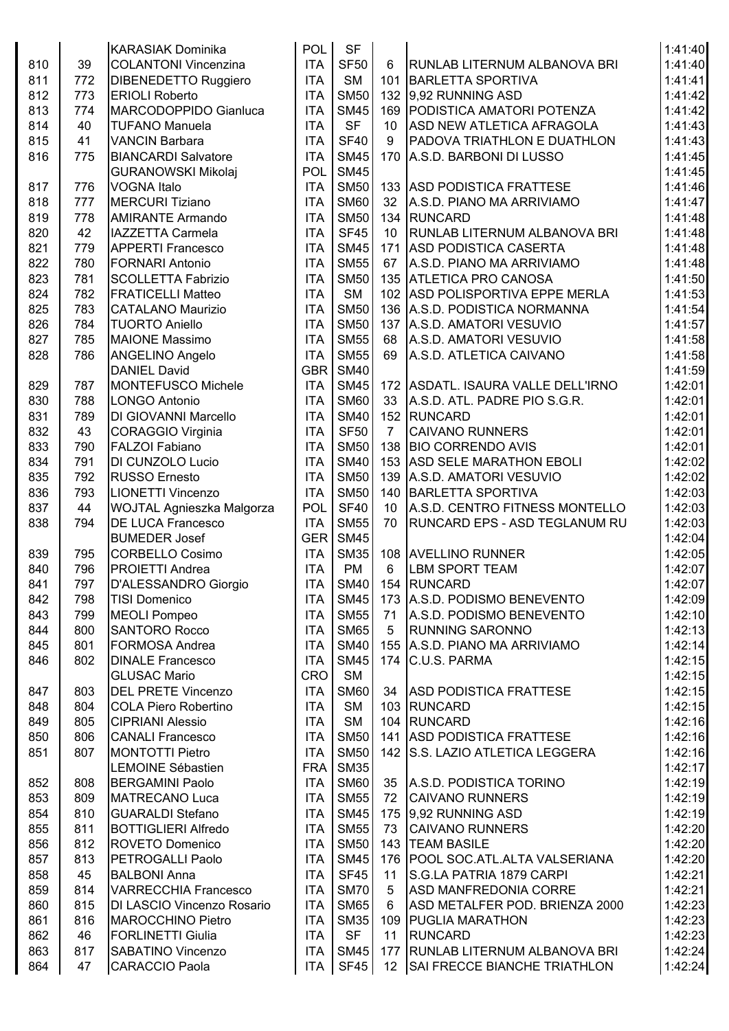|     |     | <b>KARASIAK Dominika</b>    | <b>POL</b> | <b>SF</b>   |                 |                                      | 1:41:40 |
|-----|-----|-----------------------------|------------|-------------|-----------------|--------------------------------------|---------|
| 810 | 39  | <b>COLANTONI Vincenzina</b> | <b>ITA</b> | <b>SF50</b> | 6               | RUNLAB LITERNUM ALBANOVA BRI         | 1:41:40 |
| 811 | 772 | DIBENEDETTO Ruggiero        | <b>ITA</b> | <b>SM</b>   |                 | 101 BARLETTA SPORTIVA                | 1:41:41 |
| 812 | 773 | <b>ERIOLI Roberto</b>       | <b>ITA</b> | <b>SM50</b> |                 | 132 9.92 RUNNING ASD                 | 1:41:42 |
| 813 | 774 | MARCODOPPIDO Gianluca       | <b>ITA</b> | <b>SM45</b> |                 | 169 PODISTICA AMATORI POTENZA        | 1:41:42 |
| 814 | 40  | <b>TUFANO Manuela</b>       | <b>ITA</b> | <b>SF</b>   | 10              | ASD NEW ATLETICA AFRAGOLA            | 1:41:43 |
| 815 | 41  | <b>VANCIN Barbara</b>       | <b>ITA</b> | <b>SF40</b> | 9               | <b>PADOVA TRIATHLON E DUATHLON</b>   | 1:41:43 |
| 816 | 775 | <b>BIANCARDI Salvatore</b>  | <b>ITA</b> | <b>SM45</b> |                 | 170 A.S.D. BARBONI DI LUSSO          | 1:41:45 |
|     |     |                             | POL        | <b>SM45</b> |                 |                                      | 1:41:45 |
|     |     | <b>GURANOWSKI Mikolaj</b>   |            |             |                 |                                      |         |
| 817 | 776 | <b>VOGNA Italo</b>          | <b>ITA</b> | <b>SM50</b> |                 | 133 ASD PODISTICA FRATTESE           | 1:41:46 |
| 818 | 777 | <b>MERCURI Tiziano</b>      | <b>ITA</b> | <b>SM60</b> | 32              | A.S.D. PIANO MA ARRIVIAMO            | 1:41:47 |
| 819 | 778 | <b>AMIRANTE Armando</b>     | <b>ITA</b> | <b>SM50</b> |                 | 134 RUNCARD                          | 1:41:48 |
| 820 | 42  | <b>IAZZETTA Carmela</b>     | <b>ITA</b> | <b>SF45</b> | 10              | <b>RUNLAB LITERNUM ALBANOVA BRI</b>  | 1:41:48 |
| 821 | 779 | <b>APPERTI Francesco</b>    | <b>ITA</b> | <b>SM45</b> |                 | 171 ASD PODISTICA CASERTA            | 1:41:48 |
| 822 | 780 | <b>FORNARI Antonio</b>      | <b>ITA</b> | <b>SM55</b> | 67              | A.S.D. PIANO MA ARRIVIAMO            | 1:41:48 |
| 823 | 781 | <b>SCOLLETTA Fabrizio</b>   | <b>ITA</b> | <b>SM50</b> |                 | 135 ATLETICA PRO CANOSA              | 1:41:50 |
| 824 | 782 | <b>FRATICELLI Matteo</b>    | <b>ITA</b> | <b>SM</b>   |                 | 102 ASD POLISPORTIVA EPPE MERLA      | 1:41:53 |
| 825 | 783 | <b>CATALANO Maurizio</b>    | <b>ITA</b> | <b>SM50</b> |                 | 136 A.S.D. PODISTICA NORMANNA        | 1:41:54 |
| 826 | 784 | <b>TUORTO Aniello</b>       | <b>ITA</b> | <b>SM50</b> |                 | 137 A.S.D. AMATORI VESUVIO           | 1:41:57 |
| 827 | 785 | <b>MAIONE Massimo</b>       | <b>ITA</b> | <b>SM55</b> | 68              | A.S.D. AMATORI VESUVIO               | 1:41:58 |
| 828 | 786 | ANGELINO Angelo             | <b>ITA</b> | <b>SM55</b> | 69              | A.S.D. ATLETICA CAIVANO              | 1:41:58 |
|     |     | <b>DANIEL David</b>         | <b>GBR</b> | <b>SM40</b> |                 |                                      | 1:41:59 |
| 829 | 787 | <b>MONTEFUSCO Michele</b>   | <b>ITA</b> | <b>SM45</b> |                 | 172 ASDATL. ISAURA VALLE DELL'IRNO   | 1:42:01 |
| 830 | 788 | <b>LONGO Antonio</b>        | <b>ITA</b> | <b>SM60</b> | 33              | A.S.D. ATL. PADRE PIO S.G.R.         | 1:42:01 |
| 831 | 789 | DI GIOVANNI Marcello        | <b>ITA</b> | <b>SM40</b> |                 | 152 RUNCARD                          | 1:42:01 |
| 832 | 43  | <b>CORAGGIO Virginia</b>    | <b>ITA</b> | <b>SF50</b> | $\overline{7}$  | <b>CAIVANO RUNNERS</b>               | 1:42:01 |
| 833 | 790 | <b>FALZOI Fabiano</b>       | <b>ITA</b> | <b>SM50</b> |                 | 138 BIO CORRENDO AVIS                | 1:42:01 |
| 834 | 791 | DI CUNZOLO Lucio            | <b>ITA</b> | <b>SM40</b> |                 | 153 ASD SELE MARATHON EBOLI          | 1:42:02 |
| 835 | 792 | <b>RUSSO Ernesto</b>        | <b>ITA</b> | <b>SM50</b> |                 | 139 A.S.D. AMATORI VESUVIO           | 1:42:02 |
| 836 | 793 | <b>LIONETTI Vincenzo</b>    | <b>ITA</b> | <b>SM50</b> |                 | 140 BARLETTA SPORTIVA                | 1:42:03 |
| 837 | 44  | WOJTAL Agnieszka Malgorza   | <b>POL</b> | <b>SF40</b> | 10              | A.S.D. CENTRO FITNESS MONTELLO       | 1:42:03 |
| 838 | 794 | <b>DE LUCA Francesco</b>    | <b>ITA</b> | <b>SM55</b> | 70              | <b>RUNCARD EPS - ASD TEGLANUM RU</b> | 1:42:03 |
|     |     | <b>BUMEDER Josef</b>        | GER        | <b>SM45</b> |                 |                                      |         |
|     |     |                             |            |             |                 |                                      | 1:42:04 |
| 839 | 795 | <b>CORBELLO Cosimo</b>      | <b>ITA</b> | <b>SM35</b> |                 | 108 AVELLINO RUNNER                  | 1:42:05 |
| 840 | 796 | <b>PROIETTI Andrea</b>      | <b>ITA</b> | <b>PM</b>   | 6               | <b>LBM SPORT TEAM</b>                | 1:42:07 |
| 841 | 797 | D'ALESSANDRO Giorgio        |            |             |                 | ITA SM40 154 RUNCARD                 | 1:42:07 |
| 842 | 798 | <b>TISI Domenico</b>        | ITA        | <b>SM45</b> |                 | 173 A.S.D. PODISMO BENEVENTO         | 1:42:09 |
| 843 | 799 | <b>MEOLI Pompeo</b>         | <b>ITA</b> | <b>SM55</b> | 71              | A.S.D. PODISMO BENEVENTO             | 1:42:10 |
| 844 | 800 | <b>SANTORO Rocco</b>        | <b>ITA</b> | <b>SM65</b> | 5               | <b>RUNNING SARONNO</b>               | 1:42:13 |
| 845 | 801 | <b>FORMOSA Andrea</b>       | <b>ITA</b> | <b>SM40</b> |                 | 155 A.S.D. PIANO MA ARRIVIAMO        | 1:42:14 |
| 846 | 802 | <b>DINALE Francesco</b>     | <b>ITA</b> | <b>SM45</b> |                 | 174 C.U.S. PARMA                     | 1:42:15 |
|     |     | <b>GLUSAC Mario</b>         | <b>CRO</b> | <b>SM</b>   |                 |                                      | 1:42:15 |
| 847 | 803 | <b>DEL PRETE Vincenzo</b>   | <b>ITA</b> | <b>SM60</b> | 34              | <b>ASD PODISTICA FRATTESE</b>        | 1:42:15 |
| 848 | 804 | <b>COLA Piero Robertino</b> | <b>ITA</b> | <b>SM</b>   |                 | 103 RUNCARD                          | 1:42:15 |
| 849 | 805 | <b>CIPRIANI Alessio</b>     | <b>ITA</b> | <b>SM</b>   |                 | 104 RUNCARD                          | 1:42:16 |
| 850 | 806 | <b>CANALI Francesco</b>     | <b>ITA</b> | <b>SM50</b> |                 | 141 ASD PODISTICA FRATTESE           | 1:42:16 |
| 851 | 807 | <b>MONTOTTI Pietro</b>      | <b>ITA</b> | <b>SM50</b> |                 | 142 S.S. LAZIO ATLETICA LEGGERA      | 1:42:16 |
|     |     | <b>LEMOINE Sébastien</b>    | <b>FRA</b> | <b>SM35</b> |                 |                                      | 1:42:17 |
| 852 | 808 | <b>BERGAMINI Paolo</b>      | <b>ITA</b> | <b>SM60</b> | 35              | A.S.D. PODISTICA TORINO              | 1:42:19 |
| 853 | 809 | <b>MATRECANO Luca</b>       | <b>ITA</b> | <b>SM55</b> | 72              | <b>CAIVANO RUNNERS</b>               | 1:42:19 |
| 854 | 810 | <b>GUARALDI Stefano</b>     | <b>ITA</b> | <b>SM45</b> |                 | 175 9.92 RUNNING ASD                 | 1:42:19 |
| 855 | 811 | <b>BOTTIGLIERI Alfredo</b>  | <b>ITA</b> | <b>SM55</b> | 73              | <b>CAIVANO RUNNERS</b>               | 1:42:20 |
| 856 | 812 | <b>ROVETO Domenico</b>      | <b>ITA</b> | <b>SM50</b> |                 | 143   TEAM BASILE                    | 1:42:20 |
| 857 | 813 | <b>PETROGALLI Paolo</b>     | <b>ITA</b> | <b>SM45</b> |                 | 176   POOL SOC.ATL.ALTA VALSERIANA   | 1:42:20 |
| 858 | 45  | <b>BALBONI Anna</b>         | <b>ITA</b> | <b>SF45</b> | 11              | S.G.LA PATRIA 1879 CARPI             | 1:42:21 |
| 859 | 814 | <b>VARRECCHIA Francesco</b> | <b>ITA</b> | <b>SM70</b> | 5               | <b>ASD MANFREDONIA CORRE</b>         | 1:42:21 |
| 860 | 815 | DI LASCIO Vincenzo Rosario  | <b>ITA</b> | <b>SM65</b> | 6               | ASD METALFER POD. BRIENZA 2000       | 1:42:23 |
|     |     |                             | <b>ITA</b> |             |                 |                                      |         |
| 861 | 816 | <b>MAROCCHINO Pietro</b>    |            | <b>SM35</b> |                 | 109 PUGLIA MARATHON                  | 1:42:23 |
| 862 | 46  | <b>FORLINETTI Giulia</b>    | <b>ITA</b> | <b>SF</b>   | 11              | RUNCARD                              | 1:42:23 |
| 863 | 817 | <b>SABATINO Vincenzo</b>    | <b>ITA</b> | <b>SM45</b> |                 | 177   RUNLAB LITERNUM ALBANOVA BRI   | 1:42:24 |
| 864 | 47  | <b>CARACCIO Paola</b>       | ITA        | SF45        | 12 <sup>°</sup> | SAI FRECCE BIANCHE TRIATHLON         | 1:42:24 |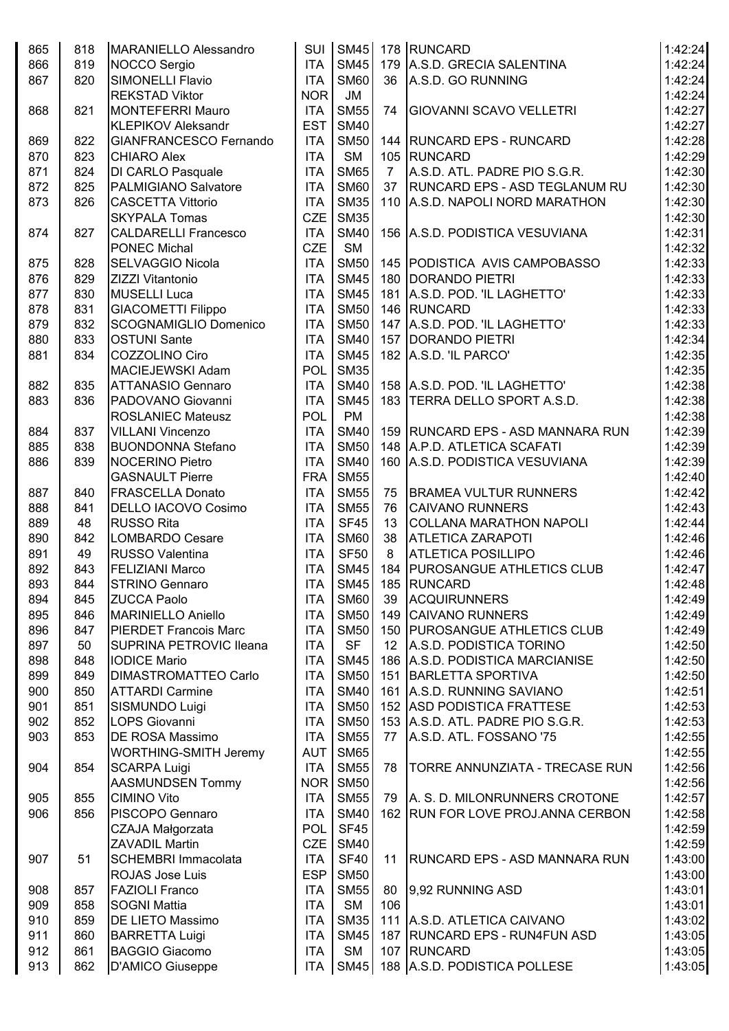| 865 | 818 | MARANIELLO Alessandro          | <b>SUI</b>               |             |                | SM45 178 RUNCARD                                                   | 1:42:24            |
|-----|-----|--------------------------------|--------------------------|-------------|----------------|--------------------------------------------------------------------|--------------------|
| 866 | 819 | NOCCO Sergio                   | <b>ITA</b>               | <b>SM45</b> |                | 179 A.S.D. GRECIA SALENTINA                                        | 1:42:24            |
| 867 | 820 | <b>SIMONELLI Flavio</b>        | <b>ITA</b>               | <b>SM60</b> |                | 36 A.S.D. GO RUNNING                                               | 1:42:24            |
|     |     | <b>REKSTAD Viktor</b>          | <b>NOR</b>               | JM          |                |                                                                    | 1:42:24            |
| 868 | 821 | <b>MONTEFERRI Mauro</b>        | <b>ITA</b>               | <b>SM55</b> | 74             | <b>GIOVANNI SCAVO VELLETRI</b>                                     | 1:42:27            |
|     |     | <b>KLEPIKOV Aleksandr</b>      | <b>EST</b>               | <b>SM40</b> |                |                                                                    | 1:42:27            |
| 869 | 822 | GIANFRANCESCO Fernando         | <b>ITA</b>               | <b>SM50</b> |                | 144 RUNCARD EPS - RUNCARD                                          | 1:42:28            |
| 870 | 823 | <b>CHIARO Alex</b>             | <b>ITA</b>               | <b>SM</b>   |                | 105 RUNCARD                                                        | 1:42:29            |
| 871 | 824 | DI CARLO Pasquale              | <b>ITA</b>               | <b>SM65</b> | $\overline{7}$ | A.S.D. ATL. PADRE PIO S.G.R.                                       | 1:42:30            |
| 872 | 825 | <b>PALMIGIANO Salvatore</b>    | <b>ITA</b>               | <b>SM60</b> | 37             | <b>RUNCARD EPS - ASD TEGLANUM RU</b>                               | 1:42:30            |
| 873 | 826 | <b>CASCETTA Vittorio</b>       | <b>ITA</b>               | <b>SM35</b> |                | 110 A.S.D. NAPOLI NORD MARATHON                                    | 1:42:30            |
|     |     | <b>SKYPALA Tomas</b>           | <b>CZE</b>               | <b>SM35</b> |                |                                                                    | 1:42:30            |
| 874 | 827 | <b>CALDARELLI Francesco</b>    | <b>ITA</b>               | <b>SM40</b> |                | 156 A.S.D. PODISTICA VESUVIANA                                     | 1:42:31            |
|     |     | <b>PONEC Michal</b>            | <b>CZE</b>               | <b>SM</b>   |                |                                                                    | 1:42:32            |
| 875 | 828 | <b>SELVAGGIO Nicola</b>        | <b>ITA</b>               | <b>SM50</b> |                | 145 PODISTICA AVIS CAMPOBASSO                                      | 1:42:33            |
| 876 | 829 | ZIZZI Vitantonio               | <b>ITA</b>               | <b>SM45</b> |                | 180 DORANDO PIETRI                                                 | 1:42:33            |
| 877 | 830 | MUSELLI Luca                   | <b>ITA</b>               | <b>SM45</b> |                | 181 A.S.D. POD. 'IL LAGHETTO'                                      | 1:42:33            |
| 878 | 831 | <b>GIACOMETTI Filippo</b>      | <b>ITA</b>               | <b>SM50</b> |                | 146 RUNCARD                                                        | 1:42:33            |
| 879 | 832 | <b>SCOGNAMIGLIO Domenico</b>   | <b>ITA</b>               | <b>SM50</b> |                | 147 A.S.D. POD. 'IL LAGHETTO'                                      | 1:42:33            |
| 880 | 833 | <b>OSTUNI Sante</b>            | <b>ITA</b>               | <b>SM40</b> |                | 157   DORANDO PIETRI                                               | 1:42:34            |
| 881 | 834 | COZZOLINO Ciro                 | <b>ITA</b>               | <b>SM45</b> |                | 182 A.S.D. 'IL PARCO'                                              | 1:42:35            |
|     |     | MACIEJEWSKI Adam               | <b>POL</b>               | <b>SM35</b> |                |                                                                    | 1:42:35            |
| 882 | 835 | <b>ATTANASIO Gennaro</b>       | <b>ITA</b>               | <b>SM40</b> |                | 158 A.S.D. POD. 'IL LAGHETTO'                                      | 1:42:38            |
| 883 | 836 | PADOVANO Giovanni              | <b>ITA</b>               | <b>SM45</b> |                | 183 TERRA DELLO SPORT A.S.D.                                       | 1:42:38            |
|     |     | <b>ROSLANIEC Mateusz</b>       | <b>POL</b>               | <b>PM</b>   |                |                                                                    | 1:42:38            |
|     | 837 |                                |                          | <b>SM40</b> |                |                                                                    |                    |
| 884 |     | <b>VILLANI Vincenzo</b>        | <b>ITA</b><br><b>ITA</b> | <b>SM50</b> |                | 159   RUNCARD EPS - ASD MANNARA RUN<br>148 A.P.D. ATLETICA SCAFATI | 1:42:39<br>1:42:39 |
| 885 | 838 | <b>BUONDONNA Stefano</b>       |                          |             |                |                                                                    |                    |
| 886 | 839 | <b>NOCERINO Pietro</b>         | <b>ITA</b>               | <b>SM40</b> |                | 160 A.S.D. PODISTICA VESUVIANA                                     | 1:42:39            |
|     |     | <b>GASNAULT Pierre</b>         | <b>FRA</b>               | <b>SM55</b> |                |                                                                    | 1:42:40            |
| 887 | 840 | <b>FRASCELLA Donato</b>        | <b>ITA</b>               | <b>SM55</b> |                | 75 BRAMEA VULTUR RUNNERS                                           | 1:42:42            |
| 888 | 841 | DELLO IACOVO Cosimo            | <b>ITA</b>               | <b>SM55</b> | 76             | <b>CAIVANO RUNNERS</b>                                             | 1:42:43            |
| 889 | 48  | <b>RUSSO Rita</b>              | <b>ITA</b>               | <b>SF45</b> | 13             | <b>COLLANA MARATHON NAPOLI</b>                                     | 1:42:44            |
| 890 | 842 | LOMBARDO Cesare                | <b>ITA</b>               | <b>SM60</b> | 38             | <b>ATLETICA ZARAPOTI</b>                                           | 1:42:46            |
| 891 | 49  | <b>RUSSO Valentina</b>         | <b>ITA</b>               | <b>SF50</b> | 8              | <b>ATLETICA POSILLIPO</b>                                          | 1:42:46            |
| 892 | 843 | <b>FELIZIANI Marco</b>         | <b>ITA</b>               | <b>SM45</b> |                | 184   PUROSANGUE ATHLETICS CLUB                                    | 1:42:47            |
| 893 | 844 | STRINO Gennaro                 | <b>ITA</b>               |             |                | SM45 185 RUNCARD                                                   | 1:42:48            |
| 894 | 845 | <b>ZUCCA Paolo</b>             | <b>ITA</b>               | <b>SM60</b> | 39             | <b>ACQUIRUNNERS</b>                                                | 1:42:49            |
| 895 | 846 | <b>MARINIELLO Aniello</b>      | <b>ITA</b>               | <b>SM50</b> |                | 149 CAIVANO RUNNERS                                                | 1:42:49            |
| 896 | 847 | <b>PIERDET Francois Marc</b>   | <b>ITA</b>               | <b>SM50</b> |                | 150   PUROSANGUE ATHLETICS CLUB                                    | 1:42:49            |
| 897 | 50  | <b>SUPRINA PETROVIC Ileana</b> | <b>ITA</b>               | <b>SF</b>   |                | 12 A.S.D. PODISTICA TORINO                                         | 1:42:50            |
| 898 | 848 | <b>IODICE Mario</b>            | <b>ITA</b>               | <b>SM45</b> |                | 186 A.S.D. PODISTICA MARCIANISE                                    | 1:42:50            |
| 899 | 849 | <b>DIMASTROMATTEO Carlo</b>    | <b>ITA</b>               | <b>SM50</b> |                | 151 BARLETTA SPORTIVA                                              | 1:42:50            |
| 900 | 850 | <b>ATTARDI Carmine</b>         | <b>ITA</b>               | <b>SM40</b> |                | 161 A.S.D. RUNNING SAVIANO                                         | 1:42:51            |
| 901 | 851 | SISMUNDO Luigi                 | <b>ITA</b>               | <b>SM50</b> |                | 152 ASD PODISTICA FRATTESE                                         | 1:42:53            |
| 902 | 852 | LOPS Giovanni                  | <b>ITA</b>               | <b>SM50</b> |                | 153   A.S.D. ATL. PADRE PIO S.G.R.                                 | 1:42:53            |
| 903 | 853 | <b>DE ROSA Massimo</b>         | <b>ITA</b>               | <b>SM55</b> | 77             | A.S.D. ATL. FOSSANO '75                                            | 1:42:55            |
|     |     | WORTHING-SMITH Jeremy          | AUT                      | <b>SM65</b> |                |                                                                    | 1:42:55            |
| 904 | 854 | <b>SCARPA Luigi</b>            | <b>ITA</b>               | <b>SM55</b> | 78             | TORRE ANNUNZIATA - TRECASE RUN                                     | 1:42:56            |
|     |     | <b>AASMUNDSEN Tommy</b>        | NOR                      | <b>SM50</b> |                |                                                                    | 1:42:56            |
| 905 | 855 | <b>CIMINO Vito</b>             | <b>ITA</b>               | <b>SM55</b> | 79             | A. S. D. MILONRUNNERS CROTONE                                      | 1:42:57            |
| 906 | 856 | PISCOPO Gennaro                | <b>ITA</b>               | <b>SM40</b> |                | 162 RUN FOR LOVE PROJ.ANNA CERBON                                  | 1:42:58            |
|     |     | CZAJA Małgorzata               | <b>POL</b>               | <b>SF45</b> |                |                                                                    | 1:42:59            |
|     |     | <b>ZAVADIL Martin</b>          | <b>CZE</b>               | <b>SM40</b> |                |                                                                    | 1:42:59            |
| 907 | 51  | <b>SCHEMBRI Immacolata</b>     | <b>ITA</b>               | <b>SF40</b> | 11             | <b>RUNCARD EPS - ASD MANNARA RUN</b>                               | 1:43:00            |
|     |     | <b>ROJAS Jose Luis</b>         | <b>ESP</b>               | <b>SM50</b> |                |                                                                    | 1:43:00            |
| 908 | 857 | <b>FAZIOLI Franco</b>          | <b>ITA</b>               | <b>SM55</b> | 80             | 9,92 RUNNING ASD                                                   | 1:43:01            |
| 909 | 858 | <b>SOGNI Mattia</b>            | <b>ITA</b>               | <b>SM</b>   | 106            |                                                                    | 1:43:01            |
| 910 | 859 | <b>DE LIETO Massimo</b>        | <b>ITA</b>               | SM35        |                | 111 A.S.D. ATLETICA CAIVANO                                        | 1:43:02            |
| 911 | 860 | <b>BARRETTA Luigi</b>          | <b>ITA</b>               | <b>SM45</b> |                | 187 RUNCARD EPS - RUN4FUN ASD                                      | 1:43:05            |
| 912 | 861 | <b>BAGGIO Giacomo</b>          | <b>ITA</b>               | <b>SM</b>   |                | 107 RUNCARD                                                        | 1:43:05            |
| 913 | 862 | <b>D'AMICO Giuseppe</b>        |                          |             |                | ITA SM45   188 A.S.D. PODISTICA POLLESE                            | 1:43:05            |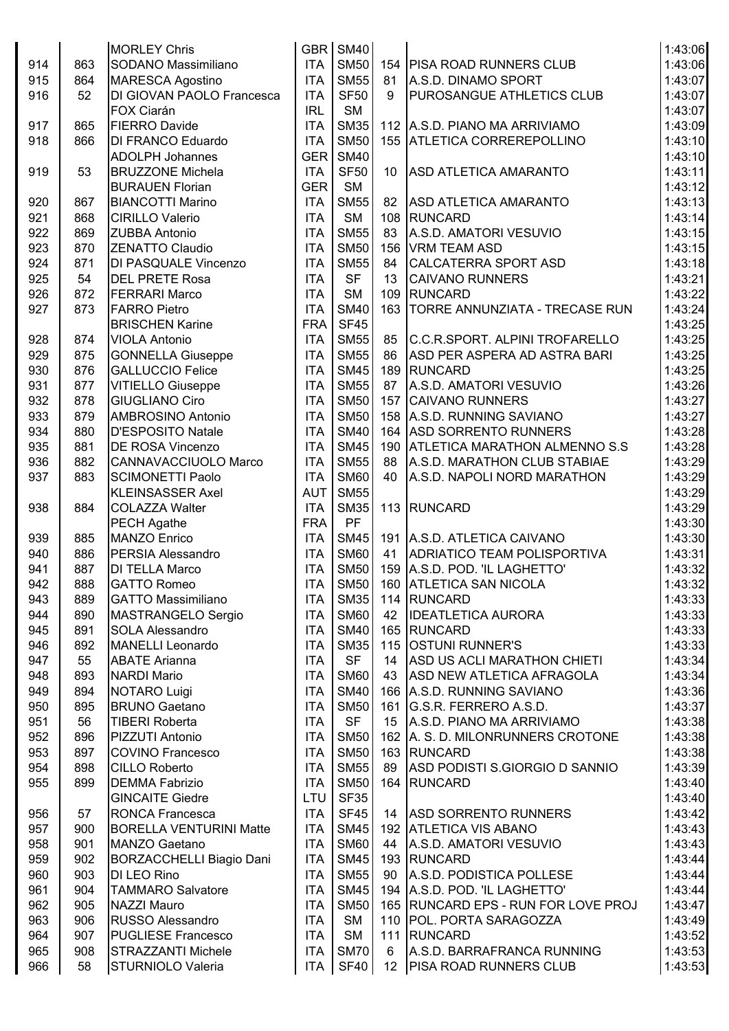|     |     | <b>MORLEY Chris</b>             |            | GBR SM40    |                 |                                     | 1:43:06 |
|-----|-----|---------------------------------|------------|-------------|-----------------|-------------------------------------|---------|
| 914 | 863 | SODANO Massimiliano             | <b>ITA</b> | <b>SM50</b> |                 | 154   PISA ROAD RUNNERS CLUB        | 1:43:06 |
| 915 | 864 | <b>MARESCA Agostino</b>         | <b>ITA</b> | <b>SM55</b> | 81              | A.S.D. DINAMO SPORT                 | 1:43:07 |
| 916 | 52  | DI GIOVAN PAOLO Francesca       | <b>ITA</b> | <b>SF50</b> | 9               | PUROSANGUE ATHLETICS CLUB           | 1:43:07 |
|     |     | FOX Ciarán                      | <b>IRL</b> | <b>SM</b>   |                 |                                     | 1:43:07 |
| 917 | 865 | <b>FIERRO Davide</b>            | <b>ITA</b> | <b>SM35</b> |                 | 112 A.S.D. PIANO MA ARRIVIAMO       | 1:43:09 |
| 918 | 866 | DI FRANCO Eduardo               | <b>ITA</b> | <b>SM50</b> | 155             | <b>ATLETICA CORREREPOLLINO</b>      | 1:43:10 |
|     |     |                                 | <b>GER</b> | <b>SM40</b> |                 |                                     |         |
|     |     | <b>ADOLPH Johannes</b>          |            |             |                 |                                     | 1:43:10 |
| 919 | 53  | <b>BRUZZONE Michela</b>         | <b>ITA</b> | <b>SF50</b> | 10              | <b>ASD ATLETICA AMARANTO</b>        | 1:43:11 |
|     |     | <b>BURAUEN Florian</b>          | <b>GER</b> | <b>SM</b>   |                 |                                     | 1:43:12 |
| 920 | 867 | <b>BIANCOTTI Marino</b>         | <b>ITA</b> | <b>SM55</b> | 82              | <b>ASD ATLETICA AMARANTO</b>        | 1:43:13 |
| 921 | 868 | <b>CIRILLO Valerio</b>          | <b>ITA</b> | <b>SM</b>   | 108             | RUNCARD                             | 1:43:14 |
| 922 | 869 | <b>ZUBBA Antonio</b>            | <b>ITA</b> | <b>SM55</b> | 83              | A.S.D. AMATORI VESUVIO              | 1:43:15 |
| 923 | 870 | <b>ZENATTO Claudio</b>          | <b>ITA</b> | <b>SM50</b> | 156             | VRM TEAM ASD                        | 1:43:15 |
| 924 | 871 | <b>DI PASQUALE Vincenzo</b>     | <b>ITA</b> | <b>SM55</b> | 84              | <b>CALCATERRA SPORT ASD</b>         | 1:43:18 |
| 925 | 54  | <b>DEL PRETE Rosa</b>           | <b>ITA</b> | <b>SF</b>   | 13              | <b>CAIVANO RUNNERS</b>              | 1:43:21 |
| 926 | 872 | <b>FERRARI Marco</b>            | <b>ITA</b> | <b>SM</b>   | 109             | RUNCARD                             | 1:43:22 |
| 927 | 873 | <b>FARRO Pietro</b>             | <b>ITA</b> | <b>SM40</b> | 163             | TORRE ANNUNZIATA - TRECASE RUN      | 1:43:24 |
|     |     | <b>BRISCHEN Karine</b>          | <b>FRA</b> | <b>SF45</b> |                 |                                     | 1:43:25 |
| 928 | 874 | <b>VIOLA Antonio</b>            | <b>ITA</b> | <b>SM55</b> | 85              | C.C.R.SPORT. ALPINI TROFARELLO      | 1:43:25 |
| 929 | 875 | <b>GONNELLA Giuseppe</b>        | <b>ITA</b> | <b>SM55</b> | 86              | ASD PER ASPERA AD ASTRA BARI        | 1:43:25 |
| 930 | 876 | <b>GALLUCCIO Felice</b>         | <b>ITA</b> | <b>SM45</b> | 189             | RUNCARD                             | 1:43:25 |
| 931 | 877 | <b>VITIELLO Giuseppe</b>        | <b>ITA</b> | <b>SM55</b> | 87              | A.S.D. AMATORI VESUVIO              | 1:43:26 |
| 932 | 878 | <b>GIUGLIANO Ciro</b>           | <b>ITA</b> | <b>SM50</b> | 157             | <b>CAIVANO RUNNERS</b>              | 1:43:27 |
| 933 | 879 | AMBROSINO Antonio               | <b>ITA</b> | <b>SM50</b> |                 | 158 A.S.D. RUNNING SAVIANO          | 1:43:27 |
| 934 | 880 | <b>D'ESPOSITO Natale</b>        | <b>ITA</b> | <b>SM40</b> |                 | 164 ASD SORRENTO RUNNERS            | 1:43:28 |
| 935 | 881 | <b>DE ROSA Vincenzo</b>         | <b>ITA</b> | <b>SM45</b> |                 | 190 ATLETICA MARATHON ALMENNO S.S   | 1:43:28 |
| 936 | 882 | <b>CANNAVACCIUOLO Marco</b>     | <b>ITA</b> | <b>SM55</b> | 88              | A.S.D. MARATHON CLUB STABIAE        | 1:43:29 |
| 937 | 883 | <b>SCIMONETTI Paolo</b>         | <b>ITA</b> | <b>SM60</b> | 40              | A.S.D. NAPOLI NORD MARATHON         | 1:43:29 |
|     |     | <b>KLEINSASSER Axel</b>         | <b>AUT</b> | <b>SM55</b> |                 |                                     | 1:43:29 |
| 938 | 884 | <b>COLAZZA Walter</b>           | <b>ITA</b> | <b>SM35</b> | 113             | RUNCARD                             | 1:43:29 |
|     |     |                                 | <b>FRA</b> | PF          |                 |                                     | 1:43:30 |
|     |     | <b>PECH Agathe</b>              |            |             |                 |                                     |         |
| 939 | 885 | MANZO Enrico                    | <b>ITA</b> | <b>SM45</b> | 191             | A.S.D. ATLETICA CAIVANO             | 1:43:30 |
| 940 | 886 | <b>PERSIA Alessandro</b>        | <b>ITA</b> | <b>SM60</b> | 41              | ADRIATICO TEAM POLISPORTIVA         | 1:43:31 |
| 941 | 887 | <b>DI TELLA Marco</b>           | <b>ITA</b> | <b>SM50</b> |                 | 159 A.S.D. POD. 'IL LAGHETTO'       | 1:43:32 |
| 942 | 888 | <b>GATTO Romeo</b>              | ITA        |             |                 | SM50   160   ATLETICA SAN NICOLA    | 1:43:32 |
| 943 | 889 | <b>GATTO Massimiliano</b>       | <b>ITA</b> | <b>SM35</b> |                 | 114 RUNCARD                         | 1:43:33 |
| 944 | 890 | MASTRANGELO Sergio              | <b>ITA</b> | <b>SM60</b> | 42              | <b>IDEATLETICA AURORA</b>           | 1:43:33 |
| 945 | 891 | <b>SOLA Alessandro</b>          | <b>ITA</b> | <b>SM40</b> |                 | 165 RUNCARD                         | 1:43:33 |
| 946 | 892 | MANELLI Leonardo                | <b>ITA</b> | <b>SM35</b> |                 | 115 OSTUNI RUNNER'S                 | 1:43:33 |
| 947 | 55  | <b>ABATE Arianna</b>            | <b>ITA</b> | <b>SF</b>   | 14              | ASD US ACLI MARATHON CHIETI         | 1:43:34 |
| 948 | 893 | <b>NARDI Mario</b>              | <b>ITA</b> | <b>SM60</b> | 43              | ASD NEW ATLETICA AFRAGOLA           | 1:43:34 |
| 949 | 894 | NOTARO Luigi                    | <b>ITA</b> | <b>SM40</b> |                 | 166 A.S.D. RUNNING SAVIANO          | 1:43:36 |
| 950 | 895 | <b>BRUNO Gaetano</b>            | <b>ITA</b> | <b>SM50</b> | 161             | G.S.R. FERRERO A.S.D.               | 1:43:37 |
| 951 | 56  | <b>TIBERI Roberta</b>           | <b>ITA</b> | <b>SF</b>   | 15              | A.S.D. PIANO MA ARRIVIAMO           | 1:43:38 |
| 952 | 896 | PIZZUTI Antonio                 | <b>ITA</b> | <b>SM50</b> | 162             | A. S. D. MILONRUNNERS CROTONE       | 1:43:38 |
| 953 | 897 | <b>COVINO Francesco</b>         | <b>ITA</b> | <b>SM50</b> |                 | 163 RUNCARD                         | 1:43:38 |
| 954 | 898 | CILLO Roberto                   | <b>ITA</b> | <b>SM55</b> | 89              | ASD PODISTI S.GIORGIO D SANNIO      | 1:43:39 |
| 955 | 899 | <b>DEMMA Fabrizio</b>           | <b>ITA</b> | <b>SM50</b> | 164             | RUNCARD                             | 1:43:40 |
|     |     | <b>GINCAITE Giedre</b>          | LTU        | <b>SF35</b> |                 |                                     | 1:43:40 |
| 956 | 57  | <b>RONCA Francesca</b>          | <b>ITA</b> | <b>SF45</b> | 14              | <b>ASD SORRENTO RUNNERS</b>         | 1:43:42 |
| 957 | 900 | <b>BORELLA VENTURINI Matte</b>  | <b>ITA</b> | <b>SM45</b> |                 | 192 ATLETICA VIS ABANO              | 1:43:43 |
|     |     |                                 |            |             |                 |                                     |         |
| 958 | 901 | MANZO Gaetano                   | <b>ITA</b> | <b>SM60</b> | 44              | A.S.D. AMATORI VESUVIO              | 1:43:43 |
| 959 | 902 | <b>BORZACCHELLI Biagio Dani</b> | <b>ITA</b> | <b>SM45</b> |                 | 193 RUNCARD                         | 1:43:44 |
| 960 | 903 | DI LEO Rino                     | <b>ITA</b> | <b>SM55</b> | 90              | A.S.D. PODISTICA POLLESE            | 1:43:44 |
| 961 | 904 | <b>TAMMARO Salvatore</b>        | <b>ITA</b> | <b>SM45</b> |                 | 194 A.S.D. POD. 'IL LAGHETTO'       | 1:43:44 |
| 962 | 905 | NAZZI Mauro                     | <b>ITA</b> | <b>SM50</b> |                 | 165 RUNCARD EPS - RUN FOR LOVE PROJ | 1:43:47 |
| 963 | 906 | RUSSO Alessandro                | <b>ITA</b> | <b>SM</b>   |                 | 110   POL. PORTA SARAGOZZA          | 1:43:49 |
| 964 | 907 | <b>PUGLIESE Francesco</b>       | <b>ITA</b> | <b>SM</b>   | 111             | RUNCARD                             | 1:43:52 |
| 965 | 908 | <b>STRAZZANTI Michele</b>       | <b>ITA</b> | <b>SM70</b> | 6               | A.S.D. BARRAFRANCA RUNNING          | 1:43:53 |
| 966 | 58  | STURNIOLO Valeria               | ITA        | <b>SF40</b> | 12 <sup>°</sup> | <b>PISA ROAD RUNNERS CLUB</b>       | 1:43:53 |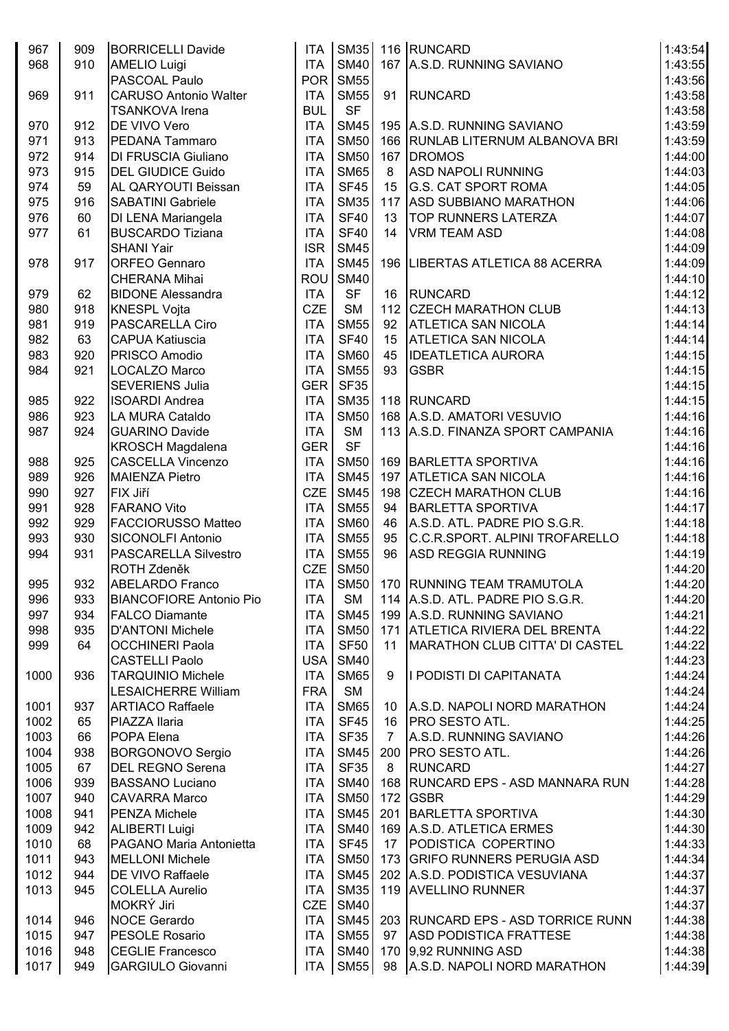| 967  | 909 | <b>BORRICELLI Davide</b>       | <b>ITA</b>       | <b>SM40</b> |             | SM35 116 RUNCARD<br>167 A.S.D. RUNNING SAVIANO | 1:43:54 |
|------|-----|--------------------------------|------------------|-------------|-------------|------------------------------------------------|---------|
| 968  | 910 | <b>AMELIO Luigi</b>            | <b>ITA</b>       |             |             |                                                | 1:43:55 |
|      |     | PASCOAL Paulo                  | POR              | <b>SM55</b> |             |                                                | 1:43:56 |
| 969  | 911 | <b>CARUSO Antonio Walter</b>   | <b>ITA</b>       | <b>SM55</b> | 91          | RUNCARD                                        | 1:43:58 |
|      |     | <b>TSANKOVA Irena</b>          | <b>BUL</b>       | <b>SF</b>   |             |                                                | 1:43:58 |
| 970  | 912 | DE VIVO Vero                   | <b>ITA</b>       | <b>SM45</b> |             | 195 A.S.D. RUNNING SAVIANO                     | 1:43:59 |
| 971  | 913 | PEDANA Tammaro                 | <b>ITA</b>       | <b>SM50</b> |             | 166 RUNLAB LITERNUM ALBANOVA BRI               | 1:43:59 |
| 972  | 914 | <b>DI FRUSCIA Giuliano</b>     | <b>ITA</b>       | <b>SM50</b> |             | 167 DROMOS                                     | 1:44:00 |
| 973  | 915 | <b>DEL GIUDICE Guido</b>       | <b>ITA</b>       | <b>SM65</b> | 8           | <b>ASD NAPOLI RUNNING</b>                      | 1:44:03 |
| 974  | 59  | AL QARYOUTI Beissan            | <b>ITA</b>       | <b>SF45</b> | 15          | <b>G.S. CAT SPORT ROMA</b>                     | 1:44:05 |
| 975  | 916 | <b>SABATINI Gabriele</b>       | <b>ITA</b>       | <b>SM35</b> | 117         | <b>ASD SUBBIANO MARATHON</b>                   | 1:44:06 |
| 976  | 60  | DI LENA Mariangela             | <b>ITA</b>       | <b>SF40</b> | 13          | <b>TOP RUNNERS LATERZA</b>                     | 1:44:07 |
| 977  | 61  | <b>BUSCARDO Tiziana</b>        | <b>ITA</b>       | <b>SF40</b> | 14          | <b>VRM TEAM ASD</b>                            | 1:44:08 |
|      |     | <b>SHANI Yair</b>              | <b>ISR</b>       | <b>SM45</b> |             |                                                | 1:44:09 |
| 978  | 917 | <b>ORFEO Gennaro</b>           | <b>ITA</b>       | <b>SM45</b> |             | 196   LIBERTAS ATLETICA 88 ACERRA              | 1:44:09 |
|      |     | <b>CHERANA Mihai</b>           | ROU <sup></sup>  | <b>SM40</b> |             |                                                | 1:44:10 |
| 979  | 62  | <b>BIDONE Alessandra</b>       | <b>ITA</b>       | <b>SF</b>   | 16          | RUNCARD                                        | 1:44:12 |
| 980  | 918 | <b>KNESPL Vojta</b>            | <b>CZE</b>       | <b>SM</b>   |             | 112 CZECH MARATHON CLUB                        | 1:44:13 |
| 981  | 919 | PASCARELLA Ciro                | <b>ITA</b>       | <b>SM55</b> | 92          | <b>ATLETICA SAN NICOLA</b>                     | 1:44:14 |
| 982  | 63  | <b>CAPUA Katiuscia</b>         | <b>ITA</b>       | <b>SF40</b> | 15          | <b>ATLETICA SAN NICOLA</b>                     | 1:44:14 |
| 983  | 920 | PRISCO Amodio                  | <b>ITA</b>       | <b>SM60</b> | 45          | <b>IDEATLETICA AURORA</b>                      | 1:44:15 |
| 984  | 921 | LOCALZO Marco                  | <b>ITA</b>       | <b>SM55</b> | 93          | <b>GSBR</b>                                    | 1:44:15 |
|      |     | <b>SEVERIENS Julia</b>         | GER <sup>I</sup> | <b>SF35</b> |             |                                                | 1:44:15 |
| 985  | 922 | <b>ISOARDI Andrea</b>          | <b>ITA</b>       | <b>SM35</b> |             | 118 RUNCARD                                    | 1:44:15 |
| 986  | 923 | LA MURA Cataldo                | <b>ITA</b>       | <b>SM50</b> |             | 168 A.S.D. AMATORI VESUVIO                     | 1:44:16 |
| 987  | 924 | <b>GUARINO Davide</b>          | <b>ITA</b>       | <b>SM</b>   |             | 113 A.S.D. FINANZA SPORT CAMPANIA              | 1:44:16 |
|      |     | <b>KROSCH Magdalena</b>        | <b>GER</b>       | <b>SF</b>   |             |                                                | 1:44:16 |
| 988  | 925 | <b>CASCELLA Vincenzo</b>       | <b>ITA</b>       | <b>SM50</b> |             | 169 BARLETTA SPORTIVA                          | 1:44:16 |
| 989  | 926 | <b>MAIENZA Pietro</b>          | <b>ITA</b>       | <b>SM45</b> |             | 197 ATLETICA SAN NICOLA                        | 1:44:16 |
| 990  | 927 | FIX Jiří                       | <b>CZE</b>       | <b>SM45</b> |             | 198 CZECH MARATHON CLUB                        | 1:44:16 |
| 991  | 928 | <b>FARANO Vito</b>             | <b>ITA</b>       | <b>SM55</b> | 94          | BARLETTA SPORTIVA                              | 1:44:17 |
| 992  | 929 | <b>FACCIORUSSO Matteo</b>      | <b>ITA</b>       | <b>SM60</b> | 46          | A.S.D. ATL. PADRE PIO S.G.R.                   | 1:44:18 |
| 993  | 930 | <b>SICONOLFI Antonio</b>       | <b>ITA</b>       | <b>SM55</b> | 95          | C.C.R.SPORT. ALPINI TROFARELLO                 | 1:44:18 |
| 994  | 931 | <b>PASCARELLA Silvestro</b>    | <b>ITA</b>       | <b>SM55</b> | 96          | <b>ASD REGGIA RUNNING</b>                      | 1:44:19 |
|      |     | ROTH Zdeněk                    | <b>CZE</b>       | <b>SM50</b> |             |                                                | 1:44:20 |
| 995  | 932 | <b>ABELARDO Franco</b>         |                  |             |             | ITA SM50 170 RUNNING TEAM TRAMUTOLA            | 1:44:20 |
| 996  | 933 | <b>BIANCOFIORE Antonio Pio</b> | <b>ITA</b>       | <b>SM</b>   |             | 114 A.S.D. ATL. PADRE PIO S.G.R.               | 1:44:20 |
| 997  | 934 | <b>FALCO Diamante</b>          | <b>ITA</b>       | <b>SM45</b> |             | 199 A.S.D. RUNNING SAVIANO                     | 1:44:21 |
| 998  | 935 | <b>D'ANTONI Michele</b>        | <b>ITA</b>       | <b>SM50</b> |             | 171 ATLETICA RIVIERA DEL BRENTA                | 1:44:22 |
| 999  | 64  | <b>OCCHINERI Paola</b>         | <b>ITA</b>       | <b>SF50</b> | 11          | MARATHON CLUB CITTA' DI CASTEL                 | 1:44:22 |
|      |     | <b>CASTELLI Paolo</b>          | <b>USA</b>       | <b>SM40</b> |             |                                                | 1:44:23 |
| 1000 | 936 | <b>TARQUINIO Michele</b>       | <b>ITA</b>       | <b>SM65</b> | 9           | I PODISTI DI CAPITANATA                        | 1:44:24 |
|      |     | <b>LESAICHERRE William</b>     | <b>FRA</b>       | <b>SM</b>   |             |                                                | 1:44:24 |
| 1001 | 937 | <b>ARTIACO Raffaele</b>        | <b>ITA</b>       | <b>SM65</b> | 10          | A.S.D. NAPOLI NORD MARATHON                    | 1:44:24 |
| 1002 | 65  | PIAZZA Ilaria                  | <b>ITA</b>       | <b>SF45</b> | 16          | <b>PRO SESTO ATL.</b>                          | 1:44:25 |
| 1003 | 66  | POPA Elena                     | <b>ITA</b>       | <b>SF35</b> | $7^{\circ}$ | A.S.D. RUNNING SAVIANO                         | 1:44:26 |
| 1004 | 938 | <b>BORGONOVO Sergio</b>        | <b>ITA</b>       | <b>SM45</b> |             | 200   PRO SESTO ATL.                           | 1:44:26 |
| 1005 | 67  | <b>DEL REGNO Serena</b>        | <b>ITA</b>       | <b>SF35</b> | 8           | <b>RUNCARD</b>                                 | 1:44:27 |
| 1006 | 939 |                                | <b>ITA</b>       | <b>SM40</b> |             | 168   RUNCARD EPS - ASD MANNARA RUN            | 1:44:28 |
|      |     | <b>BASSANO Luciano</b>         |                  |             |             |                                                |         |
| 1007 | 940 | <b>CAVARRA Marco</b>           | <b>ITA</b>       | <b>SM50</b> |             | 172 $ GSBR$                                    | 1:44:29 |
| 1008 | 941 | <b>PENZA Michele</b>           | <b>ITA</b>       | <b>SM45</b> |             | 201 BARLETTA SPORTIVA                          | 1:44:30 |
| 1009 | 942 | <b>ALIBERTI Luigi</b>          | <b>ITA</b>       | <b>SM40</b> |             | 169 A.S.D. ATLETICA ERMES                      | 1:44:30 |
| 1010 | 68  | PAGANO Maria Antonietta        | <b>ITA</b>       | <b>SF45</b> | 17          | PODISTICA COPERTINO                            | 1:44:33 |
| 1011 | 943 | <b>MELLONI Michele</b>         | <b>ITA</b>       | <b>SM50</b> |             | 173 GRIFO RUNNERS PERUGIA ASD                  | 1:44:34 |
| 1012 | 944 | <b>DE VIVO Raffaele</b>        | <b>ITA</b>       | <b>SM45</b> |             | 202 A.S.D. PODISTICA VESUVIANA                 | 1:44:37 |
| 1013 | 945 | <b>COLELLA Aurelio</b>         | <b>ITA</b>       | <b>SM35</b> |             | 119 AVELLINO RUNNER                            | 1:44:37 |
|      |     | MOKRÝ Jiri                     | <b>CZE</b>       | <b>SM40</b> |             |                                                | 1:44:37 |
| 1014 | 946 | <b>NOCE Gerardo</b>            | <b>ITA</b>       | <b>SM45</b> |             | 203 RUNCARD EPS - ASD TORRICE RUNN             | 1:44:38 |
| 1015 | 947 | <b>PESOLE Rosario</b>          | <b>ITA</b>       | <b>SM55</b> | 97          | <b>ASD PODISTICA FRATTESE</b>                  | 1:44:38 |
| 1016 | 948 | <b>CEGLIE Francesco</b>        | <b>ITA</b>       | <b>SM40</b> |             | 170 9.92 RUNNING ASD                           | 1:44:38 |
| 1017 | 949 | <b>GARGIULO Giovanni</b>       |                  | ITA SM55    |             | 98 A.S.D. NAPOLI NORD MARATHON                 | 1:44:39 |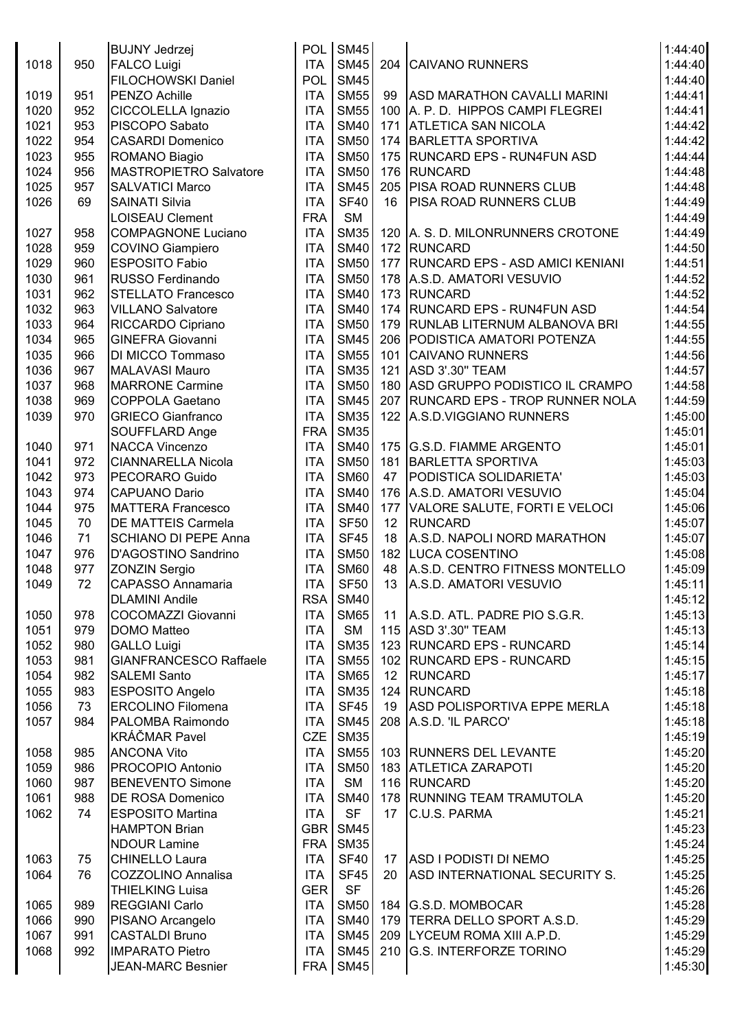|      |     | <b>BUJNY Jedrzej</b>          |            | POL SM45    |                 |                                     | 1:44:40 |
|------|-----|-------------------------------|------------|-------------|-----------------|-------------------------------------|---------|
| 1018 | 950 | <b>FALCO Luigi</b>            | <b>ITA</b> | <b>SM45</b> |                 | 204 CAIVANO RUNNERS                 | 1:44:40 |
|      |     | FILOCHOWSKI Daniel            | POL        | <b>SM45</b> |                 |                                     | 1:44:40 |
| 1019 | 951 | PENZO Achille                 | <b>ITA</b> | <b>SM55</b> | 99              | <b>ASD MARATHON CAVALLI MARINI</b>  | 1:44:41 |
| 1020 | 952 | CICCOLELLA Ignazio            | <b>ITA</b> | <b>SM55</b> |                 | 100 A. P. D. HIPPOS CAMPI FLEGREI   | 1:44:41 |
| 1021 | 953 | PISCOPO Sabato                | <b>ITA</b> | <b>SM40</b> | 171             | <b>ATLETICA SAN NICOLA</b>          | 1:44:42 |
| 1022 | 954 | <b>CASARDI Domenico</b>       | <b>ITA</b> | <b>SM50</b> |                 | 174 BARLETTA SPORTIVA               | 1:44:42 |
| 1023 | 955 | ROMANO Biagio                 | <b>ITA</b> | <b>SM50</b> |                 | 175 RUNCARD EPS - RUN4FUN ASD       | 1:44:44 |
| 1024 | 956 | <b>MASTROPIETRO Salvatore</b> | <b>ITA</b> | <b>SM50</b> |                 | 176 RUNCARD                         | 1:44:48 |
| 1025 | 957 | <b>SALVATICI Marco</b>        | <b>ITA</b> | <b>SM45</b> |                 | 205 PISA ROAD RUNNERS CLUB          | 1:44:48 |
| 1026 | 69  | <b>SAINATI Silvia</b>         | <b>ITA</b> | <b>SF40</b> | 16              | <b>PISA ROAD RUNNERS CLUB</b>       | 1:44:49 |
|      |     | <b>LOISEAU Clement</b>        | <b>FRA</b> | <b>SM</b>   |                 |                                     | 1:44:49 |
| 1027 | 958 | <b>COMPAGNONE Luciano</b>     | <b>ITA</b> | <b>SM35</b> |                 | 120 A. S. D. MILONRUNNERS CROTONE   | 1:44:49 |
| 1028 | 959 |                               | <b>ITA</b> | <b>SM40</b> |                 | 172 RUNCARD                         | 1:44:50 |
|      | 960 | <b>COVINO Giampiero</b>       |            | <b>SM50</b> |                 |                                     |         |
| 1029 |     | <b>ESPOSITO Fabio</b>         | <b>ITA</b> |             |                 | 177 RUNCARD EPS - ASD AMICI KENIANI | 1:44:51 |
| 1030 | 961 | RUSSO Ferdinando              | <b>ITA</b> | <b>SM50</b> |                 | 178 A.S.D. AMATORI VESUVIO          | 1:44:52 |
| 1031 | 962 | <b>STELLATO Francesco</b>     | <b>ITA</b> | <b>SM40</b> |                 | 173 RUNCARD                         | 1:44:52 |
| 1032 | 963 | <b>VILLANO Salvatore</b>      | <b>ITA</b> | <b>SM40</b> |                 | 174 RUNCARD EPS - RUN4FUN ASD       | 1:44:54 |
| 1033 | 964 | RICCARDO Cipriano             | <b>ITA</b> | <b>SM50</b> |                 | 179   RUNLAB LITERNUM ALBANOVA BRI  | 1:44:55 |
| 1034 | 965 | <b>GINEFRA Giovanni</b>       | <b>ITA</b> | <b>SM45</b> |                 | 206 PODISTICA AMATORI POTENZA       | 1:44:55 |
| 1035 | 966 | DI MICCO Tommaso              | <b>ITA</b> | <b>SM55</b> |                 | 101 CAIVANO RUNNERS                 | 1:44:56 |
| 1036 | 967 | <b>MALAVASI Mauro</b>         | <b>ITA</b> | <b>SM35</b> |                 | 121 ASD 3'.30" TEAM                 | 1:44:57 |
| 1037 | 968 | <b>MARRONE Carmine</b>        | <b>ITA</b> | <b>SM50</b> |                 | 180 ASD GRUPPO PODISTICO IL CRAMPO  | 1:44:58 |
| 1038 | 969 | <b>COPPOLA Gaetano</b>        | <b>ITA</b> | <b>SM45</b> |                 | 207 RUNCARD EPS - TROP RUNNER NOLA  | 1:44:59 |
| 1039 | 970 | <b>GRIECO Gianfranco</b>      | <b>ITA</b> | <b>SM35</b> |                 | 122 A.S.D.VIGGIANO RUNNERS          | 1:45:00 |
|      |     | SOUFFLARD Ange                | <b>FRA</b> | <b>SM35</b> |                 |                                     | 1:45:01 |
| 1040 | 971 | <b>NACCA Vincenzo</b>         | <b>ITA</b> | <b>SM40</b> |                 | 175 G.S.D. FIAMME ARGENTO           | 1:45:01 |
| 1041 | 972 | <b>CIANNARELLA Nicola</b>     | <b>ITA</b> | <b>SM50</b> |                 | 181 BARLETTA SPORTIVA               | 1:45:03 |
| 1042 | 973 | PECORARO Guido                | <b>ITA</b> | <b>SM60</b> | 47              | PODISTICA SOLIDARIETA'              | 1:45:03 |
| 1043 | 974 | <b>CAPUANO Dario</b>          | <b>ITA</b> | <b>SM40</b> |                 | 176 A.S.D. AMATORI VESUVIO          | 1:45:04 |
| 1044 | 975 | <b>MATTERA Francesco</b>      | <b>ITA</b> | <b>SM40</b> |                 | 177 VALORE SALUTE, FORTI E VELOCI   | 1:45:06 |
| 1045 | 70  | <b>DE MATTEIS Carmela</b>     | <b>ITA</b> | <b>SF50</b> | 12              | <b>RUNCARD</b>                      | 1:45:07 |
| 1046 | 71  | <b>SCHIANO DI PEPE Anna</b>   | <b>ITA</b> | <b>SF45</b> | 18              | A.S.D. NAPOLI NORD MARATHON         | 1:45:07 |
| 1047 | 976 | D'AGOSTINO Sandrino           | <b>ITA</b> | <b>SM50</b> |                 | 182 LUCA COSENTINO                  | 1:45:08 |
| 1048 | 977 | <b>ZONZIN Sergio</b>          | <b>ITA</b> | <b>SM60</b> | 48              | A.S.D. CENTRO FITNESS MONTELLO      | 1:45:09 |
| 1049 | 72  | <b>CAPASSO Annamaria</b>      | <b>ITA</b> | <b>SF50</b> |                 | 13 A.S.D. AMATORI VESUVIO           | 1:45:11 |
|      |     | <b>DLAMINI Andile</b>         |            | RSA SM40    |                 |                                     | 1:45:12 |
| 1050 | 978 | <b>COCOMAZZI Giovanni</b>     | <b>ITA</b> | <b>SM65</b> |                 | 11   A.S.D. ATL. PADRE PIO S.G.R.   | 1:45:13 |
| 1051 | 979 | <b>DOMO Matteo</b>            | <b>ITA</b> | <b>SM</b>   |                 | 115 ASD 3'.30" TEAM                 | 1:45:13 |
| 1052 | 980 | <b>GALLO Luigi</b>            | <b>ITA</b> | <b>SM35</b> |                 | 123 RUNCARD EPS - RUNCARD           | 1:45:14 |
| 1053 | 981 | <b>GIANFRANCESCO Raffaele</b> | <b>ITA</b> | <b>SM55</b> |                 | 102 RUNCARD EPS - RUNCARD           | 1:45:15 |
| 1054 | 982 | <b>SALEMI Santo</b>           | <b>ITA</b> | <b>SM65</b> | 12 <sup>2</sup> | RUNCARD                             | 1:45:17 |
| 1055 | 983 | ESPOSITO Angelo               | <b>ITA</b> | <b>SM35</b> |                 | 124 RUNCARD                         | 1:45:18 |
| 1056 | 73  | <b>ERCOLINO Filomena</b>      | <b>ITA</b> | <b>SF45</b> | 19              | <b>ASD POLISPORTIVA EPPE MERLA</b>  | 1:45:18 |
| 1057 | 984 | PALOMBA Raimondo              | <b>ITA</b> | <b>SM45</b> |                 | 208 A.S.D. 'IL PARCO'               | 1:45:18 |
|      |     | <b>KRÁČMAR Pavel</b>          | <b>CZE</b> | <b>SM35</b> |                 |                                     | 1:45:19 |
|      |     | <b>ANCONA Vito</b>            | <b>ITA</b> | <b>SM55</b> |                 |                                     |         |
| 1058 | 985 |                               |            |             |                 | 103 RUNNERS DEL LEVANTE             | 1:45:20 |
| 1059 | 986 | PROCOPIO Antonio              | <b>ITA</b> | <b>SM50</b> |                 | 183 ATLETICA ZARAPOTI               | 1:45:20 |
| 1060 | 987 | <b>BENEVENTO Simone</b>       | <b>ITA</b> | <b>SM</b>   |                 | 116 RUNCARD                         | 1:45:20 |
| 1061 | 988 | <b>DE ROSA Domenico</b>       | <b>ITA</b> | <b>SM40</b> |                 | 178 RUNNING TEAM TRAMUTOLA          | 1:45:20 |
| 1062 | 74  | <b>ESPOSITO Martina</b>       | <b>ITA</b> | <b>SF</b>   | 17              | C.U.S. PARMA                        | 1:45:21 |
|      |     | <b>HAMPTON Brian</b>          | GBR        | <b>SM45</b> |                 |                                     | 1:45:23 |
|      |     | <b>NDOUR Lamine</b>           | <b>FRA</b> | <b>SM35</b> |                 |                                     | 1:45:24 |
| 1063 | 75  | <b>CHINELLO Laura</b>         | <b>ITA</b> | <b>SF40</b> |                 | 17 ASD I PODISTI DI NEMO            | 1:45:25 |
| 1064 | 76  | COZZOLINO Annalisa            | <b>ITA</b> | <b>SF45</b> | 20              | ASD INTERNATIONAL SECURITY S.       | 1:45:25 |
|      |     | <b>THIELKING Luisa</b>        | <b>GER</b> | <b>SF</b>   |                 |                                     | 1:45:26 |
| 1065 | 989 | <b>REGGIANI Carlo</b>         | <b>ITA</b> | <b>SM50</b> |                 | 184 G.S.D. MOMBOCAR                 | 1:45:28 |
| 1066 | 990 | PISANO Arcangelo              | <b>ITA</b> | <b>SM40</b> |                 | 179 TERRA DELLO SPORT A.S.D.        | 1:45:29 |
| 1067 | 991 | <b>CASTALDI Bruno</b>         | <b>ITA</b> | <b>SM45</b> |                 | 209 LYCEUM ROMA XIII A.P.D.         | 1:45:29 |
| 1068 | 992 | <b>IMPARATO Pietro</b>        | <b>ITA</b> | <b>SM45</b> |                 | 210 G.S. INTERFORZE TORINO          | 1:45:29 |
|      |     | <b>JEAN-MARC Besnier</b>      |            | FRA SM45    |                 |                                     | 1:45:30 |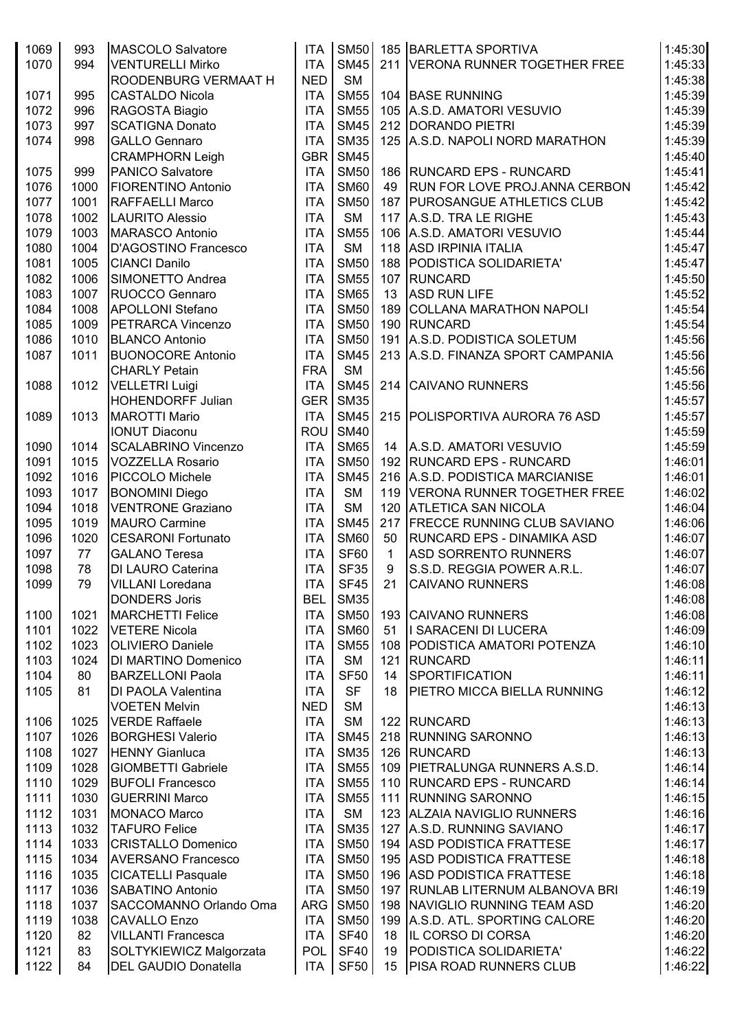| 1069         | 993          | MASCOLO Salvatore           | <b>ITA</b> | <b>SM50</b> |              | 185 BARLETTA SPORTIVA                       | 1:45:30 |
|--------------|--------------|-----------------------------|------------|-------------|--------------|---------------------------------------------|---------|
| 1070         | 994          | <b>VENTURELLI Mirko</b>     | <b>ITA</b> | <b>SM45</b> |              | 211 VERONA RUNNER TOGETHER FREE             | 1:45:33 |
|              |              | ROODENBURG VERMAAT H        | <b>NED</b> | <b>SM</b>   |              |                                             | 1:45:38 |
| 1071         | 995          | <b>CASTALDO Nicola</b>      | <b>ITA</b> | <b>SM55</b> |              | 104 BASE RUNNING                            | 1:45:39 |
| 1072         | 996          | RAGOSTA Biagio              | <b>ITA</b> | <b>SM55</b> |              | 105 A.S.D. AMATORI VESUVIO                  | 1:45:39 |
| 1073         | 997          | <b>SCATIGNA Donato</b>      | <b>ITA</b> | <b>SM45</b> |              | 212 DORANDO PIETRI                          | 1:45:39 |
| 1074         | 998          | <b>GALLO Gennaro</b>        | <b>ITA</b> | <b>SM35</b> |              | 125   A.S.D. NAPOLI NORD MARATHON           | 1:45:39 |
|              |              | <b>CRAMPHORN Leigh</b>      | GBR        | <b>SM45</b> |              |                                             | 1:45:40 |
| 1075         | 999          | PANICO Salvatore            | <b>ITA</b> | <b>SM50</b> |              | 186 RUNCARD EPS - RUNCARD                   | 1:45:41 |
| 1076         | 1000         | <b>FIORENTINO Antonio</b>   | <b>ITA</b> | <b>SM60</b> | 49           | <b>RUN FOR LOVE PROJ.ANNA CERBON</b>        | 1:45:42 |
| 1077         | 1001         | <b>RAFFAELLI Marco</b>      | <b>ITA</b> | <b>SM50</b> |              | 187   PUROSANGUE ATHLETICS CLUB             | 1:45:42 |
| 1078         | 1002         | LAURITO Alessio             | <b>ITA</b> | <b>SM</b>   |              | 117 A.S.D. TRA LE RIGHE                     | 1:45:43 |
| 1079         | 1003         | MARASCO Antonio             | <b>ITA</b> | <b>SM55</b> |              | 106 A.S.D. AMATORI VESUVIO                  | 1:45:44 |
| 1080         | 1004         | <b>D'AGOSTINO Francesco</b> | <b>ITA</b> | <b>SM</b>   |              | 118 ASD IRPINIA ITALIA                      | 1:45:47 |
| 1081         | 1005         | <b>CIANCI Danilo</b>        | <b>ITA</b> | <b>SM50</b> |              | 188 PODISTICA SOLIDARIETA'                  | 1:45:47 |
| 1082         | 1006         | SIMONETTO Andrea            | <b>ITA</b> | <b>SM55</b> |              | 107 RUNCARD                                 | 1:45:50 |
| 1083         | 1007         | RUOCCO Gennaro              | <b>ITA</b> | <b>SM65</b> | 13           | <b>ASD RUN LIFE</b>                         | 1:45:52 |
| 1084         | 1008         | <b>APOLLONI Stefano</b>     | <b>ITA</b> | <b>SM50</b> |              | 189 COLLANA MARATHON NAPOLI                 | 1:45:54 |
|              |              |                             |            | <b>SM50</b> |              |                                             |         |
| 1085<br>1086 | 1009<br>1010 | <b>PETRARCA Vincenzo</b>    | <b>ITA</b> | <b>SM50</b> |              | 190 RUNCARD<br>191 A.S.D. PODISTICA SOLETUM | 1:45:54 |
|              |              | <b>BLANCO Antonio</b>       | <b>ITA</b> |             |              | 213 A.S.D. FINANZA SPORT CAMPANIA           | 1:45:56 |
| 1087         | 1011         | <b>BUONOCORE Antonio</b>    | <b>ITA</b> | <b>SM45</b> |              |                                             | 1:45:56 |
|              |              | <b>CHARLY Petain</b>        | <b>FRA</b> | <b>SM</b>   |              |                                             | 1:45:56 |
| 1088         | 1012         | <b>VELLETRI Luigi</b>       | <b>ITA</b> | <b>SM45</b> |              | 214 CAIVANO RUNNERS                         | 1:45:56 |
|              |              | HOHENDORFF Julian           | GER        | <b>SM35</b> |              |                                             | 1:45:57 |
| 1089         | 1013         | <b>MAROTTI Mario</b>        | <b>ITA</b> | <b>SM45</b> |              | 215 POLISPORTIVA AURORA 76 ASD              | 1:45:57 |
|              |              | <b>IONUT Diaconu</b>        | <b>ROU</b> | <b>SM40</b> |              |                                             | 1:45:59 |
| 1090         | 1014         | <b>SCALABRINO Vincenzo</b>  | <b>ITA</b> | <b>SM65</b> | 14           | A.S.D. AMATORI VESUVIO                      | 1:45:59 |
| 1091         | 1015         | <b>VOZZELLA Rosario</b>     | <b>ITA</b> | <b>SM50</b> |              | 192 RUNCARD EPS - RUNCARD                   | 1:46:01 |
| 1092         | 1016         | PICCOLO Michele             | <b>ITA</b> | <b>SM45</b> |              | 216 A.S.D. PODISTICA MARCIANISE             | 1:46:01 |
| 1093         | 1017         | <b>BONOMINI Diego</b>       | <b>ITA</b> | <b>SM</b>   |              | 119 VERONA RUNNER TOGETHER FREE             | 1:46:02 |
| 1094         | 1018         | <b>VENTRONE Graziano</b>    | <b>ITA</b> | <b>SM</b>   |              | 120 ATLETICA SAN NICOLA                     | 1:46:04 |
| 1095         | 1019         | <b>MAURO Carmine</b>        | <b>ITA</b> | <b>SM45</b> |              | 217 FRECCE RUNNING CLUB SAVIANO             | 1:46:06 |
| 1096         | 1020         | <b>CESARONI Fortunato</b>   | <b>ITA</b> | <b>SM60</b> | 50           | RUNCARD EPS - DINAMIKA ASD                  | 1:46:07 |
| 1097         | 77           | <b>GALANO Teresa</b>        | <b>ITA</b> | <b>SF60</b> | $\mathbf{1}$ | <b>ASD SORRENTO RUNNERS</b>                 | 1:46:07 |
| 1098         | 78           | DI LAURO Caterina           | <b>ITA</b> | <b>SF35</b> | 9            | S.S.D. REGGIA POWER A.R.L.                  | 1:46:07 |
| 1099         | 79           | <b>VILLANI Loredana</b>     | <b>ITA</b> | <b>SF45</b> | 21           | <b>CAIVANO RUNNERS</b>                      | 1:46:08 |
|              |              | <b>DONDERS Joris</b>        | <b>BEL</b> | <b>SM35</b> |              |                                             | 1:46:08 |
| 1100         | 1021         | MARCHETTI Felice            | <b>ITA</b> | <b>SM50</b> |              | 193 CAIVANO RUNNERS                         | 1:46:08 |
| 1101         | 1022         | <b>VETERE Nicola</b>        | <b>ITA</b> | <b>SM60</b> | 51           | I SARACENI DI LUCERA                        | 1:46:09 |
| 1102         | 1023         | <b>OLIVIERO Daniele</b>     | <b>ITA</b> | <b>SM55</b> |              | 108   PODISTICA AMATORI POTENZA             | 1:46:10 |
| 1103         | 1024         | DI MARTINO Domenico         | <b>ITA</b> | <b>SM</b>   | 121          | RUNCARD                                     | 1:46:11 |
| 1104         | 80           | <b>BARZELLONI Paola</b>     | <b>ITA</b> | <b>SF50</b> | 14           | <b>SPORTIFICATION</b>                       | 1:46:11 |
| 1105         | 81           | <b>DI PAOLA Valentina</b>   | <b>ITA</b> | <b>SF</b>   | 18           | <b>PIETRO MICCA BIELLA RUNNING</b>          | 1:46:12 |
|              |              | <b>VOETEN Melvin</b>        | <b>NED</b> | <b>SM</b>   |              |                                             | 1:46:13 |
| 1106         | 1025         | <b>VERDE Raffaele</b>       | <b>ITA</b> | <b>SM</b>   |              | 122 RUNCARD                                 | 1:46:13 |
| 1107         | 1026         | <b>BORGHESI Valerio</b>     | <b>ITA</b> | <b>SM45</b> |              | 218 RUNNING SARONNO                         | 1:46:13 |
| 1108         | 1027         | <b>HENNY Gianluca</b>       | <b>ITA</b> | <b>SM35</b> |              | 126 RUNCARD                                 | 1:46:13 |
| 1109         | 1028         | <b>GIOMBETTI Gabriele</b>   | <b>ITA</b> | <b>SM55</b> |              | 109   PIETRALUNGA RUNNERS A.S.D.            | 1:46:14 |
| 1110         | 1029         | <b>BUFOLI Francesco</b>     | <b>ITA</b> | <b>SM55</b> |              | 110 RUNCARD EPS - RUNCARD                   | 1:46:14 |
| 1111         | 1030         | <b>GUERRINI Marco</b>       | <b>ITA</b> | <b>SM55</b> |              | 111 RUNNING SARONNO                         | 1:46:15 |
| 1112         | 1031         | <b>MONACO Marco</b>         | <b>ITA</b> | <b>SM</b>   |              | 123 ALZAIA NAVIGLIO RUNNERS                 | 1:46:16 |
| 1113         | 1032         | <b>TAFURO Felice</b>        | <b>ITA</b> | <b>SM35</b> |              | 127 A.S.D. RUNNING SAVIANO                  | 1:46:17 |
| 1114         | 1033         | <b>CRISTALLO Domenico</b>   | <b>ITA</b> | <b>SM50</b> |              | 194 ASD PODISTICA FRATTESE                  | 1:46:17 |
| 1115         | 1034         | <b>AVERSANO Francesco</b>   | <b>ITA</b> | <b>SM50</b> |              | 195 ASD PODISTICA FRATTESE                  | 1:46:18 |
| 1116         | 1035         | <b>CICATELLI Pasquale</b>   | <b>ITA</b> | <b>SM50</b> |              | 196 ASD PODISTICA FRATTESE                  | 1:46:18 |
| 1117         | 1036         | SABATINO Antonio            | <b>ITA</b> | <b>SM50</b> |              | 197   RUNLAB LITERNUM ALBANOVA BRI          | 1:46:19 |
| 1118         | 1037         | SACCOMANNO Orlando Oma      | <b>ARG</b> | <b>SM50</b> |              | 198 NAVIGLIO RUNNING TEAM ASD               | 1:46:20 |
| 1119         | 1038         | <b>CAVALLO Enzo</b>         | <b>ITA</b> | <b>SM50</b> |              | 199   A.S.D. ATL. SPORTING CALORE           | 1:46:20 |
| 1120         | 82           | <b>VILLANTI Francesca</b>   | <b>ITA</b> | <b>SF40</b> | 18           | <b>IL CORSO DI CORSA</b>                    | 1:46:20 |
| 1121         | 83           | SOLTYKIEWICZ Malgorzata     | <b>POL</b> | <b>SF40</b> | 19           | PODISTICA SOLIDARIETA'                      | 1:46:22 |
| 1122         | 84           | <b>DEL GAUDIO Donatella</b> | ITA        | <b>SF50</b> | 15           | <b>PISA ROAD RUNNERS CLUB</b>               | 1:46:22 |
|              |              |                             |            |             |              |                                             |         |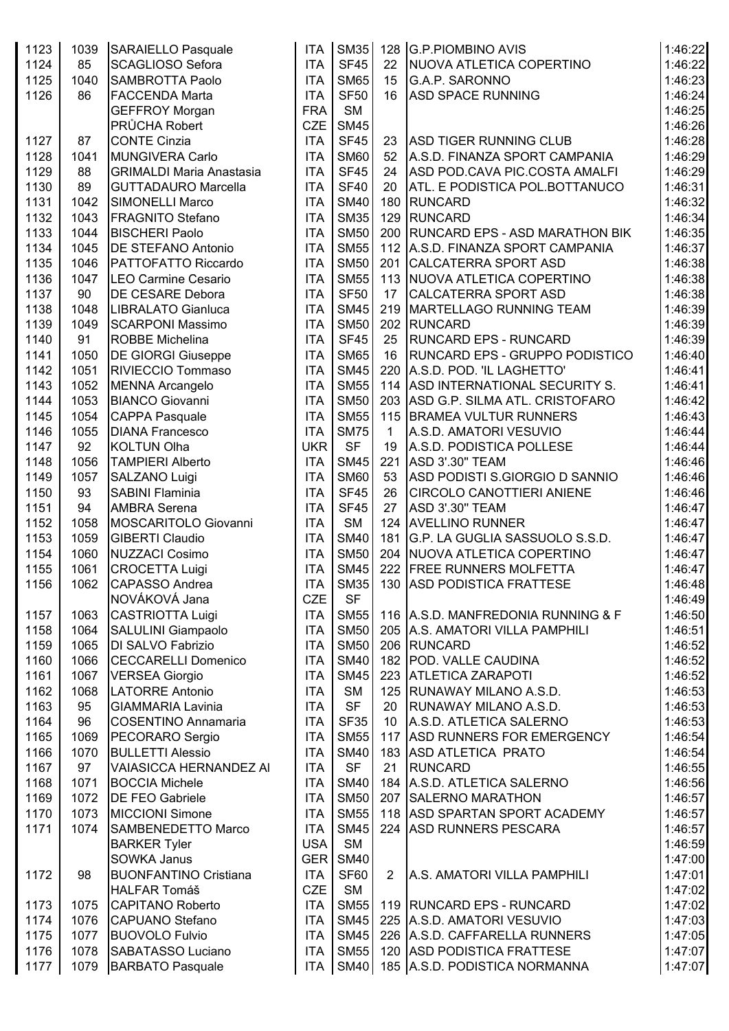| 1123 | 1039 | <b>SARAIELLO Pasquale</b>       | <b>ITA</b> | <b>SM35</b> |                | 128 G.P.PIOMBINO AVIS                  | 1:46:22 |
|------|------|---------------------------------|------------|-------------|----------------|----------------------------------------|---------|
| 1124 | 85   | <b>SCAGLIOSO Sefora</b>         | <b>ITA</b> | <b>SF45</b> | 22             | NUOVA ATLETICA COPERTINO               | 1:46:22 |
| 1125 | 1040 | <b>SAMBROTTA Paolo</b>          | <b>ITA</b> | <b>SM65</b> | 15             | <b>G.A.P. SARONNO</b>                  | 1:46:23 |
| 1126 | 86   | <b>FACCENDA Marta</b>           | <b>ITA</b> | <b>SF50</b> | 16             | <b>ASD SPACE RUNNING</b>               | 1:46:24 |
|      |      | <b>GEFFROY Morgan</b>           | <b>FRA</b> | <b>SM</b>   |                |                                        | 1:46:25 |
|      |      | PRŮCHA Robert                   | <b>CZE</b> | <b>SM45</b> |                |                                        | 1:46:26 |
| 1127 | 87   | <b>CONTE Cinzia</b>             | <b>ITA</b> | <b>SF45</b> | 23             | <b>ASD TIGER RUNNING CLUB</b>          | 1:46:28 |
| 1128 | 1041 | MUNGIVERA Carlo                 | <b>ITA</b> | <b>SM60</b> | 52             | A.S.D. FINANZA SPORT CAMPANIA          | 1:46:29 |
| 1129 | 88   | <b>GRIMALDI Maria Anastasia</b> | <b>ITA</b> | <b>SF45</b> | 24             | ASD POD.CAVA PIC.COSTA AMALFI          | 1:46:29 |
| 1130 | 89   | <b>GUTTADAURO Marcella</b>      | <b>ITA</b> | <b>SF40</b> | 20             | ATL. E PODISTICA POL.BOTTANUCO         | 1:46:31 |
| 1131 | 1042 | <b>SIMONELLI Marco</b>          | <b>ITA</b> | <b>SM40</b> | 180            | <b>RUNCARD</b>                         | 1:46:32 |
| 1132 | 1043 | <b>FRAGNITO Stefano</b>         | <b>ITA</b> | <b>SM35</b> | 129            | <b>RUNCARD</b>                         | 1:46:34 |
| 1133 | 1044 | <b>BISCHERI Paolo</b>           | <b>ITA</b> | <b>SM50</b> | 200            | <b>RUNCARD EPS - ASD MARATHON BIK</b>  | 1:46:35 |
| 1134 | 1045 | <b>DE STEFANO Antonio</b>       | <b>ITA</b> | <b>SM55</b> |                | 112 A.S.D. FINANZA SPORT CAMPANIA      | 1:46:37 |
| 1135 | 1046 | PATTOFATTO Riccardo             | <b>ITA</b> | <b>SM50</b> |                | 201 CALCATERRA SPORT ASD               | 1:46:38 |
|      |      |                                 | <b>ITA</b> | <b>SM55</b> |                |                                        |         |
| 1136 | 1047 | <b>LEO Carmine Cesario</b>      |            | <b>SF50</b> |                | 113 NUOVA ATLETICA COPERTINO           | 1:46:38 |
| 1137 | 90   | <b>DE CESARE Debora</b>         | <b>ITA</b> |             | 17             | CALCATERRA SPORT ASD                   | 1:46:38 |
| 1138 | 1048 | LIBRALATO Gianluca              | <b>ITA</b> | <b>SM45</b> |                | 219   MARTELLAGO RUNNING TEAM          | 1:46:39 |
| 1139 | 1049 | <b>SCARPONI Massimo</b>         | <b>ITA</b> | <b>SM50</b> |                | 202 RUNCARD                            | 1:46:39 |
| 1140 | 91   | <b>ROBBE Michelina</b>          | <b>ITA</b> | <b>SF45</b> | 25             | <b>RUNCARD EPS - RUNCARD</b>           | 1:46:39 |
| 1141 | 1050 | <b>DE GIORGI Giuseppe</b>       | <b>ITA</b> | <b>SM65</b> | 16             | <b>RUNCARD EPS - GRUPPO PODISTICO</b>  | 1:46:40 |
| 1142 | 1051 | RIVIECCIO Tommaso               | <b>ITA</b> | <b>SM45</b> |                | 220 A.S.D. POD. 'IL LAGHETTO'          | 1:46:41 |
| 1143 | 1052 | <b>MENNA Arcangelo</b>          | <b>ITA</b> | <b>SM55</b> |                | 114 ASD INTERNATIONAL SECURITY S.      | 1:46:41 |
| 1144 | 1053 | <b>BIANCO Giovanni</b>          | <b>ITA</b> | <b>SM50</b> |                | 203 ASD G.P. SILMA ATL. CRISTOFARO     | 1:46:42 |
| 1145 | 1054 | <b>CAPPA Pasquale</b>           | <b>ITA</b> | <b>SM55</b> |                | 115 BRAMEA VULTUR RUNNERS              | 1:46:43 |
| 1146 | 1055 | <b>DIANA Francesco</b>          | <b>ITA</b> | <b>SM75</b> | 1              | A.S.D. AMATORI VESUVIO                 | 1:46:44 |
| 1147 | 92   | <b>KOLTUN Olha</b>              | <b>UKR</b> | <b>SF</b>   | 19             | A.S.D. PODISTICA POLLESE               | 1:46:44 |
| 1148 | 1056 | <b>TAMPIERI Alberto</b>         | <b>ITA</b> | <b>SM45</b> |                | 221 ASD 3'.30" TEAM                    | 1:46:46 |
| 1149 | 1057 | SALZANO Luigi                   | <b>ITA</b> | <b>SM60</b> | 53             | ASD PODISTI S.GIORGIO D SANNIO         | 1:46:46 |
| 1150 | 93   | <b>SABINI Flaminia</b>          | <b>ITA</b> | <b>SF45</b> | 26             | <b>CIRCOLO CANOTTIERI ANIENE</b>       | 1:46:46 |
| 1151 | 94   | <b>AMBRA Serena</b>             | <b>ITA</b> | <b>SF45</b> | 27             | ASD 3'.30" TEAM                        | 1:46:47 |
| 1152 | 1058 | MOSCARITOLO Giovanni            | <b>ITA</b> | <b>SM</b>   |                | 124 AVELLINO RUNNER                    | 1:46:47 |
| 1153 | 1059 | <b>GIBERTI Claudio</b>          | <b>ITA</b> | <b>SM40</b> |                | 181 G.P. LA GUGLIA SASSUOLO S.S.D.     | 1:46:47 |
| 1154 | 1060 | NUZZACI Cosimo                  | <b>ITA</b> | <b>SM50</b> |                | 204 NUOVA ATLETICA COPERTINO           | 1:46:47 |
| 1155 | 1061 | <b>CROCETTA Luigi</b>           | <b>ITA</b> | <b>SM45</b> |                | 222 FREE RUNNERS MOLFETTA              | 1:46:47 |
| 1156 | 1062 | CAPASSO Andrea                  | <b>ITA</b> |             |                | SM35   130   ASD PODISTICA FRATTESE    | 1:46:48 |
|      |      | NOVÁKOVÁ Jana                   | <b>CZE</b> | <b>SF</b>   |                |                                        | 1:46:49 |
| 1157 | 1063 | <b>CASTRIOTTA Luigi</b>         | <b>ITA</b> | <b>SM55</b> |                | 116   A.S.D. MANFREDONIA RUNNING & F   | 1:46:50 |
| 1158 | 1064 | <b>SALULINI Giampaolo</b>       | <b>ITA</b> | <b>SM50</b> |                | 205 A.S. AMATORI VILLA PAMPHILI        | 1:46:51 |
| 1159 | 1065 | DI SALVO Fabrizio               | <b>ITA</b> | <b>SM50</b> |                | 206 RUNCARD                            | 1:46:52 |
| 1160 | 1066 | <b>CECCARELLI Domenico</b>      | <b>ITA</b> | <b>SM40</b> |                | 182 POD. VALLE CAUDINA                 | 1:46:52 |
| 1161 | 1067 | <b>VERSEA Giorgio</b>           | <b>ITA</b> | <b>SM45</b> |                | 223 ATLETICA ZARAPOTI                  | 1:46:52 |
| 1162 | 1068 | <b>LATORRE Antonio</b>          | <b>ITA</b> | <b>SM</b>   |                | 125 RUNAWAY MILANO A.S.D.              | 1:46:53 |
| 1163 | 95   | <b>GIAMMARIA Lavinia</b>        | <b>ITA</b> | <b>SF</b>   | 20             | <b>RUNAWAY MILANO A.S.D.</b>           | 1:46:53 |
| 1164 | 96   | <b>COSENTINO Annamaria</b>      | <b>ITA</b> | <b>SF35</b> | 10             | A.S.D. ATLETICA SALERNO                | 1:46:53 |
| 1165 | 1069 | PECORARO Sergio                 | <b>ITA</b> | <b>SM55</b> |                | 117 ASD RUNNERS FOR EMERGENCY          | 1:46:54 |
| 1166 | 1070 | <b>BULLETTI Alessio</b>         | <b>ITA</b> | <b>SM40</b> |                | 183 ASD ATLETICA PRATO                 | 1:46:54 |
| 1167 | 97   | <b>VAIASICCA HERNANDEZ AI</b>   | <b>ITA</b> | <b>SF</b>   | 21             | <b>RUNCARD</b>                         | 1:46:55 |
| 1168 | 1071 | <b>BOCCIA Michele</b>           | <b>ITA</b> | <b>SM40</b> |                | 184 A.S.D. ATLETICA SALERNO            | 1:46:56 |
| 1169 | 1072 | <b>DE FEO Gabriele</b>          | <b>ITA</b> | <b>SM50</b> |                | 207 SALERNO MARATHON                   | 1:46:57 |
| 1170 | 1073 | <b>MICCIONI Simone</b>          | <b>ITA</b> | <b>SM55</b> |                | 118 ASD SPARTAN SPORT ACADEMY          | 1:46:57 |
| 1171 | 1074 | <b>SAMBENEDETTO Marco</b>       | <b>ITA</b> | <b>SM45</b> |                | 224 ASD RUNNERS PESCARA                | 1:46:57 |
|      |      | <b>BARKER Tyler</b>             | <b>USA</b> | <b>SM</b>   |                |                                        | 1:46:59 |
|      |      | SOWKA Janus                     | <b>GER</b> | <b>SM40</b> |                |                                        | 1:47:00 |
|      | 98   | <b>BUONFANTINO Cristiana</b>    | <b>ITA</b> | SF60        | $\overline{2}$ | A.S. AMATORI VILLA PAMPHILI            | 1:47:01 |
| 1172 |      | <b>HALFAR Tomáš</b>             | <b>CZE</b> | <b>SM</b>   |                |                                        | 1:47:02 |
|      |      |                                 |            |             |                |                                        |         |
| 1173 | 1075 | <b>CAPITANO Roberto</b>         | <b>ITA</b> | <b>SM55</b> |                | 119 RUNCARD EPS - RUNCARD              | 1:47:02 |
| 1174 | 1076 | <b>CAPUANO Stefano</b>          | <b>ITA</b> | <b>SM45</b> |                | 225 A.S.D. AMATORI VESUVIO             | 1:47:03 |
| 1175 | 1077 | <b>BUOVOLO Fulvio</b>           | <b>ITA</b> | <b>SM45</b> |                | 226 A.S.D. CAFFARELLA RUNNERS          | 1:47:05 |
| 1176 | 1078 | SABATASSO Luciano               | <b>ITA</b> | <b>SM55</b> |                | 120 ASD PODISTICA FRATTESE             | 1:47:07 |
| 1177 | 1079 | <b>BARBATO Pasquale</b>         | <b>ITA</b> |             |                | SM40   185   A.S.D. PODISTICA NORMANNA | 1:47:07 |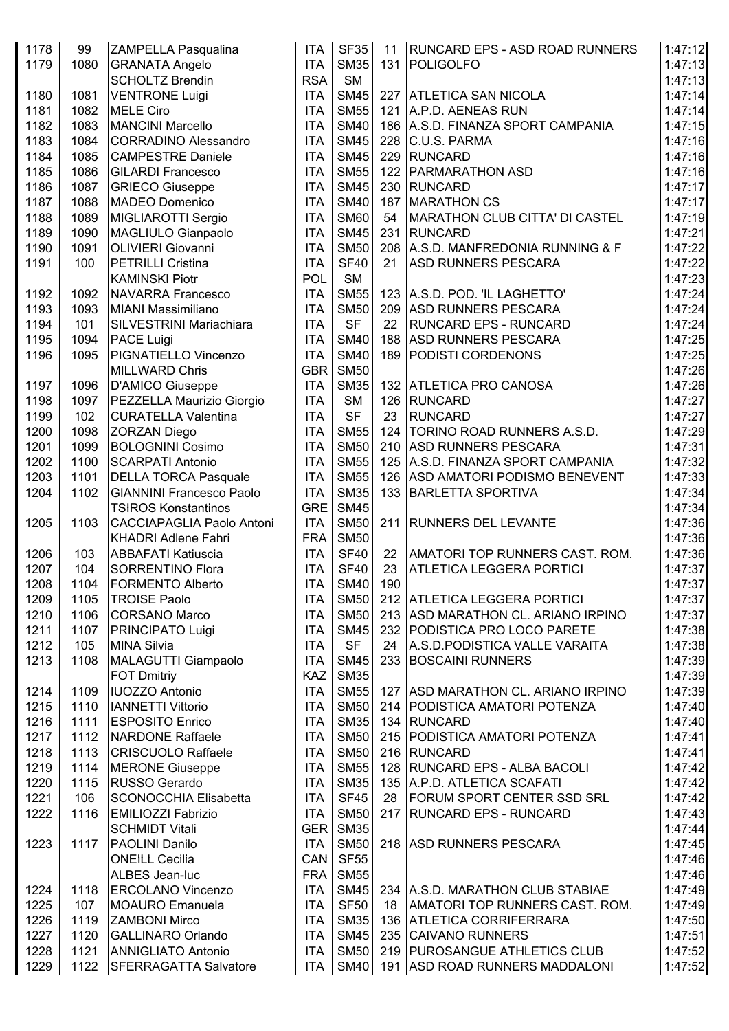| 1178 | 99   | ZAMPELLA Pasqualina              | <b>ITA</b>       | <b>SF35</b> | 11  | <b>RUNCARD EPS - ASD ROAD RUNNERS</b> | 1:47:12 |
|------|------|----------------------------------|------------------|-------------|-----|---------------------------------------|---------|
| 1179 | 1080 | <b>GRANATA Angelo</b>            | <b>ITA</b>       | <b>SM35</b> |     | 131 POLIGOLFO                         | 1:47:13 |
|      |      | <b>SCHOLTZ Brendin</b>           | <b>RSA</b>       | <b>SM</b>   |     |                                       | 1:47:13 |
| 1180 | 1081 | <b>VENTRONE Luigi</b>            | <b>ITA</b>       | <b>SM45</b> |     | 227 ATLETICA SAN NICOLA               | 1:47:14 |
| 1181 | 1082 | <b>MELE Ciro</b>                 | <b>ITA</b>       | <b>SM55</b> |     | 121 A.P.D. AENEAS RUN                 | 1:47:14 |
| 1182 | 1083 | <b>MANCINI Marcello</b>          | <b>ITA</b>       | <b>SM40</b> |     | 186 A.S.D. FINANZA SPORT CAMPANIA     | 1:47:15 |
| 1183 | 1084 | <b>CORRADINO Alessandro</b>      | <b>ITA</b>       | <b>SM45</b> |     | 228 C.U.S. PARMA                      | 1:47:16 |
| 1184 | 1085 | <b>CAMPESTRE Daniele</b>         | <b>ITA</b>       | <b>SM45</b> |     | 229 RUNCARD                           | 1:47:16 |
|      |      |                                  |                  |             |     |                                       | 1:47:16 |
| 1185 | 1086 | <b>GILARDI Francesco</b>         | <b>ITA</b>       | <b>SM55</b> |     | 122   PARMARATHON ASD                 |         |
| 1186 | 1087 | <b>GRIECO Giuseppe</b>           | <b>ITA</b>       | <b>SM45</b> |     | 230 RUNCARD                           | 1:47:17 |
| 1187 | 1088 | <b>MADEO Domenico</b>            | <b>ITA</b>       | <b>SM40</b> | 187 | MARATHON CS                           | 1:47:17 |
| 1188 | 1089 | MIGLIAROTTI Sergio               | <b>ITA</b>       | <b>SM60</b> | 54  | MARATHON CLUB CITTA' DI CASTEL        | 1:47:19 |
| 1189 | 1090 | MAGLIULO Gianpaolo               | <b>ITA</b>       | <b>SM45</b> |     | 231 RUNCARD                           | 1:47:21 |
| 1190 | 1091 | <b>OLIVIERI Giovanni</b>         | <b>ITA</b>       | <b>SM50</b> |     | 208 A.S.D. MANFREDONIA RUNNING & F    | 1:47:22 |
| 1191 | 100  | <b>PETRILLI Cristina</b>         | <b>ITA</b>       | <b>SF40</b> | 21  | <b>ASD RUNNERS PESCARA</b>            | 1:47:22 |
|      |      | <b>KAMINSKI Piotr</b>            | POL              | <b>SM</b>   |     |                                       | 1:47:23 |
| 1192 | 1092 | <b>NAVARRA Francesco</b>         | <b>ITA</b>       | <b>SM55</b> |     | 123 A.S.D. POD. 'IL LAGHETTO'         | 1:47:24 |
| 1193 | 1093 | <b>MIANI Massimiliano</b>        | <b>ITA</b>       | <b>SM50</b> |     | 209 ASD RUNNERS PESCARA               | 1:47:24 |
| 1194 | 101  | SILVESTRINI Mariachiara          | <b>ITA</b>       | <b>SF</b>   | 22  | <b>RUNCARD EPS - RUNCARD</b>          | 1:47:24 |
| 1195 | 1094 | PACE Luigi                       | <b>ITA</b>       | <b>SM40</b> |     | 188 ASD RUNNERS PESCARA               | 1:47:25 |
| 1196 | 1095 | PIGNATIELLO Vincenzo             | <b>ITA</b>       | <b>SM40</b> |     | 189 PODISTI CORDENONS                 | 1:47:25 |
|      |      | <b>MILLWARD Chris</b>            | <b>GBR</b>       | <b>SM50</b> |     |                                       | 1:47:26 |
| 1197 | 1096 | <b>D'AMICO Giuseppe</b>          | <b>ITA</b>       | <b>SM35</b> |     | 132 ATLETICA PRO CANOSA               | 1:47:26 |
| 1198 | 1097 | PEZZELLA Maurizio Giorgio        | <b>ITA</b>       | <b>SM</b>   |     | 126 RUNCARD                           | 1:47:27 |
| 1199 | 102  | <b>CURATELLA Valentina</b>       | <b>ITA</b>       | <b>SF</b>   | 23  | <b>RUNCARD</b>                        | 1:47:27 |
| 1200 | 1098 | <b>ZORZAN Diego</b>              | <b>ITA</b>       | <b>SM55</b> |     | 124   TORINO ROAD RUNNERS A.S.D.      | 1:47:29 |
| 1201 | 1099 | <b>BOLOGNINI Cosimo</b>          | <b>ITA</b>       | <b>SM50</b> |     | 210 ASD RUNNERS PESCARA               | 1:47:31 |
| 1202 | 1100 | <b>SCARPATI Antonio</b>          | <b>ITA</b>       | <b>SM55</b> |     | 125 A.S.D. FINANZA SPORT CAMPANIA     | 1:47:32 |
| 1203 | 1101 | <b>DELLA TORCA Pasquale</b>      | <b>ITA</b>       | <b>SM55</b> |     | 126 ASD AMATORI PODISMO BENEVENT      | 1:47:33 |
| 1204 | 1102 | <b>GIANNINI Francesco Paolo</b>  | <b>ITA</b>       | <b>SM35</b> |     |                                       | 1:47:34 |
|      |      |                                  | GRE              | <b>SM45</b> |     | 133 BARLETTA SPORTIVA                 | 1:47:34 |
|      |      | <b>TSIROS Konstantinos</b>       |                  |             |     |                                       |         |
| 1205 | 1103 | <b>CACCIAPAGLIA Paolo Antoni</b> | <b>ITA</b>       | <b>SM50</b> |     | 211 RUNNERS DEL LEVANTE               | 1:47:36 |
|      |      | <b>KHADRI Adlene Fahri</b>       | <b>FRA</b>       | <b>SM50</b> |     |                                       | 1:47:36 |
| 1206 | 103  | <b>ABBAFATI Katiuscia</b>        | <b>ITA</b>       | <b>SF40</b> | 22  | AMATORI TOP RUNNERS CAST. ROM.        | 1:47:36 |
| 1207 | 104  | <b>SORRENTINO Flora</b>          | <b>ITA</b>       | <b>SF40</b> | 23  | <b>ATLETICA LEGGERA PORTICI</b>       | 1:47:37 |
| 1208 | 1104 | FORMENTO Alberto                 | <b>ITA</b>       | <b>SM40</b> | 190 |                                       | 1:47:37 |
| 1209 | 1105 | <b>TROISE Paolo</b>              | <b>ITA</b>       | <b>SM50</b> |     | 212 ATLETICA LEGGERA PORTICI          | 1:47:37 |
| 1210 | 1106 | <b>CORSANO Marco</b>             | <b>ITA</b>       | <b>SM50</b> |     | 213 ASD MARATHON CL. ARIANO IRPINO    | 1:47:37 |
| 1211 | 1107 | <b>PRINCIPATO Luigi</b>          | <b>ITA</b>       | <b>SM45</b> |     | 232 PODISTICA PRO LOCO PARETE         | 1:47:38 |
| 1212 | 105  | <b>MINA Silvia</b>               | <b>ITA</b>       | <b>SF</b>   |     | 24 A.S.D. PODISTICA VALLE VARAITA     | 1:47:38 |
| 1213 | 1108 | <b>MALAGUTTI Giampaolo</b>       | <b>ITA</b>       | <b>SM45</b> |     | 233 BOSCAINI RUNNERS                  | 1:47:39 |
|      |      | <b>FOT Dmitriy</b>               | <b>KAZ</b>       | <b>SM35</b> |     |                                       | 1:47:39 |
| 1214 | 1109 | <b>IUOZZO Antonio</b>            | <b>ITA</b>       | <b>SM55</b> |     | 127 ASD MARATHON CL. ARIANO IRPINO    | 1:47:39 |
| 1215 | 1110 | <b>IANNETTI Vittorio</b>         | <b>ITA</b>       | <b>SM50</b> |     | 214 PODISTICA AMATORI POTENZA         | 1:47:40 |
| 1216 | 1111 | <b>ESPOSITO Enrico</b>           | <b>ITA</b>       | <b>SM35</b> |     | 134 RUNCARD                           | 1:47:40 |
| 1217 | 1112 | <b>NARDONE Raffaele</b>          | <b>ITA</b>       | <b>SM50</b> |     | 215 PODISTICA AMATORI POTENZA         | 1:47:41 |
| 1218 | 1113 | <b>CRISCUOLO Raffaele</b>        | <b>ITA</b>       | <b>SM50</b> |     | 216 RUNCARD                           | 1:47:41 |
| 1219 | 1114 | <b>MERONE Giuseppe</b>           | <b>ITA</b>       | <b>SM55</b> |     | 128   RUNCARD EPS - ALBA BACOLI       | 1:47:42 |
| 1220 | 1115 | RUSSO Gerardo                    | <b>ITA</b>       | <b>SM35</b> |     | 135 A.P.D. ATLETICA SCAFATI           | 1:47:42 |
| 1221 | 106  | <b>SCONOCCHIA Elisabetta</b>     | <b>ITA</b>       | <b>SF45</b> |     | 28   FORUM SPORT CENTER SSD SRL       | 1:47:42 |
| 1222 | 1116 | <b>EMILIOZZI Fabrizio</b>        | <b>ITA</b>       | <b>SM50</b> |     | 217 RUNCARD EPS - RUNCARD             | 1:47:43 |
|      |      | <b>SCHMIDT Vitali</b>            | GER <sup>I</sup> | <b>SM35</b> |     |                                       | 1:47:44 |
| 1223 | 1117 | PAOLINI Danilo                   | <b>ITA</b>       | <b>SM50</b> |     | 218 ASD RUNNERS PESCARA               | 1:47:45 |
|      |      | <b>ONEILL Cecilia</b>            | CAN              | <b>SF55</b> |     |                                       | 1:47:46 |
|      |      |                                  |                  |             |     |                                       |         |
|      |      | ALBES Jean-luc                   | <b>FRA</b>       | <b>SM55</b> |     |                                       | 1:47:46 |
| 1224 | 1118 | <b>ERCOLANO Vincenzo</b>         | <b>ITA</b>       | <b>SM45</b> |     | 234 A.S.D. MARATHON CLUB STABIAE      | 1:47:49 |
| 1225 | 107  | <b>MOAURO</b> Emanuela           | <b>ITA</b>       | <b>SF50</b> | 18  | AMATORI TOP RUNNERS CAST. ROM.        | 1:47:49 |
| 1226 | 1119 | <b>ZAMBONI Mirco</b>             | <b>ITA</b>       | <b>SM35</b> |     | 136 ATLETICA CORRIFERRARA             | 1:47:50 |
| 1227 | 1120 | <b>GALLINARO Orlando</b>         | <b>ITA</b>       | <b>SM45</b> |     | 235 CAIVANO RUNNERS                   | 1:47:51 |
| 1228 | 1121 | <b>ANNIGLIATO Antonio</b>        | <b>ITA</b>       | <b>SM50</b> |     | 219 PUROSANGUE ATHLETICS CLUB         | 1:47:52 |
| 1229 | 1122 | <b>SFERRAGATTA Salvatore</b>     | ITA              | <b>SM40</b> |     | 191 ASD ROAD RUNNERS MADDALONI        | 1:47:52 |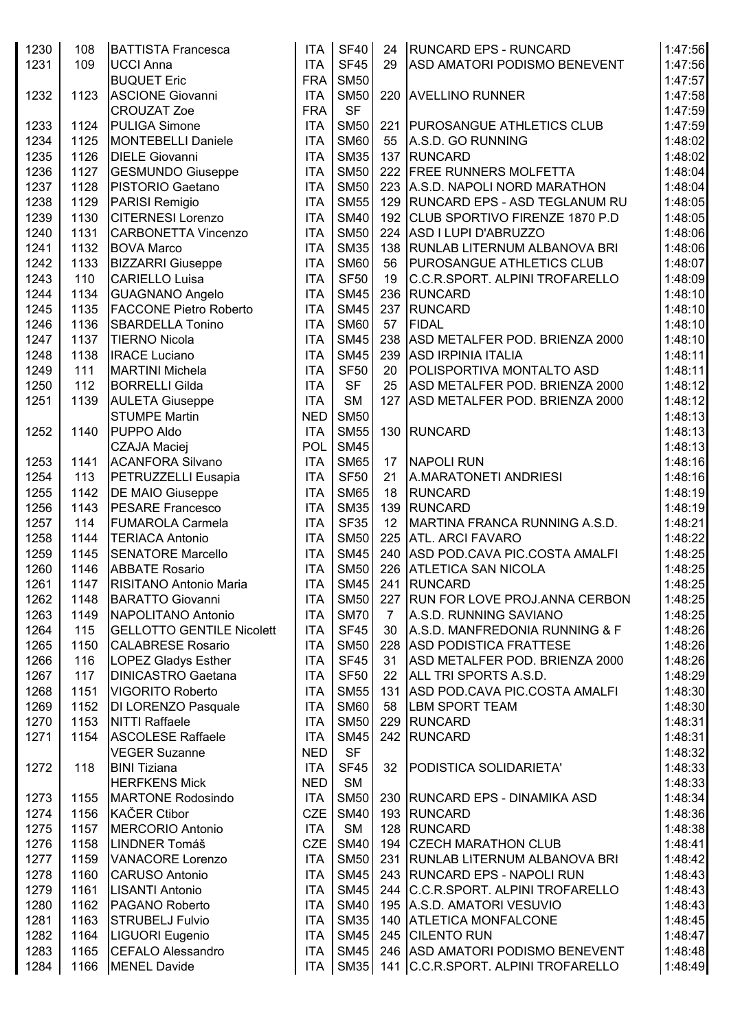| 1230<br>1231 | 108<br>109 | <b>BATTISTA Francesca</b><br><b>UCCI Anna</b><br><b>BUQUET Eric</b> | <b>ITA</b><br><b>ITA</b><br><b>FRA</b> | <b>SF40</b><br><b>SF45</b><br><b>SM50</b> | 24<br>29       | <b>RUNCARD EPS - RUNCARD</b><br><b>ASD AMATORI PODISMO BENEVENT</b> | 1:47:56<br>1:47:56<br>1:47:57 |
|--------------|------------|---------------------------------------------------------------------|----------------------------------------|-------------------------------------------|----------------|---------------------------------------------------------------------|-------------------------------|
| 1232         | 1123       | <b>ASCIONE Giovanni</b><br><b>CROUZAT Zoe</b>                       | <b>ITA</b><br><b>FRA</b>               | <b>SM50</b><br><b>SF</b>                  |                | 220 AVELLINO RUNNER                                                 | 1:47:58<br>1:47:59            |
| 1233         | 1124       | <b>PULIGA Simone</b>                                                | <b>ITA</b>                             | <b>SM50</b>                               |                | 221   PUROSANGUE ATHLETICS CLUB                                     | 1:47:59                       |
| 1234         | 1125       | <b>MONTEBELLI Daniele</b>                                           | <b>ITA</b>                             | <b>SM60</b>                               | 55             | A.S.D. GO RUNNING                                                   | 1:48:02                       |
| 1235         | 1126       | <b>DIELE Giovanni</b>                                               | <b>ITA</b>                             | <b>SM35</b>                               |                | 137 RUNCARD                                                         | 1:48:02                       |
| 1236         | 1127       | <b>GESMUNDO Giuseppe</b>                                            | <b>ITA</b>                             | <b>SM50</b>                               |                | 222 FREE RUNNERS MOLFETTA                                           | 1:48:04                       |
| 1237         | 1128       | PISTORIO Gaetano                                                    | <b>ITA</b>                             | <b>SM50</b>                               |                | 223 A.S.D. NAPOLI NORD MARATHON                                     | 1:48:04                       |
| 1238         | 1129       | PARISI Remigio                                                      | <b>ITA</b>                             | <b>SM55</b>                               |                | 129 RUNCARD EPS - ASD TEGLANUM RU                                   | 1:48:05                       |
| 1239         | 1130       | <b>CITERNESI Lorenzo</b>                                            | <b>ITA</b>                             | <b>SM40</b>                               |                | 192 CLUB SPORTIVO FIRENZE 1870 P.D                                  | 1:48:05                       |
| 1240         | 1131       | <b>CARBONETTA Vincenzo</b>                                          | <b>ITA</b>                             | <b>SM50</b>                               |                | 224 ASD I LUPI D'ABRUZZO                                            | 1:48:06                       |
| 1241         | 1132       | <b>BOVA Marco</b>                                                   | <b>ITA</b>                             | <b>SM35</b>                               |                | 138   RUNLAB LITERNUM ALBANOVA BRI                                  | 1:48:06                       |
| 1242         | 1133       | <b>BIZZARRI</b> Giuseppe                                            | <b>ITA</b>                             | <b>SM60</b>                               | 56             | <b>PUROSANGUE ATHLETICS CLUB</b>                                    | 1:48:07                       |
| 1243         | 110        | CARIELLO Luisa                                                      | <b>ITA</b>                             | <b>SF50</b>                               | 19             | C.C.R.SPORT. ALPINI TROFARELLO                                      | 1:48:09                       |
| 1244         | 1134       | <b>GUAGNANO Angelo</b>                                              | <b>ITA</b>                             | <b>SM45</b>                               |                | 236 RUNCARD                                                         | 1:48:10                       |
| 1245         | 1135       | <b>FACCONE Pietro Roberto</b>                                       | <b>ITA</b>                             | <b>SM45</b>                               |                | 237 RUNCARD                                                         | 1:48:10                       |
| 1246         | 1136       | <b>SBARDELLA Tonino</b>                                             | <b>ITA</b>                             | <b>SM60</b>                               | 57             | <b>FIDAL</b>                                                        | 1:48:10                       |
| 1247         | 1137       | <b>TIERNO Nicola</b>                                                | <b>ITA</b>                             | <b>SM45</b>                               |                | 238 ASD METALFER POD. BRIENZA 2000                                  | 1:48:10                       |
| 1248         | 1138       | <b>IRACE Luciano</b>                                                | <b>ITA</b>                             | <b>SM45</b>                               |                | 239 ASD IRPINIA ITALIA                                              | 1:48:11                       |
| 1249         | 111        | <b>MARTINI Michela</b>                                              | <b>ITA</b>                             | <b>SF50</b>                               | 20             | <b>POLISPORTIVA MONTALTO ASD</b>                                    | 1:48:11                       |
| 1250         | 112        | <b>BORRELLI Gilda</b>                                               | <b>ITA</b>                             | <b>SF</b>                                 | 25             | ASD METALFER POD. BRIENZA 2000                                      | 1:48:12                       |
| 1251         | 1139       | <b>AULETA Giuseppe</b>                                              | <b>ITA</b>                             | <b>SM</b>                                 | 127            | ASD METALFER POD. BRIENZA 2000                                      | 1:48:12                       |
|              |            | <b>STUMPE Martin</b>                                                | <b>NED</b>                             | <b>SM50</b>                               |                |                                                                     | 1:48:13                       |
| 1252         | 1140       | PUPPO Aldo                                                          | <b>ITA</b>                             | <b>SM55</b>                               |                | 130 RUNCARD                                                         | 1:48:13                       |
|              |            | <b>CZAJA Maciej</b>                                                 | POL                                    | <b>SM45</b>                               |                |                                                                     | 1:48:13                       |
| 1253         | 1141       | <b>ACANFORA Silvano</b>                                             | <b>ITA</b>                             | <b>SM65</b>                               | 17             | <b>NAPOLI RUN</b>                                                   | 1:48:16                       |
| 1254         | 113        | <b>PETRUZZELLI Eusapia</b>                                          | <b>ITA</b>                             | <b>SF50</b>                               | 21             | A.MARATONETI ANDRIESI                                               | 1:48:16                       |
| 1255         | 1142       | <b>DE MAIO Giuseppe</b>                                             | <b>ITA</b>                             | <b>SM65</b>                               | 18             | RUNCARD                                                             | 1:48:19                       |
| 1256         | 1143       | <b>PESARE Francesco</b>                                             | <b>ITA</b>                             | <b>SM35</b>                               |                | 139 RUNCARD                                                         | 1:48:19                       |
| 1257         | 114        | <b>FUMAROLA Carmela</b>                                             | <b>ITA</b>                             | <b>SF35</b>                               | 12             | MARTINA FRANCA RUNNING A.S.D.                                       | 1:48:21                       |
| 1258         | 1144       | <b>TERIACA Antonio</b>                                              | <b>ITA</b>                             | <b>SM50</b>                               |                | 225 ATL. ARCI FAVARO                                                | 1:48:22                       |
| 1259         | 1145       | <b>SENATORE Marcello</b>                                            | <b>ITA</b>                             | <b>SM45</b>                               |                | 240 ASD POD.CAVA PIC.COSTA AMALFI                                   | 1:48:25                       |
| 1260         | 1146       | <b>ABBATE Rosario</b>                                               | <b>ITA</b>                             | <b>SM50</b>                               |                | 226 ATLETICA SAN NICOLA                                             | 1:48:25                       |
| 1261         | 1147       | RISITANO Antonio Maria                                              | <b>ITA</b>                             | SM45                                      |                | 241 RUNCARD                                                         | 1:48:25                       |
| 1262         | 1148       | <b>BARATTO Giovanni</b>                                             | <b>ITA</b>                             | <b>SM50</b>                               |                | 227 RUN FOR LOVE PROJ. ANNA CERBON                                  | 1:48:25                       |
| 1263         | 1149       | NAPOLITANO Antonio                                                  | <b>ITA</b>                             | <b>SM70</b>                               | $\overline{7}$ | A.S.D. RUNNING SAVIANO                                              | 1:48:25                       |
| 1264         | 115        | <b>GELLOTTO GENTILE Nicolett</b>                                    | <b>ITA</b>                             | <b>SF45</b>                               | 30             | A.S.D. MANFREDONIA RUNNING & F                                      | 1:48:26                       |
| 1265         | 1150       | <b>CALABRESE Rosario</b>                                            | <b>ITA</b>                             | <b>SM50</b>                               |                | 228 ASD PODISTICA FRATTESE                                          | 1:48:26                       |
| 1266         | 116        | <b>LOPEZ Gladys Esther</b>                                          | <b>ITA</b>                             | <b>SF45</b>                               | 31             | ASD METALFER POD. BRIENZA 2000                                      | 1:48:26                       |
| 1267         | 117        | <b>DINICASTRO Gaetana</b>                                           | <b>ITA</b>                             | <b>SF50</b>                               | 22             | <b>ALL TRI SPORTS A.S.D.</b>                                        | 1:48:29                       |
| 1268         | 1151       | <b>VIGORITO Roberto</b>                                             | <b>ITA</b>                             | <b>SM55</b>                               |                | 131 ASD POD.CAVA PIC.COSTA AMALFI                                   | 1:48:30                       |
| 1269         | 1152       | DI LORENZO Pasquale                                                 | <b>ITA</b>                             | <b>SM60</b>                               | 58             | <b>LBM SPORT TEAM</b>                                               | 1:48:30                       |
| 1270         | 1153       | <b>NITTI Raffaele</b>                                               | <b>ITA</b>                             | <b>SM50</b>                               |                | 229 RUNCARD                                                         | 1:48:31                       |
| 1271         | 1154       | <b>ASCOLESE Raffaele</b>                                            | <b>ITA</b>                             | <b>SM45</b>                               |                | 242 RUNCARD                                                         | 1:48:31                       |
|              |            | <b>VEGER Suzanne</b>                                                | <b>NED</b>                             | <b>SF</b>                                 |                |                                                                     | 1:48:32                       |
| 1272         | 118        | <b>BINI Tiziana</b>                                                 | <b>ITA</b>                             | <b>SF45</b>                               | 32             | PODISTICA SOLIDARIETA'                                              | 1:48:33                       |
|              |            | <b>HERFKENS Mick</b>                                                | <b>NED</b>                             | <b>SM</b>                                 |                |                                                                     | 1:48:33                       |
| 1273         | 1155       | <b>MARTONE Rodosindo</b>                                            | <b>ITA</b>                             | <b>SM50</b>                               |                | 230 RUNCARD EPS - DINAMIKA ASD                                      | 1:48:34                       |
| 1274         | 1156       | <b>KAČER Ctibor</b>                                                 | <b>CZE</b>                             | <b>SM40</b>                               |                | 193 RUNCARD                                                         | 1:48:36                       |
| 1275         | 1157       | MERCORIO Antonio                                                    | <b>ITA</b>                             | <b>SM</b>                                 |                | 128 RUNCARD                                                         | 1:48:38                       |
| 1276         | 1158       | LINDNER Tomáš                                                       | <b>CZE</b>                             | <b>SM40</b>                               |                | 194 CZECH MARATHON CLUB                                             | 1:48:41                       |
| 1277         | 1159       | <b>VANACORE Lorenzo</b>                                             | <b>ITA</b>                             | <b>SM50</b>                               |                | 231   RUNLAB LITERNUM ALBANOVA BRI                                  | 1:48:42                       |
| 1278         | 1160       | <b>CARUSO Antonio</b>                                               | <b>ITA</b>                             | <b>SM45</b>                               |                | 243 RUNCARD EPS - NAPOLI RUN                                        | 1:48:43                       |
| 1279         | 1161       | <b>LISANTI Antonio</b>                                              | <b>ITA</b>                             | <b>SM45</b>                               |                | 244 C.C.R.SPORT. ALPINI TROFARELLO                                  | 1:48:43                       |
| 1280         | 1162       | PAGANO Roberto                                                      | <b>ITA</b>                             | <b>SM40</b>                               |                | 195 A.S.D. AMATORI VESUVIO                                          | 1:48:43                       |
| 1281         | 1163       | <b>STRUBELJ Fulvio</b>                                              | <b>ITA</b>                             | <b>SM35</b>                               |                | 140 ATLETICA MONFALCONE                                             | 1:48:45                       |
| 1282         | 1164       | LIGUORI Eugenio                                                     | <b>ITA</b>                             | <b>SM45</b>                               |                | 245 CILENTO RUN                                                     | 1:48:47                       |
| 1283         | 1165       | <b>CEFALO Alessandro</b>                                            | <b>ITA</b>                             | <b>SM45</b>                               |                | 246 ASD AMATORI PODISMO BENEVENT                                    | 1:48:48                       |
| 1284         | 1166       | <b>MENEL Davide</b>                                                 | <b>ITA</b>                             | <b>SM35</b>                               |                | 141 C.C.R.SPORT. ALPINI TROFARELLO                                  | 1:48:49                       |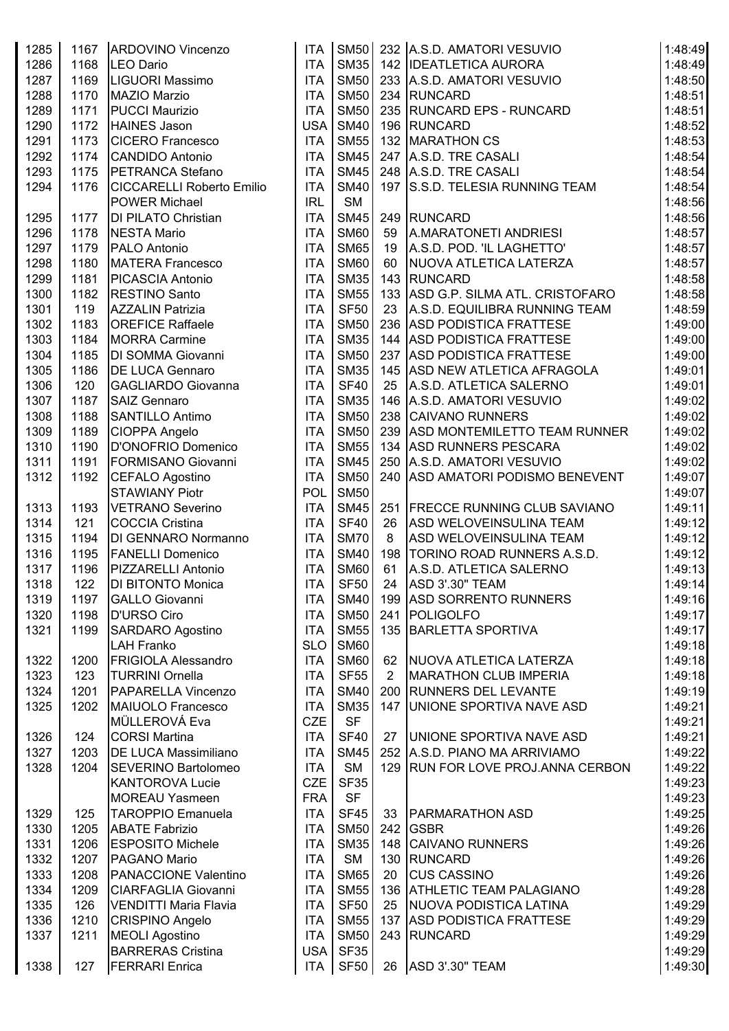| 1285 | 1167 | ARDOVINO Vincenzo                | <b>ITA</b> | <b>SM50</b>      |                | 232 A.S.D. AMATORI VESUVIO         | 1:48:49 |
|------|------|----------------------------------|------------|------------------|----------------|------------------------------------|---------|
| 1286 | 1168 | LEO Dario                        | <b>ITA</b> | <b>SM35</b>      |                | 142   IDEATLETICA AURORA           | 1:48:49 |
| 1287 | 1169 | LIGUORI Massimo                  | <b>ITA</b> | <b>SM50</b>      |                | 233 A.S.D. AMATORI VESUVIO         | 1:48:50 |
| 1288 | 1170 | MAZIO Marzio                     | <b>ITA</b> | <b>SM50</b>      |                | 234 RUNCARD                        | 1:48:51 |
| 1289 | 1171 | <b>PUCCI Maurizio</b>            | <b>ITA</b> | <b>SM50</b>      |                | 235 RUNCARD EPS - RUNCARD          | 1:48:51 |
| 1290 | 1172 | HAINES Jason                     | <b>USA</b> | <b>SM40</b>      |                | 196 RUNCARD                        | 1:48:52 |
| 1291 | 1173 | <b>CICERO Francesco</b>          | <b>ITA</b> | <b>SM55</b>      |                | 132 MARATHON CS                    | 1:48:53 |
| 1292 | 1174 | <b>CANDIDO Antonio</b>           | <b>ITA</b> | <b>SM45</b>      |                | 247 A.S.D. TRE CASALI              | 1:48:54 |
| 1293 | 1175 | PETRANCA Stefano                 | <b>ITA</b> | <b>SM45</b>      |                | 248 A.S.D. TRE CASALI              | 1:48:54 |
| 1294 | 1176 | <b>CICCARELLI Roberto Emilio</b> | <b>ITA</b> | <b>SM40</b>      |                | 197   S.S.D. TELESIA RUNNING TEAM  | 1:48:54 |
|      |      | <b>POWER Michael</b>             | <b>IRL</b> | <b>SM</b>        |                |                                    | 1:48:56 |
| 1295 | 1177 | DI PILATO Christian              | <b>ITA</b> | <b>SM45</b>      |                | 249 RUNCARD                        | 1:48:56 |
| 1296 | 1178 | <b>NESTA Mario</b>               | <b>ITA</b> | <b>SM60</b>      | 59             | A.MARATONETI ANDRIESI              | 1:48:57 |
| 1297 | 1179 | PALO Antonio                     | <b>ITA</b> | <b>SM65</b>      | 19             | A.S.D. POD. 'IL LAGHETTO'          | 1:48:57 |
| 1298 | 1180 | <b>MATERA Francesco</b>          | <b>ITA</b> | <b>SM60</b>      | 60             | NUOVA ATLETICA LATERZA             | 1:48:57 |
| 1299 | 1181 | <b>PICASCIA Antonio</b>          | <b>ITA</b> | <b>SM35</b>      |                | 143 RUNCARD                        | 1:48:58 |
| 1300 | 1182 | <b>RESTINO Santo</b>             | <b>ITA</b> | <b>SM55</b>      |                | 133 ASD G.P. SILMA ATL. CRISTOFARO | 1:48:58 |
| 1301 | 119  | <b>AZZALIN Patrizia</b>          | <b>ITA</b> | <b>SF50</b>      | 23             | A.S.D. EQUILIBRA RUNNING TEAM      | 1:48:59 |
| 1302 | 1183 | <b>OREFICE Raffaele</b>          | <b>ITA</b> | <b>SM50</b>      |                | 236 ASD PODISTICA FRATTESE         | 1:49:00 |
| 1303 | 1184 | <b>MORRA Carmine</b>             | <b>ITA</b> | <b>SM35</b>      |                | 144 ASD PODISTICA FRATTESE         | 1:49:00 |
| 1304 | 1185 | DI SOMMA Giovanni                | <b>ITA</b> | <b>SM50</b>      |                | 237 ASD PODISTICA FRATTESE         | 1:49:00 |
| 1305 | 1186 | <b>DE LUCA Gennaro</b>           | <b>ITA</b> | <b>SM35</b>      |                | 145 ASD NEW ATLETICA AFRAGOLA      | 1:49:01 |
| 1306 | 120  | <b>GAGLIARDO Giovanna</b>        | <b>ITA</b> | <b>SF40</b>      | 25             | A.S.D. ATLETICA SALERNO            | 1:49:01 |
| 1307 | 1187 | SAIZ Gennaro                     | <b>ITA</b> | <b>SM35</b>      |                | 146 A.S.D. AMATORI VESUVIO         | 1:49:02 |
| 1308 | 1188 | SANTILLO Antimo                  | <b>ITA</b> | <b>SM50</b>      |                | 238 CAIVANO RUNNERS                | 1:49:02 |
| 1309 | 1189 | CIOPPA Angelo                    | <b>ITA</b> | <b>SM50</b>      |                | 239 ASD MONTEMILETTO TEAM RUNNER   | 1:49:02 |
| 1310 | 1190 | D'ONOFRIO Domenico               | <b>ITA</b> | <b>SM55</b>      |                | 134 ASD RUNNERS PESCARA            | 1:49:02 |
| 1311 | 1191 | FORMISANO Giovanni               | <b>ITA</b> | <b>SM45</b>      |                | 250 A.S.D. AMATORI VESUVIO         | 1:49:02 |
| 1312 | 1192 | CEFALO Agostino                  | <b>ITA</b> | <b>SM50</b>      |                | 240 ASD AMATORI PODISMO BENEVENT   | 1:49:07 |
|      |      | <b>STAWIANY Piotr</b>            | POL        | <b>SM50</b>      |                |                                    | 1:49:07 |
| 1313 | 1193 | <b>VETRANO Severino</b>          | <b>ITA</b> | <b>SM45</b>      |                | 251 FRECCE RUNNING CLUB SAVIANO    | 1:49:11 |
| 1314 | 121  | <b>COCCIA Cristina</b>           | <b>ITA</b> | <b>SF40</b>      | 26             | <b>ASD WELOVEINSULINA TEAM</b>     | 1:49:12 |
| 1315 | 1194 | <b>DI GENNARO Normanno</b>       | <b>ITA</b> | <b>SM70</b>      | 8              | <b>ASD WELOVEINSULINA TEAM</b>     | 1:49:12 |
| 1316 | 1195 | <b>FANELLI Domenico</b>          | <b>ITA</b> | <b>SM40</b>      |                | 198   TORINO ROAD RUNNERS A.S.D.   | 1:49:12 |
| 1317 | 1196 | PIZZARELLI Antonio               | <b>ITA</b> | <b>SM60</b>      | 61             | A.S.D. ATLETICA SALERNO            | 1:49:13 |
| 1318 | 122  | <b>DI BITONTO Monica</b>         | <b>ITA</b> | <b>SF50</b>      |                | 24 ASD 3'.30" TEAM                 | 1:49:14 |
| 1319 | 1197 | <b>GALLO Giovanni</b>            | <b>ITA</b> | <b>SM40</b>      |                | 199 ASD SORRENTO RUNNERS           | 1:49:16 |
| 1320 | 1198 | <b>D'URSO Ciro</b>               | <b>ITA</b> | <b>SM50</b>      |                | 241 POLIGOLFO                      | 1:49:17 |
| 1321 | 1199 | <b>SARDARO Agostino</b>          | <b>ITA</b> | <b>SM55</b>      |                | 135 BARLETTA SPORTIVA              | 1:49:17 |
|      |      | <b>LAH Franko</b>                | <b>SLO</b> | <b>SM60</b>      |                |                                    | 1:49:18 |
| 1322 | 1200 | <b>FRIGIOLA Alessandro</b>       | <b>ITA</b> | <b>SM60</b>      | 62             | NUOVA ATLETICA LATERZA             | 1:49:18 |
| 1323 | 123  | <b>TURRINI Ornella</b>           | <b>ITA</b> | <b>SF55</b>      | $\overline{2}$ | MARATHON CLUB IMPERIA              | 1:49:18 |
| 1324 | 1201 | PAPARELLA Vincenzo               | <b>ITA</b> | <b>SM40</b>      |                | 200 RUNNERS DEL LEVANTE            | 1:49:19 |
| 1325 | 1202 | MAIUOLO Francesco                | <b>ITA</b> | <b>SM35</b>      |                | 147 UNIONE SPORTIVA NAVE ASD       | 1:49:21 |
|      |      | MÜLLEROVÁ Eva                    | CZE        | <b>SF</b>        |                |                                    | 1:49:21 |
| 1326 | 124  | <b>CORSI Martina</b>             | <b>ITA</b> | <b>SF40</b>      | 27             | <b>UNIONE SPORTIVA NAVE ASD</b>    | 1:49:21 |
| 1327 | 1203 | DE LUCA Massimiliano             | <b>ITA</b> | <b>SM45</b>      |                | 252 A.S.D. PIANO MA ARRIVIAMO      | 1:49:22 |
| 1328 | 1204 | SEVERINO Bartolomeo              | <b>ITA</b> | <b>SM</b>        |                | 129 RUN FOR LOVE PROJ. ANNA CERBON | 1:49:22 |
|      |      | <b>KANTOROVA Lucie</b>           | <b>CZE</b> | <b>SF35</b>      |                |                                    | 1:49:23 |
|      |      | <b>MOREAU Yasmeen</b>            | <b>FRA</b> | <b>SF</b>        |                |                                    | 1:49:23 |
| 1329 | 125  | <b>TAROPPIO Emanuela</b>         | <b>ITA</b> | <b>SF45</b>      |                | 33   PARMARATHON ASD               | 1:49:25 |
|      |      | <b>ABATE Fabrizio</b>            | <b>ITA</b> |                  |                | 242 GSBR                           |         |
| 1330 | 1205 |                                  |            | <b>SM50</b>      |                |                                    | 1:49:26 |
| 1331 | 1206 | <b>ESPOSITO Michele</b>          | <b>ITA</b> | <b>SM35</b>      |                | 148 CAIVANO RUNNERS                | 1:49:26 |
| 1332 | 1207 | PAGANO Mario                     | <b>ITA</b> | <b>SM</b>        |                | 130 RUNCARD                        | 1:49:26 |
| 1333 | 1208 | PANACCIONE Valentino             | <b>ITA</b> | <b>SM65</b>      | 20             | <b>CUS CASSINO</b>                 | 1:49:26 |
| 1334 | 1209 | <b>CIARFAGLIA Giovanni</b>       | <b>ITA</b> | <b>SM55</b>      |                | 136 ATHLETIC TEAM PALAGIANO        | 1:49:28 |
| 1335 | 126  | <b>VENDITTI Maria Flavia</b>     | <b>ITA</b> | <b>SF50</b>      |                | 25   NUOVA PODISTICA LATINA        | 1:49:29 |
| 1336 | 1210 | CRISPINO Angelo                  | <b>ITA</b> | <b>SM55</b>      |                | 137 ASD PODISTICA FRATTESE         | 1:49:29 |
| 1337 | 1211 | <b>MEOLI Agostino</b>            | <b>ITA</b> | <b>SM50</b>      |                | 243 RUNCARD                        | 1:49:29 |
|      |      | <b>BARRERAS Cristina</b>         | USA        | <b>SF35</b>      |                |                                    | 1:49:29 |
| 1338 | 127  | <b>FERRARI</b> Enrica            | ITA        | SF <sub>50</sub> |                | 26 ASD 3'.30" TEAM                 | 1:49:30 |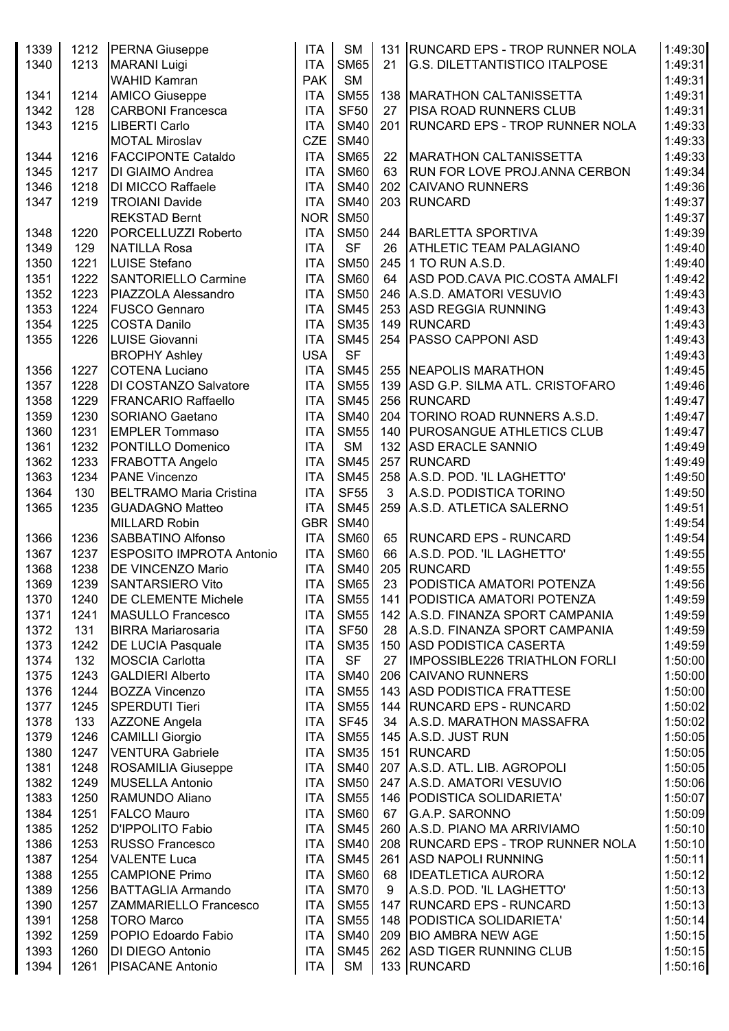| 1339         |             | 1212 PERNA Giuseppe                        | <b>ITA</b>               | <b>SM</b>                |    | 131 RUNCARD EPS - TROP RUNNER NOLA                      | 1:49:30            |
|--------------|-------------|--------------------------------------------|--------------------------|--------------------------|----|---------------------------------------------------------|--------------------|
| 1340         | 1213        | <b>MARANI Luigi</b>                        | <b>ITA</b>               | <b>SM65</b>              | 21 | <b>G.S. DILETTANTISTICO ITALPOSE</b>                    | 1:49:31            |
|              |             | <b>WAHID Kamran</b>                        | <b>PAK</b>               | <b>SM</b>                |    |                                                         | 1:49:31            |
| 1341         | 1214        | <b>AMICO Giuseppe</b>                      | <b>ITA</b>               | <b>SM55</b>              |    | 138   MARATHON CALTANISSETTA                            | 1:49:31            |
| 1342         | 128         | <b>CARBONI Francesca</b>                   | <b>ITA</b>               | <b>SF50</b>              | 27 | <b>PISA ROAD RUNNERS CLUB</b>                           | 1:49:31            |
| 1343         | 1215        | <b>LIBERTI Carlo</b>                       | <b>ITA</b>               | <b>SM40</b>              |    | 201 RUNCARD EPS - TROP RUNNER NOLA                      | 1:49:33            |
|              |             | <b>MOTAL Miroslav</b>                      | <b>CZE</b>               | <b>SM40</b>              |    |                                                         | 1:49:33            |
| 1344         | 1216        | <b>FACCIPONTE Cataldo</b>                  | <b>ITA</b>               | <b>SM65</b>              | 22 | MARATHON CALTANISSETTA                                  | 1:49:33            |
| 1345         | 1217        | DI GIAIMO Andrea                           | <b>ITA</b>               | <b>SM60</b>              | 63 | <b>RUN FOR LOVE PROJ.ANNA CERBON</b>                    | 1:49:34            |
| 1346         | 1218        | DI MICCO Raffaele                          | <b>ITA</b>               | <b>SM40</b>              |    | 202 CAIVANO RUNNERS                                     | 1:49:36            |
| 1347         | 1219        | <b>TROIANI Davide</b>                      | <b>ITA</b>               | <b>SM40</b>              |    | 203 RUNCARD                                             | 1:49:37            |
|              |             | <b>REKSTAD Bernt</b>                       | <b>NOR</b>               | <b>SM50</b>              |    |                                                         | 1:49:37            |
| 1348<br>1349 | 1220<br>129 | PORCELLUZZI Roberto<br><b>NATILLA Rosa</b> | <b>ITA</b><br><b>ITA</b> | <b>SM50</b><br><b>SF</b> | 26 | 244 BARLETTA SPORTIVA<br><b>ATHLETIC TEAM PALAGIANO</b> | 1:49:39<br>1:49:40 |
| 1350         | 1221        | <b>LUISE Stefano</b>                       | <b>ITA</b>               | <b>SM50</b>              |    | 245 1 TO RUN A.S.D.                                     | 1:49:40            |
| 1351         | 1222        | <b>SANTORIELLO Carmine</b>                 | <b>ITA</b>               | <b>SM60</b>              | 64 | ASD POD.CAVA PIC.COSTA AMALFI                           | 1:49:42            |
| 1352         | 1223        | PIAZZOLA Alessandro                        | <b>ITA</b>               | <b>SM50</b>              |    | 246 A.S.D. AMATORI VESUVIO                              | 1:49:43            |
| 1353         | 1224        | <b>FUSCO Gennaro</b>                       | <b>ITA</b>               | <b>SM45</b>              |    | 253 ASD REGGIA RUNNING                                  | 1:49:43            |
| 1354         | 1225        | <b>COSTA Danilo</b>                        | <b>ITA</b>               | <b>SM35</b>              |    | 149 RUNCARD                                             | 1:49:43            |
| 1355         | 1226        | LUISE Giovanni                             | <b>ITA</b>               | <b>SM45</b>              |    | 254 PASSO CAPPONI ASD                                   | 1:49:43            |
|              |             | <b>BROPHY Ashley</b>                       | <b>USA</b>               | <b>SF</b>                |    |                                                         | 1:49:43            |
| 1356         | 1227        | <b>COTENA Luciano</b>                      | <b>ITA</b>               | <b>SM45</b>              |    | 255 NEAPOLIS MARATHON                                   | 1:49:45            |
| 1357         | 1228        | DI COSTANZO Salvatore                      | <b>ITA</b>               | <b>SM55</b>              |    | 139 ASD G.P. SILMA ATL. CRISTOFARO                      | 1:49:46            |
| 1358         | 1229        | <b>FRANCARIO Raffaello</b>                 | <b>ITA</b>               | <b>SM45</b>              |    | 256 RUNCARD                                             | 1:49:47            |
| 1359         | 1230        | <b>SORIANO Gaetano</b>                     | <b>ITA</b>               | <b>SM40</b>              |    | 204   TORINO ROAD RUNNERS A.S.D.                        | 1:49:47            |
| 1360         | 1231        | <b>EMPLER Tommaso</b>                      | <b>ITA</b>               | <b>SM55</b>              |    | 140   PUROSANGUE ATHLETICS CLUB                         | 1:49:47            |
| 1361         | 1232        | PONTILLO Domenico                          | <b>ITA</b>               | <b>SM</b>                |    | 132 ASD ERACLE SANNIO                                   | 1:49:49            |
| 1362         | 1233        | FRABOTTA Angelo                            | <b>ITA</b>               | <b>SM45</b>              |    | 257 RUNCARD                                             | 1:49:49            |
| 1363         | 1234        | PANE Vincenzo                              | <b>ITA</b>               | <b>SM45</b>              |    | 258 A.S.D. POD. 'IL LAGHETTO'                           | 1:49:50            |
| 1364         | 130         | <b>BELTRAMO Maria Cristina</b>             | <b>ITA</b>               | <b>SF55</b>              | 3  | A.S.D. PODISTICA TORINO                                 | 1:49:50            |
| 1365         | 1235        | <b>GUADAGNO Matteo</b>                     | <b>ITA</b>               | <b>SM45</b>              |    | 259 A.S.D. ATLETICA SALERNO                             | 1:49:51            |
|              |             | <b>MILLARD Robin</b>                       | GBR                      | <b>SM40</b>              |    |                                                         | 1:49:54            |
| 1366         | 1236        | <b>SABBATINO Alfonso</b>                   | <b>ITA</b>               | <b>SM60</b>              | 65 | <b>RUNCARD EPS - RUNCARD</b>                            | 1:49:54            |
| 1367         | 1237        | <b>ESPOSITO IMPROTA Antonio</b>            | <b>ITA</b>               | <b>SM60</b>              | 66 | A.S.D. POD. 'IL LAGHETTO'                               | 1:49:55            |
| 1368         | 1238        | DE VINCENZO Mario                          | <b>ITA</b>               | <b>SM40</b>              |    | 205 RUNCARD                                             | 1:49:55            |
| 1369         | 1239        | <b>SANTARSIERO Vito</b>                    | <b>ITA</b>               | <b>SM65</b>              | 23 | <b>PODISTICA AMATORI POTENZA</b>                        | 1:49:56            |
| 1370         | 1240        | <b>DE CLEMENTE Michele</b>                 | <b>ITA</b>               | <b>SM55</b>              |    | 141   PODISTICA AMATORI POTENZA                         | 1:49:59            |
| 1371         | 1241        | MASULLO Francesco                          | <b>ITA</b>               | <b>SM55</b>              |    | 142 A.S.D. FINANZA SPORT CAMPANIA                       | 1:49:59            |
| 1372         | 131         | <b>BIRRA Mariarosaria</b>                  | <b>ITA</b>               | <b>SF50</b>              |    | 28 A.S.D. FINANZA SPORT CAMPANIA                        | 1:49:59            |
| 1373         | 1242        | <b>DE LUCIA Pasquale</b>                   | <b>ITA</b>               | <b>SM35</b>              |    | 150 ASD PODISTICA CASERTA                               | 1:49:59            |
| 1374         | 132         | <b>MOSCIA Carlotta</b>                     | <b>ITA</b>               | <b>SF</b>                | 27 | <b>IMPOSSIBLE226 TRIATHLON FORLI</b>                    | 1:50:00            |
| 1375         | 1243        | <b>GALDIERI Alberto</b>                    | <b>ITA</b>               | <b>SM40</b>              |    | 206 CAIVANO RUNNERS                                     | 1:50:00            |
| 1376         | 1244        | <b>BOZZA Vincenzo</b>                      | <b>ITA</b>               | <b>SM55</b>              |    | 143 ASD PODISTICA FRATTESE                              | 1:50:00            |
| 1377         | 1245        | SPERDUTI Tieri                             | <b>ITA</b>               | <b>SM55</b>              |    | 144 RUNCARD EPS - RUNCARD                               | 1:50:02            |
| 1378         | 133         | <b>AZZONE Angela</b>                       | <b>ITA</b>               | SF45                     |    | 34 A.S.D. MARATHON MASSAFRA                             | 1:50:02            |
| 1379         | 1246        | <b>CAMILLI Giorgio</b>                     | <b>ITA</b>               | <b>SM55</b>              |    | 145 A.S.D. JUST RUN                                     | 1:50:05            |
| 1380         | 1247        | <b>VENTURA Gabriele</b>                    | <b>ITA</b>               | <b>SM35</b>              |    | 151 RUNCARD                                             | 1:50:05            |
| 1381         | 1248        | <b>ROSAMILIA Giuseppe</b>                  | <b>ITA</b>               | <b>SM40</b>              |    | 207 A.S.D. ATL. LIB. AGROPOLI                           | 1:50:05            |
| 1382         | 1249        | <b>MUSELLA Antonio</b>                     | <b>ITA</b>               | <b>SM50</b>              |    | 247 A.S.D. AMATORI VESUVIO                              | 1:50:06            |
| 1383         | 1250        | RAMUNDO Aliano                             | <b>ITA</b>               | <b>SM55</b>              |    | 146   PODISTICA SOLIDARIETA'                            | 1:50:07            |
| 1384         | 1251        | <b>FALCO Mauro</b>                         | <b>ITA</b>               | <b>SM60</b>              |    | 67 G.A.P. SARONNO                                       | 1:50:09            |
| 1385         | 1252        | D'IPPOLITO Fabio                           | <b>ITA</b>               | <b>SM45</b>              |    | 260   A.S.D. PIANO MA ARRIVIAMO                         | 1:50:10            |
| 1386         | 1253        | <b>RUSSO Francesco</b>                     | <b>ITA</b>               | <b>SM40</b>              |    | 208   RUNCARD EPS - TROP RUNNER NOLA                    | 1:50:10            |
| 1387         | 1254        | <b>VALENTE Luca</b>                        | <b>ITA</b>               | <b>SM45</b>              |    | 261 ASD NAPOLI RUNNING                                  | 1:50:11            |
| 1388         | 1255        | <b>CAMPIONE Primo</b>                      | <b>ITA</b>               | <b>SM60</b>              |    | 68   IDEATLETICA AURORA                                 | 1:50:12            |
| 1389         | 1256        | <b>BATTAGLIA Armando</b>                   | <b>ITA</b>               | <b>SM70</b>              | 9  | A.S.D. POD. 'IL LAGHETTO'                               | 1:50:13            |
| 1390         | 1257        | <b>ZAMMARIELLO Francesco</b>               | <b>ITA</b>               | <b>SM55</b>              |    | 147 RUNCARD EPS - RUNCARD                               | 1:50:13            |
| 1391         | 1258        | <b>TORO Marco</b>                          | <b>ITA</b>               | <b>SM55</b>              |    | 148 PODISTICA SOLIDARIETA'                              | 1:50:14            |
| 1392         | 1259        | POPIO Edoardo Fabio                        | <b>ITA</b>               | <b>SM40</b>              |    | 209 BIO AMBRA NEW AGE                                   | 1:50:15            |
| 1393         | 1260        | <b>DI DIEGO Antonio</b>                    | <b>ITA</b>               | <b>SM45</b>              |    | 262 ASD TIGER RUNNING CLUB                              | 1:50:15            |
| 1394         | 1261        | <b>PISACANE Antonio</b>                    | <b>ITA</b>               | SM                       |    | 133 RUNCARD                                             | 1:50:16            |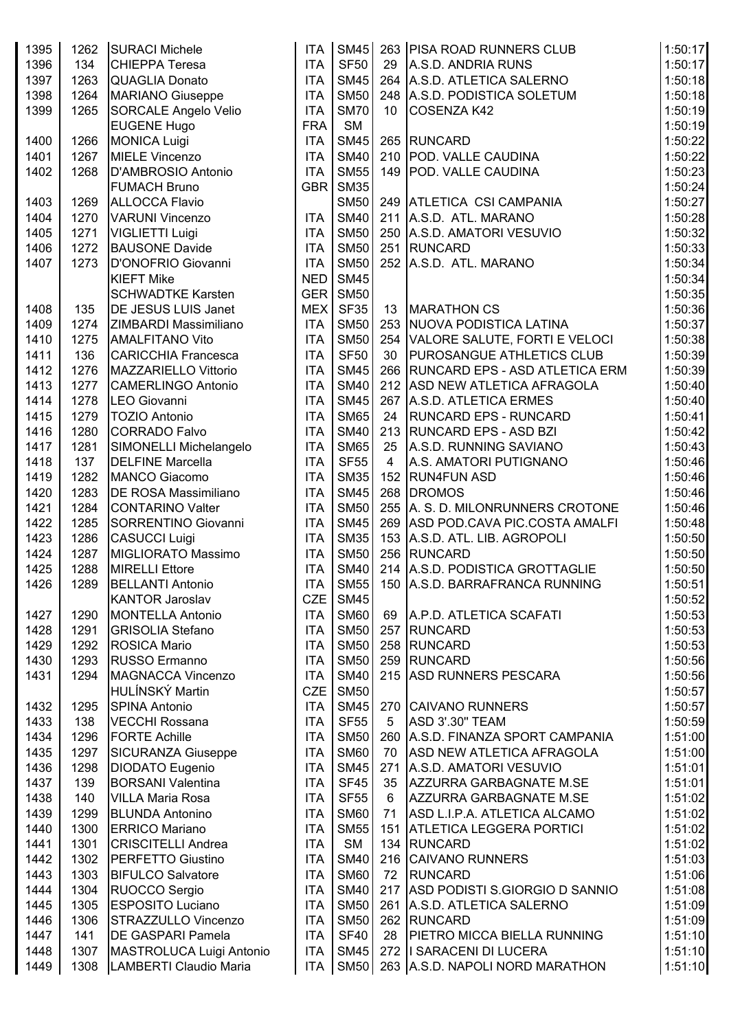| 1395         | 1262         | <b>SURACI Michele</b>                   | <b>ITA</b>               | <b>SM45</b>                |                | 263 PISA ROAD RUNNERS CLUB            | 1:50:17            |
|--------------|--------------|-----------------------------------------|--------------------------|----------------------------|----------------|---------------------------------------|--------------------|
| 1396         | 134          | <b>CHIEPPA Teresa</b>                   | <b>ITA</b>               | <b>SF50</b>                | 29             | A.S.D. ANDRIA RUNS                    | 1:50:17            |
| 1397         | 1263         | <b>QUAGLIA Donato</b>                   | <b>ITA</b>               | <b>SM45</b>                |                | 264 A.S.D. ATLETICA SALERNO           | 1:50:18            |
| 1398         | 1264         | <b>MARIANO Giuseppe</b>                 | <b>ITA</b>               | <b>SM50</b>                |                | 248 A.S.D. PODISTICA SOLETUM          | 1:50:18            |
| 1399         | 1265         | <b>SORCALE Angelo Velio</b>             | <b>ITA</b>               | <b>SM70</b>                | 10             | <b>COSENZA K42</b>                    | 1:50:19            |
|              |              | <b>EUGENE Hugo</b>                      | <b>FRA</b>               | <b>SM</b>                  |                |                                       | 1:50:19            |
| 1400         | 1266         | <b>MONICA Luigi</b>                     | <b>ITA</b>               | <b>SM45</b>                |                | 265 RUNCARD                           | 1:50:22            |
| 1401         | 1267         | <b>MIELE Vincenzo</b>                   | <b>ITA</b>               | <b>SM40</b>                |                | 210 POD. VALLE CAUDINA                | 1:50:22            |
| 1402         | 1268         | D'AMBROSIO Antonio                      | <b>ITA</b>               | <b>SM55</b>                |                | 149   POD. VALLE CAUDINA              | 1:50:23            |
|              |              | <b>FUMACH Bruno</b>                     | <b>GBR</b>               | <b>SM35</b>                |                |                                       | 1:50:24            |
| 1403         | 1269         | <b>ALLOCCA Flavio</b>                   |                          | <b>SM50</b>                | 249            | ATLETICA CSI CAMPANIA                 | 1:50:27            |
| 1404         | 1270         | <b>VARUNI Vincenzo</b>                  | <b>ITA</b>               | <b>SM40</b>                | 211            | A.S.D. ATL. MARANO                    | 1:50:28            |
| 1405         | 1271         | <b>VIGLIETTI Luigi</b>                  | <b>ITA</b>               | <b>SM50</b>                | 250            | A.S.D. AMATORI VESUVIO                | 1:50:32            |
| 1406         | 1272         | <b>BAUSONE Davide</b>                   | <b>ITA</b>               | <b>SM50</b>                | 251            | RUNCARD                               | 1:50:33            |
| 1407         | 1273         | D'ONOFRIO Giovanni<br><b>KIEFT Mike</b> | <b>ITA</b><br><b>NED</b> | <b>SM50</b><br><b>SM45</b> |                | 252 A.S.D. ATL. MARANO                | 1:50:34<br>1:50:34 |
|              |              | <b>SCHWADTKE Karsten</b>                | <b>GER</b>               | <b>SM50</b>                |                |                                       | 1:50:35            |
| 1408         | 135          | DE JESUS LUIS Janet                     | <b>MEX</b>               | <b>SF35</b>                | 13             | <b>MARATHON CS</b>                    | 1:50:36            |
| 1409         | 1274         | ZIMBARDI Massimiliano                   | <b>ITA</b>               | <b>SM50</b>                | 253            | <b>NUOVA PODISTICA LATINA</b>         | 1:50:37            |
| 1410         | 1275         | <b>AMALFITANO Vito</b>                  | <b>ITA</b>               | <b>SM50</b>                |                | 254 VALORE SALUTE, FORTI E VELOCI     | 1:50:38            |
| 1411         | 136          | <b>CARICCHIA Francesca</b>              | <b>ITA</b>               | <b>SF50</b>                | 30             | <b>PUROSANGUE ATHLETICS CLUB</b>      | 1:50:39            |
| 1412         | 1276         | MAZZARIELLO Vittorio                    | <b>ITA</b>               | <b>SM45</b>                | 266            | <b>RUNCARD EPS - ASD ATLETICA ERM</b> | 1:50:39            |
| 1413         | 1277         | <b>CAMERLINGO Antonio</b>               | <b>ITA</b>               | <b>SM40</b>                | 212            | ASD NEW ATLETICA AFRAGOLA             | 1:50:40            |
| 1414         | 1278         | <b>LEO Giovanni</b>                     | <b>ITA</b>               | <b>SM45</b>                | 267            | A.S.D. ATLETICA ERMES                 | 1:50:40            |
| 1415         | 1279         | <b>TOZIO Antonio</b>                    | <b>ITA</b>               | <b>SM65</b>                | 24             | <b>RUNCARD EPS - RUNCARD</b>          | 1:50:41            |
| 1416         | 1280         | <b>CORRADO Falvo</b>                    | <b>ITA</b>               | <b>SM40</b>                | 213            | <b>RUNCARD EPS - ASD BZI</b>          | 1:50:42            |
| 1417         | 1281         | SIMONELLI Michelangelo                  | <b>ITA</b>               | <b>SM65</b>                | 25             | A.S.D. RUNNING SAVIANO                | 1:50:43            |
| 1418         | 137          | <b>DELFINE Marcella</b>                 | <b>ITA</b>               | <b>SF55</b>                | $\overline{4}$ | A.S. AMATORI PUTIGNANO                | 1:50:46            |
| 1419         | 1282         | <b>MANCO Giacomo</b>                    | <b>ITA</b>               | <b>SM35</b>                | 152            | <b>RUN4FUN ASD</b>                    | 1:50:46            |
| 1420         | 1283         | DE ROSA Massimiliano                    | <b>ITA</b>               | <b>SM45</b>                |                | 268 DROMOS                            | 1:50:46            |
| 1421         | 1284         | <b>CONTARINO Valter</b>                 | <b>ITA</b>               | <b>SM50</b>                | 255            | A. S. D. MILONRUNNERS CROTONE         | 1:50:46            |
| 1422         | 1285         | SORRENTINO Giovanni                     | <b>ITA</b>               | <b>SM45</b>                | 269            | ASD POD.CAVA PIC.COSTA AMALFI         | 1:50:48            |
| 1423         | 1286         | <b>CASUCCI Luigi</b>                    | <b>ITA</b>               | <b>SM35</b>                | 153            | A.S.D. ATL. LIB. AGROPOLI             | 1:50:50            |
| 1424         | 1287         | MIGLIORATO Massimo                      | <b>ITA</b>               | <b>SM50</b>                |                | 256 RUNCARD                           | 1:50:50            |
| 1425         | 1288         | <b>MIRELLI Ettore</b>                   | <b>ITA</b>               | <b>SM40</b>                |                | 214 A.S.D. PODISTICA GROTTAGLIE       | 1:50:50            |
| 1426         | 1289         | <b>BELLANTI Antonio</b>                 | ITA                      | <b>SM55</b>                |                | 150 A.S.D. BARRAFRANCA RUNNING        | 1:50:51            |
|              |              | <b>KANTOR Jaroslav</b>                  | <b>CZE</b>               | <b>SM45</b>                |                |                                       | 1:50:52            |
| 1427         | 1290         | <b>MONTELLA Antonio</b>                 | <b>ITA</b>               | <b>SM60</b>                | 69             | A.P.D. ATLETICA SCAFATI               | 1:50:53            |
| 1428         | 1291         | <b>GRISOLIA Stefano</b>                 | <b>ITA</b>               | <b>SM50</b>                | 257            | RUNCARD                               | 1:50:53            |
| 1429<br>1430 | 1292<br>1293 | ROSICA Mario<br>RUSSO Ermanno           | <b>ITA</b><br><b>ITA</b> | <b>SM50</b><br><b>SM50</b> | 258<br>259     | RUNCARD<br><b>RUNCARD</b>             | 1:50:53<br>1:50:56 |
| 1431         | 1294         | MAGNACCA Vincenzo                       | <b>ITA</b>               | <b>SM40</b>                | 215            | <b>ASD RUNNERS PESCARA</b>            | 1:50:56            |
|              |              | HULÍNSKÝ Martin                         | <b>CZE</b>               | <b>SM50</b>                |                |                                       | 1:50:57            |
| 1432         | 1295         | <b>SPINA Antonio</b>                    | <b>ITA</b>               | <b>SM45</b>                | 270            | <b>CAIVANO RUNNERS</b>                | 1:50:57            |
| 1433         | 138          | <b>VECCHI Rossana</b>                   | <b>ITA</b>               | <b>SF55</b>                | 5              | <b>ASD 3'.30" TEAM</b>                | 1:50:59            |
| 1434         | 1296         | <b>FORTE Achille</b>                    | <b>ITA</b>               | <b>SM50</b>                | 260            | A.S.D. FINANZA SPORT CAMPANIA         | 1:51:00            |
| 1435         | 1297         | <b>SICURANZA Giuseppe</b>               | <b>ITA</b>               | <b>SM60</b>                | 70             | ASD NEW ATLETICA AFRAGOLA             | 1:51:00            |
| 1436         | 1298         | DIODATO Eugenio                         | <b>ITA</b>               | <b>SM45</b>                | 271            | A.S.D. AMATORI VESUVIO                | 1:51:01            |
| 1437         | 139          | <b>BORSANI Valentina</b>                | <b>ITA</b>               | <b>SF45</b>                | 35             | AZZURRA GARBAGNATE M.SE               | 1:51:01            |
| 1438         | 140          | <b>VILLA Maria Rosa</b>                 | <b>ITA</b>               | <b>SF55</b>                | 6              | AZZURRA GARBAGNATE M.SE               | 1:51:02            |
| 1439         | 1299         | <b>BLUNDA Antonino</b>                  | <b>ITA</b>               | <b>SM60</b>                | 71             | ASD L.I.P.A. ATLETICA ALCAMO          | 1:51:02            |
| 1440         | 1300         | <b>ERRICO Mariano</b>                   | <b>ITA</b>               | <b>SM55</b>                | 151            | <b>ATLETICA LEGGERA PORTICI</b>       | 1:51:02            |
| 1441         | 1301         | <b>CRISCITELLI Andrea</b>               | <b>ITA</b>               | <b>SM</b>                  | 134            | RUNCARD                               | 1:51:02            |
| 1442         | 1302         | <b>PERFETTO Giustino</b>                | <b>ITA</b>               | <b>SM40</b>                |                | 216 CAIVANO RUNNERS                   | 1:51:03            |
| 1443         | 1303         | <b>BIFULCO Salvatore</b>                | <b>ITA</b>               | <b>SM60</b>                | 72             | <b>RUNCARD</b>                        | 1:51:06            |
| 1444         | 1304         | RUOCCO Sergio                           | <b>ITA</b>               | <b>SM40</b>                |                | 217 ASD PODISTI S.GIORGIO D SANNIO    | 1:51:08            |
| 1445         | 1305         | <b>ESPOSITO Luciano</b>                 | <b>ITA</b>               | <b>SM50</b>                |                | 261 A.S.D. ATLETICA SALERNO           | 1:51:09            |
| 1446         | 1306         | <b>STRAZZULLO Vincenzo</b>              | <b>ITA</b>               | <b>SM50</b>                |                | 262 RUNCARD                           | 1:51:09            |
| 1447         | 141          | <b>DE GASPARI Pamela</b>                | <b>ITA</b>               | <b>SF40</b>                | 28             | PIETRO MICCA BIELLA RUNNING           | 1:51:10            |
| 1448         | 1307         | MASTROLUCA Luigi Antonio                | <b>ITA</b>               | <b>SM45</b>                |                | 272   SARACENI DI LUCERA              | 1:51:10            |
| 1449         | 1308         | LAMBERTI Claudio Maria                  |                          | ITA SM50                   |                | 263 A.S.D. NAPOLI NORD MARATHON       | 1:51:10            |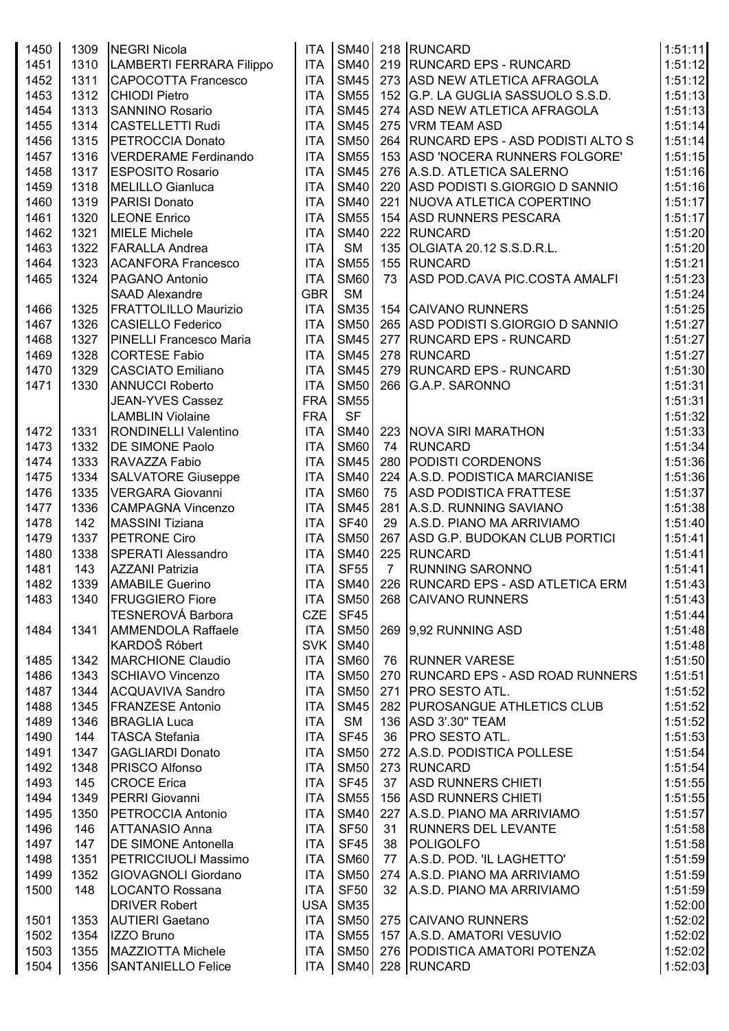| 1450 | 1309 | NEGRI Nicola                   | <b>ITA</b> |             |                 | SM40 218 RUNCARD                            | 1:51:11 |
|------|------|--------------------------------|------------|-------------|-----------------|---------------------------------------------|---------|
| 1451 | 1310 | LAMBERTI FERRARA Filippo       | <b>ITA</b> | <b>SM40</b> |                 | 219 RUNCARD EPS - RUNCARD                   | 1:51:12 |
| 1452 | 1311 | CAPOCOTTA Francesco            | <b>ITA</b> | <b>SM45</b> |                 | 273 ASD NEW ATLETICA AFRAGOLA               | 1:51:12 |
| 1453 | 1312 | <b>CHIODI Pietro</b>           | <b>ITA</b> | <b>SM55</b> |                 | 152 G.P. LA GUGLIA SASSUOLO S.S.D.          | 1:51:13 |
| 1454 | 1313 | <b>SANNINO Rosario</b>         | <b>ITA</b> | <b>SM45</b> |                 | 274 ASD NEW ATLETICA AFRAGOLA               | 1:51:13 |
| 1455 | 1314 | CASTELLETTI Rudi               | <b>ITA</b> | <b>SM45</b> |                 | 275 VRM TEAM ASD                            | 1:51:14 |
| 1456 | 1315 | PETROCCIA Donato               | <b>ITA</b> | <b>SM50</b> |                 | 264 RUNCARD EPS - ASD PODISTI ALTO S        | 1:51:14 |
| 1457 | 1316 | VERDERAME Ferdinando           | <b>ITA</b> | <b>SM55</b> |                 | 153 ASD 'NOCERA RUNNERS FOLGORE'            | 1:51:15 |
| 1458 | 1317 | <b>ESPOSITO Rosario</b>        | <b>ITA</b> | <b>SM45</b> |                 | 276 A.S.D. ATLETICA SALERNO                 | 1:51:16 |
| 1459 | 1318 | <b>MELILLO Gianluca</b>        | <b>ITA</b> | <b>SM40</b> |                 | 220 ASD PODISTI S.GIORGIO D SANNIO          | 1:51:16 |
| 1460 | 1319 | PARISI Donato                  | <b>ITA</b> | <b>SM40</b> |                 | 221 NUOVA ATLETICA COPERTINO                | 1:51:17 |
| 1461 | 1320 | <b>LEONE Enrico</b>            | <b>ITA</b> | <b>SM55</b> |                 | 154 ASD RUNNERS PESCARA                     | 1:51:17 |
| 1462 | 1321 | <b>MIELE Michele</b>           | <b>ITA</b> | <b>SM40</b> |                 | 222 RUNCARD                                 | 1:51:20 |
| 1463 | 1322 | <b>FARALLA Andrea</b>          | <b>ITA</b> | <b>SM</b>   |                 | 135 OLGIATA 20.12 S.S.D.R.L.                | 1:51:20 |
| 1464 | 1323 | <b>ACANFORA Francesco</b>      | <b>ITA</b> | <b>SM55</b> |                 | 155 RUNCARD                                 | 1:51:21 |
|      | 1324 | PAGANO Antonio                 | <b>ITA</b> | <b>SM60</b> | 73              | ASD POD.CAVA PIC.COSTA AMALFI               | 1:51:23 |
| 1465 |      |                                | <b>GBR</b> | <b>SM</b>   |                 |                                             |         |
|      |      | <b>SAAD Alexandre</b>          |            | <b>SM35</b> |                 |                                             | 1:51:24 |
| 1466 | 1325 | <b>FRATTOLILLO Maurizio</b>    | <b>ITA</b> |             |                 | 154 CAIVANO RUNNERS                         | 1:51:25 |
| 1467 | 1326 | <b>CASIELLO Federico</b>       | <b>ITA</b> | <b>SM50</b> |                 | 265 ASD PODISTI S.GIORGIO D SANNIO          | 1:51:27 |
| 1468 | 1327 | <b>PINELLI Francesco Maria</b> | <b>ITA</b> | <b>SM45</b> |                 | 277 RUNCARD EPS - RUNCARD                   | 1:51:27 |
| 1469 | 1328 | <b>CORTESE Fabio</b>           | <b>ITA</b> | <b>SM45</b> |                 | 278 RUNCARD                                 | 1:51:27 |
| 1470 | 1329 | <b>CASCIATO Emiliano</b>       | <b>ITA</b> | <b>SM45</b> |                 | 279 RUNCARD EPS - RUNCARD                   | 1:51:30 |
| 1471 | 1330 | <b>ANNUCCI Roberto</b>         | <b>ITA</b> | <b>SM50</b> |                 | 266 G.A.P. SARONNO                          | 1:51:31 |
|      |      | JEAN-YVES Cassez               | <b>FRA</b> | <b>SM55</b> |                 |                                             | 1:51:31 |
|      |      | <b>LAMBLIN Violaine</b>        | <b>FRA</b> | <b>SF</b>   |                 |                                             | 1:51:32 |
| 1472 | 1331 | <b>RONDINELLI Valentino</b>    | <b>ITA</b> | <b>SM40</b> |                 | 223 NOVA SIRI MARATHON                      | 1:51:33 |
| 1473 | 1332 | <b>DE SIMONE Paolo</b>         | <b>ITA</b> | <b>SM60</b> | 74              | <b>RUNCARD</b>                              | 1:51:34 |
| 1474 | 1333 | RAVAZZA Fabio                  | <b>ITA</b> | <b>SM45</b> |                 | 280 PODISTI CORDENONS                       | 1:51:36 |
| 1475 | 1334 | <b>SALVATORE Giuseppe</b>      | <b>ITA</b> | <b>SM40</b> |                 | 224 A.S.D. PODISTICA MARCIANISE             | 1:51:36 |
| 1476 | 1335 | VERGARA Giovanni               | <b>ITA</b> | <b>SM60</b> | 75              | <b>ASD PODISTICA FRATTESE</b>               | 1:51:37 |
| 1477 | 1336 | <b>CAMPAGNA Vincenzo</b>       | <b>ITA</b> | <b>SM45</b> |                 | 281 A.S.D. RUNNING SAVIANO                  | 1:51:38 |
| 1478 | 142  | <b>MASSINI Tiziana</b>         | <b>ITA</b> | <b>SF40</b> | 29              | A.S.D. PIANO MA ARRIVIAMO                   | 1:51:40 |
| 1479 | 1337 | <b>PETRONE Ciro</b>            | <b>ITA</b> | <b>SM50</b> |                 | 267 ASD G.P. BUDOKAN CLUB PORTICI           | 1:51:41 |
| 1480 | 1338 | <b>SPERATI Alessandro</b>      | <b>ITA</b> | <b>SM40</b> |                 | 225 RUNCARD                                 | 1:51:41 |
| 1481 | 143  | <b>AZZANI Patrizia</b>         | <b>ITA</b> | <b>SF55</b> | $\overline{7}$  | <b>RUNNING SARONNO</b>                      | 1:51:41 |
| 1482 | 1339 | <b>AMABILE Guerino</b>         | <b>ITA</b> |             |                 | SM40   226   RUNCARD EPS - ASD ATLETICA ERM | 1:51:43 |
| 1483 | 1340 | <b>FRUGGIERO Fiore</b>         | <b>ITA</b> | <b>SM50</b> |                 | 268 CAIVANO RUNNERS                         | 1:51:43 |
|      |      | TESNEROVÁ Barbora              |            | $CZE$ SF45  |                 |                                             | 1:51:44 |
| 1484 | 1341 | <b>AMMENDOLA Raffaele</b>      | <b>ITA</b> | <b>SM50</b> |                 | 269 9,92 RUNNING ASD                        | 1:51:48 |
|      |      | KARDOŠ Róbert                  |            | SVK SM40    |                 |                                             | 1:51:48 |
| 1485 | 1342 | <b>MARCHIONE Claudio</b>       | <b>ITA</b> | <b>SM60</b> |                 | 76   RUNNER VARESE                          | 1:51:50 |
| 1486 | 1343 | <b>SCHIAVO Vincenzo</b>        | <b>ITA</b> | <b>SM50</b> |                 | 270   RUNCARD EPS - ASD ROAD RUNNERS        | 1:51:51 |
| 1487 | 1344 | <b>ACQUAVIVA Sandro</b>        | <b>ITA</b> | <b>SM50</b> |                 | 271   PRO SESTO ATL.                        | 1:51:52 |
| 1488 | 1345 | <b>FRANZESE Antonio</b>        | <b>ITA</b> | <b>SM45</b> |                 | 282 PUROSANGUE ATHLETICS CLUB               | 1:51:52 |
| 1489 | 1346 | <b>BRAGLIA Luca</b>            | <b>ITA</b> | SM          |                 | 136 ASD 3'.30" TEAM                         | 1:51:52 |
| 1490 | 144  | <b>TASCA Stefania</b>          | <b>ITA</b> | <b>SF45</b> | 36              | <b>PRO SESTO ATL.</b>                       | 1:51:53 |
| 1491 | 1347 | <b>GAGLIARDI Donato</b>        | <b>ITA</b> | <b>SM50</b> |                 | 272 A.S.D. PODISTICA POLLESE                | 1:51:54 |
| 1492 | 1348 | <b>PRISCO Alfonso</b>          | <b>ITA</b> | <b>SM50</b> |                 | 273 RUNCARD                                 | 1:51:54 |
| 1493 | 145  | <b>CROCE Erica</b>             | <b>ITA</b> | <b>SF45</b> | 37              | <b>ASD RUNNERS CHIETI</b>                   | 1:51:55 |
| 1494 | 1349 | PERRI Giovanni                 | <b>ITA</b> | <b>SM55</b> |                 | 156 ASD RUNNERS CHIETI                      | 1:51:55 |
| 1495 | 1350 | PETROCCIA Antonio              | <b>ITA</b> | <b>SM40</b> |                 | 227 A.S.D. PIANO MA ARRIVIAMO               | 1:51:57 |
| 1496 | 146  | <b>ATTANASIO Anna</b>          | <b>ITA</b> | <b>SF50</b> | 31              | <b>RUNNERS DEL LEVANTE</b>                  | 1:51:58 |
| 1497 | 147  | <b>DE SIMONE Antonella</b>     | <b>ITA</b> | <b>SF45</b> |                 | 38   POLIGOLFO                              | 1:51:58 |
| 1498 | 1351 | <b>PETRICCIUOLI Massimo</b>    | <b>ITA</b> | <b>SM60</b> | 77              | A.S.D. POD. 'IL LAGHETTO'                   | 1:51:59 |
| 1499 | 1352 | <b>GIOVAGNOLI Giordano</b>     | <b>ITA</b> | <b>SM50</b> |                 | 274 A.S.D. PIANO MA ARRIVIAMO               | 1:51:59 |
| 1500 | 148  | LOCANTO Rossana                | <b>ITA</b> | <b>SF50</b> | 32 <sup>°</sup> | A.S.D. PIANO MA ARRIVIAMO                   | 1:51:59 |
|      |      | <b>DRIVER Robert</b>           | USA        | <b>SM35</b> |                 |                                             | 1:52:00 |
| 1501 | 1353 | <b>AUTIERI Gaetano</b>         | <b>ITA</b> | <b>SM50</b> |                 | 275 CAIVANO RUNNERS                         | 1:52:02 |
| 1502 | 1354 | IZZO Bruno                     | <b>ITA</b> | <b>SM55</b> |                 | 157 A.S.D. AMATORI VESUVIO                  | 1:52:02 |
|      | 1355 |                                | <b>ITA</b> | <b>SM50</b> |                 | 276 PODISTICA AMATORI POTENZA               | 1:52:02 |
| 1503 |      | MAZZIOTTA Michele              |            |             |                 |                                             |         |
| 1504 | 1356 | SANTANIELLO Felice             |            |             |                 | ITA   SM40   228   RUNCARD                  | 1:52:03 |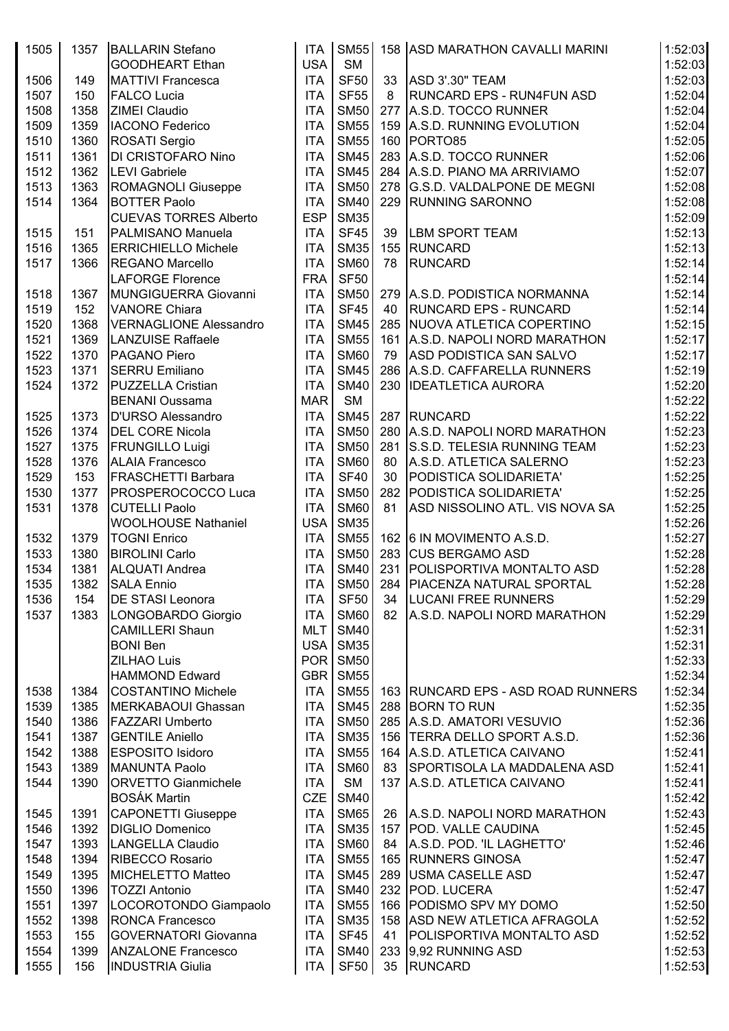| 1505 | 1357 | <b>BALLARIN Stefano</b>       | <b>ITA</b>       | SM55        |    | 158 ASD MARATHON CAVALLI MARINI      | 1:52:03 |
|------|------|-------------------------------|------------------|-------------|----|--------------------------------------|---------|
|      |      | <b>GOODHEART Ethan</b>        | <b>USA</b>       | <b>SM</b>   |    |                                      | 1:52:03 |
| 1506 | 149  | <b>MATTIVI Francesca</b>      | <b>ITA</b>       | <b>SF50</b> |    | 33 ASD 3'.30" TEAM                   | 1:52:03 |
| 1507 | 150  | <b>FALCO Lucia</b>            | <b>ITA</b>       | <b>SF55</b> | 8  | <b>RUNCARD EPS - RUN4FUN ASD</b>     | 1:52:04 |
| 1508 | 1358 | <b>ZIMEI Claudio</b>          | <b>ITA</b>       | <b>SM50</b> |    | 277 A.S.D. TOCCO RUNNER              | 1:52:04 |
| 1509 | 1359 | <b>IACONO Federico</b>        | <b>ITA</b>       | <b>SM55</b> |    | 159 A.S.D. RUNNING EVOLUTION         | 1:52:04 |
| 1510 | 1360 | ROSATI Sergio                 | <b>ITA</b>       | <b>SM55</b> |    | 160 PORTO85                          | 1:52:05 |
| 1511 | 1361 | <b>DI CRISTOFARO Nino</b>     | <b>ITA</b>       | <b>SM45</b> |    | 283 A.S.D. TOCCO RUNNER              | 1:52:06 |
| 1512 | 1362 | <b>LEVI</b> Gabriele          | <b>ITA</b>       | <b>SM45</b> |    | 284 A.S.D. PIANO MA ARRIVIAMO        | 1:52:07 |
| 1513 | 1363 | ROMAGNOLI Giuseppe            | <b>ITA</b>       | <b>SM50</b> |    | 278 G.S.D. VALDALPONE DE MEGNI       | 1:52:08 |
| 1514 | 1364 | <b>BOTTER Paolo</b>           | <b>ITA</b>       | <b>SM40</b> |    | 229 RUNNING SARONNO                  | 1:52:08 |
|      |      | <b>CUEVAS TORRES Alberto</b>  | <b>ESP</b>       | <b>SM35</b> |    |                                      | 1:52:09 |
| 1515 | 151  | PALMISANO Manuela             | <b>ITA</b>       | <b>SF45</b> | 39 | <b>LBM SPORT TEAM</b>                | 1:52:13 |
| 1516 | 1365 | <b>ERRICHIELLO Michele</b>    | <b>ITA</b>       | <b>SM35</b> |    | 155 RUNCARD                          | 1:52:13 |
| 1517 | 1366 | <b>REGANO Marcello</b>        | <b>ITA</b>       | <b>SM60</b> | 78 | <b>RUNCARD</b>                       | 1:52:14 |
|      |      | <b>LAFORGE Florence</b>       | <b>FRA</b>       | <b>SF50</b> |    |                                      | 1:52:14 |
| 1518 | 1367 | MUNGIGUERRA Giovanni          | <b>ITA</b>       | <b>SM50</b> |    | 279 A.S.D. PODISTICA NORMANNA        | 1:52:14 |
| 1519 |      | <b>VANORE Chiara</b>          | <b>ITA</b>       | <b>SF45</b> | 40 | <b>RUNCARD EPS - RUNCARD</b>         | 1:52:14 |
|      | 152  | <b>VERNAGLIONE Alessandro</b> |                  | <b>SM45</b> |    |                                      |         |
| 1520 | 1368 |                               | <b>ITA</b>       |             |    | 285 NUOVA ATLETICA COPERTINO         | 1:52:15 |
| 1521 | 1369 | <b>LANZUISE Raffaele</b>      | <b>ITA</b>       | <b>SM55</b> |    | 161 A.S.D. NAPOLI NORD MARATHON      | 1:52:17 |
| 1522 | 1370 | PAGANO Piero                  | <b>ITA</b>       | <b>SM60</b> | 79 | <b>ASD PODISTICA SAN SALVO</b>       | 1:52:17 |
| 1523 | 1371 | <b>SERRU Emiliano</b>         | <b>ITA</b>       | <b>SM45</b> |    | 286 A.S.D. CAFFARELLA RUNNERS        | 1:52:19 |
| 1524 | 1372 | PUZZELLA Cristian             | <b>ITA</b>       | <b>SM40</b> |    | 230 IDEATLETICA AURORA               | 1:52:20 |
|      |      | <b>BENANI Oussama</b>         | <b>MAR</b>       | SM          |    |                                      | 1:52:22 |
| 1525 | 1373 | <b>D'URSO Alessandro</b>      | <b>ITA</b>       | <b>SM45</b> |    | 287 RUNCARD                          | 1:52:22 |
| 1526 | 1374 | <b>DEL CORE Nicola</b>        | <b>ITA</b>       | <b>SM50</b> |    | 280 A.S.D. NAPOLI NORD MARATHON      | 1:52:23 |
| 1527 | 1375 | <b>FRUNGILLO Luigi</b>        | <b>ITA</b>       | <b>SM50</b> |    | 281 S.S.D. TELESIA RUNNING TEAM      | 1:52:23 |
| 1528 | 1376 | <b>ALAIA Francesco</b>        | <b>ITA</b>       | <b>SM60</b> | 80 | A.S.D. ATLETICA SALERNO              | 1:52:23 |
| 1529 | 153  | <b>FRASCHETTI Barbara</b>     | <b>ITA</b>       | <b>SF40</b> | 30 | PODISTICA SOLIDARIETA'               | 1:52:25 |
| 1530 | 1377 | <b>PROSPEROCOCCO Luca</b>     | <b>ITA</b>       | <b>SM50</b> |    | 282 PODISTICA SOLIDARIETA'           | 1:52:25 |
| 1531 | 1378 | <b>CUTELLI Paolo</b>          | <b>ITA</b>       | <b>SM60</b> | 81 | ASD NISSOLINO ATL. VIS NOVA SA       | 1:52:25 |
|      |      | <b>WOOLHOUSE Nathaniel</b>    | USA <sup>I</sup> | <b>SM35</b> |    |                                      | 1:52:26 |
| 1532 | 1379 | <b>TOGNI Enrico</b>           | <b>ITA</b>       | <b>SM55</b> |    | 162 6 IN MOVIMENTO A.S.D.            | 1:52:27 |
| 1533 | 1380 | <b>BIROLINI Carlo</b>         | <b>ITA</b>       | <b>SM50</b> |    | 283 CUS BERGAMO ASD                  | 1:52:28 |
| 1534 | 1381 | <b>ALQUATI Andrea</b>         | <b>ITA</b>       | <b>SM40</b> |    | 231   POLISPORTIVA MONTALTO ASD      | 1:52:28 |
| 1535 | 1382 | SALA Ennio                    | <b>ITA</b>       | <b>SM50</b> |    | 284 PIACENZA NATURAL SPORTAL         | 1:52:28 |
| 1536 | 154  | <b>DE STASI Leonora</b>       | <b>ITA</b>       | <b>SF50</b> | 34 | <b>LUCANI FREE RUNNERS</b>           | 1:52:29 |
| 1537 | 1383 | LONGOBARDO Giorgio            | <b>ITA</b>       | <b>SM60</b> | 82 | A.S.D. NAPOLI NORD MARATHON          | 1:52:29 |
|      |      | <b>CAMILLERI Shaun</b>        | <b>MLT</b>       | <b>SM40</b> |    |                                      | 1:52:31 |
|      |      | <b>BONI Ben</b>               | USA <sup>I</sup> | <b>SM35</b> |    |                                      | 1:52:31 |
|      |      | <b>ZILHAO Luis</b>            | POR              | <b>SM50</b> |    |                                      | 1:52:33 |
|      |      | <b>HAMMOND Edward</b>         | GBR              | <b>SM55</b> |    |                                      | 1:52:34 |
| 1538 | 1384 | <b>COSTANTINO Michele</b>     | <b>ITA</b>       | <b>SM55</b> |    | 163   RUNCARD EPS - ASD ROAD RUNNERS | 1:52:34 |
| 1539 | 1385 | MERKABAOUI Ghassan            | <b>ITA</b>       | <b>SM45</b> |    | 288 BORN TO RUN                      | 1:52:35 |
| 1540 | 1386 | <b>FAZZARI Umberto</b>        | <b>ITA</b>       | <b>SM50</b> |    | 285 A.S.D. AMATORI VESUVIO           | 1:52:36 |
| 1541 | 1387 | <b>GENTILE Aniello</b>        | <b>ITA</b>       | <b>SM35</b> |    | 156 TERRA DELLO SPORT A.S.D.         | 1:52:36 |
| 1542 | 1388 | <b>ESPOSITO Isidoro</b>       | <b>ITA</b>       | <b>SM55</b> |    | 164 A.S.D. ATLETICA CAIVANO          | 1:52:41 |
| 1543 | 1389 | <b>MANUNTA Paolo</b>          | <b>ITA</b>       | <b>SM60</b> | 83 | SPORTISOLA LA MADDALENA ASD          | 1:52:41 |
| 1544 | 1390 | <b>ORVETTO Gianmichele</b>    | <b>ITA</b>       | SM          |    | 137 A.S.D. ATLETICA CAIVANO          | 1:52:41 |
|      |      | <b>BOSÁK Martin</b>           | <b>CZE</b>       | <b>SM40</b> |    |                                      | 1:52:42 |
| 1545 | 1391 | <b>CAPONETTI Giuseppe</b>     | <b>ITA</b>       | <b>SM65</b> | 26 | A.S.D. NAPOLI NORD MARATHON          | 1:52:43 |
| 1546 | 1392 | <b>DIGLIO Domenico</b>        | <b>ITA</b>       | <b>SM35</b> |    | 157   POD. VALLE CAUDINA             | 1:52:45 |
| 1547 | 1393 | <b>LANGELLA Claudio</b>       | <b>ITA</b>       | <b>SM60</b> | 84 | A.S.D. POD. 'IL LAGHETTO'            | 1:52:46 |
|      |      |                               | <b>ITA</b>       | <b>SM55</b> |    | 165 RUNNERS GINOSA                   | 1:52:47 |
| 1548 | 1394 | RIBECCO Rosario               |                  |             |    |                                      |         |
| 1549 | 1395 | MICHELETTO Matteo             | <b>ITA</b>       | <b>SM45</b> |    | 289 USMA CASELLE ASD                 | 1:52:47 |
| 1550 | 1396 | <b>TOZZI Antonio</b>          | <b>ITA</b>       | <b>SM40</b> |    | 232   POD. LUCERA                    | 1:52:47 |
| 1551 | 1397 | LOCOROTONDO Giampaolo         | <b>ITA</b>       | <b>SM55</b> |    | 166 PODISMO SPV MY DOMO              | 1:52:50 |
| 1552 | 1398 | <b>RONCA Francesco</b>        | <b>ITA</b>       | <b>SM35</b> |    | 158 ASD NEW ATLETICA AFRAGOLA        | 1:52:52 |
| 1553 | 155  | <b>GOVERNATORI Giovanna</b>   | <b>ITA</b>       | SF45        |    | 41   POLISPORTIVA MONTALTO ASD       | 1:52:52 |
| 1554 | 1399 | <b>ANZALONE Francesco</b>     | <b>ITA</b>       | <b>SM40</b> |    | 233 9,92 RUNNING ASD                 | 1:52:53 |
| 1555 | 156  | <b>INDUSTRIA Giulia</b>       | <b>ITA</b>       | <b>SF50</b> |    | 35 RUNCARD                           | 1:52:53 |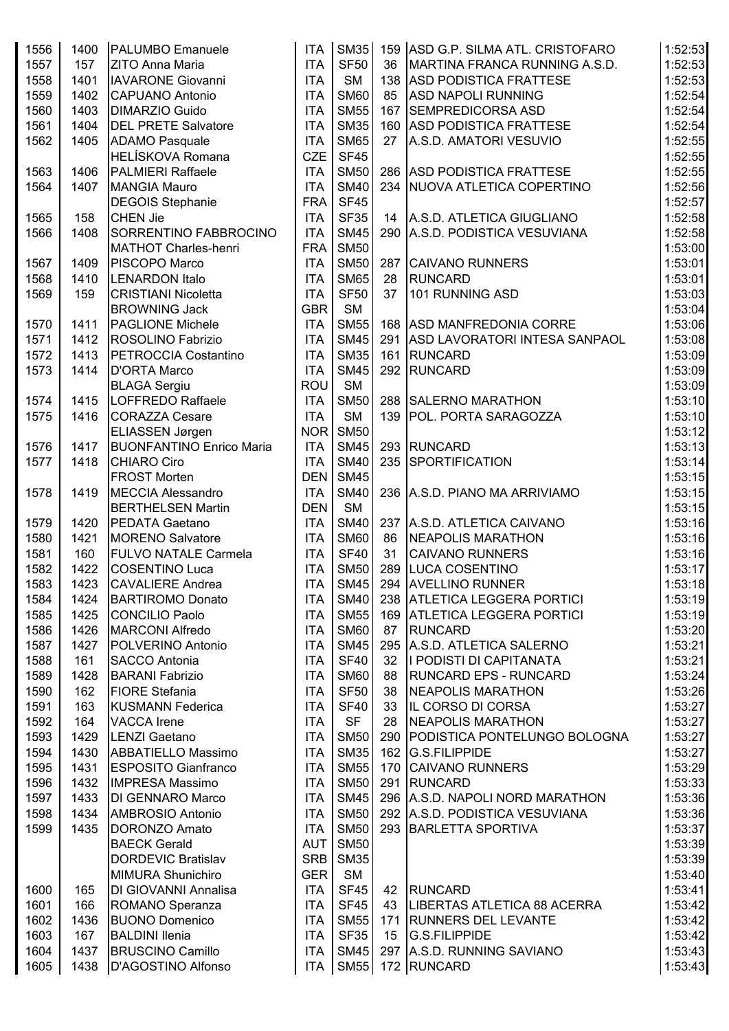| 1556 | 1400 | <b>PALUMBO</b> Emanuele                    | <b>ITA</b> | SM35        |    | 159 ASD G.P. SILMA ATL. CRISTOFARO                          | 1:52:53            |
|------|------|--------------------------------------------|------------|-------------|----|-------------------------------------------------------------|--------------------|
| 1557 | 157  | ZITO Anna Maria                            | <b>ITA</b> | <b>SF50</b> | 36 | MARTINA FRANCA RUNNING A.S.D.                               | 1:52:53            |
| 1558 | 1401 | <b>IAVARONE Giovanni</b>                   | <b>ITA</b> | <b>SM</b>   |    | 138 ASD PODISTICA FRATTESE                                  | 1:52:53            |
| 1559 | 1402 | CAPUANO Antonio                            | <b>ITA</b> | <b>SM60</b> | 85 | <b>ASD NAPOLI RUNNING</b>                                   | 1:52:54            |
| 1560 | 1403 | <b>DIMARZIO Guido</b>                      | <b>ITA</b> | <b>SM55</b> |    | 167 SEMPREDICORSA ASD                                       | 1:52:54            |
| 1561 | 1404 | <b>DEL PRETE Salvatore</b>                 | <b>ITA</b> | <b>SM35</b> |    | 160 ASD PODISTICA FRATTESE                                  | 1:52:54            |
| 1562 | 1405 | <b>ADAMO Pasquale</b>                      | <b>ITA</b> | <b>SM65</b> | 27 | A.S.D. AMATORI VESUVIO                                      | 1:52:55            |
|      |      | <b>HELÍSKOVA Romana</b>                    | <b>CZE</b> | <b>SF45</b> |    |                                                             | 1:52:55            |
| 1563 | 1406 | PALMIERI Raffaele                          | <b>ITA</b> | <b>SM50</b> |    | 286 ASD PODISTICA FRATTESE                                  | 1:52:55            |
| 1564 | 1407 | <b>MANGIA Mauro</b>                        | <b>ITA</b> | <b>SM40</b> |    | 234 NUOVA ATLETICA COPERTINO                                | 1:52:56            |
|      |      |                                            | <b>FRA</b> | <b>SF45</b> |    |                                                             |                    |
|      |      | <b>DEGOIS Stephanie</b><br><b>CHEN Jie</b> |            | <b>SF35</b> | 14 |                                                             | 1:52:57            |
| 1565 | 158  | SORRENTINO FABBROCINO                      | <b>ITA</b> | <b>SM45</b> |    | A.S.D. ATLETICA GIUGLIANO<br>290 A.S.D. PODISTICA VESUVIANA | 1:52:58<br>1:52:58 |
| 1566 | 1408 |                                            | <b>ITA</b> |             |    |                                                             |                    |
|      |      | MATHOT Charles-henri                       | <b>FRA</b> | <b>SM50</b> |    |                                                             | 1:53:00            |
| 1567 | 1409 | PISCOPO Marco                              | <b>ITA</b> | <b>SM50</b> |    | 287 CAIVANO RUNNERS                                         | 1:53:01            |
| 1568 | 1410 | <b>LENARDON Italo</b>                      | <b>ITA</b> | <b>SM65</b> | 28 | <b>RUNCARD</b>                                              | 1:53:01            |
| 1569 | 159  | CRISTIANI Nicoletta                        | <b>ITA</b> | <b>SF50</b> | 37 | 101 RUNNING ASD                                             | 1:53:03            |
|      |      | <b>BROWNING Jack</b>                       | <b>GBR</b> | <b>SM</b>   |    |                                                             | 1:53:04            |
| 1570 | 1411 | <b>PAGLIONE Michele</b>                    | <b>ITA</b> | <b>SM55</b> |    | 168 ASD MANFREDONIA CORRE                                   | 1:53:06            |
| 1571 | 1412 | <b>ROSOLINO Fabrizio</b>                   | <b>ITA</b> | <b>SM45</b> |    | 291 ASD LAVORATORI INTESA SANPAOL                           | 1:53:08            |
| 1572 | 1413 | PETROCCIA Costantino                       | <b>ITA</b> | <b>SM35</b> |    | 161 RUNCARD                                                 | 1:53:09            |
| 1573 | 1414 | D'ORTA Marco                               | <b>ITA</b> | <b>SM45</b> |    | 292 RUNCARD                                                 | 1:53:09            |
|      |      | <b>BLAGA Sergiu</b>                        | <b>ROU</b> | <b>SM</b>   |    |                                                             | 1:53:09            |
| 1574 | 1415 | LOFFREDO Raffaele                          | <b>ITA</b> | <b>SM50</b> |    | 288 SALERNO MARATHON                                        | 1:53:10            |
| 1575 | 1416 | CORAZZA Cesare                             | <b>ITA</b> | <b>SM</b>   |    | 139 POL. PORTA SARAGOZZA                                    | 1:53:10            |
|      |      | ELIASSEN Jørgen                            | NOR        | <b>SM50</b> |    |                                                             | 1:53:12            |
| 1576 | 1417 | <b>BUONFANTINO Enrico Maria</b>            | <b>ITA</b> | <b>SM45</b> |    | 293 RUNCARD                                                 | 1:53:13            |
| 1577 | 1418 | <b>CHIARO Ciro</b>                         | <b>ITA</b> | <b>SM40</b> |    | 235 SPORTIFICATION                                          | 1:53:14            |
|      |      | <b>FROST Morten</b>                        | <b>DEN</b> | <b>SM45</b> |    |                                                             | 1:53:15            |
| 1578 | 1419 | <b>MECCIA Alessandro</b>                   | <b>ITA</b> | <b>SM40</b> |    | 236 A.S.D. PIANO MA ARRIVIAMO                               | 1:53:15            |
|      |      | <b>BERTHELSEN Martin</b>                   | <b>DEN</b> | <b>SM</b>   |    |                                                             | 1:53:15            |
| 1579 | 1420 | <b>PEDATA Gaetano</b>                      | <b>ITA</b> | <b>SM40</b> |    | 237 A.S.D. ATLETICA CAIVANO                                 | 1:53:16            |
| 1580 | 1421 | <b>MORENO Salvatore</b>                    | <b>ITA</b> | <b>SM60</b> | 86 | NEAPOLIS MARATHON                                           | 1:53:16            |
| 1581 | 160  | <b>FULVO NATALE Carmela</b>                | <b>ITA</b> | <b>SF40</b> | 31 | <b>CAIVANO RUNNERS</b>                                      | 1:53:16            |
| 1582 | 1422 | COSENTINO Luca                             | <b>ITA</b> | <b>SM50</b> |    | 289 LUCA COSENTINO                                          | 1:53:17            |
| 1583 | 1423 | <b>CAVALIERE</b> Andrea                    | <b>ITA</b> |             |    | SM45 294 AVELLINO RUNNER                                    | 1:53:18            |
| 1584 | 1424 | <b>BARTIROMO Donato</b>                    | <b>ITA</b> | <b>SM40</b> |    | 238 ATLETICA LEGGERA PORTICI                                | 1:53:19            |
| 1585 | 1425 | CONCILIO Paolo                             | <b>ITA</b> | <b>SM55</b> |    | 169 ATLETICA LEGGERA PORTICI                                | 1:53:19            |
| 1586 | 1426 | <b>MARCONI Alfredo</b>                     | <b>ITA</b> | <b>SM60</b> | 87 | RUNCARD                                                     | 1:53:20            |
| 1587 | 1427 | POLVERINO Antonio                          | <b>ITA</b> | <b>SM45</b> |    | 295 A.S.D. ATLETICA SALERNO                                 | 1:53:21            |
| 1588 | 161  | <b>SACCO Antonia</b>                       | <b>ITA</b> | <b>SF40</b> | 32 | I PODISTI DI CAPITANATA                                     | 1:53:21            |
| 1589 | 1428 | <b>BARANI Fabrizio</b>                     | <b>ITA</b> | <b>SM60</b> | 88 | <b>RUNCARD EPS - RUNCARD</b>                                | 1:53:24            |
| 1590 | 162  | <b>FIORE</b> Stefania                      | <b>ITA</b> | <b>SF50</b> | 38 | <b>NEAPOLIS MARATHON</b>                                    | 1:53:26            |
| 1591 | 163  | <b>KUSMANN Federica</b>                    | <b>ITA</b> | <b>SF40</b> | 33 | <b>IL CORSO DI CORSA</b>                                    | 1:53:27            |
| 1592 | 164  | <b>VACCA</b> Irene                         | <b>ITA</b> | <b>SF</b>   | 28 | <b>NEAPOLIS MARATHON</b>                                    | 1:53:27            |
| 1593 | 1429 | LENZI Gaetano                              | <b>ITA</b> | <b>SM50</b> |    | 290 PODISTICA PONTELUNGO BOLOGNA                            | 1:53:27            |
| 1594 | 1430 | <b>ABBATIELLO Massimo</b>                  | <b>ITA</b> | <b>SM35</b> |    | 162 G.S.FILIPPIDE                                           | 1:53:27            |
| 1595 | 1431 | <b>ESPOSITO Gianfranco</b>                 | <b>ITA</b> | <b>SM55</b> |    | 170 CAIVANO RUNNERS                                         | 1:53:29            |
| 1596 | 1432 | <b>IMPRESA Massimo</b>                     | <b>ITA</b> | <b>SM50</b> |    | 291 RUNCARD                                                 | 1:53:33            |
| 1597 | 1433 | DI GENNARO Marco                           | <b>ITA</b> | <b>SM45</b> |    | 296 A.S.D. NAPOLI NORD MARATHON                             | 1:53:36            |
| 1598 | 1434 | AMBROSIO Antonio                           | <b>ITA</b> | <b>SM50</b> |    | 292 A.S.D. PODISTICA VESUVIANA                              | 1:53:36            |
| 1599 | 1435 | DORONZO Amato                              | <b>ITA</b> | <b>SM50</b> |    | 293 BARLETTA SPORTIVA                                       | 1:53:37            |
|      |      | <b>BAECK Gerald</b>                        | <b>AUT</b> | <b>SM50</b> |    |                                                             | 1:53:39            |
|      |      | <b>DORDEVIC Bratislav</b>                  | <b>SRB</b> | <b>SM35</b> |    |                                                             | 1:53:39            |
|      |      | <b>MIMURA Shunichiro</b>                   | GER        | SM          |    |                                                             | 1:53:40            |
|      |      |                                            |            |             |    |                                                             |                    |
| 1600 | 165  | <b>DI GIOVANNI Annalisa</b>                | <b>ITA</b> | SF45        | 42 | RUNCARD                                                     | 1:53:41            |
| 1601 | 166  | ROMANO Speranza                            | <b>ITA</b> | <b>SF45</b> | 43 | LIBERTAS ATLETICA 88 ACERRA                                 | 1:53:42            |
| 1602 | 1436 | <b>BUONO Domenico</b>                      | <b>ITA</b> | <b>SM55</b> |    | 171   RUNNERS DEL LEVANTE                                   | 1:53:42            |
| 1603 | 167  | <b>BALDINI Ilenia</b>                      | <b>ITA</b> | <b>SF35</b> | 15 | <b>G.S.FILIPPIDE</b>                                        | 1:53:42            |
| 1604 | 1437 | <b>BRUSCINO Camillo</b>                    | <b>ITA</b> | <b>SM45</b> |    | 297 A.S.D. RUNNING SAVIANO                                  | 1:53:43            |
| 1605 | 1438 | D'AGOSTINO Alfonso                         | ITA        | <b>SM55</b> |    | 172 RUNCARD                                                 | 1:53:43            |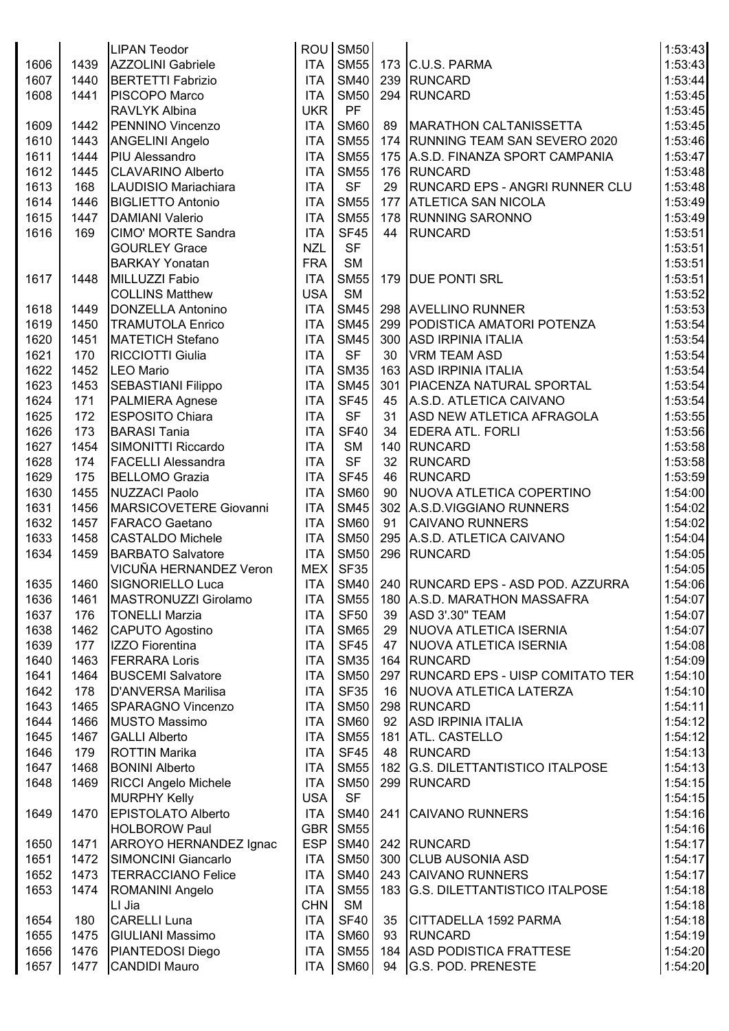|      |      | <b>LIPAN Teodor</b>                      | ROU <sup> </sup> | <b>SM50</b> |    |                                         | 1:53:43 |
|------|------|------------------------------------------|------------------|-------------|----|-----------------------------------------|---------|
| 1606 | 1439 | <b>AZZOLINI</b> Gabriele                 | <b>ITA</b>       | <b>SM55</b> |    | 173 C.U.S. PARMA                        | 1:53:43 |
| 1607 | 1440 | <b>BERTETTI Fabrizio</b>                 | <b>ITA</b>       | <b>SM40</b> |    | 239 RUNCARD                             | 1:53:44 |
| 1608 | 1441 | PISCOPO Marco                            | <b>ITA</b>       | <b>SM50</b> |    | 294 RUNCARD                             | 1:53:45 |
|      |      | RAVLYK Albina                            | <b>UKR</b>       | PF          |    |                                         | 1:53:45 |
|      |      | PENNINO Vincenzo                         |                  | <b>SM60</b> |    |                                         |         |
| 1609 | 1442 |                                          | <b>ITA</b>       |             | 89 | <b>MARATHON CALTANISSETTA</b>           | 1:53:45 |
| 1610 | 1443 | <b>ANGELINI Angelo</b>                   | <b>ITA</b>       | <b>SM55</b> |    | 174   RUNNING TEAM SAN SEVERO 2020      | 1:53:46 |
| 1611 | 1444 | <b>PIU Alessandro</b>                    | <b>ITA</b>       | <b>SM55</b> |    | 175 A.S.D. FINANZA SPORT CAMPANIA       | 1:53:47 |
| 1612 | 1445 | <b>CLAVARINO Alberto</b>                 | <b>ITA</b>       | <b>SM55</b> |    | 176 RUNCARD                             | 1:53:48 |
| 1613 | 168  | LAUDISIO Mariachiara                     | <b>ITA</b>       | <b>SF</b>   | 29 | <b>RUNCARD EPS - ANGRI RUNNER CLU</b>   | 1:53:48 |
| 1614 | 1446 | <b>BIGLIETTO Antonio</b>                 | <b>ITA</b>       | <b>SM55</b> |    | 177 ATLETICA SAN NICOLA                 | 1:53:49 |
| 1615 | 1447 | <b>DAMIANI Valerio</b>                   | <b>ITA</b>       | <b>SM55</b> |    | 178 RUNNING SARONNO                     | 1:53:49 |
| 1616 | 169  | <b>CIMO' MORTE Sandra</b>                | <b>ITA</b>       | <b>SF45</b> | 44 | <b>RUNCARD</b>                          | 1:53:51 |
|      |      | <b>GOURLEY Grace</b>                     | <b>NZL</b>       | <b>SF</b>   |    |                                         | 1:53:51 |
|      |      | <b>BARKAY Yonatan</b>                    | <b>FRA</b>       | <b>SM</b>   |    |                                         | 1:53:51 |
| 1617 | 1448 | MILLUZZI Fabio                           | <b>ITA</b>       | <b>SM55</b> |    | 179 DUE PONTI SRL                       | 1:53:51 |
|      |      | <b>COLLINS Matthew</b>                   | <b>USA</b>       | <b>SM</b>   |    |                                         | 1:53:52 |
| 1618 | 1449 | <b>DONZELLA Antonino</b>                 | <b>ITA</b>       | <b>SM45</b> |    | 298 AVELLINO RUNNER                     | 1:53:53 |
| 1619 | 1450 | <b>TRAMUTOLA Enrico</b>                  | <b>ITA</b>       | <b>SM45</b> |    | 299 PODISTICA AMATORI POTENZA           | 1:53:54 |
| 1620 | 1451 | <b>MATETICH Stefano</b>                  | <b>ITA</b>       | <b>SM45</b> |    | 300 ASD IRPINIA ITALIA                  | 1:53:54 |
| 1621 | 170  | <b>RICCIOTTI Giulia</b>                  | <b>ITA</b>       | <b>SF</b>   | 30 | VRM TEAM ASD                            | 1:53:54 |
| 1622 | 1452 | <b>LEO Mario</b>                         | <b>ITA</b>       | <b>SM35</b> |    | 163 ASD IRPINIA ITALIA                  | 1:53:54 |
| 1623 | 1453 | <b>SEBASTIANI Filippo</b>                | <b>ITA</b>       | <b>SM45</b> |    | 301   PIACENZA NATURAL SPORTAL          | 1:53:54 |
| 1624 | 171  | PALMIERA Agnese                          | <b>ITA</b>       | <b>SF45</b> | 45 | A.S.D. ATLETICA CAIVANO                 | 1:53:54 |
| 1625 | 172  | <b>ESPOSITO Chiara</b>                   | <b>ITA</b>       | <b>SF</b>   | 31 | ASD NEW ATLETICA AFRAGOLA               | 1:53:55 |
| 1626 | 173  | <b>BARASI Tania</b>                      | <b>ITA</b>       | <b>SF40</b> | 34 | <b>EDERA ATL. FORLI</b>                 | 1:53:56 |
| 1627 | 1454 | SIMONITTI Riccardo                       | <b>ITA</b>       | <b>SM</b>   |    | 140 RUNCARD                             | 1:53:58 |
| 1628 | 174  | <b>FACELLI Alessandra</b>                | <b>ITA</b>       | <b>SF</b>   | 32 | <b>RUNCARD</b>                          | 1:53:58 |
| 1629 | 175  | <b>BELLOMO Grazia</b>                    | <b>ITA</b>       | <b>SF45</b> | 46 | <b>RUNCARD</b>                          | 1:53:59 |
| 1630 | 1455 | <b>NUZZACI Paolo</b>                     | <b>ITA</b>       | <b>SM60</b> |    | NUOVA ATLETICA COPERTINO                | 1:54:00 |
|      |      |                                          |                  | <b>SM45</b> | 90 |                                         |         |
| 1631 | 1456 | MARSICOVETERE Giovanni                   | <b>ITA</b>       |             |    | 302 A.S.D.VIGGIANO RUNNERS              | 1:54:02 |
| 1632 | 1457 | <b>FARACO Gaetano</b>                    | <b>ITA</b>       | <b>SM60</b> | 91 | <b>CAIVANO RUNNERS</b>                  | 1:54:02 |
| 1633 | 1458 | <b>CASTALDO Michele</b>                  | <b>ITA</b>       | <b>SM50</b> |    | 295 A.S.D. ATLETICA CAIVANO             | 1:54:04 |
| 1634 | 1459 | <b>BARBATO Salvatore</b>                 | <b>ITA</b>       | <b>SM50</b> |    | 296 RUNCARD                             | 1:54:05 |
|      |      | VICUÑA HERNANDEZ Veron                   | <b>MEX</b>       | <b>SF35</b> |    |                                         | 1:54:05 |
| 1635 | 1460 | SIGNORIELLO Luca                         | <b>ITA</b>       |             |    | SM40 240 RUNCARD EPS - ASD POD. AZZURRA | 1:54:06 |
| 1636 | 1461 | MASTRONUZZI Girolamo                     | <b>ITA</b>       | <b>SM55</b> |    | 180 A.S.D. MARATHON MASSAFRA            | 1:54:07 |
| 1637 | 176  | <b>TONELLI Marzia</b>                    | <b>ITA</b>       | <b>SF50</b> | 39 | ASD 3'.30" TEAM                         | 1:54:07 |
| 1638 | 1462 | CAPUTO Agostino                          | <b>ITA</b>       | <b>SM65</b> | 29 | NUOVA ATLETICA ISERNIA                  | 1:54:07 |
| 1639 | 177  | IZZO Fiorentina                          | <b>ITA</b>       | <b>SF45</b> | 47 | NUOVA ATLETICA ISERNIA                  | 1:54:08 |
| 1640 | 1463 | <b>FERRARA Loris</b>                     | <b>ITA</b>       | <b>SM35</b> |    | 164 RUNCARD                             | 1:54:09 |
| 1641 | 1464 | <b>BUSCEMI Salvatore</b>                 | <b>ITA</b>       | <b>SM50</b> |    | 297 RUNCARD EPS - UISP COMITATO TER     | 1:54:10 |
| 1642 | 178  | <b>D'ANVERSA Marilisa</b>                | <b>ITA</b>       | <b>SF35</b> | 16 | NUOVA ATLETICA LATERZA                  | 1:54:10 |
| 1643 | 1465 | <b>SPARAGNO Vincenzo</b>                 | <b>ITA</b>       | <b>SM50</b> |    | 298 RUNCARD                             | 1:54:11 |
| 1644 | 1466 | <b>MUSTO Massimo</b>                     | <b>ITA</b>       | <b>SM60</b> | 92 | ASD IRPINIA ITALIA                      | 1:54:12 |
| 1645 | 1467 | <b>GALLI Alberto</b>                     | <b>ITA</b>       | <b>SM55</b> |    | 181 ATL. CASTELLO                       | 1:54:12 |
| 1646 | 179  | <b>ROTTIN Marika</b>                     | <b>ITA</b>       | <b>SF45</b> | 48 | RUNCARD                                 | 1:54:13 |
| 1647 | 1468 | <b>BONINI Alberto</b>                    | <b>ITA</b>       | <b>SM55</b> |    | 182 G.S. DILETTANTISTICO ITALPOSE       | 1:54:13 |
| 1648 | 1469 | <b>RICCI Angelo Michele</b>              | <b>ITA</b>       | <b>SM50</b> |    | 299 RUNCARD                             | 1:54:15 |
|      |      | <b>MURPHY Kelly</b>                      | <b>USA</b>       | <b>SF</b>   |    |                                         | 1:54:15 |
| 1649 | 1470 | <b>EPISTOLATO Alberto</b>                | <b>ITA</b>       | <b>SM40</b> |    | 241 CAIVANO RUNNERS                     | 1:54:16 |
|      |      | <b>HOLBOROW Paul</b>                     | GBR              | <b>SM55</b> |    |                                         | 1:54:16 |
| 1650 | 1471 | ARROYO HERNANDEZ Ignac                   | <b>ESP</b>       | <b>SM40</b> |    | 242 RUNCARD                             | 1:54:17 |
| 1651 | 1472 | SIMONCINI Giancarlo                      | <b>ITA</b>       | <b>SM50</b> |    | 300 CLUB AUSONIA ASD                    | 1:54:17 |
| 1652 | 1473 | <b>TERRACCIANO Felice</b>                | <b>ITA</b>       | <b>SM40</b> |    | 243 CAIVANO RUNNERS                     | 1:54:17 |
| 1653 | 1474 | ROMANINI Angelo                          | <b>ITA</b>       | <b>SM55</b> |    | 183 G.S. DILETTANTISTICO ITALPOSE       | 1:54:18 |
|      |      | LI Jia                                   | <b>CHN</b>       | <b>SM</b>   |    |                                         | 1:54:18 |
| 1654 | 180  | <b>CARELLI Luna</b>                      | <b>ITA</b>       | <b>SF40</b> |    | 35 CITTADELLA 1592 PARMA                | 1:54:18 |
| 1655 | 1475 | <b>GIULIANI Massimo</b>                  | <b>ITA</b>       | <b>SM60</b> |    | 93 RUNCARD                              | 1:54:19 |
| 1656 | 1476 |                                          | <b>ITA</b>       | <b>SM55</b> |    | 184 ASD PODISTICA FRATTESE              | 1:54:20 |
| 1657 |      | PIANTEDOSI Diego<br><b>CANDIDI Mauro</b> |                  |             |    |                                         | 1:54:20 |
|      | 1477 |                                          | ITA              | <b>SM60</b> |    | 94 G.S. POD. PRENESTE                   |         |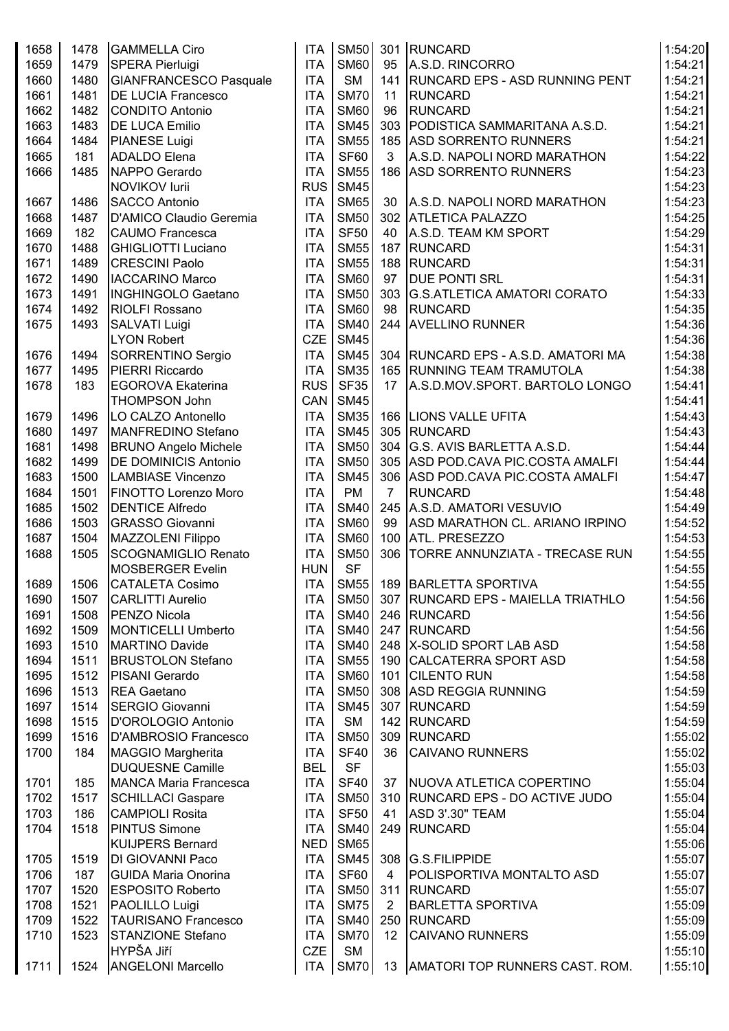| 1658 | 1478 | <b>GAMMELLA Ciro</b>         | <b>ITA</b> | <b>SM50</b> |                | 301 RUNCARD                           | 1:54:20 |
|------|------|------------------------------|------------|-------------|----------------|---------------------------------------|---------|
| 1659 | 1479 | <b>SPERA Pierluigi</b>       | <b>ITA</b> | <b>SM60</b> | 95             | A.S.D. RINCORRO                       | 1:54:21 |
| 1660 | 1480 | GIANFRANCESCO Pasquale       | <b>ITA</b> | <b>SM</b>   |                | 141 RUNCARD EPS - ASD RUNNING PENT    | 1:54:21 |
| 1661 | 1481 | <b>DE LUCIA Francesco</b>    | <b>ITA</b> | <b>SM70</b> | 11             | <b>RUNCARD</b>                        | 1:54:21 |
| 1662 | 1482 | <b>CONDITO Antonio</b>       | <b>ITA</b> | <b>SM60</b> | 96             | <b>RUNCARD</b>                        | 1:54:21 |
| 1663 | 1483 | <b>DE LUCA Emilio</b>        | <b>ITA</b> | <b>SM45</b> |                | 303 PODISTICA SAMMARITANA A.S.D.      | 1:54:21 |
| 1664 | 1484 | <b>PIANESE Luigi</b>         | <b>ITA</b> | <b>SM55</b> |                | 185 ASD SORRENTO RUNNERS              | 1:54:21 |
| 1665 | 181  | <b>ADALDO</b> Elena          | <b>ITA</b> | <b>SF60</b> | 3              | A.S.D. NAPOLI NORD MARATHON           | 1:54:22 |
| 1666 | 1485 | NAPPO Gerardo                | <b>ITA</b> | <b>SM55</b> |                | 186 ASD SORRENTO RUNNERS              | 1:54:23 |
|      |      | NOVIKOV lurii                | <b>RUS</b> | <b>SM45</b> |                |                                       | 1:54:23 |
| 1667 | 1486 | <b>SACCO Antonio</b>         | <b>ITA</b> | <b>SM65</b> | 30             | A.S.D. NAPOLI NORD MARATHON           | 1:54:23 |
| 1668 | 1487 | D'AMICO Claudio Geremia      | <b>ITA</b> | <b>SM50</b> |                | 302 ATLETICA PALAZZO                  | 1:54:25 |
| 1669 | 182  | <b>CAUMO Francesca</b>       | <b>ITA</b> | <b>SF50</b> | 40             | A.S.D. TEAM KM SPORT                  | 1:54:29 |
| 1670 | 1488 | <b>GHIGLIOTTI Luciano</b>    | <b>ITA</b> | <b>SM55</b> |                | 187 RUNCARD                           | 1:54:31 |
| 1671 | 1489 | <b>CRESCINI Paolo</b>        | <b>ITA</b> | <b>SM55</b> |                | 188 RUNCARD                           | 1:54:31 |
| 1672 | 1490 | <b>IACCARINO Marco</b>       | <b>ITA</b> | <b>SM60</b> | 97             | <b>DUE PONTI SRL</b>                  | 1:54:31 |
| 1673 | 1491 | <b>INGHINGOLO Gaetano</b>    | <b>ITA</b> | <b>SM50</b> |                | 303   G.S.ATLETICA AMATORI CORATO     | 1:54:33 |
| 1674 | 1492 | <b>RIOLFI Rossano</b>        | <b>ITA</b> | <b>SM60</b> | 98             | RUNCARD                               | 1:54:35 |
| 1675 | 1493 | SALVATI Luigi                | <b>ITA</b> | <b>SM40</b> |                | 244 AVELLINO RUNNER                   | 1:54:36 |
|      |      | LYON Robert                  | <b>CZE</b> | <b>SM45</b> |                |                                       | 1:54:36 |
| 1676 | 1494 | SORRENTINO Sergio            | <b>ITA</b> | <b>SM45</b> |                | 304   RUNCARD EPS - A.S.D. AMATORI MA | 1:54:38 |
| 1677 | 1495 | PIERRI Riccardo              | <b>ITA</b> | <b>SM35</b> |                | 165 RUNNING TEAM TRAMUTOLA            | 1:54:38 |
| 1678 | 183  | <b>EGOROVA Ekaterina</b>     | <b>RUS</b> | <b>SF35</b> | 17             | A.S.D.MOV.SPORT. BARTOLO LONGO        | 1:54:41 |
|      |      | <b>THOMPSON John</b>         | <b>CAN</b> | <b>SM45</b> |                |                                       | 1:54:41 |
| 1679 | 1496 | LO CALZO Antonello           | <b>ITA</b> | <b>SM35</b> |                | 166 LIONS VALLE UFITA                 | 1:54:43 |
| 1680 | 1497 | MANFREDINO Stefano           | <b>ITA</b> | <b>SM45</b> |                | 305 RUNCARD                           | 1:54:43 |
| 1681 | 1498 | <b>BRUNO Angelo Michele</b>  | <b>ITA</b> | <b>SM50</b> |                | 304 G.S. AVIS BARLETTA A.S.D.         | 1:54:44 |
| 1682 | 1499 | <b>DE DOMINICIS Antonio</b>  | <b>ITA</b> | <b>SM50</b> |                | 305 ASD POD.CAVA PIC.COSTA AMALFI     | 1:54:44 |
| 1683 | 1500 | <b>LAMBIASE Vincenzo</b>     | <b>ITA</b> | <b>SM45</b> |                | 306 ASD POD.CAVA PIC.COSTA AMALFI     | 1:54:47 |
| 1684 | 1501 | FINOTTO Lorenzo Moro         | <b>ITA</b> | <b>PM</b>   | $\overline{7}$ | <b>RUNCARD</b>                        | 1:54:48 |
| 1685 | 1502 | <b>DENTICE Alfredo</b>       | <b>ITA</b> | <b>SM40</b> |                | 245 A.S.D. AMATORI VESUVIO            | 1:54:49 |
| 1686 | 1503 | <b>GRASSO Giovanni</b>       | <b>ITA</b> | <b>SM60</b> | 99             | ASD MARATHON CL. ARIANO IRPINO        | 1:54:52 |
| 1687 | 1504 | MAZZOLENI Filippo            | <b>ITA</b> | <b>SM60</b> |                | 100 ATL. PRESEZZO                     | 1:54:53 |
| 1688 | 1505 | SCOGNAMIGLIO Renato          | <b>ITA</b> | <b>SM50</b> |                | 306   TORRE ANNUNZIATA - TRECASE RUN  | 1:54:55 |
|      |      | <b>MOSBERGER Evelin</b>      | <b>HUN</b> | <b>SF</b>   |                |                                       | 1:54:55 |
| 1689 | 1506 | <b>CATALETA Cosimo</b>       | ITA        |             |                | SM55   189   BARLETTA SPORTIVA        | 1:54:55 |
| 1690 | 1507 | <b>CARLITTI Aurelio</b>      | <b>ITA</b> | <b>SM50</b> |                | 307 RUNCARD EPS - MAIELLA TRIATHLO    | 1:54:56 |
| 1691 | 1508 | <b>PENZO Nicola</b>          | <b>ITA</b> | <b>SM40</b> |                | 246 RUNCARD                           | 1:54:56 |
| 1692 | 1509 | MONTICELLI Umberto           | <b>ITA</b> | <b>SM40</b> |                | 247 RUNCARD                           | 1:54:56 |
| 1693 | 1510 | <b>MARTINO Davide</b>        | <b>ITA</b> | <b>SM40</b> |                | 248 X-SOLID SPORT LAB ASD             | 1:54:58 |
| 1694 | 1511 | <b>BRUSTOLON Stefano</b>     | <b>ITA</b> | <b>SM55</b> |                | 190 CALCATERRA SPORT ASD              | 1:54:58 |
| 1695 | 1512 | <b>PISANI</b> Gerardo        | <b>ITA</b> | SM60        |                | 101 CILENTO RUN                       | 1:54:58 |
| 1696 | 1513 | <b>REA Gaetano</b>           | <b>ITA</b> | <b>SM50</b> |                | 308 ASD REGGIA RUNNING                | 1:54:59 |
| 1697 | 1514 | <b>SERGIO Giovanni</b>       | <b>ITA</b> | <b>SM45</b> |                | 307 RUNCARD                           | 1:54:59 |
| 1698 | 1515 | D'OROLOGIO Antonio           | <b>ITA</b> | <b>SM</b>   |                | 142 RUNCARD                           | 1:54:59 |
| 1699 | 1516 | D'AMBROSIO Francesco         | <b>ITA</b> | <b>SM50</b> |                | 309 RUNCARD                           | 1:55:02 |
| 1700 | 184  | MAGGIO Margherita            | <b>ITA</b> | <b>SF40</b> | 36             | <b>CAIVANO RUNNERS</b>                | 1:55:02 |
|      |      | <b>DUQUESNE Camille</b>      | <b>BEL</b> | <b>SF</b>   |                |                                       | 1:55:03 |
| 1701 | 185  | <b>MANCA Maria Francesca</b> | <b>ITA</b> | <b>SF40</b> |                | 37   NUOVA ATLETICA COPERTINO         | 1:55:04 |
| 1702 | 1517 | <b>SCHILLACI Gaspare</b>     | <b>ITA</b> | <b>SM50</b> |                | 310   RUNCARD EPS - DO ACTIVE JUDO    | 1:55:04 |
| 1703 | 186  | <b>CAMPIOLI Rosita</b>       | <b>ITA</b> | <b>SF50</b> | 41             | <b>ASD 3'.30" TEAM</b>                | 1:55:04 |
| 1704 | 1518 | <b>PINTUS Simone</b>         | <b>ITA</b> | <b>SM40</b> |                | 249 RUNCARD                           | 1:55:04 |
|      |      | <b>KUIJPERS Bernard</b>      | <b>NED</b> | <b>SM65</b> |                |                                       | 1:55:06 |
| 1705 | 1519 | DI GIOVANNI Paco             | <b>ITA</b> | <b>SM45</b> |                | 308 G.S.FILIPPIDE                     | 1:55:07 |
| 1706 | 187  | <b>GUIDA Maria Onorina</b>   | <b>ITA</b> | SF60        | $\overline{4}$ | <b>POLISPORTIVA MONTALTO ASD</b>      | 1:55:07 |
| 1707 | 1520 | <b>ESPOSITO Roberto</b>      | <b>ITA</b> | <b>SM50</b> |                | 311 RUNCARD                           | 1:55:07 |
| 1708 | 1521 | PAOLILLO Luigi               | <b>ITA</b> | <b>SM75</b> | 2              | <b>BARLETTA SPORTIVA</b>              | 1:55:09 |
| 1709 | 1522 | <b>TAURISANO Francesco</b>   | <b>ITA</b> | <b>SM40</b> |                | 250 RUNCARD                           | 1:55:09 |
| 1710 | 1523 | <b>STANZIONE Stefano</b>     | <b>ITA</b> | <b>SM70</b> | 12             | <b>CAIVANO RUNNERS</b>                | 1:55:09 |
|      |      | HYPŠA Jiří                   | <b>CZE</b> | <b>SM</b>   |                |                                       | 1:55:10 |
| 1711 | 1524 | <b>ANGELONI Marcello</b>     |            | ITA SM70    |                | 13   AMATORI TOP RUNNERS CAST. ROM.   | 1:55:10 |
|      |      |                              |            |             |                |                                       |         |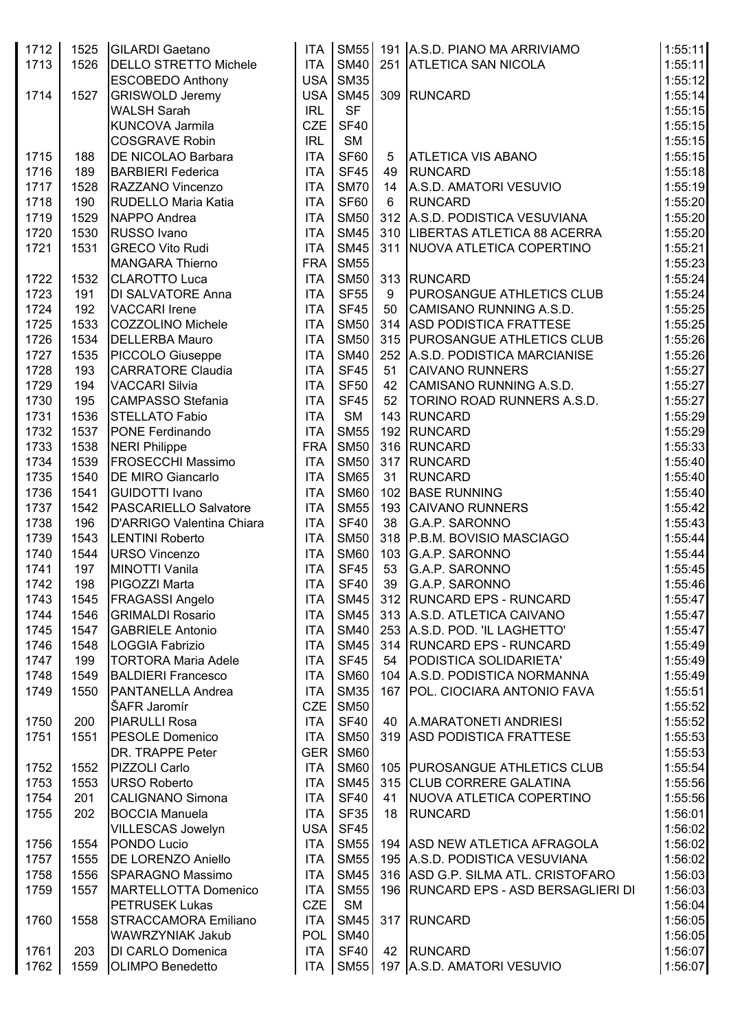| 1712         | 1525       | <b>GILARDI</b> Gaetano                            | <b>ITA</b>               | <b>SM55</b>                |          | 191 A.S.D. PIANO MA ARRIVIAMO                                | 1:55:11            |
|--------------|------------|---------------------------------------------------|--------------------------|----------------------------|----------|--------------------------------------------------------------|--------------------|
| 1713         | 1526       | <b>DELLO STRETTO Michele</b>                      | <b>ITA</b>               | <b>SM40</b>                |          | 251 ATLETICA SAN NICOLA                                      | 1:55:11            |
|              |            | <b>ESCOBEDO Anthony</b>                           | USA                      | <b>SM35</b>                |          |                                                              | 1:55:12            |
| 1714         | 1527       | <b>GRISWOLD Jeremy</b>                            | USA                      | <b>SM45</b>                |          | 309 RUNCARD                                                  | 1:55:14            |
|              |            | <b>WALSH Sarah</b>                                | <b>IRL</b>               | <b>SF</b>                  |          |                                                              | 1:55:15            |
|              |            | KUNCOVA Jarmila                                   | <b>CZE</b>               | <b>SF40</b>                |          |                                                              | 1:55:15            |
|              |            | <b>COSGRAVE Robin</b>                             | <b>IRL</b>               | <b>SM</b>                  |          |                                                              | 1:55:15            |
| 1715         | 188        | <b>DE NICOLAO Barbara</b>                         | <b>ITA</b>               | <b>SF60</b>                | 5        | <b>ATLETICA VIS ABANO</b>                                    | 1:55:15            |
| 1716         | 189        | <b>BARBIERI Federica</b>                          | <b>ITA</b>               | <b>SF45</b>                | 49       | <b>RUNCARD</b>                                               | 1:55:18            |
| 1717         | 1528       | RAZZANO Vincenzo                                  | <b>ITA</b>               | <b>SM70</b>                | 14       | A.S.D. AMATORI VESUVIO                                       | 1:55:19            |
| 1718         | 190        | RUDELLO Maria Katia                               | <b>ITA</b>               | <b>SF60</b>                | 6        | <b>RUNCARD</b>                                               | 1:55:20            |
| 1719         | 1529       | NAPPO Andrea                                      | <b>ITA</b>               | <b>SM50</b>                |          | 312 A.S.D. PODISTICA VESUVIANA                               | 1:55:20            |
| 1720         | 1530       | RUSSO Ivano                                       | <b>ITA</b>               | <b>SM45</b>                |          | 310   LIBERTAS ATLETICA 88 ACERRA                            | 1:55:20            |
| 1721         | 1531       | <b>GRECO Vito Rudi</b>                            | <b>ITA</b>               | <b>SM45</b>                |          | 311 NUOVA ATLETICA COPERTINO                                 | 1:55:21            |
|              |            | <b>MANGARA Thierno</b>                            | <b>FRA</b>               | <b>SM55</b>                |          |                                                              | 1:55:23            |
| 1722         | 1532       | <b>CLAROTTO Luca</b>                              | <b>ITA</b>               | <b>SM50</b>                |          | 313 RUNCARD                                                  | 1:55:24            |
| 1723         | 191        | DI SALVATORE Anna                                 | <b>ITA</b>               | <b>SF55</b>                | 9        | <b>PUROSANGUE ATHLETICS CLUB</b>                             | 1:55:24            |
| 1724         | 192        | <b>VACCARI Irene</b>                              | <b>ITA</b>               | <b>SF45</b>                | 50       | CAMISANO RUNNING A.S.D.                                      | 1:55:25            |
| 1725         | 1533       | <b>COZZOLINO Michele</b>                          | <b>ITA</b>               | <b>SM50</b>                |          | 314 ASD PODISTICA FRATTESE                                   | 1:55:25            |
| 1726         | 1534       | <b>DELLERBA Mauro</b>                             | <b>ITA</b>               | <b>SM50</b>                |          | 315 PUROSANGUE ATHLETICS CLUB                                | 1:55:26            |
| 1727         | 1535       | PICCOLO Giuseppe                                  | <b>ITA</b>               | <b>SM40</b>                |          | 252 A.S.D. PODISTICA MARCIANISE                              | 1:55:26            |
| 1728         | 193<br>194 | <b>CARRATORE Claudia</b><br><b>VACCARI Silvia</b> | <b>ITA</b><br><b>ITA</b> | <b>SF45</b><br><b>SF50</b> | 51<br>42 | <b>CAIVANO RUNNERS</b>                                       | 1:55:27            |
| 1729         | 195        | <b>CAMPASSO Stefania</b>                          | <b>ITA</b>               | <b>SF45</b>                | 52       | CAMISANO RUNNING A.S.D.<br><b>TORINO ROAD RUNNERS A.S.D.</b> | 1:55:27<br>1:55:27 |
| 1730<br>1731 | 1536       | <b>STELLATO Fabio</b>                             | <b>ITA</b>               | <b>SM</b>                  |          | 143 RUNCARD                                                  | 1:55:29            |
| 1732         | 1537       | PONE Ferdinando                                   | <b>ITA</b>               | <b>SM55</b>                |          | 192 RUNCARD                                                  | 1:55:29            |
| 1733         | 1538       | <b>NERI Philippe</b>                              | <b>FRA</b>               | <b>SM50</b>                |          | 316 RUNCARD                                                  | 1:55:33            |
| 1734         | 1539       | <b>FROSECCHI Massimo</b>                          | <b>ITA</b>               | <b>SM50</b>                |          | 317 RUNCARD                                                  | 1:55:40            |
| 1735         | 1540       | <b>DE MIRO Giancarlo</b>                          | <b>ITA</b>               | <b>SM65</b>                | 31       | <b>RUNCARD</b>                                               | 1:55:40            |
| 1736         | 1541       | <b>GUIDOTTI Ivano</b>                             | <b>ITA</b>               | <b>SM60</b>                |          | 102 BASE RUNNING                                             | 1:55:40            |
| 1737         | 1542       | PASCARIELLO Salvatore                             | <b>ITA</b>               | <b>SM55</b>                |          | 193 CAIVANO RUNNERS                                          | 1:55:42            |
| 1738         | 196        | D'ARRIGO Valentina Chiara                         | <b>ITA</b>               | <b>SF40</b>                | 38       | G.A.P. SARONNO                                               | 1:55:43            |
| 1739         | 1543       | <b>LENTINI Roberto</b>                            | <b>ITA</b>               | <b>SM50</b>                |          | 318 P.B.M. BOVISIO MASCIAGO                                  | 1:55:44            |
| 1740         | 1544       | URSO Vincenzo                                     | <b>ITA</b>               | <b>SM60</b>                |          | 103 G.A.P. SARONNO                                           | 1:55:44            |
| 1741         | 197        | <b>MINOTTI Vanila</b>                             | <b>ITA</b>               | <b>SF45</b>                | 53       | G.A.P. SARONNO                                               | 1:55:45            |
| 1742         | 198        | PIGOZZI Marta                                     | <b>ITA</b>               | <b>SF40</b>                | 39       | G.A.P. SARONNO                                               | 1:55:46            |
| 1743         | 1545       | <b>FRAGASSI Angelo</b>                            | <b>ITA</b>               | <b>SM45</b>                |          | 312 RUNCARD EPS - RUNCARD                                    | 1:55:47            |
| 1744         | 1546       | <b>GRIMALDI Rosario</b>                           | <b>ITA</b>               | <b>SM45</b>                |          | 313 A.S.D. ATLETICA CAIVANO                                  | 1:55:47            |
| 1745         | 1547       | <b>GABRIELE Antonio</b>                           | <b>ITA</b>               | <b>SM40</b>                |          | 253 A.S.D. POD. 'IL LAGHETTO'                                | 1:55:47            |
| 1746         | 1548       | <b>LOGGIA Fabrizio</b>                            | <b>ITA</b>               | <b>SM45</b>                |          | 314 RUNCARD EPS - RUNCARD                                    | 1:55:49            |
| 1747         | 199        | <b>TORTORA Maria Adele</b>                        | <b>ITA</b>               | <b>SF45</b>                | 54       | PODISTICA SOLIDARIETA'                                       | 1:55:49            |
| 1748         | 1549       | <b>BALDIERI Francesco</b>                         | <b>ITA</b>               | <b>SM60</b>                |          | 104 A.S.D. PODISTICA NORMANNA                                | 1:55:49            |
| 1749         | 1550       | PANTANELLA Andrea                                 | <b>ITA</b>               | <b>SM35</b>                |          | 167 POL. CIOCIARA ANTONIO FAVA                               | 1:55:51            |
|              |            | ŠAFR Jaromír                                      | <b>CZE</b>               | <b>SM50</b>                |          |                                                              | 1:55:52            |
| 1750         | 200        | <b>PIARULLI Rosa</b>                              | <b>ITA</b>               | <b>SF40</b>                | 40       | A.MARATONETI ANDRIESI                                        | 1:55:52            |
| 1751         | 1551       | <b>PESOLE Domenico</b>                            | <b>ITA</b>               | <b>SM50</b>                |          | 319 ASD PODISTICA FRATTESE                                   | 1:55:53            |
|              |            | DR. TRAPPE Peter                                  | GER <sup>I</sup>         | <b>SM60</b>                |          |                                                              | 1:55:53            |
| 1752         | 1552       | PIZZOLI Carlo                                     | <b>ITA</b>               | <b>SM60</b>                |          | 105 PUROSANGUE ATHLETICS CLUB                                | 1:55:54            |
| 1753         | 1553       | <b>URSO Roberto</b>                               | <b>ITA</b>               | <b>SM45</b>                |          | 315 CLUB CORRERE GALATINA                                    | 1:55:56            |
| 1754         | 201        | <b>CALIGNANO Simona</b>                           | <b>ITA</b>               | <b>SF40</b>                | 41       | NUOVA ATLETICA COPERTINO                                     | 1:55:56            |
| 1755         | 202        | <b>BOCCIA Manuela</b>                             | <b>ITA</b>               | <b>SF35</b>                | 18       | <b>RUNCARD</b>                                               | 1:56:01            |
|              |            | VILLESCAS Jowelyn                                 | <b>USA</b>               | <b>SF45</b>                |          |                                                              | 1:56:02            |
| 1756         | 1554       | PONDO Lucio                                       | <b>ITA</b>               | <b>SM55</b>                |          | 194 ASD NEW ATLETICA AFRAGOLA                                | 1:56:02            |
| 1757         | 1555       | <b>DE LORENZO Aniello</b>                         | <b>ITA</b>               | <b>SM55</b>                |          | 195 A.S.D. PODISTICA VESUVIANA                               | 1:56:02            |
| 1758         | 1556       | <b>SPARAGNO Massimo</b>                           | <b>ITA</b>               | <b>SM45</b>                |          | 316 ASD G.P. SILMA ATL. CRISTOFARO                           | 1:56:03            |
| 1759         | 1557       | <b>MARTELLOTTA Domenico</b>                       | <b>ITA</b>               | <b>SM55</b>                |          | 196 RUNCARD EPS - ASD BERSAGLIERI DI                         | 1:56:03            |
|              |            | <b>PETRUSEK Lukas</b>                             | <b>CZE</b>               | <b>SM</b>                  |          |                                                              | 1:56:04            |
| 1760         | 1558       | <b>STRACCAMORA Emiliano</b>                       | <b>ITA</b>               | <b>SM45</b>                |          | 317 RUNCARD                                                  | 1:56:05            |
|              |            | WAWRZYNIAK Jakub                                  | POL                      | <b>SM40</b>                |          |                                                              | 1:56:05            |
| 1761         | 203        | DI CARLO Domenica                                 | <b>ITA</b>               | <b>SF40</b>                |          | 42 RUNCARD                                                   | 1:56:07            |
| 1762         | 1559       | <b>OLIMPO Benedetto</b>                           |                          |                            |          | ITA SM55 197 A.S.D. AMATORI VESUVIO                          | 1:56:07            |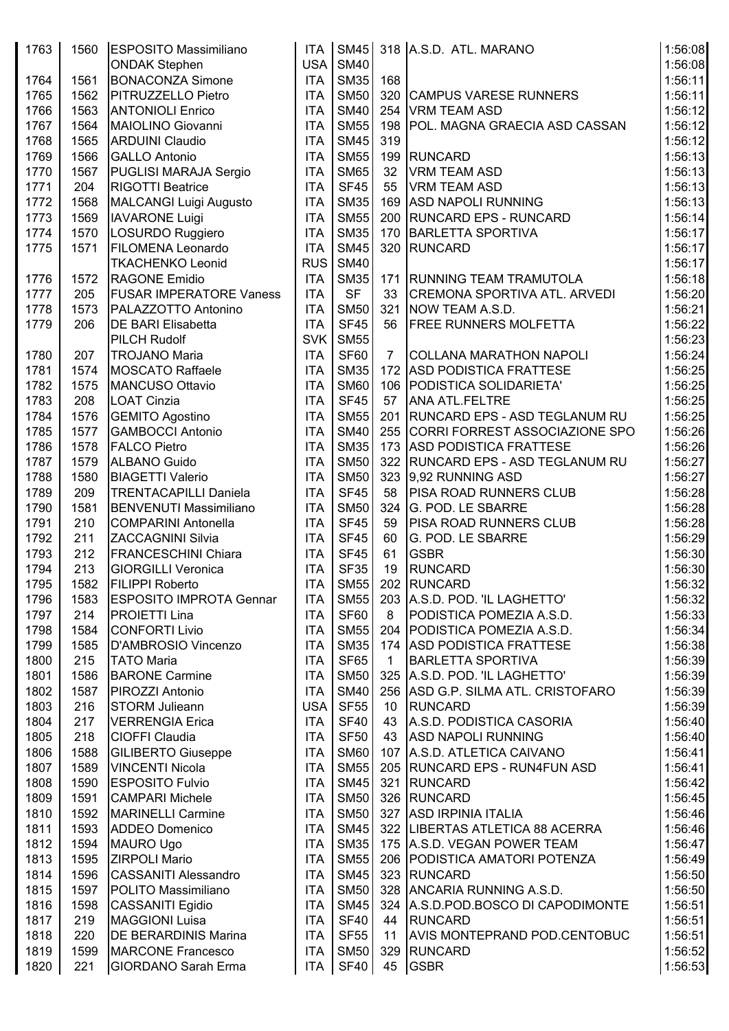| 1763 | 1560 | <b>ESPOSITO Massimiliano</b>   | <b>ITA</b> |             |                 | SM45 318 A.S.D. ATL. MARANO         | 1:56:08 |
|------|------|--------------------------------|------------|-------------|-----------------|-------------------------------------|---------|
|      |      | <b>ONDAK Stephen</b>           | USA        | <b>SM40</b> |                 |                                     | 1:56:08 |
| 1764 | 1561 | <b>BONACONZA Simone</b>        | <b>ITA</b> | SM35        | 168             |                                     | 1:56:11 |
| 1765 | 1562 | PITRUZZELLO Pietro             | <b>ITA</b> | <b>SM50</b> |                 | 320 CAMPUS VARESE RUNNERS           | 1:56:11 |
| 1766 | 1563 | <b>ANTONIOLI Enrico</b>        | <b>ITA</b> | <b>SM40</b> |                 | 254 VRM TEAM ASD                    | 1:56:12 |
| 1767 | 1564 | MAIOLINO Giovanni              | <b>ITA</b> | <b>SM55</b> |                 | 198   POL. MAGNA GRAECIA ASD CASSAN | 1:56:12 |
| 1768 | 1565 | <b>ARDUINI Claudio</b>         | <b>ITA</b> | <b>SM45</b> | 319             |                                     | 1:56:12 |
| 1769 | 1566 | <b>GALLO Antonio</b>           | <b>ITA</b> | <b>SM55</b> |                 | 199 RUNCARD                         | 1:56:13 |
| 1770 | 1567 | PUGLISI MARAJA Sergio          | <b>ITA</b> | <b>SM65</b> | 32              | VRM TEAM ASD                        | 1:56:13 |
| 1771 | 204  | <b>RIGOTTI Beatrice</b>        | <b>ITA</b> | <b>SF45</b> | 55              | VRM TEAM ASD                        | 1:56:13 |
| 1772 | 1568 | MALCANGI Luigi Augusto         | <b>ITA</b> | <b>SM35</b> |                 | 169 ASD NAPOLI RUNNING              | 1:56:13 |
| 1773 | 1569 | <b>IAVARONE Luigi</b>          | <b>ITA</b> | <b>SM55</b> |                 | 200 RUNCARD EPS - RUNCARD           | 1:56:14 |
| 1774 | 1570 | LOSURDO Ruggiero               | <b>ITA</b> | <b>SM35</b> |                 | 170 BARLETTA SPORTIVA               | 1:56:17 |
| 1775 | 1571 |                                | <b>ITA</b> | <b>SM45</b> |                 | 320 RUNCARD                         | 1:56:17 |
|      |      | <b>FILOMENA Leonardo</b>       |            |             |                 |                                     |         |
|      |      | <b>TKACHENKO Leonid</b>        | <b>RUS</b> | <b>SM40</b> |                 |                                     | 1:56:17 |
| 1776 | 1572 | <b>RAGONE Emidio</b>           | <b>ITA</b> | <b>SM35</b> |                 | 171 RUNNING TEAM TRAMUTOLA          | 1:56:18 |
| 1777 | 205  | <b>FUSAR IMPERATORE Vaness</b> | <b>ITA</b> | <b>SF</b>   | 33              | CREMONA SPORTIVA ATL. ARVEDI        | 1:56:20 |
| 1778 | 1573 | PALAZZOTTO Antonino            | <b>ITA</b> | <b>SM50</b> |                 | 321 NOW TEAM A.S.D.                 | 1:56:21 |
| 1779 | 206  | <b>DE BARI Elisabetta</b>      | <b>ITA</b> | <b>SF45</b> | 56              | <b>FREE RUNNERS MOLFETTA</b>        | 1:56:22 |
|      |      | <b>PILCH Rudolf</b>            | <b>SVK</b> | <b>SM55</b> |                 |                                     | 1:56:23 |
| 1780 | 207  | <b>TROJANO Maria</b>           | <b>ITA</b> | SF60        | $\overline{7}$  | <b>COLLANA MARATHON NAPOLI</b>      | 1:56:24 |
| 1781 | 1574 | <b>MOSCATO Raffaele</b>        | <b>ITA</b> | <b>SM35</b> |                 | 172 ASD PODISTICA FRATTESE          | 1:56:25 |
| 1782 | 1575 | <b>MANCUSO Ottavio</b>         | <b>ITA</b> | <b>SM60</b> |                 | 106 PODISTICA SOLIDARIETA'          | 1:56:25 |
| 1783 | 208  | <b>LOAT Cinzia</b>             | <b>ITA</b> | <b>SF45</b> | 57              | <b>ANA ATL.FELTRE</b>               | 1:56:25 |
| 1784 | 1576 | <b>GEMITO Agostino</b>         | <b>ITA</b> | <b>SM55</b> |                 | 201   RUNCARD EPS - ASD TEGLANUM RU | 1:56:25 |
| 1785 | 1577 | <b>GAMBOCCI Antonio</b>        | <b>ITA</b> | <b>SM40</b> |                 | 255 CORRI FORREST ASSOCIAZIONE SPO  | 1:56:26 |
| 1786 | 1578 | <b>FALCO Pietro</b>            | <b>ITA</b> | <b>SM35</b> |                 | 173 ASD PODISTICA FRATTESE          | 1:56:26 |
| 1787 | 1579 | ALBANO Guido                   | <b>ITA</b> | <b>SM50</b> |                 | 322 RUNCARD EPS - ASD TEGLANUM RU   | 1:56:27 |
| 1788 | 1580 | <b>BIAGETTI Valerio</b>        | <b>ITA</b> | <b>SM50</b> |                 | 323 9,92 RUNNING ASD                | 1:56:27 |
| 1789 | 209  | <b>TRENTACAPILLI Daniela</b>   | <b>ITA</b> | <b>SF45</b> | 58              | <b>PISA ROAD RUNNERS CLUB</b>       | 1:56:28 |
| 1790 | 1581 | <b>BENVENUTI Massimiliano</b>  | <b>ITA</b> | <b>SM50</b> |                 | 324 G. POD. LE SBARRE               | 1:56:28 |
| 1791 | 210  | <b>COMPARINI Antonella</b>     | <b>ITA</b> | <b>SF45</b> | 59              | <b>PISA ROAD RUNNERS CLUB</b>       | 1:56:28 |
| 1792 | 211  | ZACCAGNINI Silvia              | <b>ITA</b> | <b>SF45</b> | 60              | G. POD. LE SBARRE                   | 1:56:29 |
| 1793 | 212  | <b>FRANCESCHINI Chiara</b>     | <b>ITA</b> | <b>SF45</b> | 61              | <b>GSBR</b>                         | 1:56:30 |
| 1794 | 213  | <b>GIORGILLI Veronica</b>      | <b>ITA</b> | <b>SF35</b> | 19              | <b>RUNCARD</b>                      | 1:56:30 |
| 1795 | 1582 | <b>FILIPPI Roberto</b>         | <b>ITA</b> |             |                 | SM55 202 RUNCARD                    | 1:56:32 |
| 1796 | 1583 | <b>ESPOSITO IMPROTA Gennar</b> | <b>ITA</b> | <b>SM55</b> |                 | 203 A.S.D. POD. 'IL LAGHETTO'       | 1:56:32 |
| 1797 | 214  | <b>PROIETTI Lina</b>           | <b>ITA</b> | <b>SF60</b> | 8               | PODISTICA POMEZIA A.S.D.            | 1:56:33 |
| 1798 | 1584 | <b>CONFORTI Livio</b>          | <b>ITA</b> | <b>SM55</b> |                 | 204   PODISTICA POMEZIA A.S.D.      | 1:56:34 |
| 1799 | 1585 | D'AMBROSIO Vincenzo            | <b>ITA</b> | <b>SM35</b> |                 | 174 ASD PODISTICA FRATTESE          | 1:56:38 |
|      |      |                                |            |             |                 |                                     |         |
| 1800 | 215  | <b>TATO Maria</b>              | <b>ITA</b> | <b>SF65</b> | $\mathbf{1}$    | <b>BARLETTA SPORTIVA</b>            | 1:56:39 |
| 1801 | 1586 | <b>BARONE Carmine</b>          | <b>ITA</b> | <b>SM50</b> |                 | 325   A.S.D. POD. 'IL LAGHETTO'     | 1:56:39 |
| 1802 | 1587 | PIROZZI Antonio                | <b>ITA</b> | <b>SM40</b> |                 | 256 ASD G.P. SILMA ATL. CRISTOFARO  | 1:56:39 |
| 1803 | 216  | <b>STORM Julieann</b>          | USA        | <b>SF55</b> | 10 <sup>°</sup> | RUNCARD                             | 1:56:39 |
| 1804 | 217  | <b>VERRENGIA Erica</b>         | <b>ITA</b> | <b>SF40</b> | 43              | A.S.D. PODISTICA CASORIA            | 1:56:40 |
| 1805 | 218  | <b>CIOFFI Claudia</b>          | <b>ITA</b> | <b>SF50</b> |                 | 43 ASD NAPOLI RUNNING               | 1:56:40 |
| 1806 | 1588 | <b>GILIBERTO Giuseppe</b>      | <b>ITA</b> | <b>SM60</b> |                 | 107   A.S.D. ATLETICA CAIVANO       | 1:56:41 |
| 1807 | 1589 | <b>VINCENTI Nicola</b>         | <b>ITA</b> | <b>SM55</b> |                 | 205 RUNCARD EPS - RUN4FUN ASD       | 1:56:41 |
| 1808 | 1590 | <b>ESPOSITO Fulvio</b>         | <b>ITA</b> | <b>SM45</b> |                 | 321 RUNCARD                         | 1:56:42 |
| 1809 | 1591 | <b>CAMPARI Michele</b>         | <b>ITA</b> | <b>SM50</b> |                 | 326 RUNCARD                         | 1:56:45 |
| 1810 | 1592 | <b>MARINELLI Carmine</b>       | <b>ITA</b> | <b>SM50</b> |                 | 327 ASD IRPINIA ITALIA              | 1:56:46 |
| 1811 | 1593 | <b>ADDEO Domenico</b>          | <b>ITA</b> | <b>SM45</b> |                 | 322   LIBERTAS ATLETICA 88 ACERRA   | 1:56:46 |
| 1812 | 1594 | <b>MAURO Ugo</b>               | <b>ITA</b> | <b>SM35</b> |                 | 175 A.S.D. VEGAN POWER TEAM         | 1:56:47 |
| 1813 | 1595 | <b>ZIRPOLI Mario</b>           | <b>ITA</b> | <b>SM55</b> |                 | 206   PODISTICA AMATORI POTENZA     | 1:56:49 |
| 1814 | 1596 | <b>CASSANITI Alessandro</b>    | <b>ITA</b> | <b>SM45</b> |                 | 323 RUNCARD                         | 1:56:50 |
| 1815 | 1597 | POLITO Massimiliano            | <b>ITA</b> | <b>SM50</b> |                 | 328 ANCARIA RUNNING A.S.D.          | 1:56:50 |
| 1816 | 1598 | CASSANITI Egidio               | <b>ITA</b> | <b>SM45</b> |                 | 324 A.S.D.POD.BOSCO DI CAPODIMONTE  | 1:56:51 |
| 1817 | 219  | <b>MAGGIONI Luisa</b>          | <b>ITA</b> | <b>SF40</b> |                 | 44 RUNCARD                          | 1:56:51 |
| 1818 | 220  | <b>DE BERARDINIS Marina</b>    | <b>ITA</b> | <b>SF55</b> | 11              | AVIS MONTEPRAND POD CENTOBUC        | 1:56:51 |
| 1819 | 1599 | <b>MARCONE Francesco</b>       | <b>ITA</b> | <b>SM50</b> |                 | 329 RUNCARD                         | 1:56:52 |
| 1820 | 221  | <b>GIORDANO Sarah Erma</b>     | <b>ITA</b> | <b>SF40</b> |                 | 45 GSBR                             | 1:56:53 |
|      |      |                                |            |             |                 |                                     |         |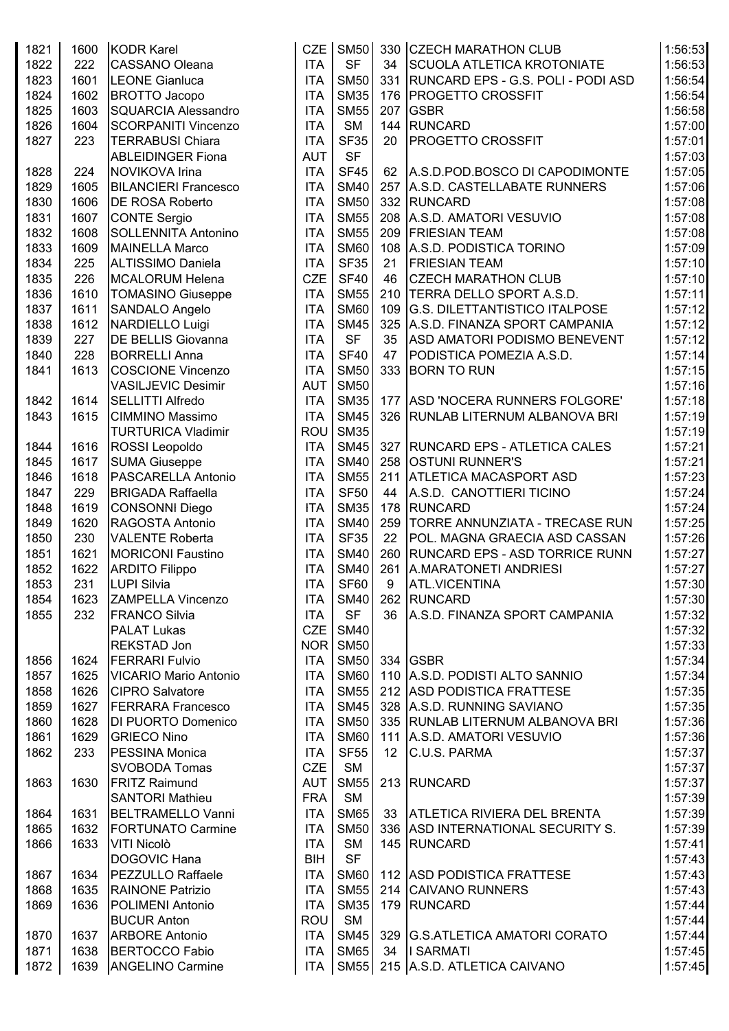| 1821 | 1600 | <b>KODR Karel</b>            | <b>CZE</b> | <b>SM50</b> |     | 330 CZECH MARATHON CLUB                  | 1:56:53 |
|------|------|------------------------------|------------|-------------|-----|------------------------------------------|---------|
| 1822 | 222  | <b>CASSANO Oleana</b>        | <b>ITA</b> | <b>SF</b>   | 34  | <b>SCUOLA ATLETICA KROTONIATE</b>        | 1:56:53 |
| 1823 | 1601 | LEONE Gianluca               | <b>ITA</b> | <b>SM50</b> |     | 331   RUNCARD EPS - G.S. POLI - PODI ASD | 1:56:54 |
| 1824 | 1602 | <b>BROTTO Jacopo</b>         | <b>ITA</b> | <b>SM35</b> | 176 | <b>PROGETTO CROSSFIT</b>                 | 1:56:54 |
| 1825 | 1603 | SQUARCIA Alessandro          | <b>ITA</b> | <b>SM55</b> | 207 | <b>GSBR</b>                              | 1:56:58 |
| 1826 | 1604 | <b>SCORPANITI Vincenzo</b>   | <b>ITA</b> | <b>SM</b>   |     | 144 RUNCARD                              | 1:57:00 |
| 1827 | 223  | <b>TERRABUSI Chiara</b>      | ITA        | <b>SF35</b> | 20  | <b>PROGETTO CROSSFIT</b>                 | 1:57:01 |
|      |      | <b>ABLEIDINGER Fiona</b>     | <b>AUT</b> | <b>SF</b>   |     |                                          | 1:57:03 |
| 1828 | 224  | NOVIKOVA Irina               | <b>ITA</b> | <b>SF45</b> | 62  | A.S.D.POD.BOSCO DI CAPODIMONTE           | 1:57:05 |
| 1829 | 1605 | <b>BILANCIERI Francesco</b>  | <b>ITA</b> | <b>SM40</b> |     | 257 A.S.D. CASTELLABATE RUNNERS          | 1:57:06 |
| 1830 | 1606 | <b>DE ROSA Roberto</b>       | <b>ITA</b> | <b>SM50</b> |     | 332 RUNCARD                              | 1:57:08 |
| 1831 | 1607 | <b>CONTE Sergio</b>          | <b>ITA</b> | <b>SM55</b> |     | 208 A.S.D. AMATORI VESUVIO               | 1:57:08 |
| 1832 | 1608 | <b>SOLLENNITA Antonino</b>   | <b>ITA</b> | <b>SM55</b> |     | 209 FRIESIAN TEAM                        | 1:57:08 |
| 1833 | 1609 | <b>MAINELLA Marco</b>        | <b>ITA</b> | <b>SM60</b> |     | 108 A.S.D. PODISTICA TORINO              | 1:57:09 |
| 1834 | 225  | <b>ALTISSIMO Daniela</b>     | <b>ITA</b> | <b>SF35</b> | 21  | <b>FRIESIAN TEAM</b>                     | 1:57:10 |
| 1835 | 226  | MCALORUM Helena              | <b>CZE</b> | <b>SF40</b> | 46  | <b>CZECH MARATHON CLUB</b>               | 1:57:10 |
| 1836 | 1610 | <b>TOMASINO Giuseppe</b>     | <b>ITA</b> | <b>SM55</b> |     | 210 TERRA DELLO SPORT A.S.D.             | 1:57:11 |
| 1837 | 1611 | SANDALO Angelo               | <b>ITA</b> | <b>SM60</b> |     | 109 G.S. DILETTANTISTICO ITALPOSE        | 1:57:12 |
| 1838 | 1612 | NARDIELLO Luigi              | <b>ITA</b> | <b>SM45</b> |     | 325 A.S.D. FINANZA SPORT CAMPANIA        | 1:57:12 |
| 1839 | 227  | <b>DE BELLIS Giovanna</b>    | <b>ITA</b> | <b>SF</b>   | 35  | ASD AMATORI PODISMO BENEVENT             | 1:57:12 |
| 1840 | 228  | <b>BORRELLI Anna</b>         | <b>ITA</b> | <b>SF40</b> | 47  | PODISTICA POMEZIA A.S.D.                 | 1:57:14 |
| 1841 | 1613 | <b>COSCIONE Vincenzo</b>     | <b>ITA</b> | <b>SM50</b> |     | 333 BORN TO RUN                          | 1:57:15 |
|      |      | <b>VASILJEVIC Desimir</b>    | <b>AUT</b> | <b>SM50</b> |     |                                          | 1:57:16 |
| 1842 | 1614 | <b>SELLITTI Alfredo</b>      | <b>ITA</b> | <b>SM35</b> |     | 177 ASD 'NOCERA RUNNERS FOLGORE'         | 1:57:18 |
| 1843 | 1615 | <b>CIMMINO Massimo</b>       | <b>ITA</b> | <b>SM45</b> |     | 326 RUNLAB LITERNUM ALBANOVA BRI         | 1:57:19 |
|      |      | <b>TURTURICA Vladimir</b>    | <b>ROU</b> | <b>SM35</b> |     |                                          | 1:57:19 |
| 1844 | 1616 | ROSSI Leopoldo               | <b>ITA</b> | <b>SM45</b> |     | 327   RUNCARD EPS - ATLETICA CALES       | 1:57:21 |
| 1845 | 1617 | <b>SUMA Giuseppe</b>         | <b>ITA</b> | <b>SM40</b> |     | 258 OSTUNI RUNNER'S                      | 1:57:21 |
| 1846 | 1618 | <b>PASCARELLA Antonio</b>    | <b>ITA</b> | <b>SM55</b> |     | 211 ATLETICA MACASPORT ASD               | 1:57:23 |
| 1847 | 229  | <b>BRIGADA Raffaella</b>     | <b>ITA</b> | <b>SF50</b> | 44  | A.S.D. CANOTTIERI TICINO                 | 1:57:24 |
| 1848 | 1619 | CONSONNI Diego               | <b>ITA</b> | <b>SM35</b> |     | 178 RUNCARD                              | 1:57:24 |
| 1849 | 1620 | RAGOSTA Antonio              | <b>ITA</b> | <b>SM40</b> |     | 259   TORRE ANNUNZIATA - TRECASE RUN     | 1:57:25 |
| 1850 | 230  | <b>VALENTE Roberta</b>       | <b>ITA</b> | <b>SF35</b> | 22  | POL. MAGNA GRAECIA ASD CASSAN            | 1:57:26 |
| 1851 | 1621 | <b>MORICONI Faustino</b>     | <b>ITA</b> | <b>SM40</b> |     | 260 RUNCARD EPS - ASD TORRICE RUNN       | 1:57:27 |
| 1852 | 1622 | <b>ARDITO Filippo</b>        | <b>ITA</b> | <b>SM40</b> | 261 | A.MARATONETI ANDRIESI                    | 1:57:27 |
| 1853 | 231  | LUPI Silvia                  | <b>ITA</b> | <b>SF60</b> | 9   | <b>ATL.VICENTINA</b>                     | 1:57:30 |
| 1854 | 1623 | <b>ZAMPELLA Vincenzo</b>     | <b>ITA</b> | <b>SM40</b> |     | 262 RUNCARD                              | 1:57:30 |
| 1855 | 232  | <b>FRANCO Silvia</b>         | <b>ITA</b> | <b>SF</b>   |     | 36 A.S.D. FINANZA SPORT CAMPANIA         | 1:57:32 |
|      |      | <b>PALAT Lukas</b>           |            | $CZE$ SM40  |     |                                          | 1:57:32 |
|      |      | <b>REKSTAD Jon</b>           |            | NOR SM50    |     |                                          | 1:57:33 |
| 1856 | 1624 | <b>FERRARI Fulvio</b>        | <b>ITA</b> | <b>SM50</b> |     | 334 GSBR                                 | 1:57:34 |
| 1857 | 1625 | <b>VICARIO Mario Antonio</b> | <b>ITA</b> | <b>SM60</b> |     | 110 A.S.D. PODISTI ALTO SANNIO           | 1:57:34 |
| 1858 | 1626 | <b>CIPRO Salvatore</b>       | <b>ITA</b> | <b>SM55</b> |     | 212 ASD PODISTICA FRATTESE               | 1:57:35 |
| 1859 | 1627 | <b>FERRARA Francesco</b>     | <b>ITA</b> | <b>SM45</b> |     | 328 A.S.D. RUNNING SAVIANO               | 1:57:35 |
| 1860 | 1628 | <b>DI PUORTO Domenico</b>    | <b>ITA</b> | <b>SM50</b> |     | 335 RUNLAB LITERNUM ALBANOVA BRI         | 1:57:36 |
| 1861 | 1629 | <b>GRIECO Nino</b>           | <b>ITA</b> | <b>SM60</b> |     | 111 A.S.D. AMATORI VESUVIO               | 1:57:36 |
| 1862 | 233  | PESSINA Monica               | <b>ITA</b> | <b>SF55</b> | 12  | C.U.S. PARMA                             | 1:57:37 |
|      |      | SVOBODA Tomas                | CZE        | <b>SM</b>   |     |                                          | 1:57:37 |
| 1863 | 1630 | <b>FRITZ Raimund</b>         | <b>AUT</b> | <b>SM55</b> |     | 213 RUNCARD                              | 1:57:37 |
|      |      |                              |            |             |     |                                          |         |
|      |      | <b>SANTORI Mathieu</b>       | <b>FRA</b> | <b>SM</b>   |     |                                          | 1:57:39 |
| 1864 | 1631 | <b>BELTRAMELLO Vanni</b>     | <b>ITA</b> | <b>SM65</b> |     | 33 ATLETICA RIVIERA DEL BRENTA           | 1:57:39 |
| 1865 | 1632 | <b>FORTUNATO Carmine</b>     | <b>ITA</b> | <b>SM50</b> |     | 336 ASD INTERNATIONAL SECURITY S.        | 1:57:39 |
| 1866 | 1633 | <b>VITI Nicolò</b>           | <b>ITA</b> | <b>SM</b>   |     | 145 RUNCARD                              | 1:57:41 |
|      |      | DOGOVIC Hana                 | <b>BIH</b> | <b>SF</b>   |     |                                          | 1:57:43 |
| 1867 | 1634 | <b>PEZZULLO Raffaele</b>     | <b>ITA</b> | <b>SM60</b> |     | 112 ASD PODISTICA FRATTESE               | 1:57:43 |
| 1868 | 1635 | <b>RAINONE Patrizio</b>      | <b>ITA</b> | <b>SM55</b> |     | 214 CAIVANO RUNNERS                      | 1:57:43 |
| 1869 | 1636 | <b>POLIMENI Antonio</b>      | <b>ITA</b> | <b>SM35</b> |     | 179 RUNCARD                              | 1:57:44 |
|      |      | <b>BUCUR Anton</b>           | ROU        | <b>SM</b>   |     |                                          | 1:57:44 |
| 1870 | 1637 | <b>ARBORE Antonio</b>        | <b>ITA</b> |             |     | SM45 329 G.S.ATLETICA AMATORI CORATO     | 1:57:44 |
| 1871 | 1638 | <b>BERTOCCO Fabio</b>        | <b>ITA</b> | <b>SM65</b> |     | 34  I SARMATI                            | 1:57:45 |
| 1872 | 1639 | <b>ANGELINO Carmine</b>      |            |             |     | ITA SM55 215 A.S.D. ATLETICA CAIVANO     | 1:57:45 |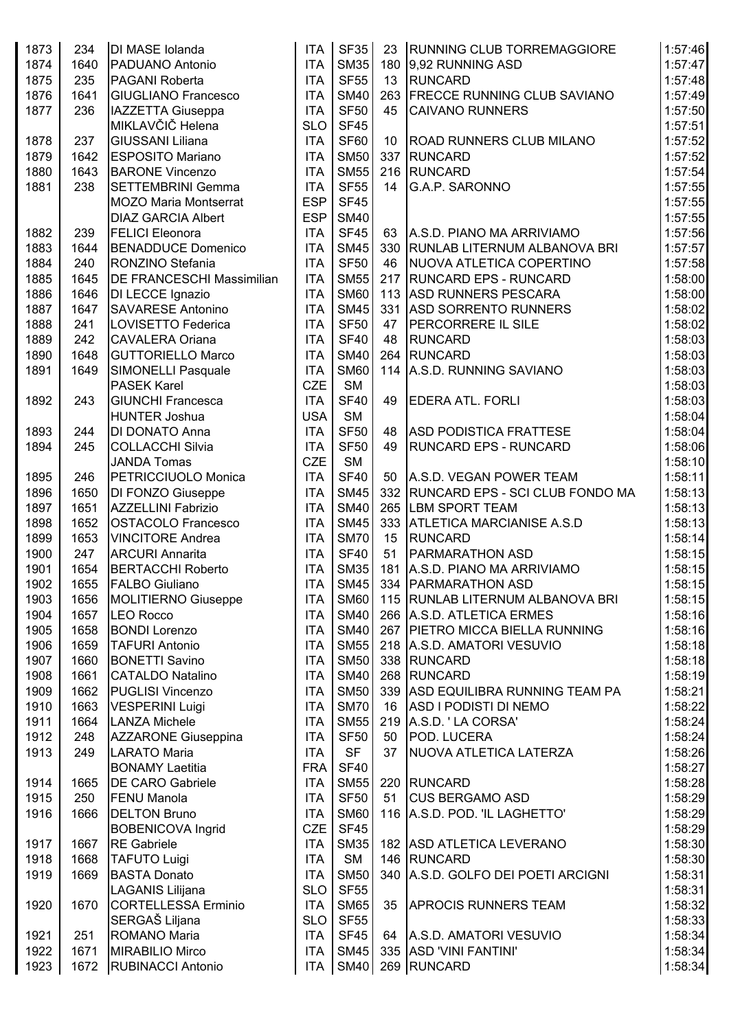| 1873 | 234  | DI MASE Iolanda              | <b>ITA</b> | <b>SF35</b> | 23 | <b>RUNNING CLUB TORREMAGGIORE</b>   | 1:57:46 |
|------|------|------------------------------|------------|-------------|----|-------------------------------------|---------|
| 1874 | 1640 | PADUANO Antonio              | <b>ITA</b> | <b>SM35</b> |    | 180 9,92 RUNNING ASD                | 1:57:47 |
| 1875 | 235  | <b>PAGANI Roberta</b>        | <b>ITA</b> | <b>SF55</b> | 13 | <b>RUNCARD</b>                      | 1:57:48 |
| 1876 | 1641 | <b>GIUGLIANO Francesco</b>   | <b>ITA</b> | <b>SM40</b> |    | 263 FRECCE RUNNING CLUB SAVIANO     | 1:57:49 |
| 1877 | 236  | IAZZETTA Giuseppa            | <b>ITA</b> | <b>SF50</b> | 45 | <b>CAIVANO RUNNERS</b>              | 1:57:50 |
|      |      | MIKLAVČIČ Helena             | <b>SLO</b> | <b>SF45</b> |    |                                     | 1:57:51 |
| 1878 | 237  | <b>GIUSSANI Liliana</b>      | <b>ITA</b> | <b>SF60</b> | 10 | <b>ROAD RUNNERS CLUB MILANO</b>     | 1:57:52 |
| 1879 | 1642 | <b>ESPOSITO Mariano</b>      | <b>ITA</b> | <b>SM50</b> |    | 337 RUNCARD                         | 1:57:52 |
| 1880 | 1643 | <b>BARONE Vincenzo</b>       | <b>ITA</b> | <b>SM55</b> |    | 216 RUNCARD                         | 1:57:54 |
| 1881 | 238  | <b>SETTEMBRINI Gemma</b>     | <b>ITA</b> | <b>SF55</b> | 14 | G.A.P. SARONNO                      | 1:57:55 |
|      |      | <b>MOZO Maria Montserrat</b> | <b>ESP</b> | <b>SF45</b> |    |                                     | 1:57:55 |
|      |      | <b>DIAZ GARCIA Albert</b>    | <b>ESP</b> | <b>SM40</b> |    |                                     | 1:57:55 |
| 1882 | 239  | <b>FELICI Eleonora</b>       | <b>ITA</b> | <b>SF45</b> | 63 | A.S.D. PIANO MA ARRIVIAMO           | 1:57:56 |
| 1883 | 1644 | <b>BENADDUCE Domenico</b>    | <b>ITA</b> | <b>SM45</b> |    | 330   RUNLAB LITERNUM ALBANOVA BRI  | 1:57:57 |
| 1884 | 240  | RONZINO Stefania             | <b>ITA</b> | <b>SF50</b> | 46 | NUOVA ATLETICA COPERTINO            | 1:57:58 |
| 1885 | 1645 | DE FRANCESCHI Massimilian    | <b>ITA</b> | <b>SM55</b> |    | 217 RUNCARD EPS - RUNCARD           | 1:58:00 |
| 1886 | 1646 | DI LECCE Ignazio             | <b>ITA</b> | <b>SM60</b> |    | 113 ASD RUNNERS PESCARA             | 1:58:00 |
| 1887 | 1647 | <b>SAVARESE Antonino</b>     | <b>ITA</b> | <b>SM45</b> |    | 331 ASD SORRENTO RUNNERS            | 1:58:02 |
| 1888 | 241  | LOVISETTO Federica           | <b>ITA</b> | <b>SF50</b> | 47 | <b>PERCORRERE IL SILE</b>           | 1:58:02 |
| 1889 | 242  | <b>CAVALERA Oriana</b>       | <b>ITA</b> | <b>SF40</b> | 48 | RUNCARD                             | 1:58:03 |
| 1890 | 1648 | <b>GUTTORIELLO Marco</b>     | <b>ITA</b> | <b>SM40</b> |    | 264 RUNCARD                         | 1:58:03 |
| 1891 | 1649 | <b>SIMONELLI Pasquale</b>    | <b>ITA</b> | <b>SM60</b> |    | 114 A.S.D. RUNNING SAVIANO          | 1:58:03 |
|      |      | <b>PASEK Karel</b>           | <b>CZE</b> | <b>SM</b>   |    |                                     | 1:58:03 |
| 1892 | 243  | <b>GIUNCHI Francesca</b>     | <b>ITA</b> | <b>SF40</b> | 49 | <b>EDERA ATL. FORLI</b>             | 1:58:03 |
|      |      | <b>HUNTER Joshua</b>         | <b>USA</b> | <b>SM</b>   |    |                                     | 1:58:04 |
| 1893 | 244  | DI DONATO Anna               | <b>ITA</b> | <b>SF50</b> | 48 | <b>ASD PODISTICA FRATTESE</b>       | 1:58:04 |
| 1894 | 245  | <b>COLLACCHI Silvia</b>      | <b>ITA</b> | <b>SF50</b> | 49 | <b>RUNCARD EPS - RUNCARD</b>        | 1:58:06 |
|      |      | <b>JANDA Tomas</b>           | <b>CZE</b> | <b>SM</b>   |    |                                     | 1:58:10 |
| 1895 | 246  | PETRICCIUOLO Monica          | <b>ITA</b> | <b>SF40</b> | 50 | A.S.D. VEGAN POWER TEAM             | 1:58:11 |
| 1896 | 1650 | DI FONZO Giuseppe            | <b>ITA</b> | <b>SM45</b> |    | 332 RUNCARD EPS - SCI CLUB FONDO MA | 1:58:13 |
| 1897 | 1651 | <b>AZZELLINI Fabrizio</b>    | <b>ITA</b> | <b>SM40</b> |    | 265 LBM SPORT TEAM                  | 1:58:13 |
| 1898 | 1652 | <b>OSTACOLO Francesco</b>    | <b>ITA</b> | <b>SM45</b> |    | 333 ATLETICA MARCIANISE A.S.D       | 1:58:13 |
| 1899 | 1653 | <b>VINCITORE Andrea</b>      | <b>ITA</b> | <b>SM70</b> | 15 | <b>RUNCARD</b>                      | 1:58:14 |
| 1900 | 247  | <b>ARCURI Annarita</b>       | <b>ITA</b> | <b>SF40</b> | 51 | <b>PARMARATHON ASD</b>              | 1:58:15 |
| 1901 | 1654 | <b>BERTACCHI Roberto</b>     | <b>ITA</b> | <b>SM35</b> |    | 181 A.S.D. PIANO MA ARRIVIAMO       | 1:58:15 |
| 1902 | 1655 | <b>FALBO Giuliano</b>        | <b>ITA</b> |             |    | SM45 334 PARMARATHON ASD            | 1:58:15 |
| 1903 | 1656 | <b>MOLITIERNO Giuseppe</b>   | <b>ITA</b> | <b>SM60</b> |    | 115 RUNLAB LITERNUM ALBANOVA BRI    | 1:58:15 |
| 1904 | 1657 | <b>LEO Rocco</b>             | <b>ITA</b> | <b>SM40</b> |    | 266 A.S.D. ATLETICA ERMES           | 1:58:16 |
| 1905 | 1658 | <b>BONDI Lorenzo</b>         | <b>ITA</b> | <b>SM40</b> |    | 267 PIETRO MICCA BIELLA RUNNING     | 1:58:16 |
| 1906 | 1659 | <b>TAFURI Antonio</b>        | <b>ITA</b> | <b>SM55</b> |    | 218 A.S.D. AMATORI VESUVIO          | 1:58:18 |
| 1907 | 1660 | <b>BONETTI Savino</b>        | <b>ITA</b> | <b>SM50</b> |    | 338 RUNCARD                         | 1:58:18 |
| 1908 | 1661 | <b>CATALDO Natalino</b>      | <b>ITA</b> | <b>SM40</b> |    | 268 RUNCARD                         | 1:58:19 |
| 1909 | 1662 | <b>PUGLISI Vincenzo</b>      | <b>ITA</b> | <b>SM50</b> |    | 339 ASD EQUILIBRA RUNNING TEAM PA   | 1:58:21 |
| 1910 | 1663 | <b>VESPERINI Luigi</b>       | <b>ITA</b> | <b>SM70</b> | 16 | ASD I PODISTI DI NEMO               | 1:58:22 |
| 1911 | 1664 | <b>LANZA Michele</b>         | <b>ITA</b> | <b>SM55</b> |    | 219 A.S.D. 'LA CORSA'               | 1:58:24 |
| 1912 | 248  | <b>AZZARONE Giuseppina</b>   | <b>ITA</b> | <b>SF50</b> | 50 | POD. LUCERA                         | 1:58:24 |
| 1913 | 249  | <b>LARATO Maria</b>          | <b>ITA</b> | <b>SF</b>   | 37 | NUOVA ATLETICA LATERZA              | 1:58:26 |
|      |      | <b>BONAMY Laetitia</b>       | <b>FRA</b> | <b>SF40</b> |    |                                     | 1:58:27 |
| 1914 | 1665 | <b>DE CARO Gabriele</b>      | <b>ITA</b> | <b>SM55</b> |    | 220 RUNCARD                         | 1:58:28 |
| 1915 | 250  | <b>FENU Manola</b>           | <b>ITA</b> | <b>SF50</b> | 51 | <b>CUS BERGAMO ASD</b>              | 1:58:29 |
| 1916 | 1666 | <b>DELTON Bruno</b>          | <b>ITA</b> | <b>SM60</b> |    | 116 A.S.D. POD. 'IL LAGHETTO'       | 1:58:29 |
|      |      | <b>BOBENICOVA Ingrid</b>     | <b>CZE</b> | <b>SF45</b> |    |                                     | 1:58:29 |
| 1917 | 1667 | <b>RE</b> Gabriele           | <b>ITA</b> | <b>SM35</b> |    | 182 ASD ATLETICA LEVERANO           | 1:58:30 |
| 1918 | 1668 | <b>TAFUTO Luigi</b>          | <b>ITA</b> | <b>SM</b>   |    | 146 RUNCARD                         | 1:58:30 |
| 1919 | 1669 | <b>BASTA Donato</b>          | <b>ITA</b> | <b>SM50</b> |    | 340 A.S.D. GOLFO DEI POETI ARCIGNI  | 1:58:31 |
|      |      | LAGANIS Lilijana             | <b>SLO</b> | <b>SF55</b> |    |                                     | 1:58:31 |
| 1920 | 1670 | <b>CORTELLESSA Erminio</b>   | <b>ITA</b> | <b>SM65</b> | 35 | <b>APROCIS RUNNERS TEAM</b>         | 1:58:32 |
|      |      | SERGAŠ Liljana               | <b>SLO</b> | <b>SF55</b> |    |                                     | 1:58:33 |
| 1921 | 251  | <b>ROMANO Maria</b>          | <b>ITA</b> | <b>SF45</b> |    | 64 A.S.D. AMATORI VESUVIO           | 1:58:34 |
| 1922 | 1671 | MIRABILIO Mirco              | <b>ITA</b> | <b>SM45</b> |    | 335 ASD 'VINI FANTINI'              | 1:58:34 |
| 1923 | 1672 | <b>RUBINACCI Antonio</b>     |            | ITA SM40    |    | 269 RUNCARD                         | 1:58:34 |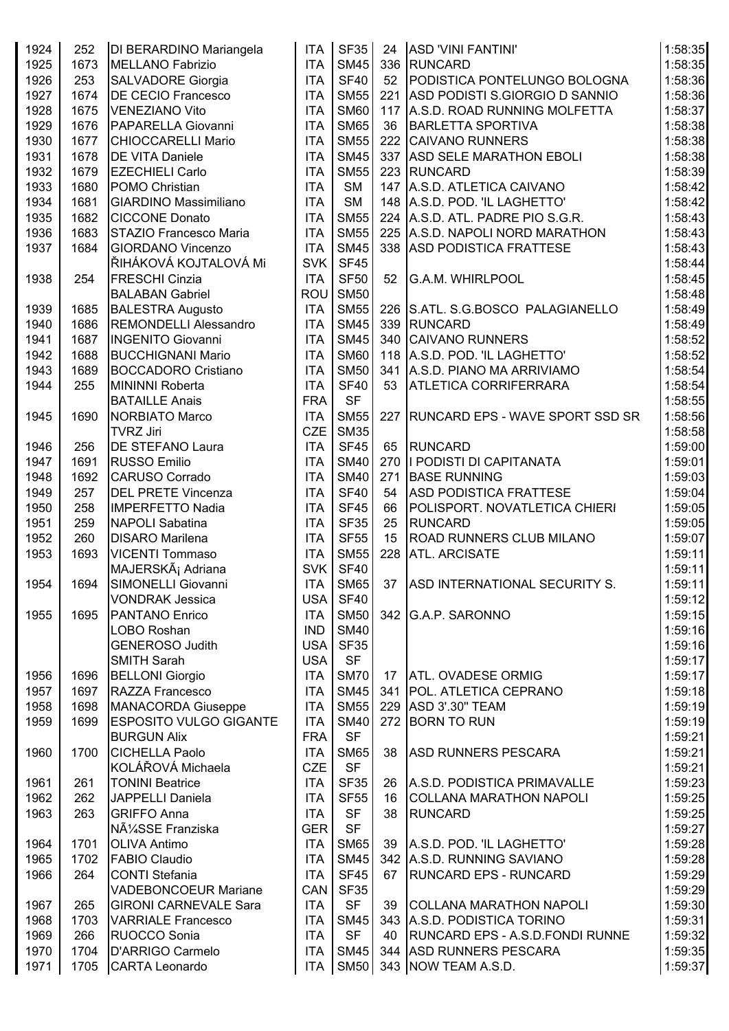| 1924 | 252  | DI BERARDINO Mariangela       | <b>ITA</b>       | <b>SF35</b> | 24  | ASD 'VINI FANTINI'                     | 1:58:35 |
|------|------|-------------------------------|------------------|-------------|-----|----------------------------------------|---------|
| 1925 | 1673 | <b>MELLANO Fabrizio</b>       | <b>ITA</b>       | <b>SM45</b> |     | 336 RUNCARD                            | 1:58:35 |
| 1926 | 253  | <b>SALVADORE Giorgia</b>      | <b>ITA</b>       | <b>SF40</b> |     | 52 PODISTICA PONTELUNGO BOLOGNA        | 1:58:36 |
| 1927 | 1674 | <b>DE CECIO Francesco</b>     | <b>ITA</b>       | <b>SM55</b> |     | 221 ASD PODISTI S.GIORGIO D SANNIO     | 1:58:36 |
| 1928 | 1675 | <b>VENEZIANO Vito</b>         | <b>ITA</b>       | <b>SM60</b> |     | 117 A.S.D. ROAD RUNNING MOLFETTA       | 1:58:37 |
| 1929 | 1676 | PAPARELLA Giovanni            | <b>ITA</b>       | <b>SM65</b> | 36  | <b>BARLETTA SPORTIVA</b>               | 1:58:38 |
| 1930 | 1677 | <b>CHIOCCARELLI Mario</b>     | <b>ITA</b>       | <b>SM55</b> |     | 222 CAIVANO RUNNERS                    | 1:58:38 |
| 1931 | 1678 | <b>DE VITA Daniele</b>        | <b>ITA</b>       | <b>SM45</b> |     | 337 ASD SELE MARATHON EBOLI            | 1:58:38 |
| 1932 | 1679 | <b>EZECHIELI Carlo</b>        | <b>ITA</b>       | <b>SM55</b> |     | 223 RUNCARD                            | 1:58:39 |
| 1933 | 1680 | POMO Christian                | <b>ITA</b>       | <b>SM</b>   |     | 147 A.S.D. ATLETICA CAIVANO            | 1:58:42 |
|      |      |                               |                  |             |     |                                        |         |
| 1934 | 1681 | <b>GIARDINO Massimiliano</b>  | <b>ITA</b>       | <b>SM</b>   |     | 148 A.S.D. POD. 'IL LAGHETTO'          | 1:58:42 |
| 1935 | 1682 | <b>CICCONE Donato</b>         | <b>ITA</b>       | <b>SM55</b> |     | 224   A.S.D. ATL. PADRE PIO S.G.R.     | 1:58:43 |
| 1936 | 1683 | STAZIO Francesco Maria        | <b>ITA</b>       | <b>SM55</b> |     | 225 A.S.D. NAPOLI NORD MARATHON        | 1:58:43 |
| 1937 | 1684 | <b>GIORDANO Vincenzo</b>      | <b>ITA</b>       | <b>SM45</b> |     | 338 ASD PODISTICA FRATTESE             | 1:58:43 |
|      |      | ŘIHÁKOVÁ KOJTALOVÁ Mi         | <b>SVK</b>       | <b>SF45</b> |     |                                        | 1:58:44 |
| 1938 | 254  | <b>FRESCHI Cinzia</b>         | <b>ITA</b>       | <b>SF50</b> | 52  | G.A.M. WHIRLPOOL                       | 1:58:45 |
|      |      | <b>BALABAN Gabriel</b>        | ROU              | <b>SM50</b> |     |                                        | 1:58:48 |
| 1939 | 1685 | <b>BALESTRA Augusto</b>       | <b>ITA</b>       | <b>SM55</b> |     | 226 S.ATL. S.G.BOSCO PALAGIANELLO      | 1:58:49 |
| 1940 | 1686 | REMONDELLI Alessandro         | <b>ITA</b>       | <b>SM45</b> |     | 339 RUNCARD                            | 1:58:49 |
| 1941 | 1687 | <b>INGENITO Giovanni</b>      | <b>ITA</b>       | <b>SM45</b> |     | 340 CAIVANO RUNNERS                    | 1:58:52 |
| 1942 | 1688 | <b>BUCCHIGNANI Mario</b>      | <b>ITA</b>       | <b>SM60</b> |     | 118 A.S.D. POD. 'IL LAGHETTO'          | 1:58:52 |
| 1943 | 1689 | <b>BOCCADORO Cristiano</b>    | <b>ITA</b>       | <b>SM50</b> |     | 341 A.S.D. PIANO MA ARRIVIAMO          | 1:58:54 |
| 1944 | 255  | <b>MININNI Roberta</b>        | <b>ITA</b>       | <b>SF40</b> | 53  | <b>ATLETICA CORRIFERRARA</b>           | 1:58:54 |
|      |      | <b>BATAILLE Anais</b>         | <b>FRA</b>       | <b>SF</b>   |     |                                        | 1:58:55 |
| 1945 | 1690 | <b>NORBIATO Marco</b>         | <b>ITA</b>       | <b>SM55</b> | 227 | <b>RUNCARD EPS - WAVE SPORT SSD SR</b> | 1:58:56 |
|      |      | <b>TVRZ Jiri</b>              | <b>CZE</b>       | <b>SM35</b> |     |                                        | 1:58:58 |
| 1946 | 256  | DE STEFANO Laura              | <b>ITA</b>       | <b>SF45</b> | 65  | RUNCARD                                | 1:59:00 |
| 1947 | 1691 | <b>RUSSO Emilio</b>           | <b>ITA</b>       | <b>SM40</b> |     | 270   PODISTI DI CAPITANATA            | 1:59:01 |
| 1948 | 1692 | <b>CARUSO Corrado</b>         | <b>ITA</b>       | <b>SM40</b> | 271 | <b>BASE RUNNING</b>                    | 1:59:03 |
| 1949 | 257  | <b>DEL PRETE Vincenza</b>     | <b>ITA</b>       | <b>SF40</b> | 54  | <b>ASD PODISTICA FRATTESE</b>          | 1:59:04 |
| 1950 | 258  | <b>IMPERFETTO Nadia</b>       | <b>ITA</b>       | <b>SF45</b> | 66  | POLISPORT. NOVATLETICA CHIERI          | 1:59:05 |
| 1951 | 259  | <b>NAPOLI Sabatina</b>        | <b>ITA</b>       | <b>SF35</b> | 25  | <b>RUNCARD</b>                         | 1:59:05 |
| 1952 | 260  | <b>DISARO Marilena</b>        | <b>ITA</b>       | <b>SF55</b> | 15  | <b>ROAD RUNNERS CLUB MILANO</b>        | 1:59:07 |
| 1953 | 1693 | <b>VICENTI Tommaso</b>        | <b>ITA</b>       | <b>SM55</b> |     | 228 ATL. ARCISATE                      | 1:59:11 |
|      |      | MAJERSKá Adriana              | SVK              | <b>SF40</b> |     |                                        | 1:59:11 |
| 1954 | 1694 | SIMONELLI Giovanni            | <b>ITA</b>       |             |     | SM65 37 ASD INTERNATIONAL SECURITY S.  | 1:59:11 |
|      |      | <b>VONDRAK Jessica</b>        | USA <sup>I</sup> | <b>SF40</b> |     |                                        | 1:59:12 |
| 1955 | 1695 | PANTANO Enrico                | <b>ITA</b>       | <b>SM50</b> |     | 342 G.A.P. SARONNO                     | 1:59:15 |
|      |      | LOBO Roshan                   | <b>IND</b>       | <b>SM40</b> |     |                                        | 1:59:16 |
|      |      | <b>GENEROSO Judith</b>        | <b>USA</b>       | <b>SF35</b> |     |                                        | 1:59:16 |
|      |      | <b>SMITH Sarah</b>            | <b>USA</b>       | <b>SF</b>   |     |                                        | 1:59:17 |
|      |      |                               |                  | <b>SM70</b> |     |                                        |         |
| 1956 | 1696 | <b>BELLONI Giorgio</b>        | <b>ITA</b>       |             |     | 17   ATL. OVADESE ORMIG                | 1:59:17 |
| 1957 | 1697 | RAZZA Francesco               | <b>ITA</b>       | <b>SM45</b> |     | 341 POL. ATLETICA CEPRANO              | 1:59:18 |
| 1958 | 1698 | <b>MANACORDA Giuseppe</b>     | <b>ITA</b>       | <b>SM55</b> |     | 229 ASD 3'.30" TEAM                    | 1:59:19 |
| 1959 | 1699 | <b>ESPOSITO VULGO GIGANTE</b> | <b>ITA</b>       | <b>SM40</b> |     | 272 BORN TO RUN                        | 1:59:19 |
|      |      | <b>BURGUN Alix</b>            | <b>FRA</b>       | <b>SF</b>   |     |                                        | 1:59:21 |
| 1960 | 1700 | <b>CICHELLA Paolo</b>         | <b>ITA</b>       | <b>SM65</b> | 38  | <b>ASD RUNNERS PESCARA</b>             | 1:59:21 |
|      |      | KOLÁŘOVÁ Michaela             | <b>CZE</b>       | <b>SF</b>   |     |                                        | 1:59:21 |
| 1961 | 261  | <b>TONINI Beatrice</b>        | <b>ITA</b>       | <b>SF35</b> | 26  | A.S.D. PODISTICA PRIMAVALLE            | 1:59:23 |
| 1962 | 262  | JAPPELLI Daniela              | <b>ITA</b>       | <b>SF55</b> | 16  | <b>COLLANA MARATHON NAPOLI</b>         | 1:59:25 |
| 1963 | 263  | <b>GRIFFO Anna</b>            | <b>ITA</b>       | <b>SF</b>   | 38  | <b>RUNCARD</b>                         | 1:59:25 |
|      |      | NüSSE Franziska               | <b>GER</b>       | <b>SF</b>   |     |                                        | 1:59:27 |
| 1964 | 1701 | <b>OLIVA Antimo</b>           | <b>ITA</b>       | <b>SM65</b> |     | 39 A.S.D. POD. 'IL LAGHETTO'           | 1:59:28 |
| 1965 | 1702 | <b>FABIO Claudio</b>          | <b>ITA</b>       | <b>SM45</b> |     | 342 A.S.D. RUNNING SAVIANO             | 1:59:28 |
| 1966 | 264  | <b>CONTI Stefania</b>         | <b>ITA</b>       | <b>SF45</b> | 67  | <b>RUNCARD EPS - RUNCARD</b>           | 1:59:29 |
|      |      | <b>VADEBONCOEUR Mariane</b>   | CAN              | <b>SF35</b> |     |                                        | 1:59:29 |
| 1967 | 265  | <b>GIRONI CARNEVALE Sara</b>  | <b>ITA</b>       | <b>SF</b>   |     | 39 COLLANA MARATHON NAPOLI             | 1:59:30 |
| 1968 | 1703 | <b>VARRIALE Francesco</b>     | <b>ITA</b>       | <b>SM45</b> |     | 343 A.S.D. PODISTICA TORINO            | 1:59:31 |
| 1969 | 266  | RUOCCO Sonia                  | <b>ITA</b>       | <b>SF</b>   |     | 40   RUNCARD EPS - A.S.D.FONDI RUNNE   | 1:59:32 |
| 1970 | 1704 | <b>D'ARRIGO Carmelo</b>       | <b>ITA</b>       | <b>SM45</b> |     | 344 ASD RUNNERS PESCARA                | 1:59:35 |
| 1971 | 1705 | <b>CARTA Leonardo</b>         | <b>ITA</b>       |             |     | SM50 343 NOW TEAM A.S.D.               | 1:59:37 |
|      |      |                               |                  |             |     |                                        |         |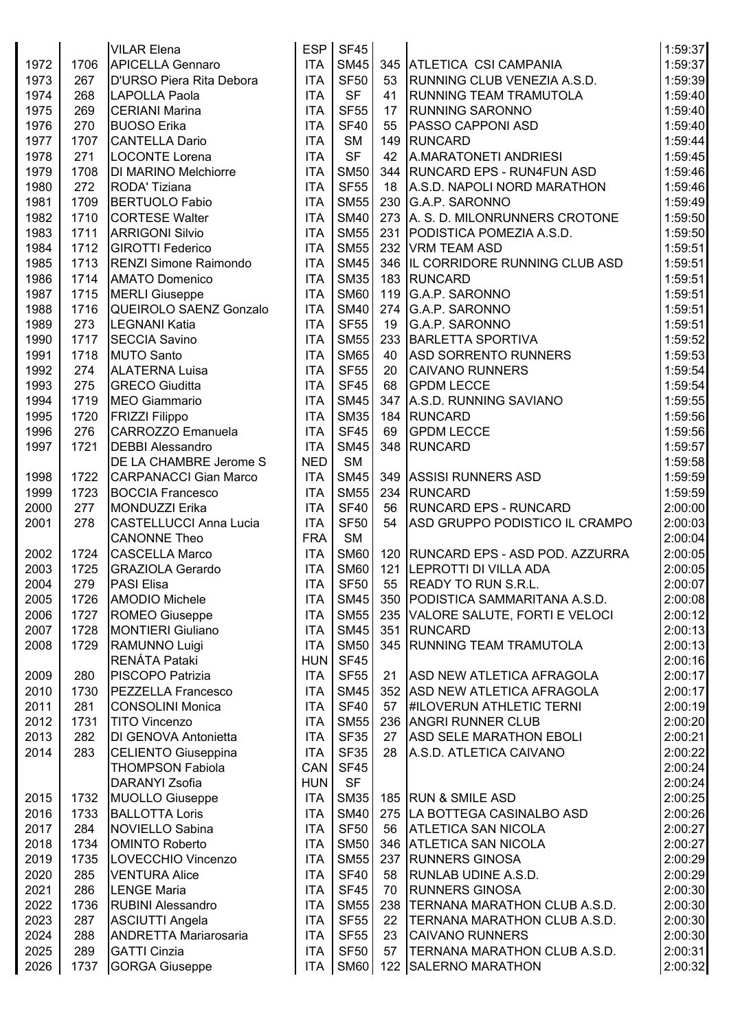|      |      | <b>VILAR Elena</b>            | ESP        | <b>SF45</b> |     |                                      | 1:59:37 |
|------|------|-------------------------------|------------|-------------|-----|--------------------------------------|---------|
| 1972 | 1706 | <b>APICELLA Gennaro</b>       | <b>ITA</b> | <b>SM45</b> |     | 345 ATLETICA CSI CAMPANIA            | 1:59:37 |
| 1973 | 267  | D'URSO Piera Rita Debora      | <b>ITA</b> | <b>SF50</b> | 53  | RUNNING CLUB VENEZIA A.S.D.          | 1:59:39 |
| 1974 | 268  | LAPOLLA Paola                 | <b>ITA</b> | <b>SF</b>   | 41  | <b>RUNNING TEAM TRAMUTOLA</b>        | 1:59:40 |
| 1975 | 269  | <b>CERIANI Marina</b>         | <b>ITA</b> | <b>SF55</b> | 17  | <b>RUNNING SARONNO</b>               | 1:59:40 |
| 1976 | 270  | <b>BUOSO</b> Erika            | <b>ITA</b> | <b>SF40</b> | 55  | <b>PASSO CAPPONI ASD</b>             | 1:59:40 |
| 1977 | 1707 | <b>CANTELLA Dario</b>         | <b>ITA</b> | <b>SM</b>   |     | 149 RUNCARD                          | 1:59:44 |
| 1978 | 271  | LOCONTE Lorena                | <b>ITA</b> | <b>SF</b>   | 42  | A.MARATONETI ANDRIESI                | 1:59:45 |
| 1979 | 1708 | <b>DI MARINO Melchiorre</b>   | <b>ITA</b> | <b>SM50</b> |     | 344   RUNCARD EPS - RUN4FUN ASD      | 1:59:46 |
| 1980 | 272  | RODA' Tiziana                 | <b>ITA</b> | <b>SF55</b> | 18  | A.S.D. NAPOLI NORD MARATHON          | 1:59:46 |
| 1981 | 1709 | <b>BERTUOLO Fabio</b>         | <b>ITA</b> | <b>SM55</b> |     | 230 G.A.P. SARONNO                   | 1:59:49 |
|      |      | <b>CORTESE Walter</b>         |            | <b>SM40</b> |     |                                      | 1:59:50 |
| 1982 | 1710 |                               | <b>ITA</b> | <b>SM55</b> |     | 273 A. S. D. MILONRUNNERS CROTONE    |         |
| 1983 | 1711 | <b>ARRIGONI Silvio</b>        | <b>ITA</b> |             |     | 231 PODISTICA POMEZIA A.S.D.         | 1:59:50 |
| 1984 | 1712 | <b>GIROTTI Federico</b>       | <b>ITA</b> | <b>SM55</b> |     | 232 VRM TEAM ASD                     | 1:59:51 |
| 1985 | 1713 | <b>RENZI Simone Raimondo</b>  | <b>ITA</b> | <b>SM45</b> |     | 346 IL CORRIDORE RUNNING CLUB ASD    | 1:59:51 |
| 1986 | 1714 | <b>AMATO Domenico</b>         | <b>ITA</b> | <b>SM35</b> |     | 183 RUNCARD                          | 1:59:51 |
| 1987 | 1715 | <b>MERLI Giuseppe</b>         | <b>ITA</b> | <b>SM60</b> |     | 119 G.A.P. SARONNO                   | 1:59:51 |
| 1988 | 1716 | QUEIROLO SAENZ Gonzalo        | <b>ITA</b> | <b>SM40</b> |     | 274 G.A.P. SARONNO                   | 1:59:51 |
| 1989 | 273  | <b>LEGNANI Katia</b>          | <b>ITA</b> | <b>SF55</b> | 19  | G.A.P. SARONNO                       | 1:59:51 |
| 1990 | 1717 | <b>SECCIA Savino</b>          | <b>ITA</b> | <b>SM55</b> |     | 233 BARLETTA SPORTIVA                | 1:59:52 |
| 1991 | 1718 | <b>MUTO Santo</b>             | <b>ITA</b> | <b>SM65</b> | 40  | <b>ASD SORRENTO RUNNERS</b>          | 1:59:53 |
| 1992 | 274  | <b>ALATERNA Luisa</b>         | <b>ITA</b> | <b>SF55</b> | 20  | <b>CAIVANO RUNNERS</b>               | 1:59:54 |
| 1993 | 275  | <b>GRECO Giuditta</b>         | <b>ITA</b> | <b>SF45</b> | 68  | <b>GPDM LECCE</b>                    | 1:59:54 |
| 1994 | 1719 | <b>MEO Giammario</b>          | <b>ITA</b> | <b>SM45</b> | 347 | A.S.D. RUNNING SAVIANO               | 1:59:55 |
| 1995 | 1720 | <b>FRIZZI Filippo</b>         | <b>ITA</b> | <b>SM35</b> |     | 184 RUNCARD                          | 1:59:56 |
| 1996 | 276  | CARROZZO Emanuela             | <b>ITA</b> | <b>SF45</b> | 69  | <b>GPDM LECCE</b>                    | 1:59:56 |
| 1997 | 1721 | <b>DEBBI Alessandro</b>       | <b>ITA</b> | <b>SM45</b> |     | 348 RUNCARD                          | 1:59:57 |
|      |      | <b>DE LA CHAMBRE Jerome S</b> | <b>NED</b> | <b>SM</b>   |     |                                      | 1:59:58 |
| 1998 | 1722 | <b>CARPANACCI Gian Marco</b>  | <b>ITA</b> | <b>SM45</b> |     | 349 ASSISI RUNNERS ASD               | 1:59:59 |
| 1999 | 1723 | <b>BOCCIA Francesco</b>       | <b>ITA</b> | <b>SM55</b> |     | 234 RUNCARD                          | 1:59:59 |
| 2000 | 277  | <b>MONDUZZI Erika</b>         | <b>ITA</b> | <b>SF40</b> | 56  | <b>RUNCARD EPS - RUNCARD</b>         | 2:00:00 |
| 2001 | 278  | <b>CASTELLUCCI Anna Lucia</b> | <b>ITA</b> | <b>SF50</b> | 54  | ASD GRUPPO PODISTICO IL CRAMPO       | 2:00:03 |
|      |      | <b>CANONNE Theo</b>           | <b>FRA</b> | <b>SM</b>   |     |                                      | 2:00:04 |
| 2002 | 1724 | <b>CASCELLA Marco</b>         | <b>ITA</b> | <b>SM60</b> |     | 120   RUNCARD EPS - ASD POD. AZZURRA | 2:00:05 |
| 2003 | 1725 | <b>GRAZIOLA Gerardo</b>       | <b>ITA</b> | <b>SM60</b> |     | 121 LEPROTTI DI VILLA ADA            | 2:00:05 |
| 2004 | 279  | <b>PASI Elisa</b>             | <b>ITA</b> | <b>SF50</b> |     | 55 READY TO RUN S.R.L.               | 2:00:07 |
| 2005 | 1726 | <b>AMODIO Michele</b>         | <b>ITA</b> | <b>SM45</b> |     | 350   PODISTICA SAMMARITANA A.S.D.   | 2:00:08 |
| 2006 | 1727 | <b>ROMEO Giuseppe</b>         | <b>ITA</b> | <b>SM55</b> |     | 235 VALORE SALUTE, FORTI E VELOCI    | 2:00:12 |
| 2007 | 1728 | <b>MONTIERI Giuliano</b>      | <b>ITA</b> | <b>SM45</b> |     | 351 RUNCARD                          | 2:00:13 |
| 2008 | 1729 | RAMUNNO Luigi                 | <b>ITA</b> | <b>SM50</b> |     | 345 RUNNING TEAM TRAMUTOLA           | 2:00:13 |
|      |      | RENÁTA Pataki                 | <b>HUN</b> | <b>SF45</b> |     |                                      | 2:00:16 |
| 2009 | 280  | PISCOPO Patrizia              | <b>ITA</b> | <b>SF55</b> | 21  | ASD NEW ATLETICA AFRAGOLA            | 2:00:17 |
| 2010 | 1730 | <b>PEZZELLA Francesco</b>     | <b>ITA</b> | <b>SM45</b> |     | 352 ASD NEW ATLETICA AFRAGOLA        | 2:00:17 |
| 2011 | 281  | <b>CONSOLINI Monica</b>       | <b>ITA</b> | <b>SF40</b> | 57  | <b>#ILOVERUN ATHLETIC TERNI</b>      | 2:00:19 |
| 2012 | 1731 | <b>TITO Vincenzo</b>          | <b>ITA</b> | <b>SM55</b> |     | 236 ANGRI RUNNER CLUB                | 2:00:20 |
| 2013 | 282  | DI GENOVA Antonietta          | <b>ITA</b> | <b>SF35</b> | 27  | <b>ASD SELE MARATHON EBOLI</b>       | 2:00:21 |
| 2014 | 283  | <b>CELIENTO Giuseppina</b>    | <b>ITA</b> | <b>SF35</b> | 28  | A.S.D. ATLETICA CAIVANO              | 2:00:22 |
|      |      | <b>THOMPSON Fabiola</b>       | CAN        | <b>SF45</b> |     |                                      | 2:00:24 |
|      |      | <b>DARANYI Zsofia</b>         | <b>HUN</b> | <b>SF</b>   |     |                                      | 2:00:24 |
| 2015 | 1732 | <b>MUOLLO Giuseppe</b>        | <b>ITA</b> | <b>SM35</b> |     | 185 RUN & SMILE ASD                  | 2:00:25 |
| 2016 | 1733 | <b>BALLOTTA Loris</b>         | <b>ITA</b> | <b>SM40</b> |     | 275   LA BOTTEGA CASINALBO ASD       | 2:00:26 |
| 2017 | 284  | NOVIELLO Sabina               | <b>ITA</b> | <b>SF50</b> | 56  | <b>ATLETICA SAN NICOLA</b>           | 2:00:27 |
| 2018 | 1734 | <b>OMINTO Roberto</b>         | <b>ITA</b> | <b>SM50</b> |     | 346 ATLETICA SAN NICOLA              | 2:00:27 |
| 2019 | 1735 | LOVECCHIO Vincenzo            | <b>ITA</b> | <b>SM55</b> |     | 237 RUNNERS GINOSA                   | 2:00:29 |
| 2020 | 285  | <b>VENTURA Alice</b>          | <b>ITA</b> | <b>SF40</b> | 58  | <b>RUNLAB UDINE A.S.D.</b>           | 2:00:29 |
| 2021 | 286  | <b>LENGE Maria</b>            | <b>ITA</b> | <b>SF45</b> | 70  | <b>RUNNERS GINOSA</b>                | 2:00:30 |
| 2022 | 1736 | <b>RUBINI Alessandro</b>      | <b>ITA</b> | <b>SM55</b> |     | 238   TERNANA MARATHON CLUB A.S.D.   | 2:00:30 |
| 2023 | 287  | <b>ASCIUTTI Angela</b>        | <b>ITA</b> | <b>SF55</b> | 22  | <b>TERNANA MARATHON CLUB A.S.D.</b>  | 2:00:30 |
| 2024 | 288  | <b>ANDRETTA Mariarosaria</b>  | <b>ITA</b> | <b>SF55</b> | 23  | <b>CAIVANO RUNNERS</b>               | 2:00:30 |
| 2025 | 289  | <b>GATTI Cinzia</b>           | <b>ITA</b> | <b>SF50</b> | 57  | <b>TERNANA MARATHON CLUB A.S.D.</b>  | 2:00:31 |
| 2026 |      |                               |            |             |     |                                      | 2:00:32 |
|      | 1737 | <b>GORGA Giuseppe</b>         | ITA        | <b>SM60</b> |     | 122 SALERNO MARATHON                 |         |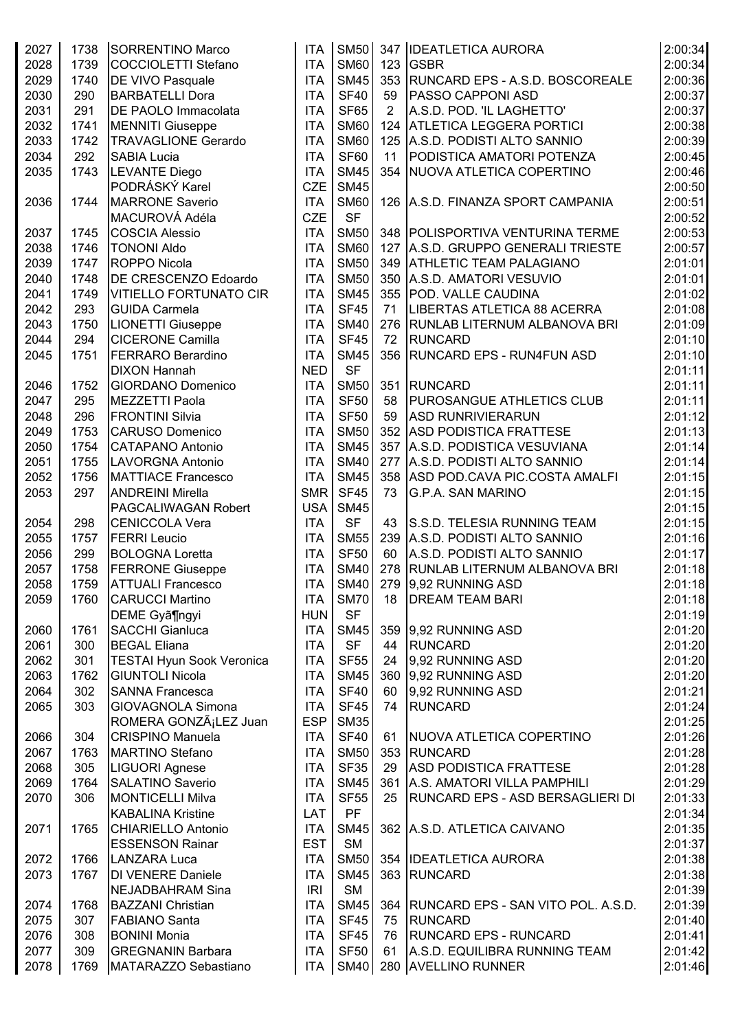| 2027 | 1738 | <b>SORRENTINO Marco</b>          | <b>ITA</b> | <b>SM50</b> |    | 347 IDEATLETICA AURORA                   | 2:00:34 |
|------|------|----------------------------------|------------|-------------|----|------------------------------------------|---------|
| 2028 | 1739 | COCCIOLETTI Stefano              | <b>ITA</b> | <b>SM60</b> |    | $123$ GSBR                               | 2:00:34 |
| 2029 | 1740 | <b>DE VIVO Pasquale</b>          | <b>ITA</b> | <b>SM45</b> |    | 353 RUNCARD EPS - A.S.D. BOSCOREALE      | 2:00:36 |
| 2030 | 290  | <b>BARBATELLI Dora</b>           | <b>ITA</b> | <b>SF40</b> | 59 | <b>PASSO CAPPONI ASD</b>                 | 2:00:37 |
| 2031 | 291  | DE PAOLO Immacolata              | <b>ITA</b> | <b>SF65</b> | 2  | A.S.D. POD. 'IL LAGHETTO'                | 2:00:37 |
| 2032 | 1741 | <b>MENNITI Giuseppe</b>          | <b>ITA</b> | <b>SM60</b> |    | 124 ATLETICA LEGGERA PORTICI             | 2:00:38 |
| 2033 | 1742 | <b>TRAVAGLIONE Gerardo</b>       | <b>ITA</b> | <b>SM60</b> |    | 125 A.S.D. PODISTI ALTO SANNIO           | 2:00:39 |
| 2034 | 292  | <b>SABIA Lucia</b>               | <b>ITA</b> | <b>SF60</b> | 11 | PODISTICA AMATORI POTENZA                | 2:00:45 |
| 2035 | 1743 |                                  | <b>ITA</b> | <b>SM45</b> |    | 354 NUOVA ATLETICA COPERTINO             | 2:00:46 |
|      |      | LEVANTE Diego<br>PODRÁSKÝ Karel  |            |             |    |                                          |         |
|      |      |                                  | <b>CZE</b> | <b>SM45</b> |    |                                          | 2:00:50 |
| 2036 | 1744 | <b>MARRONE Saverio</b>           | <b>ITA</b> | <b>SM60</b> |    | 126   A.S.D. FINANZA SPORT CAMPANIA      | 2:00:51 |
|      |      | MACUROVÁ Adéla                   | <b>CZE</b> | <b>SF</b>   |    |                                          | 2:00:52 |
| 2037 | 1745 | <b>COSCIA Alessio</b>            | <b>ITA</b> | <b>SM50</b> |    | 348   POLISPORTIVA VENTURINA TERME       | 2:00:53 |
| 2038 | 1746 | <b>TONONI Aldo</b>               | <b>ITA</b> | <b>SM60</b> |    | 127 A.S.D. GRUPPO GENERALI TRIESTE       | 2:00:57 |
| 2039 | 1747 | <b>ROPPO Nicola</b>              | <b>ITA</b> | <b>SM50</b> |    | 349 ATHLETIC TEAM PALAGIANO              | 2:01:01 |
| 2040 | 1748 | <b>DE CRESCENZO Edoardo</b>      | <b>ITA</b> | <b>SM50</b> |    | 350 A.S.D. AMATORI VESUVIO               | 2:01:01 |
| 2041 | 1749 | <b>VITIELLO FORTUNATO CIR</b>    | <b>ITA</b> | <b>SM45</b> |    | 355 POD. VALLE CAUDINA                   | 2:01:02 |
| 2042 | 293  | <b>GUIDA Carmela</b>             | <b>ITA</b> | <b>SF45</b> | 71 | LIBERTAS ATLETICA 88 ACERRA              | 2:01:08 |
| 2043 | 1750 | <b>LIONETTI Giuseppe</b>         | <b>ITA</b> | <b>SM40</b> |    | 276 RUNLAB LITERNUM ALBANOVA BRI         | 2:01:09 |
| 2044 | 294  | <b>CICERONE Camilla</b>          | <b>ITA</b> | <b>SF45</b> | 72 | RUNCARD                                  | 2:01:10 |
| 2045 | 1751 | <b>FERRARO Berardino</b>         | <b>ITA</b> | <b>SM45</b> |    | 356 RUNCARD EPS - RUN4FUN ASD            | 2:01:10 |
|      |      | <b>DIXON Hannah</b>              | <b>NED</b> | <b>SF</b>   |    |                                          | 2:01:11 |
| 2046 | 1752 | <b>GIORDANO Domenico</b>         | <b>ITA</b> | <b>SM50</b> |    | 351 RUNCARD                              | 2:01:11 |
| 2047 | 295  | MEZZETTI Paola                   | <b>ITA</b> | <b>SF50</b> | 58 | <b>PUROSANGUE ATHLETICS CLUB</b>         | 2:01:11 |
| 2048 | 296  | <b>FRONTINI Silvia</b>           | <b>ITA</b> | <b>SF50</b> | 59 | <b>ASD RUNRIVIERARUN</b>                 | 2:01:12 |
|      |      |                                  |            |             |    |                                          |         |
| 2049 | 1753 | <b>CARUSO Domenico</b>           | <b>ITA</b> | <b>SM50</b> |    | 352 ASD PODISTICA FRATTESE               | 2:01:13 |
| 2050 | 1754 | <b>CATAPANO Antonio</b>          | <b>ITA</b> | <b>SM45</b> |    | 357 A.S.D. PODISTICA VESUVIANA           | 2:01:14 |
| 2051 | 1755 | LAVORGNA Antonio                 | <b>ITA</b> | <b>SM40</b> |    | 277 A.S.D. PODISTI ALTO SANNIO           | 2:01:14 |
| 2052 | 1756 | <b>MATTIACE Francesco</b>        | <b>ITA</b> | <b>SM45</b> |    | 358 ASD POD.CAVA PIC.COSTA AMALFI        | 2:01:15 |
| 2053 | 297  | <b>ANDREINI Mirella</b>          | <b>SMR</b> | <b>SF45</b> | 73 | <b>G.P.A. SAN MARINO</b>                 | 2:01:15 |
|      |      | PAGCALIWAGAN Robert              | <b>USA</b> | <b>SM45</b> |    |                                          | 2:01:15 |
| 2054 | 298  | <b>CENICCOLA Vera</b>            | <b>ITA</b> | <b>SF</b>   | 43 | S.S.D. TELESIA RUNNING TEAM              | 2:01:15 |
| 2055 | 1757 | <b>FERRI</b> Leucio              | <b>ITA</b> | <b>SM55</b> |    | 239 A.S.D. PODISTI ALTO SANNIO           | 2:01:16 |
| 2056 | 299  | <b>BOLOGNA Loretta</b>           | <b>ITA</b> | <b>SF50</b> | 60 | A.S.D. PODISTI ALTO SANNIO               | 2:01:17 |
| 2057 | 1758 | <b>FERRONE Giuseppe</b>          | <b>ITA</b> | <b>SM40</b> |    | 278   RUNLAB LITERNUM ALBANOVA BRI       | 2:01:18 |
| 2058 | 1759 | <b>ATTUALI Francesco</b>         | <b>ITA</b> | <b>SM40</b> |    | 279 9,92 RUNNING ASD                     | 2:01:18 |
| 2059 | 1760 | <b>CARUCCI Martino</b>           | <b>ITA</b> | <b>SM70</b> | 18 | <b>DREAM TEAM BARI</b>                   | 2:01:18 |
|      |      | DEME Gyã¶ngyi                    | <b>HUN</b> | <b>SF</b>   |    |                                          | 2:01:19 |
| 2060 | 1761 | <b>SACCHI Gianluca</b>           | <b>ITA</b> | <b>SM45</b> |    | 359 9,92 RUNNING ASD                     | 2:01:20 |
| 2061 | 300  | <b>BEGAL Eliana</b>              | <b>ITA</b> | <b>SF</b>   | 44 | RUNCARD                                  | 2:01:20 |
| 2062 | 301  | <b>TESTAI Hyun Sook Veronica</b> | <b>ITA</b> | <b>SF55</b> | 24 | 9,92 RUNNING ASD                         | 2:01:20 |
| 2063 | 1762 | <b>GIUNTOLI Nicola</b>           | <b>ITA</b> | <b>SM45</b> |    | 360 9,92 RUNNING ASD                     | 2:01:20 |
|      |      |                                  |            | <b>SF40</b> |    |                                          |         |
| 2064 | 302  | <b>SANNA Francesca</b>           | <b>ITA</b> |             | 60 | 9,92 RUNNING ASD                         | 2:01:21 |
| 2065 | 303  | <b>GIOVAGNOLA Simona</b>         | <b>ITA</b> | <b>SF45</b> | 74 | RUNCARD                                  | 2:01:24 |
|      |      | ROMERA GONZáLEZ Juan             | <b>ESP</b> | <b>SM35</b> |    |                                          | 2:01:25 |
| 2066 | 304  | <b>CRISPINO Manuela</b>          | <b>ITA</b> | <b>SF40</b> | 61 | <b>NUOVA ATLETICA COPERTINO</b>          | 2:01:26 |
| 2067 | 1763 | MARTINO Stefano                  | <b>ITA</b> | <b>SM50</b> |    | 353 RUNCARD                              | 2:01:28 |
| 2068 | 305  | LIGUORI Agnese                   | <b>ITA</b> | <b>SF35</b> | 29 | <b>ASD PODISTICA FRATTESE</b>            | 2:01:28 |
| 2069 | 1764 | <b>SALATINO Saverio</b>          | <b>ITA</b> | <b>SM45</b> |    | 361 A.S. AMATORI VILLA PAMPHILI          | 2:01:29 |
| 2070 | 306  | <b>MONTICELLI Milva</b>          | <b>ITA</b> | <b>SF55</b> | 25 | RUNCARD EPS - ASD BERSAGLIERI DI         | 2:01:33 |
|      |      | <b>KABALINA Kristine</b>         | <b>LAT</b> | PF          |    |                                          | 2:01:34 |
| 2071 | 1765 | <b>CHIARIELLO Antonio</b>        | <b>ITA</b> | <b>SM45</b> |    | 362 A.S.D. ATLETICA CAIVANO              | 2:01:35 |
|      |      | <b>ESSENSON Rainar</b>           | <b>EST</b> | <b>SM</b>   |    |                                          | 2:01:37 |
| 2072 | 1766 | LANZARA Luca                     | <b>ITA</b> | <b>SM50</b> |    | 354   IDEATLETICA AURORA                 | 2:01:38 |
| 2073 | 1767 | <b>DI VENERE Daniele</b>         | <b>ITA</b> | <b>SM45</b> |    | 363 RUNCARD                              | 2:01:38 |
|      |      | NEJADBAHRAM Sina                 | IRI        | <b>SM</b>   |    |                                          | 2:01:39 |
| 2074 | 1768 | <b>BAZZANI Christian</b>         | <b>ITA</b> | <b>SM45</b> |    | 364   RUNCARD EPS - SAN VITO POL. A.S.D. | 2:01:39 |
| 2075 | 307  | <b>FABIANO Santa</b>             | <b>ITA</b> | <b>SF45</b> | 75 | RUNCARD                                  | 2:01:40 |
| 2076 |      |                                  | <b>ITA</b> |             |    |                                          |         |
|      | 308  | <b>BONINI Monia</b>              |            | <b>SF45</b> | 76 | <b>RUNCARD EPS - RUNCARD</b>             | 2:01:41 |
| 2077 | 309  | <b>GREGNANIN Barbara</b>         | <b>ITA</b> | <b>SF50</b> | 61 | A.S.D. EQUILIBRA RUNNING TEAM            | 2:01:42 |
| 2078 | 1769 | MATARAZZO Sebastiano             |            | ITA SM40    |    | 280 AVELLINO RUNNER                      | 2:01:46 |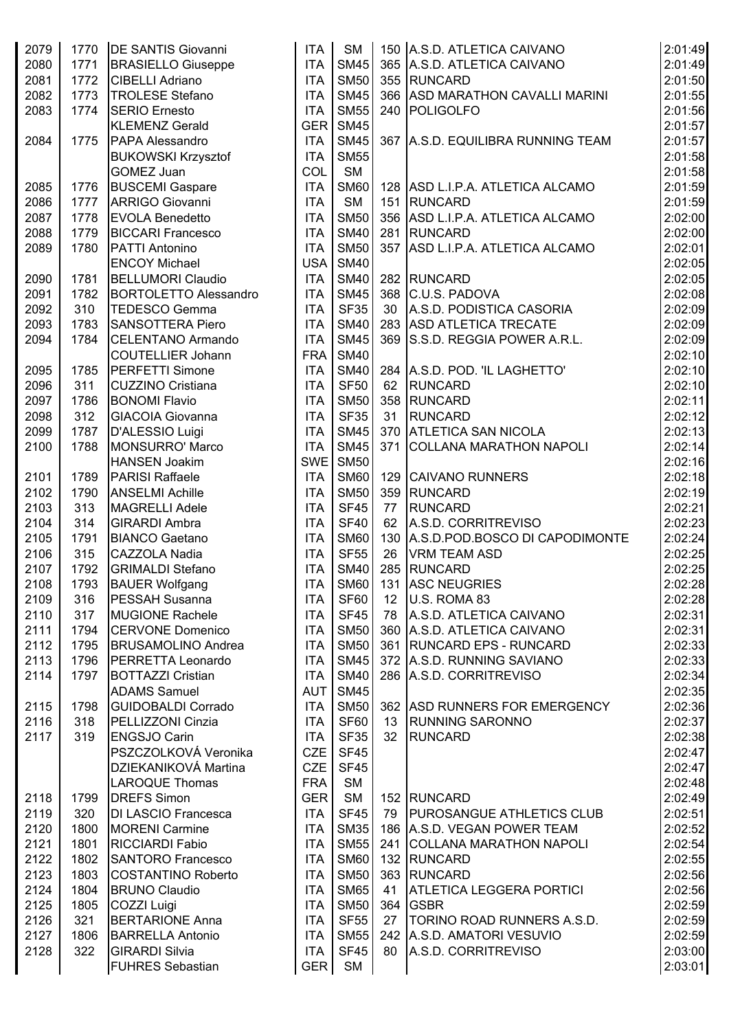| 2079 | 1770 | <b>DE SANTIS Giovanni</b>    | <b>ITA</b> | <b>SM</b>   |    | 150 A.S.D. ATLETICA CAIVANO        | 2:01:49            |
|------|------|------------------------------|------------|-------------|----|------------------------------------|--------------------|
| 2080 | 1771 | <b>BRASIELLO Giuseppe</b>    | <b>ITA</b> | <b>SM45</b> |    | 365 A.S.D. ATLETICA CAIVANO        | 2:01:49            |
| 2081 | 1772 | <b>CIBELLI Adriano</b>       | <b>ITA</b> | <b>SM50</b> |    | 355 RUNCARD                        | 2:01:50            |
| 2082 | 1773 | <b>TROLESE Stefano</b>       | <b>ITA</b> | <b>SM45</b> |    | 366 ASD MARATHON CAVALLI MARINI    | 2:01:55            |
| 2083 | 1774 | <b>SERIO Ernesto</b>         | <b>ITA</b> | <b>SM55</b> |    | 240 POLIGOLFO                      | 2:01:56            |
|      |      | <b>KLEMENZ Gerald</b>        | <b>GER</b> | <b>SM45</b> |    |                                    | 2:01:57            |
| 2084 | 1775 | PAPA Alessandro              | <b>ITA</b> | <b>SM45</b> |    | 367 A.S.D. EQUILIBRA RUNNING TEAM  | 2:01:57            |
|      |      | <b>BUKOWSKI Krzysztof</b>    | <b>ITA</b> | <b>SM55</b> |    |                                    | 2:01:58            |
|      |      | <b>GOMEZ Juan</b>            | COL        | <b>SM</b>   |    |                                    | 2:01:58            |
| 2085 | 1776 | <b>BUSCEMI Gaspare</b>       | <b>ITA</b> | <b>SM60</b> |    | 128 ASD L.I.P.A. ATLETICA ALCAMO   | 2:01:59            |
| 2086 | 1777 | <b>ARRIGO Giovanni</b>       | <b>ITA</b> | <b>SM</b>   |    | 151 RUNCARD                        | 2:01:59            |
| 2087 | 1778 | <b>EVOLA Benedetto</b>       | <b>ITA</b> | <b>SM50</b> |    | 356 ASD L.I.P.A. ATLETICA ALCAMO   | 2:02:00            |
| 2088 | 1779 | <b>BICCARI Francesco</b>     | <b>ITA</b> | <b>SM40</b> |    | 281 RUNCARD                        | 2:02:00            |
| 2089 | 1780 | <b>PATTI Antonino</b>        | <b>ITA</b> | <b>SM50</b> |    | 357 ASD L.I.P.A. ATLETICA ALCAMO   | 2:02:01            |
|      |      | <b>ENCOY Michael</b>         | <b>USA</b> | <b>SM40</b> |    |                                    | 2:02:05            |
| 2090 | 1781 | <b>BELLUMORI Claudio</b>     | <b>ITA</b> | <b>SM40</b> |    | 282 RUNCARD                        | 2:02:05            |
| 2091 | 1782 | <b>BORTOLETTO Alessandro</b> | <b>ITA</b> | <b>SM45</b> |    | 368 C.U.S. PADOVA                  | 2:02:08            |
| 2092 | 310  | TEDESCO Gemma                | <b>ITA</b> | <b>SF35</b> |    | 30 A.S.D. PODISTICA CASORIA        | 2:02:09            |
| 2093 | 1783 | <b>SANSOTTERA Piero</b>      | <b>ITA</b> | <b>SM40</b> |    | 283 ASD ATLETICA TRECATE           | 2:02:09            |
| 2094 | 1784 | <b>CELENTANO Armando</b>     | <b>ITA</b> | <b>SM45</b> |    | 369 S.S.D. REGGIA POWER A.R.L.     | 2:02:09            |
|      |      | <b>COUTELLIER Johann</b>     | <b>FRA</b> | <b>SM40</b> |    |                                    | 2:02:10            |
| 2095 | 1785 | <b>PERFETTI Simone</b>       | <b>ITA</b> | <b>SM40</b> |    | 284 A.S.D. POD. 'IL LAGHETTO'      | 2:02:10            |
| 2096 | 311  | <b>CUZZINO Cristiana</b>     | <b>ITA</b> | <b>SF50</b> |    | 62 RUNCARD                         | 2:02:10            |
| 2097 | 1786 | <b>BONOMI Flavio</b>         | <b>ITA</b> | <b>SM50</b> |    | 358 RUNCARD                        | 2:02:11            |
| 2098 | 312  | <b>GIACOIA Giovanna</b>      | <b>ITA</b> | <b>SF35</b> | 31 | RUNCARD                            | 2:02:12            |
| 2099 | 1787 | D'ALESSIO Luigi              | <b>ITA</b> | <b>SM45</b> |    | 370 ATLETICA SAN NICOLA            | 2:02:13            |
| 2100 | 1788 | <b>MONSURRO' Marco</b>       | <b>ITA</b> | <b>SM45</b> |    | 371 COLLANA MARATHON NAPOLI        | 2:02:14            |
|      |      | <b>HANSEN Joakim</b>         | <b>SWE</b> | <b>SM50</b> |    |                                    | 2:02:16            |
| 2101 | 1789 | <b>PARISI Raffaele</b>       | <b>ITA</b> | <b>SM60</b> |    | 129 CAIVANO RUNNERS                | 2:02:18            |
| 2102 | 1790 | <b>ANSELMI Achille</b>       | <b>ITA</b> | <b>SM50</b> |    | 359 RUNCARD                        | 2:02:19            |
| 2103 | 313  | <b>MAGRELLI Adele</b>        | <b>ITA</b> | <b>SF45</b> | 77 | <b>RUNCARD</b>                     | 2:02:21            |
| 2104 | 314  | <b>GIRARDI Ambra</b>         | <b>ITA</b> | <b>SF40</b> | 62 | A.S.D. CORRITREVISO                | 2:02:23            |
| 2105 | 1791 | <b>BIANCO Gaetano</b>        | <b>ITA</b> | <b>SM60</b> |    | 130 A.S.D.POD.BOSCO DI CAPODIMONTE |                    |
| 2106 | 315  | <b>CAZZOLA Nadia</b>         | <b>ITA</b> | <b>SF55</b> | 26 | <b>VRM TEAM ASD</b>                | 2:02:24<br>2:02:25 |
| 2107 | 1792 | <b>GRIMALDI Stefano</b>      | <b>ITA</b> | <b>SM40</b> |    | 285 RUNCARD                        | 2:02:25            |
|      |      |                              |            |             |    |                                    |                    |
| 2108 | 1793 | <b>BAUER Wolfgang</b>        | <b>ITA</b> |             |    | SM60   131   ASC NEUGRIES          | 2:02:28            |
| 2109 | 316  | PESSAH Susanna               | ITA        | <b>SF60</b> |    | 12   U.S. ROMA 83                  | 2:02:28            |
| 2110 | 317  | <b>MUGIONE Rachele</b>       | <b>ITA</b> | SF45        |    | 78 A.S.D. ATLETICA CAIVANO         | 2:02:31            |
| 2111 | 1794 | <b>CERVONE Domenico</b>      | <b>ITA</b> | <b>SM50</b> |    | 360 A.S.D. ATLETICA CAIVANO        | 2:02:31            |
| 2112 | 1795 | <b>BRUSAMOLINO Andrea</b>    | <b>ITA</b> | <b>SM50</b> |    | 361 RUNCARD EPS - RUNCARD          | 2:02:33            |
| 2113 | 1796 | PERRETTA Leonardo            | <b>ITA</b> | <b>SM45</b> |    | 372 A.S.D. RUNNING SAVIANO         | 2:02:33            |
| 2114 | 1797 | <b>BOTTAZZI Cristian</b>     | <b>ITA</b> | <b>SM40</b> |    | 286 A.S.D. CORRITREVISO            | 2:02:34            |
|      |      | <b>ADAMS Samuel</b>          | AUT        | <b>SM45</b> |    |                                    | 2:02:35            |
| 2115 | 1798 | <b>GUIDOBALDI Corrado</b>    | <b>ITA</b> | <b>SM50</b> |    | 362 ASD RUNNERS FOR EMERGENCY      | 2:02:36            |
| 2116 | 318  | PELLIZZONI Cinzia            | <b>ITA</b> | SF60        |    | 13 RUNNING SARONNO                 | 2:02:37            |
| 2117 | 319  | <b>ENGSJO Carin</b>          | <b>ITA</b> | <b>SF35</b> |    | 32 RUNCARD                         | 2:02:38            |
|      |      | PSZCZOLKOVÁ Veronika         | <b>CZE</b> | <b>SF45</b> |    |                                    | 2:02:47            |
|      |      | DZIEKANIKOVÁ Martina         | <b>CZE</b> | <b>SF45</b> |    |                                    | 2:02:47            |
|      |      | LAROQUE Thomas               | <b>FRA</b> | SM          |    |                                    | 2:02:48            |
| 2118 | 1799 | <b>DREFS Simon</b>           | <b>GER</b> | SM          |    | 152 RUNCARD                        | 2:02:49            |
| 2119 | 320  | <b>DI LASCIO Francesca</b>   | <b>ITA</b> | SF45        |    | 79   PUROSANGUE ATHLETICS CLUB     | 2:02:51            |
| 2120 | 1800 | <b>MORENI Carmine</b>        | <b>ITA</b> | <b>SM35</b> |    | 186 A.S.D. VEGAN POWER TEAM        | 2:02:52            |
| 2121 | 1801 | <b>RICCIARDI Fabio</b>       | <b>ITA</b> | <b>SM55</b> |    | 241 COLLANA MARATHON NAPOLI        | 2:02:54            |
| 2122 | 1802 | <b>SANTORO Francesco</b>     | <b>ITA</b> | <b>SM60</b> |    | 132 RUNCARD                        | 2:02:55            |
| 2123 | 1803 | <b>COSTANTINO Roberto</b>    | <b>ITA</b> | <b>SM50</b> |    | 363 RUNCARD                        | 2:02:56            |
| 2124 | 1804 | <b>BRUNO Claudio</b>         | <b>ITA</b> | <b>SM65</b> |    | 41   ATLETICA LEGGERA PORTICI      | 2:02:56            |
| 2125 | 1805 | COZZI Luigi                  | <b>ITA</b> | <b>SM50</b> |    | 364 GSBR                           | 2:02:59            |
| 2126 | 321  | <b>BERTARIONE Anna</b>       | <b>ITA</b> | <b>SF55</b> |    | 27   TORINO ROAD RUNNERS A.S.D.    | 2:02:59            |
| 2127 | 1806 | <b>BARRELLA Antonio</b>      | <b>ITA</b> | <b>SM55</b> |    | 242 A.S.D. AMATORI VESUVIO         | 2:02:59            |
| 2128 | 322  | <b>GIRARDI Silvia</b>        | <b>ITA</b> | SF45        |    | 80 A.S.D. CORRITREVISO             | 2:03:00            |
|      |      | <b>FUHRES Sebastian</b>      | GER        | SM          |    |                                    | 2:03:01            |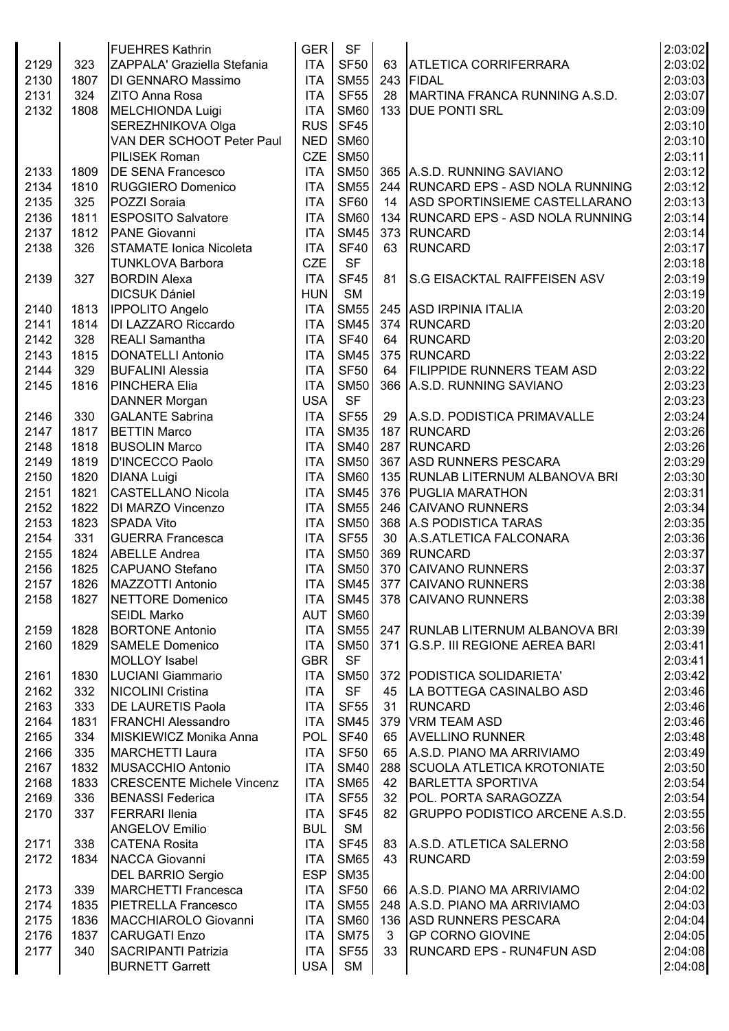|      |      | <b>FUEHRES Kathrin</b>           | <b>GER</b>       | <b>SF</b>   |    |                                       | 2:03:02            |
|------|------|----------------------------------|------------------|-------------|----|---------------------------------------|--------------------|
| 2129 | 323  | ZAPPALA' Graziella Stefania      | <b>ITA</b>       | <b>SF50</b> |    | 63 ATLETICA CORRIFERRARA              | 2:03:02            |
| 2130 | 1807 | DI GENNARO Massimo               | <b>ITA</b>       | <b>SM55</b> |    | 243 FIDAL                             | 2:03:03            |
|      |      |                                  | <b>ITA</b>       | <b>SF55</b> |    |                                       |                    |
| 2131 | 324  | <b>ZITO Anna Rosa</b>            |                  |             | 28 | MARTINA FRANCA RUNNING A.S.D.         | 2:03:07            |
| 2132 | 1808 | MELCHIONDA Luigi                 | <b>ITA</b>       | <b>SM60</b> |    | 133 DUE PONTI SRL                     | 2:03:09            |
|      |      | SEREZHNIKOVA Olga                | <b>RUS</b>       | <b>SF45</b> |    |                                       | 2:03:10            |
|      |      | VAN DER SCHOOT Peter Paul        | <b>NED</b>       | <b>SM60</b> |    |                                       | 2:03:10            |
|      |      | PILISEK Roman                    | CZE <sup>1</sup> | <b>SM50</b> |    |                                       | 2:03:11            |
| 2133 | 1809 | <b>DE SENA Francesco</b>         | <b>ITA</b>       | <b>SM50</b> |    | 365 A.S.D. RUNNING SAVIANO            | 2:03:12            |
| 2134 | 1810 | <b>RUGGIERO Domenico</b>         | <b>ITA</b>       | <b>SM55</b> |    | 244 RUNCARD EPS - ASD NOLA RUNNING    | 2:03:12            |
| 2135 | 325  | POZZI Soraia                     | <b>ITA</b>       | <b>SF60</b> | 14 | ASD SPORTINSIEME CASTELLARANO         | 2:03:13            |
| 2136 | 1811 | <b>ESPOSITO Salvatore</b>        | <b>ITA</b>       | <b>SM60</b> |    | 134 RUNCARD EPS - ASD NOLA RUNNING    | 2:03:14            |
| 2137 | 1812 | PANE Giovanni                    | <b>ITA</b>       | <b>SM45</b> |    | 373 RUNCARD                           | 2:03:14            |
| 2138 | 326  | <b>STAMATE Ionica Nicoleta</b>   | <b>ITA</b>       | <b>SF40</b> | 63 | <b>RUNCARD</b>                        | 2:03:17            |
|      |      | <b>TUNKLOVA Barbora</b>          | <b>CZE</b>       | <b>SF</b>   |    |                                       | 2:03:18            |
| 2139 | 327  | <b>BORDIN Alexa</b>              | <b>ITA</b>       | <b>SF45</b> | 81 | <b>S.G EISACKTAL RAIFFEISEN ASV</b>   | 2:03:19            |
|      |      | <b>DICSUK Dániel</b>             | <b>HUN</b>       | <b>SM</b>   |    |                                       | 2:03:19            |
| 2140 | 1813 | <b>IPPOLITO Angelo</b>           | <b>ITA</b>       | <b>SM55</b> |    | 245 ASD IRPINIA ITALIA                | 2:03:20            |
|      |      |                                  |                  |             |    | 374 RUNCARD                           | 2:03:20            |
| 2141 | 1814 | DI LAZZARO Riccardo              | <b>ITA</b>       | <b>SM45</b> |    |                                       |                    |
| 2142 | 328  | <b>REALI</b> Samantha            | <b>ITA</b>       | <b>SF40</b> |    | 64 RUNCARD                            | 2:03:20            |
| 2143 | 1815 | DONATELLI Antonio                | <b>ITA</b>       | <b>SM45</b> |    | 375 RUNCARD                           | 2:03:22            |
| 2144 | 329  | <b>BUFALINI Alessia</b>          | <b>ITA</b>       | <b>SF50</b> |    | 64 FILIPPIDE RUNNERS TEAM ASD         | 2:03:22            |
| 2145 | 1816 | <b>PINCHERA Elia</b>             | <b>ITA</b>       | <b>SM50</b> |    | 366 A.S.D. RUNNING SAVIANO            | 2:03:23            |
|      |      | DANNER Morgan                    | <b>USA</b>       | <b>SF</b>   |    |                                       | 2:03:23            |
| 2146 | 330  | <b>GALANTE Sabrina</b>           | <b>ITA</b>       | <b>SF55</b> |    | 29   A.S.D. PODISTICA PRIMAVALLE      | 2:03:24            |
| 2147 | 1817 | <b>BETTIN Marco</b>              | <b>ITA</b>       | <b>SM35</b> |    | 187 RUNCARD                           | 2:03:26            |
| 2148 | 1818 | <b>BUSOLIN Marco</b>             | <b>ITA</b>       | <b>SM40</b> |    | 287 RUNCARD                           | 2:03:26            |
| 2149 | 1819 | D'INCECCO Paolo                  | <b>ITA</b>       | <b>SM50</b> |    | 367 ASD RUNNERS PESCARA               | 2:03:29            |
| 2150 | 1820 | <b>DIANA Luigi</b>               | <b>ITA</b>       | <b>SM60</b> |    | 135 RUNLAB LITERNUM ALBANOVA BRI      | 2:03:30            |
| 2151 | 1821 | <b>CASTELLANO Nicola</b>         | <b>ITA</b>       | <b>SM45</b> |    | 376 PUGLIA MARATHON                   | 2:03:31            |
| 2152 | 1822 | DI MARZO Vincenzo                | <b>ITA</b>       | <b>SM55</b> |    | 246 CAIVANO RUNNERS                   | 2:03:34            |
| 2153 | 1823 | <b>SPADA Vito</b>                | <b>ITA</b>       | <b>SM50</b> |    | 368 A.S PODISTICA TARAS               | 2:03:35            |
| 2154 | 331  | <b>GUERRA Francesca</b>          | <b>ITA</b>       | <b>SF55</b> |    | 30 A.S.ATLETICA FALCONARA             | 2:03:36            |
| 2155 | 1824 | <b>ABELLE Andrea</b>             | <b>ITA</b>       | <b>SM50</b> |    | 369 RUNCARD                           | 2:03:37            |
| 2156 | 1825 | CAPUANO Stefano                  | <b>ITA</b>       | <b>SM50</b> |    | 370 CAIVANO RUNNERS                   | 2:03:37            |
|      |      |                                  |                  |             |    |                                       |                    |
| 2157 | 1826 | MAZZOTTI Antonio                 | <b>ITA</b>       |             |    | SM45 377 CAIVANO RUNNERS              | 2:03:38            |
| 2158 | 1827 | NETTORE Domenico                 | <b>ITA</b>       | <b>SM45</b> |    | 378 CAIVANO RUNNERS                   | 2:03:38            |
|      |      | <b>SEIDL Marko</b>               | AUT              | <b>SM60</b> |    |                                       | 2:03:39            |
| 2159 | 1828 | <b>BORTONE Antonio</b>           | <b>ITA</b>       | <b>SM55</b> |    | 247 RUNLAB LITERNUM ALBANOVA BRI      | 2:03:39            |
| 2160 | 1829 | <b>SAMELE Domenico</b>           | <b>ITA</b>       | <b>SM50</b> |    | 371 G.S.P. III REGIONE AEREA BARI     | 2:03:41            |
|      |      | MOLLOY Isabel                    | <b>GBR</b>       | <b>SF</b>   |    |                                       | 2:03:41            |
| 2161 | 1830 | <b>LUCIANI Giammario</b>         | <b>ITA</b>       | <b>SM50</b> |    | 372 PODISTICA SOLIDARIETA'            | 2:03:42            |
| 2162 | 332  | <b>NICOLINI Cristina</b>         | <b>ITA</b>       | <b>SF</b>   | 45 | LA BOTTEGA CASINALBO ASD              | 2:03:46            |
| 2163 | 333  | <b>DE LAURETIS Paola</b>         | <b>ITA</b>       | <b>SF55</b> | 31 | RUNCARD                               | 2:03:46            |
| 2164 | 1831 | <b>FRANCHI Alessandro</b>        | <b>ITA</b>       | <b>SM45</b> |    | 379 VRM TEAM ASD                      | 2:03:46            |
| 2165 | 334  | MISKIEWICZ Monika Anna           | <b>POL</b>       | <b>SF40</b> | 65 | <b>AVELLINO RUNNER</b>                | 2:03:48            |
| 2166 | 335  | <b>MARCHETTI Laura</b>           | <b>ITA</b>       | <b>SF50</b> | 65 | A.S.D. PIANO MA ARRIVIAMO             | 2:03:49            |
| 2167 | 1832 | <b>MUSACCHIO Antonio</b>         | <b>ITA</b>       | <b>SM40</b> |    | 288 SCUOLA ATLETICA KROTONIATE        | 2:03:50            |
| 2168 | 1833 | <b>CRESCENTE Michele Vincenz</b> | <b>ITA</b>       | <b>SM65</b> | 42 | <b>BARLETTA SPORTIVA</b>              | 2:03:54            |
| 2169 | 336  | <b>BENASSI Federica</b>          | <b>ITA</b>       | <b>SF55</b> | 32 | POL. PORTA SARAGOZZA                  | 2:03:54            |
| 2170 | 337  | <b>FERRARI Ilenia</b>            | <b>ITA</b>       | <b>SF45</b> | 82 | <b>GRUPPO PODISTICO ARCENE A.S.D.</b> | 2:03:55            |
|      |      | <b>ANGELOV Emilio</b>            | <b>BUL</b>       | <b>SM</b>   |    |                                       | 2:03:56            |
|      |      |                                  |                  | <b>SF45</b> |    |                                       |                    |
| 2171 | 338  | <b>CATENA Rosita</b>             | <b>ITA</b>       | <b>SM65</b> | 43 | 83 A.S.D. ATLETICA SALERNO            | 2:03:58<br>2:03:59 |
| 2172 | 1834 | NACCA Giovanni                   | <b>ITA</b>       |             |    | <b>RUNCARD</b>                        |                    |
|      |      | <b>DEL BARRIO Sergio</b>         | <b>ESP</b>       | <b>SM35</b> |    |                                       | 2:04:00            |
| 2173 | 339  | <b>MARCHETTI Francesca</b>       | <b>ITA</b>       | <b>SF50</b> | 66 | A.S.D. PIANO MA ARRIVIAMO             | 2:04:02            |
| 2174 | 1835 | <b>PIETRELLA Francesco</b>       | <b>ITA</b>       | <b>SM55</b> |    | 248 A.S.D. PIANO MA ARRIVIAMO         | 2:04:03            |
| 2175 | 1836 | MACCHIAROLO Giovanni             | <b>ITA</b>       | <b>SM60</b> |    | 136 ASD RUNNERS PESCARA               | 2:04:04            |
| 2176 | 1837 | <b>CARUGATI Enzo</b>             | <b>ITA</b>       | <b>SM75</b> | 3  | <b>GP CORNO GIOVINE</b>               | 2:04:05            |
| 2177 | 340  | <b>SACRIPANTI Patrizia</b>       | <b>ITA</b>       | <b>SF55</b> | 33 | <b>RUNCARD EPS - RUN4FUN ASD</b>      | 2:04:08            |
|      |      | <b>BURNETT Garrett</b>           | USA              | SM          |    |                                       | 2:04:08            |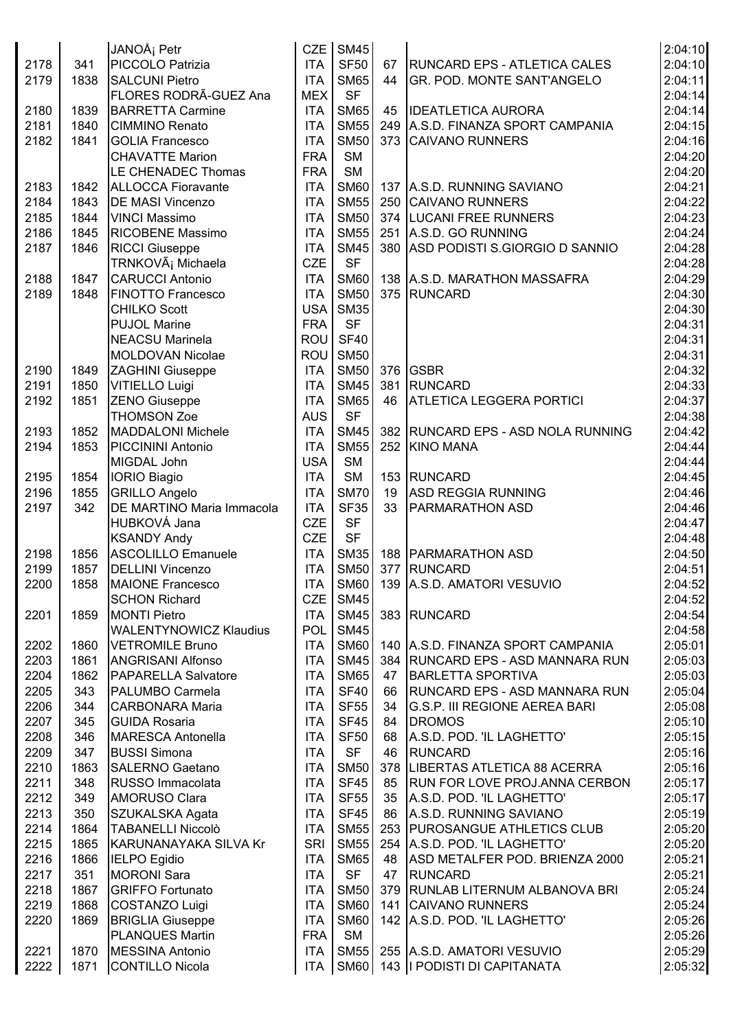|              |             | JANOÅ <sub>i</sub> Petr                           | CZE                      | <b>SM45</b> |    |                                          | 2:04:10 |
|--------------|-------------|---------------------------------------------------|--------------------------|-------------|----|------------------------------------------|---------|
| 2178         | 341         | PICCOLO Patrizia                                  | <b>ITA</b>               | <b>SF50</b> |    | 67   RUNCARD EPS - ATLETICA CALES        | 2:04:10 |
| 2179         | 1838        | <b>SALCUNI Pietro</b>                             | <b>ITA</b>               | <b>SM65</b> | 44 | <b>GR. POD. MONTE SANT'ANGELO</b>        | 2:04:11 |
|              |             | FLORES RODRÃ-GUEZ Ana                             | <b>MEX</b>               | <b>SF</b>   |    |                                          | 2:04:14 |
| 2180         | 1839        | <b>BARRETTA Carmine</b>                           | <b>ITA</b>               | <b>SM65</b> | 45 | <b>IDEATLETICA AURORA</b>                | 2:04:14 |
| 2181         | 1840        | <b>CIMMINO Renato</b>                             | <b>ITA</b>               | <b>SM55</b> |    | 249 A.S.D. FINANZA SPORT CAMPANIA        | 2:04:15 |
| 2182         | 1841        | <b>GOLIA Francesco</b>                            | <b>ITA</b>               | <b>SM50</b> |    | 373 CAIVANO RUNNERS                      | 2:04:16 |
|              |             | <b>CHAVATTE Marion</b>                            | <b>FRA</b>               | <b>SM</b>   |    |                                          | 2:04:20 |
|              |             | LE CHENADEC Thomas                                | <b>FRA</b>               | <b>SM</b>   |    |                                          | 2:04:20 |
| 2183         | 1842        | <b>ALLOCCA Fioravante</b>                         | <b>ITA</b>               |             |    | SM60   137   A.S.D. RUNNING SAVIANO      | 2:04:21 |
| 2184         | 1843        | <b>DE MASI Vincenzo</b>                           | <b>ITA</b>               | <b>SM55</b> |    | 250 CAIVANO RUNNERS                      | 2:04:22 |
| 2185         | 1844        | <b>VINCI Massimo</b>                              | <b>ITA</b>               | <b>SM50</b> |    | 374 LUCANI FREE RUNNERS                  | 2:04:23 |
| 2186         | 1845        | RICOBENE Massimo                                  | <b>ITA</b>               | <b>SM55</b> |    | 251 A.S.D. GO RUNNING                    | 2:04:24 |
| 2187         | 1846        | <b>RICCI Giuseppe</b>                             | <b>ITA</b>               | <b>SM45</b> |    | 380 ASD PODISTI S.GIORGIO D SANNIO       | 2:04:28 |
|              |             | TRNKOVá Michaela                                  | <b>CZE</b>               | <b>SF</b>   |    |                                          | 2:04:28 |
| 2188         | 1847        | <b>CARUCCI Antonio</b>                            | <b>ITA</b>               | SM60        |    | 138 A.S.D. MARATHON MASSAFRA             | 2:04:29 |
| 2189         | 1848        | <b>FINOTTO Francesco</b>                          | <b>ITA</b>               | <b>SM50</b> |    | 375 RUNCARD                              | 2:04:30 |
|              |             | <b>CHILKO Scott</b>                               | <b>USA</b>               | <b>SM35</b> |    |                                          | 2:04:30 |
|              |             | <b>PUJOL Marine</b>                               | <b>FRA</b>               | <b>SF</b>   |    |                                          | 2:04:31 |
|              |             | <b>NEACSU Marinela</b>                            | <b>ROU</b>               | <b>SF40</b> |    |                                          | 2:04:31 |
|              |             | <b>MOLDOVAN Nicolae</b>                           | ROU                      | <b>SM50</b> |    |                                          | 2:04:31 |
| 2190         | 1849        | <b>ZAGHINI</b> Giuseppe                           | <b>ITA</b>               | <b>SM50</b> |    | 376 GSBR                                 | 2:04:32 |
| 2191         | 1850        | <b>VITIELLO Luigi</b>                             | <b>ITA</b>               | <b>SM45</b> |    | 381 RUNCARD                              | 2:04:33 |
| 2192         | 1851        | <b>ZENO Giuseppe</b>                              | <b>ITA</b>               | <b>SM65</b> | 46 | <b>ATLETICA LEGGERA PORTICI</b>          | 2:04:37 |
|              |             | <b>THOMSON Zoe</b>                                | <b>AUS</b>               | <b>SF</b>   |    |                                          | 2:04:38 |
| 2193         | 1852        | <b>MADDALONI Michele</b>                          | <b>ITA</b>               | <b>SM45</b> |    | 382 RUNCARD EPS - ASD NOLA RUNNING       | 2:04:42 |
| 2194         | 1853        | <b>PICCININI Antonio</b>                          | <b>ITA</b>               | <b>SM55</b> |    | 252 KINO MANA                            | 2:04:44 |
|              |             | MIGDAL John                                       | <b>USA</b>               | <b>SM</b>   |    |                                          | 2:04:44 |
|              |             |                                                   | <b>ITA</b>               | SM          |    |                                          | 2:04:45 |
| 2195         | 1854        | <b>IORIO Biagio</b>                               |                          | <b>SM70</b> | 19 | 153 RUNCARD<br><b>ASD REGGIA RUNNING</b> | 2:04:46 |
| 2196<br>2197 | 1855<br>342 | <b>GRILLO Angelo</b><br>DE MARTINO Maria Immacola | <b>ITA</b><br><b>ITA</b> | <b>SF35</b> | 33 | <b>PARMARATHON ASD</b>                   | 2:04:46 |
|              |             | HUBKOVÁ Jana                                      | <b>CZE</b>               | <b>SF</b>   |    |                                          | 2:04:47 |
|              |             |                                                   |                          | <b>SF</b>   |    |                                          | 2:04:48 |
|              |             | <b>KSANDY Andy</b>                                | <b>CZE</b>               |             |    |                                          |         |
| 2198         | 1856        | <b>ASCOLILLO Emanuele</b>                         | <b>ITA</b>               |             |    | SM35   188   PARMARATHON ASD             | 2:04:50 |
| 2199         | 1857        | <b>DELLINI Vincenzo</b>                           | <b>ITA</b>               | <b>SM50</b> |    | 377 RUNCARD                              | 2:04:51 |
| 2200         | 1858        | MAIONE Francesco                                  | <b>ITA</b>               |             |    | SM60   139   A.S.D. AMATORI VESUVIO      | 2:04:52 |
|              |             | <b>SCHON Richard</b>                              | CZE <sup>I</sup>         | <b>SM45</b> |    |                                          | 2:04:52 |
| 2201         | 1859        | <b>MONTI Pietro</b>                               | <b>ITA</b>               | <b>SM45</b> |    | 383 RUNCARD                              | 2:04:54 |
|              |             | <b>WALENTYNOWICZ Klaudius</b>                     | <b>POL</b>               | <b>SM45</b> |    |                                          | 2:04:58 |
| 2202         | 1860        | <b>VETROMILE Bruno</b>                            | <b>ITA</b>               | <b>SM60</b> |    | 140   A.S.D. FINANZA SPORT CAMPANIA      | 2:05:01 |
| 2203         | 1861        | <b>ANGRISANI Alfonso</b>                          | <b>ITA</b>               | <b>SM45</b> |    | 384   RUNCARD EPS - ASD MANNARA RUN      | 2:05:03 |
| 2204         | 1862        | <b>PAPARELLA Salvatore</b>                        | <b>ITA</b>               | <b>SM65</b> |    | 47 BARLETTA SPORTIVA                     | 2:05:03 |
| 2205         | 343         | PALUMBO Carmela                                   | <b>ITA</b>               | <b>SF40</b> |    | 66 RUNCARD EPS - ASD MANNARA RUN         | 2:05:04 |
| 2206         | 344         | <b>CARBONARA Maria</b>                            | <b>ITA</b>               | <b>SF55</b> | 34 | G.S.P. III REGIONE AEREA BARI            | 2:05:08 |
| 2207         | 345         | <b>GUIDA Rosaria</b>                              | <b>ITA</b>               | SF45        |    | 84   DROMOS                              | 2:05:10 |
| 2208         | 346         | MARESCA Antonella                                 | <b>ITA</b>               | <b>SF50</b> | 68 | A.S.D. POD. 'IL LAGHETTO'                | 2:05:15 |
| 2209         | 347         | <b>BUSSI Simona</b>                               | <b>ITA</b>               | <b>SF</b>   | 46 | <b>RUNCARD</b>                           | 2:05:16 |
| 2210         | 1863        | <b>SALERNO Gaetano</b>                            | <b>ITA</b>               | <b>SM50</b> |    | 378   LIBERTAS ATLETICA 88 ACERRA        | 2:05:16 |
| 2211         | 348         | RUSSO Immacolata                                  | <b>ITA</b>               | <b>SF45</b> | 85 | <b>RUN FOR LOVE PROJ.ANNA CERBON</b>     | 2:05:17 |
| 2212         | 349         | <b>AMORUSO Clara</b>                              | <b>ITA</b>               | <b>SF55</b> | 35 | A.S.D. POD. 'IL LAGHETTO'                | 2:05:17 |
| 2213         | 350         | SZUKALSKA Agata                                   | <b>ITA</b>               | <b>SF45</b> | 86 | A.S.D. RUNNING SAVIANO                   | 2:05:19 |
| 2214         | 1864        | <b>TABANELLI Niccolò</b>                          | <b>ITA</b>               | <b>SM55</b> |    | 253 PUROSANGUE ATHLETICS CLUB            | 2:05:20 |
| 2215         | 1865        | KARUNANAYAKA SILVA Kr                             | <b>SRI</b>               | <b>SM55</b> |    | 254 A.S.D. POD. 'IL LAGHETTO'            | 2:05:20 |
| 2216         | 1866        | <b>IELPO Egidio</b>                               | <b>ITA</b>               | <b>SM65</b> |    | 48   ASD METALFER POD. BRIENZA 2000      | 2:05:21 |
| 2217         | 351         | <b>MORONI Sara</b>                                | <b>ITA</b>               | <b>SF</b>   | 47 | RUNCARD                                  | 2:05:21 |
| 2218         | 1867        | <b>GRIFFO Fortunato</b>                           | <b>ITA</b>               | <b>SM50</b> |    | 379 RUNLAB LITERNUM ALBANOVA BRI         | 2:05:24 |
| 2219         | 1868        | <b>COSTANZO Luigi</b>                             | <b>ITA</b>               | <b>SM60</b> |    | 141 CAIVANO RUNNERS                      | 2:05:24 |
| 2220         | 1869        | <b>BRIGLIA Giuseppe</b>                           | <b>ITA</b>               | <b>SM60</b> |    | 142 A.S.D. POD. 'IL LAGHETTO'            | 2:05:26 |
|              |             | <b>PLANQUES Martin</b>                            | <b>FRA</b>               | SM          |    |                                          | 2:05:26 |
| 2221         | 1870        | <b>MESSINA Antonio</b>                            | <b>ITA</b>               | SM55        |    | 255 A.S.D. AMATORI VESUVIO               | 2:05:29 |
| 2222         | 1871        | CONTILLO Nicola                                   | <b>ITA</b>               |             |    | SM60   143   PODISTI DI CAPITANATA       | 2:05:32 |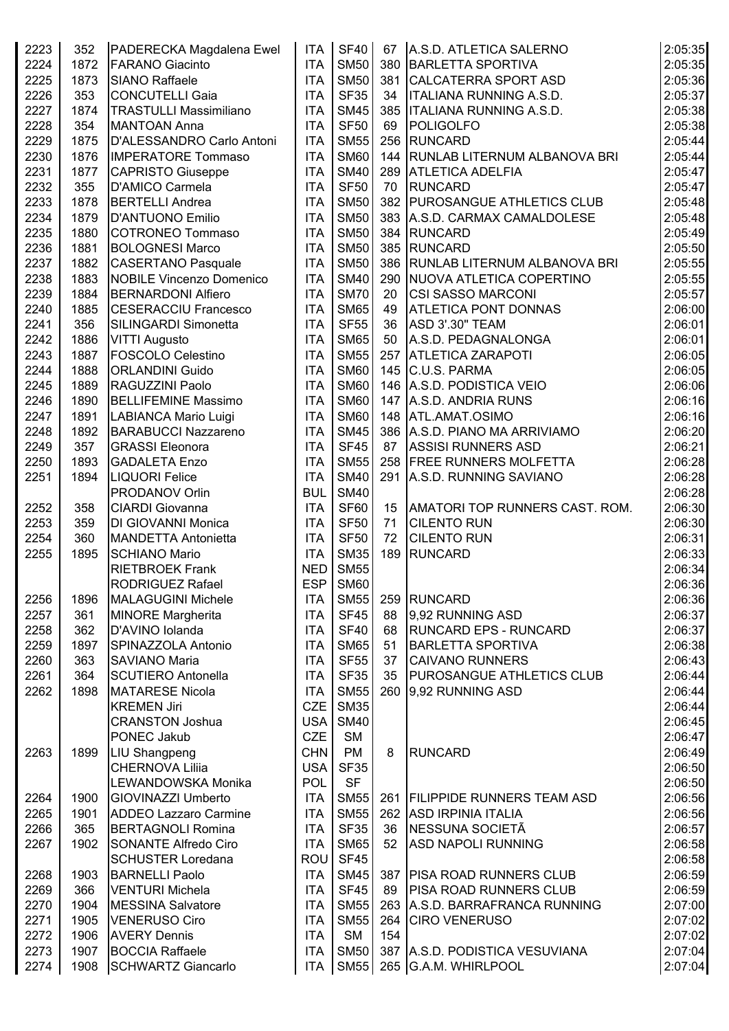| 2223 | 352  | PADERECKA Magdalena Ewel                            | <b>ITA</b>       | <b>SF40</b> | 67  | A.S.D. ATLETICA SALERNO          | 2:05:35            |
|------|------|-----------------------------------------------------|------------------|-------------|-----|----------------------------------|--------------------|
| 2224 | 1872 | <b>FARANO Giacinto</b>                              | <b>ITA</b>       | <b>SM50</b> |     | 380 BARLETTA SPORTIVA            | 2:05:35            |
| 2225 | 1873 | <b>SIANO Raffaele</b>                               | <b>ITA</b>       | <b>SM50</b> |     | 381 CALCATERRA SPORT ASD         | 2:05:36            |
| 2226 | 353  | CONCUTELLI Gaia                                     | <b>ITA</b>       | <b>SF35</b> | 34  | <b>ITALIANA RUNNING A.S.D.</b>   | 2:05:37            |
| 2227 | 1874 | <b>TRASTULLI Massimiliano</b>                       | <b>ITA</b>       | <b>SM45</b> |     | 385   ITALIANA RUNNING A.S.D.    | 2:05:38            |
| 2228 | 354  | <b>MANTOAN Anna</b>                                 | <b>ITA</b>       | <b>SF50</b> | 69  | POLIGOLFO                        | 2:05:38            |
| 2229 | 1875 | D'ALESSANDRO Carlo Antoni                           | <b>ITA</b>       | <b>SM55</b> |     | 256 RUNCARD                      | 2:05:44            |
| 2230 | 1876 | <b>IMPERATORE Tommaso</b>                           | <b>ITA</b>       | <b>SM60</b> |     | 144 RUNLAB LITERNUM ALBANOVA BRI | 2:05:44            |
| 2231 | 1877 | <b>CAPRISTO Giuseppe</b>                            | <b>ITA</b>       | <b>SM40</b> |     | 289 ATLETICA ADELFIA             | 2:05:47            |
| 2232 | 355  | D'AMICO Carmela                                     | <b>ITA</b>       | <b>SF50</b> | 70  | <b>RUNCARD</b>                   | 2:05:47            |
|      |      |                                                     |                  |             |     |                                  |                    |
| 2233 | 1878 | <b>BERTELLI Andrea</b>                              | <b>ITA</b>       | <b>SM50</b> |     | 382 PUROSANGUE ATHLETICS CLUB    | 2:05:48            |
| 2234 | 1879 | D'ANTUONO Emilio                                    | <b>ITA</b>       | <b>SM50</b> |     | 383 A.S.D. CARMAX CAMALDOLESE    | 2:05:48            |
| 2235 | 1880 | COTRONEO Tommaso                                    | <b>ITA</b>       | <b>SM50</b> |     | 384 RUNCARD                      | 2:05:49            |
| 2236 | 1881 | <b>BOLOGNESI Marco</b>                              | <b>ITA</b>       | <b>SM50</b> |     | 385 RUNCARD                      | 2:05:50            |
| 2237 | 1882 | <b>CASERTANO Pasquale</b>                           | <b>ITA</b>       | <b>SM50</b> |     | 386 RUNLAB LITERNUM ALBANOVA BRI | 2:05:55            |
| 2238 | 1883 | <b>NOBILE Vincenzo Domenico</b>                     | <b>ITA</b>       | <b>SM40</b> |     | 290 NUOVA ATLETICA COPERTINO     | 2:05:55            |
| 2239 | 1884 | <b>BERNARDONI Alfiero</b>                           | <b>ITA</b>       | <b>SM70</b> | 20  | <b>CSI SASSO MARCONI</b>         | 2:05:57            |
| 2240 | 1885 | <b>CESERACCIU Francesco</b>                         | <b>ITA</b>       | <b>SM65</b> | 49  | <b>ATLETICA PONT DONNAS</b>      | 2:06:00            |
| 2241 | 356  | SILINGARDI Simonetta                                | <b>ITA</b>       | <b>SF55</b> | 36  | ASD 3'.30" TEAM                  | 2:06:01            |
| 2242 | 1886 | <b>VITTI Augusto</b>                                | <b>ITA</b>       | <b>SM65</b> | 50  | A.S.D. PEDAGNALONGA              | 2:06:01            |
| 2243 | 1887 | <b>FOSCOLO Celestino</b>                            | <b>ITA</b>       | <b>SM55</b> |     | 257 ATLETICA ZARAPOTI            | 2:06:05            |
| 2244 | 1888 | <b>ORLANDINI Guido</b>                              | <b>ITA</b>       | <b>SM60</b> |     | 145 C.U.S. PARMA                 | 2:06:05            |
| 2245 | 1889 | RAGUZZINI Paolo                                     | <b>ITA</b>       | <b>SM60</b> |     | 146 A.S.D. PODISTICA VEIO        | 2:06:06            |
| 2246 | 1890 | <b>BELLIFEMINE Massimo</b>                          | <b>ITA</b>       | <b>SM60</b> |     | 147 A.S.D. ANDRIA RUNS           | 2:06:16            |
| 2247 | 1891 | LABIANCA Mario Luigi                                | <b>ITA</b>       | <b>SM60</b> |     | 148 ATL.AMAT.OSIMO               | 2:06:16            |
| 2248 | 1892 | <b>BARABUCCI Nazzareno</b>                          | <b>ITA</b>       | <b>SM45</b> |     | 386 A.S.D. PIANO MA ARRIVIAMO    | 2:06:20            |
| 2249 | 357  | <b>GRASSI</b> Eleonora                              | <b>ITA</b>       | <b>SF45</b> |     | 87 ASSISI RUNNERS ASD            | 2:06:21            |
| 2250 | 1893 | <b>GADALETA Enzo</b>                                | <b>ITA</b>       | <b>SM55</b> |     | 258 FREE RUNNERS MOLFETTA        | 2:06:28            |
| 2251 | 1894 | <b>LIQUORI Felice</b>                               | <b>ITA</b>       | <b>SM40</b> |     | 291 A.S.D. RUNNING SAVIANO       | 2:06:28            |
|      |      | <b>PRODANOV Orlin</b>                               | <b>BUL</b>       | <b>SM40</b> |     |                                  | 2:06:28            |
|      |      |                                                     |                  | SF60        |     |                                  |                    |
| 2252 | 358  | <b>CIARDI</b> Giovanna<br><b>DI GIOVANNI Monica</b> | <b>ITA</b>       | <b>SF50</b> | 15  | AMATORI TOP RUNNERS CAST. ROM.   | 2:06:30<br>2:06:30 |
| 2253 | 359  |                                                     | <b>ITA</b>       |             | 71  | <b>CILENTO RUN</b>               |                    |
| 2254 | 360  | MANDETTA Antonietta                                 | <b>ITA</b>       | <b>SF50</b> | 72  | <b>CILENTO RUN</b>               | 2:06:31            |
| 2255 | 1895 | <b>SCHIANO Mario</b>                                | <b>ITA</b>       | <b>SM35</b> |     | 189 RUNCARD                      | 2:06:33            |
|      |      | <b>RIETBROEK Frank</b>                              | <b>NED</b>       | <b>SM55</b> |     |                                  | 2:06:34            |
|      |      | <b>RODRIGUEZ Rafael</b>                             | <b>ESP</b>       | <b>SM60</b> |     |                                  | 2:06:36            |
| 2256 | 1896 | <b>MALAGUGINI Michele</b>                           | <b>ITA</b>       | <b>SM55</b> |     | 259 RUNCARD                      | 2:06:36            |
| 2257 | 361  | <b>MINORE Margherita</b>                            | <b>ITA</b>       | <b>SF45</b> | 88  | 9,92 RUNNING ASD                 | 2:06:37            |
| 2258 | 362  | D'AVINO Iolanda                                     | <b>ITA</b>       | <b>SF40</b> | 68  | <b>RUNCARD EPS - RUNCARD</b>     | 2:06:37            |
| 2259 | 1897 | SPINAZZOLA Antonio                                  | <b>ITA</b>       | <b>SM65</b> | 51  | <b>BARLETTA SPORTIVA</b>         | 2:06:38            |
| 2260 | 363  | <b>SAVIANO Maria</b>                                | <b>ITA</b>       | <b>SF55</b> | 37  | <b>CAIVANO RUNNERS</b>           | 2:06:43            |
| 2261 | 364  | SCUTIERO Antonella                                  | <b>ITA</b>       | <b>SF35</b> | 35  | <b>PUROSANGUE ATHLETICS CLUB</b> | 2:06:44            |
| 2262 | 1898 | <b>MATARESE Nicola</b>                              | <b>ITA</b>       | <b>SM55</b> |     | 260 9,92 RUNNING ASD             | 2:06:44            |
|      |      | <b>KREMEN Jiri</b>                                  | <b>CZE</b>       | <b>SM35</b> |     |                                  | 2:06:44            |
|      |      | <b>CRANSTON Joshua</b>                              | USA <sup>I</sup> | <b>SM40</b> |     |                                  | 2:06:45            |
|      |      | PONEC Jakub                                         | <b>CZE</b>       | SM          |     |                                  | 2:06:47            |
| 2263 | 1899 | <b>LIU Shangpeng</b>                                | <b>CHN</b>       | PM          | 8   | <b>RUNCARD</b>                   | 2:06:49            |
|      |      | <b>CHERNOVA Liliia</b>                              | <b>USA</b>       | <b>SF35</b> |     |                                  | 2:06:50            |
|      |      | LEWANDOWSKA Monika                                  | <b>POL</b>       | <b>SF</b>   |     |                                  | 2:06:50            |
| 2264 | 1900 | GIOVINAZZI Umberto                                  | <b>ITA</b>       | <b>SM55</b> |     | 261 FILIPPIDE RUNNERS TEAM ASD   | 2:06:56            |
|      |      | <b>ADDEO Lazzaro Carmine</b>                        | <b>ITA</b>       | <b>SM55</b> |     | 262 ASD IRPINIA ITALIA           |                    |
| 2265 | 1901 |                                                     |                  |             |     |                                  | 2:06:56            |
| 2266 | 365  | <b>BERTAGNOLI Romina</b>                            | <b>ITA</b>       | <b>SF35</b> | 36  | <b>INESSUNA SOCIETÃ</b>          | 2:06:57            |
| 2267 | 1902 | <b>SONANTE Alfredo Ciro</b>                         | <b>ITA</b>       | <b>SM65</b> | 52  | <b>ASD NAPOLI RUNNING</b>        | 2:06:58            |
|      |      | <b>SCHUSTER Loredana</b>                            | ROU              | <b>SF45</b> |     |                                  | 2:06:58            |
| 2268 | 1903 | <b>BARNELLI Paolo</b>                               | <b>ITA</b>       | <b>SM45</b> |     | 387   PISA ROAD RUNNERS CLUB     | 2:06:59            |
| 2269 | 366  | <b>VENTURI Michela</b>                              | <b>ITA</b>       | <b>SF45</b> | 89  | <b>PISA ROAD RUNNERS CLUB</b>    | 2:06:59            |
| 2270 | 1904 | MESSINA Salvatore                                   | <b>ITA</b>       | <b>SM55</b> |     | 263 A.S.D. BARRAFRANCA RUNNING   | 2:07:00            |
| 2271 | 1905 | <b>VENERUSO Ciro</b>                                | <b>ITA</b>       | <b>SM55</b> |     | 264 CIRO VENERUSO                | 2:07:02            |
| 2272 | 1906 | <b>AVERY Dennis</b>                                 | <b>ITA</b>       | <b>SM</b>   | 154 |                                  | 2:07:02            |
| 2273 | 1907 | <b>BOCCIA Raffaele</b>                              | <b>ITA</b>       | <b>SM50</b> |     | 387 A.S.D. PODISTICA VESUVIANA   | 2:07:04            |
| 2274 | 1908 | <b>SCHWARTZ Giancarlo</b>                           | ITA              |             |     | SM55 265 G.A.M. WHIRLPOOL        | 2:07:04            |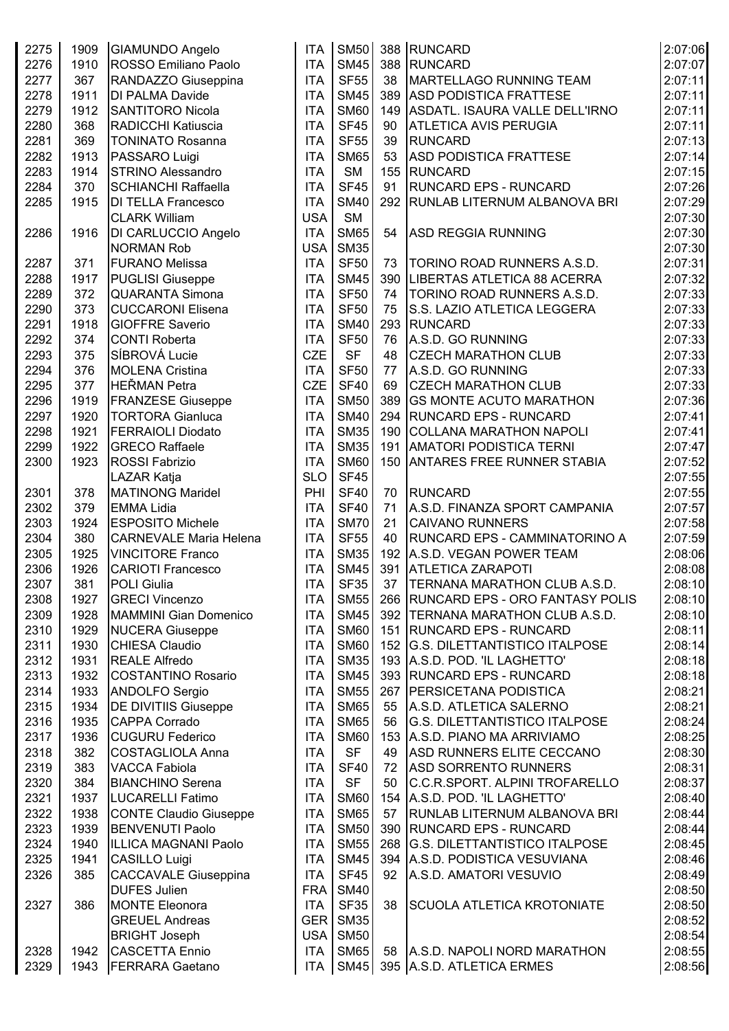| 2275 | 1909 | GIAMUNDO Angelo               | <b>ITA</b> | <b>SM50</b> |    | 388 RUNCARD                           | 2:07:06 |
|------|------|-------------------------------|------------|-------------|----|---------------------------------------|---------|
| 2276 | 1910 | ROSSO Emiliano Paolo          | <b>ITA</b> | <b>SM45</b> |    | 388 RUNCARD                           | 2:07:07 |
| 2277 | 367  | RANDAZZO Giuseppina           | <b>ITA</b> | <b>SF55</b> | 38 | MARTELLAGO RUNNING TEAM               | 2:07:11 |
| 2278 | 1911 | <b>DI PALMA Davide</b>        | <b>ITA</b> | <b>SM45</b> |    | 389 ASD PODISTICA FRATTESE            | 2:07:11 |
| 2279 | 1912 | <b>SANTITORO Nicola</b>       | <b>ITA</b> | <b>SM60</b> |    | 149 ASDATL. ISAURA VALLE DELL'IRNO    | 2:07:11 |
| 2280 | 368  | RADICCHI Katiuscia            | <b>ITA</b> | <b>SF45</b> | 90 | <b>ATLETICA AVIS PERUGIA</b>          | 2:07:11 |
| 2281 | 369  | <b>TONINATO Rosanna</b>       | <b>ITA</b> | <b>SF55</b> | 39 | <b>RUNCARD</b>                        | 2:07:13 |
| 2282 | 1913 | PASSARO Luigi                 | <b>ITA</b> | <b>SM65</b> | 53 | <b>ASD PODISTICA FRATTESE</b>         | 2:07:14 |
| 2283 | 1914 | <b>STRINO Alessandro</b>      | <b>ITA</b> | <b>SM</b>   |    | 155 RUNCARD                           | 2:07:15 |
| 2284 | 370  | <b>SCHIANCHI Raffaella</b>    | <b>ITA</b> | <b>SF45</b> | 91 | <b>RUNCARD EPS - RUNCARD</b>          | 2:07:26 |
| 2285 | 1915 | <b>DI TELLA Francesco</b>     | <b>ITA</b> | <b>SM40</b> |    | 292 RUNLAB LITERNUM ALBANOVA BRI      | 2:07:29 |
|      |      | <b>CLARK William</b>          | <b>USA</b> | <b>SM</b>   |    |                                       | 2:07:30 |
| 2286 | 1916 | DI CARLUCCIO Angelo           | <b>ITA</b> | <b>SM65</b> | 54 | <b>ASD REGGIA RUNNING</b>             | 2:07:30 |
|      |      | <b>NORMAN Rob</b>             | <b>USA</b> | <b>SM35</b> |    |                                       | 2:07:30 |
| 2287 | 371  | <b>FURANO Melissa</b>         | <b>ITA</b> | <b>SF50</b> | 73 | <b>TORINO ROAD RUNNERS A.S.D.</b>     | 2:07:31 |
| 2288 | 1917 | <b>PUGLISI Giuseppe</b>       | <b>ITA</b> | <b>SM45</b> |    | 390   LIBERTAS ATLETICA 88 ACERRA     | 2:07:32 |
| 2289 | 372  | <b>QUARANTA Simona</b>        | <b>ITA</b> | <b>SF50</b> | 74 | <b>TORINO ROAD RUNNERS A.S.D.</b>     | 2:07:33 |
| 2290 | 373  | <b>CUCCARONI Elisena</b>      | <b>ITA</b> | <b>SF50</b> | 75 | S.S. LAZIO ATLETICA LEGGERA           | 2:07:33 |
| 2291 | 1918 | <b>GIOFFRE Saverio</b>        | <b>ITA</b> | <b>SM40</b> |    | 293 RUNCARD                           | 2:07:33 |
| 2292 | 374  | <b>CONTI Roberta</b>          | <b>ITA</b> | <b>SF50</b> | 76 | A.S.D. GO RUNNING                     | 2:07:33 |
| 2293 | 375  | SÍBROVÁ Lucie                 | <b>CZE</b> | <b>SF</b>   | 48 | <b>CZECH MARATHON CLUB</b>            | 2:07:33 |
| 2294 | 376  | <b>MOLENA Cristina</b>        | <b>ITA</b> | <b>SF50</b> | 77 | A.S.D. GO RUNNING                     | 2:07:33 |
| 2295 | 377  | HEŘMAN Petra                  | <b>CZE</b> | <b>SF40</b> | 69 | <b>CZECH MARATHON CLUB</b>            | 2:07:33 |
| 2296 | 1919 | <b>FRANZESE Giuseppe</b>      | <b>ITA</b> | <b>SM50</b> |    | 389 GS MONTE ACUTO MARATHON           | 2:07:36 |
| 2297 | 1920 | <b>TORTORA Gianluca</b>       | <b>ITA</b> | <b>SM40</b> |    | 294   RUNCARD EPS - RUNCARD           | 2:07:41 |
| 2298 | 1921 | <b>FERRAIOLI Diodato</b>      | <b>ITA</b> | <b>SM35</b> |    | 190 COLLANA MARATHON NAPOLI           | 2:07:41 |
| 2299 | 1922 | <b>GRECO Raffaele</b>         | <b>ITA</b> | <b>SM35</b> |    | 191   AMATORI PODISTICA TERNI         | 2:07:47 |
| 2300 | 1923 | <b>ROSSI Fabrizio</b>         | <b>ITA</b> | <b>SM60</b> |    | 150 ANTARES FREE RUNNER STABIA        | 2:07:52 |
|      |      | <b>LAZAR Katja</b>            | <b>SLO</b> | <b>SF45</b> |    |                                       | 2:07:55 |
| 2301 | 378  | <b>MATINONG Maridel</b>       | PHI        | <b>SF40</b> | 70 | <b>RUNCARD</b>                        | 2:07:55 |
| 2302 | 379  | <b>EMMA Lidia</b>             | <b>ITA</b> | <b>SF40</b> | 71 | A.S.D. FINANZA SPORT CAMPANIA         | 2:07:57 |
| 2303 | 1924 | <b>ESPOSITO Michele</b>       | <b>ITA</b> | <b>SM70</b> | 21 | <b>CAIVANO RUNNERS</b>                | 2:07:58 |
| 2304 | 380  | <b>CARNEVALE Maria Helena</b> | <b>ITA</b> | <b>SF55</b> | 40 | RUNCARD EPS - CAMMINATORINO A         | 2:07:59 |
| 2305 | 1925 | <b>VINCITORE Franco</b>       | <b>ITA</b> | <b>SM35</b> |    | 192 A.S.D. VEGAN POWER TEAM           | 2:08:06 |
| 2306 | 1926 | <b>CARIOTI Francesco</b>      | <b>ITA</b> | <b>SM45</b> |    | 391 ATLETICA ZARAPOTI                 | 2:08:08 |
| 2307 | 381  | POLI Giulia                   | <b>ITA</b> | <b>SF35</b> | 37 | TERNANA MARATHON CLUB A.S.D.          | 2:08:10 |
| 2308 | 1927 | <b>GRECI Vincenzo</b>         | ITA        | <b>SM55</b> |    | 266   RUNCARD EPS - ORO FANTASY POLIS | 2:08:10 |
| 2309 | 1928 | MAMMINI Gian Domenico         | <b>ITA</b> | <b>SM45</b> |    | 392   TERNANA MARATHON CLUB A.S.D.    | 2:08:10 |
| 2310 | 1929 | <b>NUCERA Giuseppe</b>        | <b>ITA</b> | <b>SM60</b> |    | 151 RUNCARD EPS - RUNCARD             | 2:08:11 |
| 2311 | 1930 | <b>CHIESA Claudio</b>         | <b>ITA</b> | <b>SM60</b> |    | 152 G.S. DILETTANTISTICO ITALPOSE     | 2:08:14 |
| 2312 | 1931 | <b>REALE Alfredo</b>          | <b>ITA</b> | <b>SM35</b> |    | 193 A.S.D. POD. 'IL LAGHETTO'         | 2:08:18 |
| 2313 | 1932 | <b>COSTANTINO Rosario</b>     | <b>ITA</b> | <b>SM45</b> |    | 393 RUNCARD EPS - RUNCARD             | 2:08:18 |
| 2314 | 1933 | <b>ANDOLFO Sergio</b>         | <b>ITA</b> | <b>SM55</b> |    | 267 PERSICETANA PODISTICA             | 2:08:21 |
| 2315 | 1934 | <b>DE DIVITIIS Giuseppe</b>   | <b>ITA</b> | <b>SM65</b> | 55 | A.S.D. ATLETICA SALERNO               | 2:08:21 |
| 2316 | 1935 | <b>CAPPA Corrado</b>          | <b>ITA</b> | <b>SM65</b> | 56 | <b>G.S. DILETTANTISTICO ITALPOSE</b>  | 2:08:24 |
| 2317 | 1936 | <b>CUGURU Federico</b>        | <b>ITA</b> | <b>SM60</b> |    | 153 A.S.D. PIANO MA ARRIVIAMO         | 2:08:25 |
| 2318 | 382  | <b>COSTAGLIOLA Anna</b>       | <b>ITA</b> | <b>SF</b>   | 49 | ASD RUNNERS ELITE CECCANO             | 2:08:30 |
| 2319 | 383  | <b>VACCA Fabiola</b>          | <b>ITA</b> | <b>SF40</b> | 72 | <b>ASD SORRENTO RUNNERS</b>           | 2:08:31 |
| 2320 | 384  | <b>BIANCHINO Serena</b>       | <b>ITA</b> | <b>SF</b>   | 50 | C.C.R.SPORT. ALPINI TROFARELLO        | 2:08:37 |
| 2321 | 1937 | <b>LUCARELLI Fatimo</b>       | ITA        | <b>SM60</b> |    | 154 A.S.D. POD. 'IL LAGHETTO'         | 2:08:40 |
| 2322 | 1938 | <b>CONTE Claudio Giuseppe</b> | <b>ITA</b> | <b>SM65</b> | 57 | <b>RUNLAB LITERNUM ALBANOVA BRI</b>   | 2:08:44 |
| 2323 | 1939 | <b>BENVENUTI Paolo</b>        | <b>ITA</b> | <b>SM50</b> |    | 390 RUNCARD EPS - RUNCARD             | 2:08:44 |
| 2324 | 1940 | ILLICA MAGNANI Paolo          | <b>ITA</b> | <b>SM55</b> |    | 268 G.S. DILETTANTISTICO ITALPOSE     | 2:08:45 |
| 2325 | 1941 | CASILLO Luigi                 | <b>ITA</b> | <b>SM45</b> |    | 394 A.S.D. PODISTICA VESUVIANA        | 2:08:46 |
| 2326 | 385  | <b>CACCAVALE Giuseppina</b>   | <b>ITA</b> | <b>SF45</b> | 92 | A.S.D. AMATORI VESUVIO                | 2:08:49 |
|      |      | <b>DUFES Julien</b>           | <b>FRA</b> | <b>SM40</b> |    |                                       | 2:08:50 |
| 2327 | 386  | <b>MONTE Eleonora</b>         | <b>ITA</b> | <b>SF35</b> | 38 | <b>SCUOLA ATLETICA KROTONIATE</b>     | 2:08:50 |
|      |      | <b>GREUEL Andreas</b>         | <b>GER</b> | <b>SM35</b> |    |                                       | 2:08:52 |
|      |      | <b>BRIGHT Joseph</b>          | <b>USA</b> | <b>SM50</b> |    |                                       | 2:08:54 |
| 2328 | 1942 | <b>CASCETTA Ennio</b>         | <b>ITA</b> | <b>SM65</b> |    | 58 A.S.D. NAPOLI NORD MARATHON        | 2:08:55 |
| 2329 | 1943 | <b>FERRARA Gaetano</b>        | ITA        |             |    | SM45 395 A.S.D. ATLETICA ERMES        | 2:08:56 |
|      |      |                               |            |             |    |                                       |         |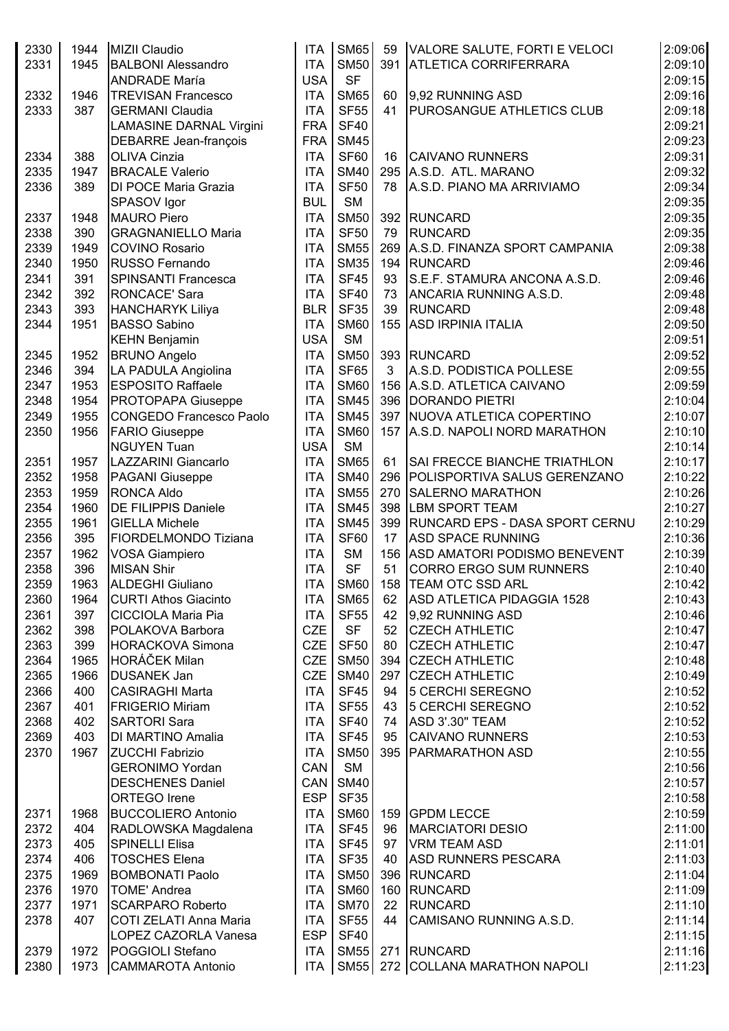| 2330<br>2331 | 1944<br>1945 | MIZII Claudio<br><b>BALBONI Alessandro</b><br><b>ANDRADE María</b> | <b>ITA</b><br><b>ITA</b><br><b>USA</b> | <b>SM65</b><br><b>SM50</b><br><b>SF</b> | 59<br>391 | VALORE SALUTE, FORTI E VELOCI<br><b>ATLETICA CORRIFERRARA</b> | 2:09:06<br>2:09:10<br>2:09:15 |
|--------------|--------------|--------------------------------------------------------------------|----------------------------------------|-----------------------------------------|-----------|---------------------------------------------------------------|-------------------------------|
| 2332         | 1946         | <b>TREVISAN Francesco</b>                                          | ITA                                    | <b>SM65</b>                             | 60        | 9,92 RUNNING ASD                                              | 2:09:16                       |
| 2333         | 387          | <b>GERMANI Claudia</b>                                             | <b>ITA</b>                             | <b>SF55</b>                             | 41        | <b>PUROSANGUE ATHLETICS CLUB</b>                              | 2:09:18                       |
|              |              | <b>LAMASINE DARNAL Virgini</b>                                     | <b>FRA</b>                             | <b>SF40</b>                             |           |                                                               | 2:09:21                       |
|              |              | DEBARRE Jean-françois                                              | <b>FRA</b>                             | <b>SM45</b>                             |           |                                                               | 2:09:23                       |
|              | 388          | <b>OLIVA Cinzia</b>                                                | <b>ITA</b>                             | <b>SF60</b>                             |           | <b>CAIVANO RUNNERS</b>                                        |                               |
| 2334<br>2335 | 1947         | <b>BRACALE Valerio</b>                                             | <b>ITA</b>                             | <b>SM40</b>                             | 16<br>295 | A.S.D. ATL. MARANO                                            | 2:09:31<br>2:09:32            |
|              |              |                                                                    |                                        |                                         |           | A.S.D. PIANO MA ARRIVIAMO                                     |                               |
| 2336         | 389          | DI POCE Maria Grazia                                               | <b>ITA</b>                             | <b>SF50</b>                             | 78        |                                                               | 2:09:34                       |
|              |              | SPASOV Igor                                                        | <b>BUL</b>                             | <b>SM</b>                               |           |                                                               | 2:09:35                       |
| 2337         | 1948         | <b>MAURO Piero</b>                                                 | <b>ITA</b>                             | <b>SM50</b>                             | 392       | RUNCARD                                                       | 2:09:35                       |
| 2338         | 390          | <b>GRAGNANIELLO Maria</b>                                          | <b>ITA</b>                             | <b>SF50</b>                             | 79        | RUNCARD                                                       | 2:09:35                       |
| 2339         | 1949         | <b>COVINO Rosario</b>                                              | <b>ITA</b>                             | <b>SM55</b>                             | 269       | A.S.D. FINANZA SPORT CAMPANIA                                 | 2:09:38                       |
| 2340         | 1950         | <b>RUSSO Fernando</b>                                              | <b>ITA</b>                             | <b>SM35</b>                             | 194       | RUNCARD                                                       | 2:09:46                       |
| 2341         | 391          | <b>SPINSANTI Francesca</b>                                         | <b>ITA</b>                             | <b>SF45</b>                             | 93        | S.E.F. STAMURA ANCONA A.S.D.                                  | 2:09:46                       |
| 2342         | 392          | <b>RONCACE' Sara</b>                                               | <b>ITA</b>                             | <b>SF40</b>                             | 73        | ANCARIA RUNNING A.S.D.                                        | 2:09:48                       |
| 2343         | 393          | <b>HANCHARYK Liliya</b>                                            | <b>BLR</b>                             | <b>SF35</b>                             | 39        | <b>RUNCARD</b>                                                | 2:09:48                       |
| 2344         | 1951         | <b>BASSO Sabino</b>                                                | <b>ITA</b>                             | <b>SM60</b>                             | 155       | <b>ASD IRPINIA ITALIA</b>                                     | 2:09:50                       |
|              |              | <b>KEHN Benjamin</b>                                               | <b>USA</b>                             | <b>SM</b>                               |           |                                                               | 2:09:51                       |
| 2345         | 1952         | <b>BRUNO Angelo</b>                                                | <b>ITA</b>                             | <b>SM50</b>                             |           | 393 RUNCARD                                                   | 2:09:52                       |
| 2346         | 394          | LA PADULA Angiolina                                                | <b>ITA</b>                             | <b>SF65</b>                             | 3         | A.S.D. PODISTICA POLLESE                                      | 2:09:55                       |
| 2347         | 1953         | <b>ESPOSITO Raffaele</b>                                           | <b>ITA</b>                             | <b>SM60</b>                             |           | 156 A.S.D. ATLETICA CAIVANO                                   | 2:09:59                       |
| 2348         | 1954         | PROTOPAPA Giuseppe                                                 | <b>ITA</b>                             | <b>SM45</b>                             |           | 396   DORANDO PIETRI                                          | 2:10:04                       |
| 2349         | 1955         | <b>CONGEDO Francesco Paolo</b>                                     | <b>ITA</b>                             | <b>SM45</b>                             |           | 397 NUOVA ATLETICA COPERTINO                                  | 2:10:07                       |
| 2350         | 1956         | <b>FARIO Giuseppe</b>                                              | <b>ITA</b>                             | <b>SM60</b>                             |           | 157 A.S.D. NAPOLI NORD MARATHON                               | 2:10:10                       |
|              |              | <b>NGUYEN Tuan</b>                                                 | <b>USA</b>                             | <b>SM</b>                               |           |                                                               | 2:10:14                       |
| 2351         | 1957         | <b>LAZZARINI Giancarlo</b>                                         | <b>ITA</b>                             | <b>SM65</b>                             | 61        | SAI FRECCE BIANCHE TRIATHLON                                  | 2:10:17                       |
| 2352         | 1958         | PAGANI Giuseppe                                                    | <b>ITA</b>                             | <b>SM40</b>                             | 296       | <b>POLISPORTIVA SALUS GERENZANO</b>                           | 2:10:22                       |
| 2353         | 1959         | <b>RONCA Aldo</b>                                                  | <b>ITA</b>                             | <b>SM55</b>                             | 270       | <b>SALERNO MARATHON</b>                                       | 2:10:26                       |
| 2354         | 1960         | <b>DE FILIPPIS Daniele</b>                                         | <b>ITA</b>                             | <b>SM45</b>                             | 398       | <b>LBM SPORT TEAM</b>                                         | 2:10:27                       |
| 2355         | 1961         | <b>GIELLA Michele</b>                                              | <b>ITA</b>                             | <b>SM45</b>                             |           | 399   RUNCARD EPS - DASA SPORT CERNU                          |                               |
|              |              |                                                                    | <b>ITA</b>                             | <b>SF60</b>                             | 17        | <b>ASD SPACE RUNNING</b>                                      | 2:10:29                       |
| 2356         | 395          | FIORDELMONDO Tiziana                                               | <b>ITA</b>                             |                                         |           | <b>ASD AMATORI PODISMO BENEVENT</b>                           | 2:10:36                       |
| 2357         | 1962         | <b>VOSA Giampiero</b>                                              |                                        | <b>SM</b>                               | 156       |                                                               | 2:10:39                       |
| 2358         | 396          | <b>MISAN Shir</b>                                                  | <b>ITA</b>                             | <b>SF</b>                               | 51        | <b>CORRO ERGO SUM RUNNERS</b>                                 | 2:10:40                       |
| 2359         | 1963         | IALDEGHI Giuliano                                                  | ITA                                    |                                         |           | SM60   158   TEAM OTC SSD ARL                                 | 2:10:42                       |
| 2360         | 1964         | <b>CURTI Athos Giacinto</b>                                        |                                        | ITA SM65                                |           | 62 ASD ATLETICA PIDAGGIA 1528                                 | 2:10:43                       |
| 2361         | 397          | <b>CICCIOLA Maria Pia</b>                                          | <b>ITA</b>                             | <b>SF55</b>                             | 42        | 9,92 RUNNING ASD                                              | 2:10:46                       |
| 2362         | 398          | POLAKOVA Barbora                                                   | <b>CZE</b>                             | <b>SF</b>                               | 52        | <b>CZECH ATHLETIC</b>                                         | 2:10:47                       |
| 2363         | 399          | <b>HORACKOVA Simona</b>                                            | CZE <sup>I</sup>                       | <b>SF50</b>                             | 80        | <b>CZECH ATHLETIC</b>                                         | 2:10:47                       |
| 2364         | 1965         | HORÁČEK Milan                                                      | CZE <sup>I</sup>                       | <b>SM50</b>                             |           | 394 CZECH ATHLETIC                                            | 2:10:48                       |
| 2365         | 1966         | <b>DUSANEK Jan</b>                                                 | CZE <sup>I</sup>                       | <b>SM40</b>                             | 297       | <b>CZECH ATHLETIC</b>                                         | 2:10:49                       |
| 2366         | 400          | <b>CASIRAGHI Marta</b>                                             | <b>ITA</b>                             | <b>SF45</b>                             | 94        | 5 CERCHI SEREGNO                                              | 2:10:52                       |
| 2367         | 401          | <b>FRIGERIO Miriam</b>                                             | <b>ITA</b>                             | <b>SF55</b>                             | 43        | 5 CERCHI SEREGNO                                              | 2:10:52                       |
| 2368         | 402          | <b>SARTORI Sara</b>                                                | <b>ITA</b>                             | <b>SF40</b>                             | 74        | ASD 3'.30" TEAM                                               | 2:10:52                       |
| 2369         | 403          | DI MARTINO Amalia                                                  | <b>ITA</b>                             | <b>SF45</b>                             | 95        | <b>CAIVANO RUNNERS</b>                                        | 2:10:53                       |
| 2370         | 1967         | <b>ZUCCHI Fabrizio</b>                                             | <b>ITA</b>                             | <b>SM50</b>                             |           | 395   PARMARATHON ASD                                         | 2:10:55                       |
|              |              | <b>GERONIMO Yordan</b>                                             | CAN                                    | <b>SM</b>                               |           |                                                               | 2:10:56                       |
|              |              | <b>DESCHENES Daniel</b>                                            | CAN                                    | <b>SM40</b>                             |           |                                                               | 2:10:57                       |
|              |              | <b>ORTEGO Irene</b>                                                | ESP <sup>1</sup>                       | <b>SF35</b>                             |           |                                                               | 2:10:58                       |
| 2371         | 1968         | <b>BUCCOLIERO Antonio</b>                                          | <b>ITA</b>                             | <b>SM60</b>                             |           | 159 GPDM LECCE                                                | 2:10:59                       |
| 2372         | 404          | RADLOWSKA Magdalena                                                | <b>ITA</b>                             | SF45                                    | 96        | MARCIATORI DESIO                                              | 2:11:00                       |
| 2373         | 405          | SPINELLI Elisa                                                     | ITA                                    | <b>SF45</b>                             | 97        | <b>VRM TEAM ASD</b>                                           | 2:11:01                       |
| 2374         | 406          | <b>TOSCHES Elena</b>                                               | <b>ITA</b>                             | <b>SF35</b>                             | 40        | <b>ASD RUNNERS PESCARA</b>                                    | 2:11:03                       |
| 2375         | 1969         | <b>BOMBONATI Paolo</b>                                             | <b>ITA</b>                             | <b>SM50</b>                             |           | 396 RUNCARD                                                   | 2:11:04                       |
| 2376         | 1970         | <b>TOME' Andrea</b>                                                | <b>ITA</b>                             | <b>SM60</b>                             |           | 160 RUNCARD                                                   | 2:11:09                       |
| 2377         | 1971         | <b>SCARPARO Roberto</b>                                            | <b>ITA</b>                             | <b>SM70</b>                             | 22        | RUNCARD                                                       | 2:11:10                       |
|              |              |                                                                    |                                        |                                         |           |                                                               |                               |
| 2378         | 407          | COTI ZELATI Anna Maria                                             | <b>ITA</b>                             | <b>SF55</b>                             | 44        | CAMISANO RUNNING A.S.D.                                       | 2:11:14                       |
|              |              | LOPEZ CAZORLA Vanesa                                               | <b>ESP</b>                             | <b>SF40</b>                             |           |                                                               | 2:11:15                       |
| 2379         | 1972         | <b>POGGIOLI Stefano</b>                                            | <b>ITA</b>                             | SM55                                    |           | 271 RUNCARD                                                   | 2:11:16                       |
| 2380         |              | 1973 CAMMAROTA Antonio                                             |                                        |                                         |           | ITA SM55 272 COLLANA MARATHON NAPOLI                          | 2:11:23                       |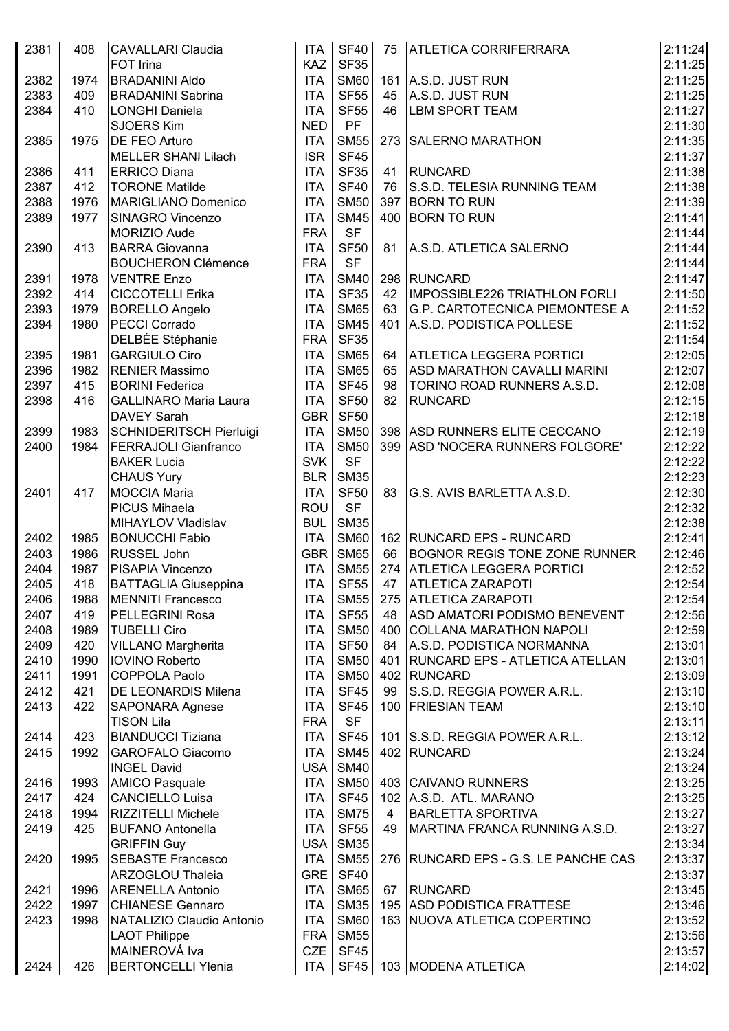| 2381 | 408  | <b>CAVALLARI Claudia</b>       | ITA              | <b>SF40</b>      |    | 75   ATLETICA CORRIFERRARA           | 2:11:24 |
|------|------|--------------------------------|------------------|------------------|----|--------------------------------------|---------|
|      |      | <b>FOT Irina</b>               | <b>KAZ</b>       | <b>SF35</b>      |    |                                      | 2:11:25 |
| 2382 | 1974 | <b>BRADANINI Aldo</b>          | <b>ITA</b>       | <b>SM60</b>      |    | 161 A.S.D. JUST RUN                  | 2:11:25 |
| 2383 | 409  | <b>BRADANINI Sabrina</b>       | <b>ITA</b>       | <b>SF55</b>      |    | 45 A.S.D. JUST RUN                   | 2:11:25 |
| 2384 | 410  | LONGHI Daniela                 | <b>ITA</b>       | <b>SF55</b>      | 46 | <b>LBM SPORT TEAM</b>                | 2:11:27 |
|      |      | <b>SJOERS Kim</b>              | <b>NED</b>       | PF               |    |                                      | 2:11:30 |
| 2385 | 1975 | <b>DE FEO Arturo</b>           | <b>ITA</b>       | <b>SM55</b>      |    | 273 SALERNO MARATHON                 | 2:11:35 |
|      |      | <b>MELLER SHANI Lilach</b>     | <b>ISR</b>       | SF45             |    |                                      | 2:11:37 |
| 2386 | 411  | <b>ERRICO Diana</b>            | <b>ITA</b>       | <b>SF35</b>      |    | 41 RUNCARD                           | 2:11:38 |
| 2387 | 412  | <b>TORONE Matilde</b>          | <b>ITA</b>       | <b>SF40</b>      | 76 | S.S.D. TELESIA RUNNING TEAM          | 2:11:38 |
| 2388 | 1976 | <b>MARIGLIANO Domenico</b>     | <b>ITA</b>       | <b>SM50</b>      |    | 397 BORN TO RUN                      | 2:11:39 |
| 2389 | 1977 | SINAGRO Vincenzo               | <b>ITA</b>       | <b>SM45</b>      |    | 400 BORN TO RUN                      | 2:11:41 |
|      |      | MORIZIO Aude                   | <b>FRA</b>       | <b>SF</b>        |    |                                      | 2:11:44 |
| 2390 | 413  | <b>BARRA Giovanna</b>          | <b>ITA</b>       | <b>SF50</b>      | 81 | A.S.D. ATLETICA SALERNO              | 2:11:44 |
|      |      | <b>BOUCHERON Clémence</b>      | <b>FRA</b>       | <b>SF</b>        |    |                                      | 2:11:44 |
| 2391 | 1978 | <b>VENTRE Enzo</b>             | <b>ITA</b>       | <b>SM40</b>      |    | 298 RUNCARD                          | 2:11:47 |
| 2392 |      |                                | <b>ITA</b>       | <b>SF35</b>      | 42 | <b>IMPOSSIBLE226 TRIATHLON FORLI</b> | 2:11:50 |
|      | 414  | <b>CICCOTELLI Erika</b>        |                  |                  |    |                                      |         |
| 2393 | 1979 | <b>BORELLO Angelo</b>          | <b>ITA</b>       | <b>SM65</b>      | 63 | G.P. CARTOTECNICA PIEMONTESE A       | 2:11:52 |
| 2394 | 1980 | PECCI Corrado                  | <b>ITA</b>       | <b>SM45</b>      |    | 401 A.S.D. PODISTICA POLLESE         | 2:11:52 |
|      |      | DELBÉE Stéphanie               | <b>FRA</b>       | <b>SF35</b>      |    |                                      | 2:11:54 |
| 2395 | 1981 | <b>GARGIULO Ciro</b>           | <b>ITA</b>       | <b>SM65</b>      | 64 | <b>ATLETICA LEGGERA PORTICI</b>      | 2:12:05 |
| 2396 | 1982 | <b>RENIER Massimo</b>          | <b>ITA</b>       | <b>SM65</b>      | 65 | ASD MARATHON CAVALLI MARINI          | 2:12:07 |
| 2397 | 415  | <b>BORINI Federica</b>         | <b>ITA</b>       | <b>SF45</b>      | 98 | <b>TORINO ROAD RUNNERS A.S.D.</b>    | 2:12:08 |
| 2398 | 416  | <b>GALLINARO Maria Laura</b>   | <b>ITA</b>       | <b>SF50</b>      | 82 | <b>RUNCARD</b>                       | 2:12:15 |
|      |      | <b>DAVEY Sarah</b>             | <b>GBR</b>       | <b>SF50</b>      |    |                                      | 2:12:18 |
| 2399 | 1983 | <b>SCHNIDERITSCH Pierluigi</b> | <b>ITA</b>       | <b>SM50</b>      |    | 398 ASD RUNNERS ELITE CECCANO        | 2:12:19 |
| 2400 | 1984 | <b>FERRAJOLI Gianfranco</b>    | <b>ITA</b>       | <b>SM50</b>      |    | 399 ASD 'NOCERA RUNNERS FOLGORE'     | 2:12:22 |
|      |      | <b>BAKER Lucia</b>             | <b>SVK</b>       | <b>SF</b>        |    |                                      | 2:12:22 |
|      |      | <b>CHAUS Yury</b>              | <b>BLR</b>       | <b>SM35</b>      |    |                                      | 2:12:23 |
| 2401 | 417  | <b>MOCCIA Maria</b>            | <b>ITA</b>       | <b>SF50</b>      | 83 | G.S. AVIS BARLETTA A.S.D.            | 2:12:30 |
|      |      | <b>PICUS Mihaela</b>           | ROU              | <b>SF</b>        |    |                                      | 2:12:32 |
|      |      | MIHAYLOV Vladislav             | BUL              | <b>SM35</b>      |    |                                      | 2:12:38 |
| 2402 | 1985 | <b>BONUCCHI Fabio</b>          | <b>ITA</b>       | <b>SM60</b>      |    | 162 RUNCARD EPS - RUNCARD            | 2:12:41 |
| 2403 | 1986 | <b>RUSSEL John</b>             | GBR              | <b>SM65</b>      | 66 | <b>BOGNOR REGIS TONE ZONE RUNNER</b> | 2:12:46 |
| 2404 | 1987 | PISAPIA Vincenzo               | <b>ITA</b>       | <b>SM55</b>      |    | 274 ATLETICA LEGGERA PORTICI         | 2:12:52 |
| 2405 | 418  | <b>BATTAGLIA Giuseppina</b>    | <b>ITA</b>       | SF55             |    | 47   ATLETICA ZARAPOTI               | 2:12:54 |
| 2406 | 1988 | <b>MENNITI Francesco</b>       | <b>ITA</b>       | <b>SM55</b>      |    | 275 ATLETICA ZARAPOTI                | 2:12:54 |
| 2407 | 419  | <b>PELLEGRINI Rosa</b>         | <b>ITA</b>       | <b>SF55</b>      |    | 48 ASD AMATORI PODISMO BENEVENT      | 2:12:56 |
| 2408 | 1989 | <b>TUBELLI Ciro</b>            | <b>ITA</b>       | <b>SM50</b>      |    | 400 COLLANA MARATHON NAPOLI          | 2:12:59 |
|      |      | <b>VILLANO Margherita</b>      |                  | <b>SF50</b>      |    | 84 A.S.D. PODISTICA NORMANNA         | 2:13:01 |
| 2409 | 420  |                                | <b>ITA</b>       |                  |    |                                      |         |
| 2410 | 1990 | <b>IOVINO Roberto</b>          | <b>ITA</b>       | <b>SM50</b>      |    | 401 RUNCARD EPS - ATLETICA ATELLAN   | 2:13:01 |
| 2411 | 1991 | <b>COPPOLA Paolo</b>           | <b>ITA</b>       | <b>SM50</b>      |    | 402 RUNCARD                          | 2:13:09 |
| 2412 | 421  | <b>DE LEONARDIS Milena</b>     | <b>ITA</b>       | SF45             | 99 | S.S.D. REGGIA POWER A.R.L.           | 2:13:10 |
| 2413 | 422  | <b>SAPONARA Agnese</b>         | <b>ITA</b>       | SF45             |    | 100 FRIESIAN TEAM                    | 2:13:10 |
|      |      | <b>TISON Lila</b>              | <b>FRA</b>       | <b>SF</b>        |    |                                      | 2:13:11 |
| 2414 | 423  | <b>BIANDUCCI Tiziana</b>       | <b>ITA</b>       | <b>SF45</b>      |    | 101 S.S.D. REGGIA POWER A.R.L.       | 2:13:12 |
| 2415 | 1992 | <b>GAROFALO Giacomo</b>        | <b>ITA</b>       | <b>SM45</b>      |    | 402 RUNCARD                          | 2:13:24 |
|      |      | <b>INGEL David</b>             | <b>USA</b>       | <b>SM40</b>      |    |                                      | 2:13:24 |
| 2416 | 1993 | <b>AMICO Pasquale</b>          | <b>ITA</b>       | <b>SM50</b>      |    | 403 CAIVANO RUNNERS                  | 2:13:25 |
| 2417 | 424  | <b>CANCIELLO Luisa</b>         | <b>ITA</b>       | SF45             |    | 102 A.S.D. ATL. MARANO               | 2:13:25 |
| 2418 | 1994 | <b>RIZZITELLI Michele</b>      | <b>ITA</b>       | <b>SM75</b>      | 4  | <b>BARLETTA SPORTIVA</b>             | 2:13:27 |
| 2419 | 425  | <b>BUFANO Antonella</b>        | <b>ITA</b>       | SF <sub>55</sub> | 49 | MARTINA FRANCA RUNNING A.S.D.        | 2:13:27 |
|      |      | <b>GRIFFIN Guy</b>             | USA <sup>I</sup> | <b>SM35</b>      |    |                                      | 2:13:34 |
| 2420 | 1995 | <b>SEBASTE Francesco</b>       | <b>ITA</b>       | <b>SM55</b>      |    | 276 RUNCARD EPS - G.S. LE PANCHE CAS | 2:13:37 |
|      |      | <b>ARZOGLOU Thaleia</b>        | GRE              | SF40             |    |                                      | 2:13:37 |
| 2421 | 1996 | <b>ARENELLA Antonio</b>        | ITA              | <b>SM65</b>      |    | 67 RUNCARD                           | 2:13:45 |
| 2422 | 1997 | <b>CHIANESE Gennaro</b>        | <b>ITA</b>       | <b>SM35</b>      |    | 195 ASD PODISTICA FRATTESE           | 2:13:46 |
| 2423 | 1998 | NATALIZIO Claudio Antonio      | <b>ITA</b>       | <b>SM60</b>      |    | 163 NUOVA ATLETICA COPERTINO         | 2:13:52 |
|      |      | <b>LAOT Philippe</b>           | FRA              | <b>SM55</b>      |    |                                      | 2:13:56 |
|      |      | MAINEROVÁ Iva                  | CZE              | SF45             |    |                                      | 2:13:57 |
| 2424 | 426  | <b>BERTONCELLI Ylenia</b>      |                  |                  |    | ITA   SF45   103   MODENA ATLETICA   | 2:14:02 |
|      |      |                                |                  |                  |    |                                      |         |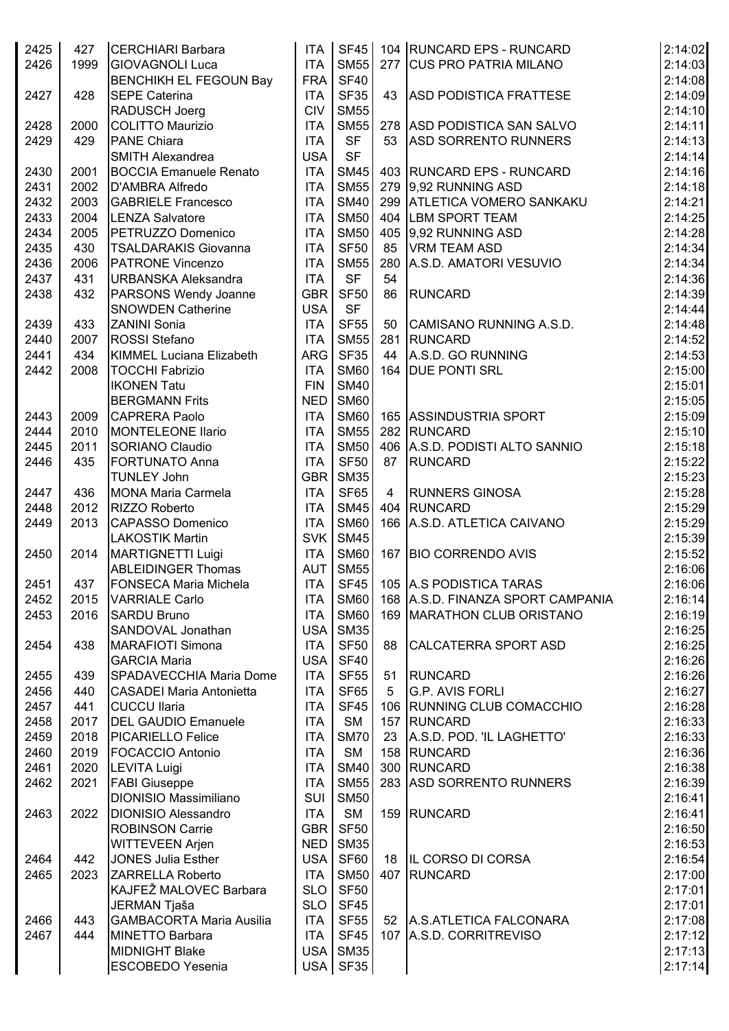| 2425 | 427  | <b>CERCHIARI Barbara</b>        |                  | ITA SF45         |                | 104 RUNCARD EPS - RUNCARD         | 2:14:02 |
|------|------|---------------------------------|------------------|------------------|----------------|-----------------------------------|---------|
| 2426 | 1999 | <b>GIOVAGNOLI Luca</b>          | <b>ITA</b>       | <b>SM55</b>      |                | 277 CUS PRO PATRIA MILANO         | 2:14:03 |
|      |      | <b>BENCHIKH EL FEGOUN Bay</b>   | FRA              | SF40             |                |                                   | 2:14:08 |
| 2427 | 428  | <b>SEPE Caterina</b>            | <b>ITA</b>       | <b>SF35</b>      |                | 43 ASD PODISTICA FRATTESE         | 2:14:09 |
|      |      | RADUSCH Joerg                   | <b>CIV</b>       | <b>SM55</b>      |                |                                   | 2:14:10 |
| 2428 | 2000 | COLITTO Maurizio                | <b>ITA</b>       | <b>SM55</b>      |                | 278 ASD PODISTICA SAN SALVO       | 2:14:11 |
| 2429 | 429  | <b>PANE Chiara</b>              | <b>ITA</b>       | <b>SF</b>        | 53             | <b>ASD SORRENTO RUNNERS</b>       | 2:14:13 |
|      |      | SMITH Alexandrea                | <b>USA</b>       | <b>SF</b>        |                |                                   | 2:14:14 |
| 2430 | 2001 | <b>BOCCIA Emanuele Renato</b>   | <b>ITA</b>       | <b>SM45</b>      |                | 403 RUNCARD EPS - RUNCARD         | 2:14:16 |
| 2431 | 2002 | D'AMBRA Alfredo                 | <b>ITA</b>       | <b>SM55</b>      |                | 279 9.92 RUNNING ASD              | 2:14:18 |
|      |      |                                 |                  | <b>SM40</b>      |                |                                   |         |
| 2432 | 2003 | <b>GABRIELE Francesco</b>       | <b>ITA</b>       |                  |                | 299 ATLETICA VOMERO SANKAKU       | 2:14:21 |
| 2433 | 2004 | <b>LENZA Salvatore</b>          | <b>ITA</b>       | <b>SM50</b>      |                | 404 LBM SPORT TEAM                | 2:14:25 |
| 2434 | 2005 | PETRUZZO Domenico               | <b>ITA</b>       | <b>SM50</b>      |                | 405 9,92 RUNNING ASD              | 2:14:28 |
| 2435 | 430  | <b>TSALDARAKIS Giovanna</b>     | <b>ITA</b>       | <b>SF50</b>      |                | 85   VRM TEAM ASD                 | 2:14:34 |
| 2436 | 2006 | <b>PATRONE Vincenzo</b>         | <b>ITA</b>       | <b>SM55</b>      |                | 280 A.S.D. AMATORI VESUVIO        | 2:14:34 |
| 2437 | 431  | URBANSKA Aleksandra             | <b>ITA</b>       | <b>SF</b>        | 54             |                                   | 2:14:36 |
| 2438 | 432  | PARSONS Wendy Joanne            | <b>GBR</b>       | <b>SF50</b>      | 86             | RUNCARD                           | 2:14:39 |
|      |      | <b>SNOWDEN Catherine</b>        | <b>USA</b>       | <b>SF</b>        |                |                                   | 2:14:44 |
| 2439 | 433  | <b>ZANINI Sonia</b>             | <b>ITA</b>       | <b>SF55</b>      |                | 50 CAMISANO RUNNING A.S.D.        | 2:14:48 |
| 2440 | 2007 | <b>ROSSI</b> Stefano            | <b>ITA</b>       | <b>SM55</b>      |                | 281 RUNCARD                       | 2:14:52 |
| 2441 | 434  | KIMMEL Luciana Elizabeth        | ARG              | <b>SF35</b>      |                | 44 A.S.D. GO RUNNING              | 2:14:53 |
| 2442 | 2008 | <b>TOCCHI Fabrizio</b>          | <b>ITA</b>       | <b>SM60</b>      |                | 164   DUE PONTI SRL               | 2:15:00 |
|      |      | <b>IKONEN Tatu</b>              | <b>FIN</b>       | <b>SM40</b>      |                |                                   | 2:15:01 |
|      |      | <b>BERGMANN Frits</b>           | NED              | <b>SM60</b>      |                |                                   | 2:15:05 |
| 2443 | 2009 | <b>CAPRERA Paolo</b>            | <b>ITA</b>       | <b>SM60</b>      |                | 165 ASSINDUSTRIA SPORT            | 2:15:09 |
| 2444 | 2010 | <b>MONTELEONE Ilario</b>        | <b>ITA</b>       | <b>SM55</b>      |                | 282 RUNCARD                       | 2:15:10 |
| 2445 | 2011 | SORIANO Claudio                 | <b>ITA</b>       | <b>SM50</b>      |                | 406 A.S.D. PODISTI ALTO SANNIO    | 2:15:18 |
| 2446 | 435  | <b>FORTUNATO Anna</b>           | <b>ITA</b>       | SF <sub>50</sub> | 87             | RUNCARD                           | 2:15:22 |
|      |      | <b>TUNLEY John</b>              | GBR              | SM35             |                |                                   | 2:15:23 |
| 2447 | 436  | <b>MONA Maria Carmela</b>       | <b>ITA</b>       | <b>SF65</b>      | $\overline{4}$ | <b>RUNNERS GINOSA</b>             | 2:15:28 |
| 2448 | 2012 | RIZZO Roberto                   | <b>ITA</b>       | <b>SM45</b>      |                | 404 RUNCARD                       | 2:15:29 |
| 2449 | 2013 | CAPASSO Domenico                | <b>ITA</b>       | <b>SM60</b>      |                | 166 A.S.D. ATLETICA CAIVANO       | 2:15:29 |
|      |      | <b>LAKOSTIK Martin</b>          | SVK              | <b>SM45</b>      |                |                                   | 2:15:39 |
| 2450 | 2014 | MARTIGNETTI Luigi               | <b>ITA</b>       | <b>SM60</b>      |                | 167 BIO CORRENDO AVIS             | 2:15:52 |
|      |      | <b>ABLEIDINGER Thomas</b>       | AUT              | <b>SM55</b>      |                |                                   | 2:16:06 |
| 2451 | 437  | <b>FONSECA Maria Michela</b>    | ITA              |                  |                | SF45   105   A.S PODISTICA TARAS  | 2:16:06 |
| 2452 | 2015 | <b>VARRIALE Carlo</b>           | <b>ITA</b>       | <b>SM60</b>      |                | 168 A.S.D. FINANZA SPORT CAMPANIA | 2:16:14 |
| 2453 | 2016 | <b>SARDU Bruno</b>              | <b>ITA</b>       | <b>SM60</b>      |                | 169 MARATHON CLUB ORISTANO        | 2:16:19 |
|      |      | SANDOVAL Jonathan               | <b>USA</b>       | <b>SM35</b>      |                |                                   | 2:16:25 |
|      |      | MARAFIOTI Simona                |                  |                  |                |                                   | 2:16:25 |
| 2454 | 438  |                                 | <b>ITA</b>       | <b>SF50</b>      | 88             | CALCATERRA SPORT ASD              |         |
|      |      | <b>GARCIA Maria</b>             | <b>USA</b>       | SF40             |                |                                   | 2:16:26 |
| 2455 | 439  | SPADAVECCHIA Maria Dome         | <b>ITA</b>       | <b>SF55</b>      |                | 51 RUNCARD                        | 2:16:26 |
| 2456 | 440  | CASADEI Maria Antonietta        | <b>ITA</b>       | SF65             | 5              | G.P. AVIS FORLI                   | 2:16:27 |
| 2457 | 441  | <b>CUCCU Ilaria</b>             | <b>ITA</b>       | SF45             |                | 106 RUNNING CLUB COMACCHIO        | 2:16:28 |
| 2458 | 2017 | <b>DEL GAUDIO Emanuele</b>      | <b>ITA</b>       | <b>SM</b>        |                | 157 RUNCARD                       | 2:16:33 |
| 2459 | 2018 | <b>PICARIELLO Felice</b>        | <b>ITA</b>       | <b>SM70</b>      | 23             | A.S.D. POD. 'IL LAGHETTO'         | 2:16:33 |
| 2460 | 2019 | <b>FOCACCIO Antonio</b>         | <b>ITA</b>       | <b>SM</b>        |                | 158 RUNCARD                       | 2:16:36 |
| 2461 | 2020 | <b>LEVITA Luigi</b>             | <b>ITA</b>       | <b>SM40</b>      |                | 300 RUNCARD                       | 2:16:38 |
| 2462 | 2021 | <b>FABI Giuseppe</b>            | <b>ITA</b>       | <b>SM55</b>      |                | 283 ASD SORRENTO RUNNERS          | 2:16:39 |
|      |      | <b>DIONISIO Massimiliano</b>    | SUI              | <b>SM50</b>      |                |                                   | 2:16:41 |
| 2463 | 2022 | <b>DIONISIO Alessandro</b>      | <b>ITA</b>       | <b>SM</b>        |                | 159 RUNCARD                       | 2:16:41 |
|      |      | <b>ROBINSON Carrie</b>          | <b>GBR</b>       | <b>SF50</b>      |                |                                   | 2:16:50 |
|      |      | <b>WITTEVEEN Arjen</b>          | <b>NED</b>       | <b>SM35</b>      |                |                                   | 2:16:53 |
| 2464 | 442  | JONES Julia Esther              | <b>USA</b>       | SF60             |                | 18  IL CORSO DI CORSA             | 2:16:54 |
| 2465 | 2023 | <b>ZARRELLA Roberto</b>         | <b>ITA</b>       | <b>SM50</b>      |                | 407 RUNCARD                       | 2:17:00 |
|      |      | KAJFEŽ MALOVEC Barbara          | <b>SLO</b>       | <b>SF50</b>      |                |                                   | 2:17:01 |
|      |      | JERMAN Tjaša                    | <b>SLO</b>       | SF45             |                |                                   | 2:17:01 |
| 2466 | 443  | <b>GAMBACORTA Maria Ausilia</b> | <b>ITA</b>       | <b>SF55</b>      |                | 52 A.S.ATLETICA FALCONARA         | 2:17:08 |
| 2467 | 444  | MINETTO Barbara                 | <b>ITA</b>       | <b>SF45</b>      |                | 107 A.S.D. CORRITREVISO           | 2:17:12 |
|      |      | <b>MIDNIGHT Blake</b>           | USA <sup>I</sup> | <b>SM35</b>      |                |                                   | 2:17:13 |
|      |      | <b>ESCOBEDO Yesenia</b>         |                  | USA SF35         |                |                                   | 2:17:14 |
|      |      |                                 |                  |                  |                |                                   |         |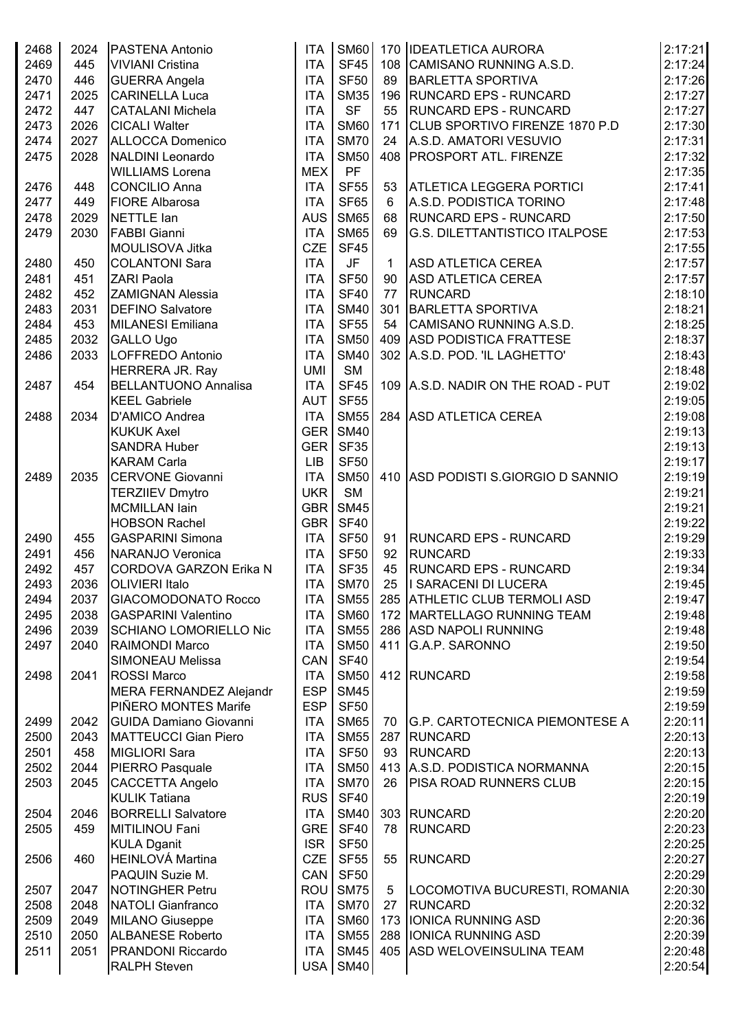| 2468 | 2024 | PASTENA Antonio               | <b>ITA</b>       | <b>SM60</b> |              | 170   IDEATLETICA AURORA              | 2:17:21 |
|------|------|-------------------------------|------------------|-------------|--------------|---------------------------------------|---------|
| 2469 | 445  | <b>VIVIANI Cristina</b>       | <b>ITA</b>       | <b>SF45</b> |              | 108 CAMISANO RUNNING A.S.D.           | 2:17:24 |
| 2470 | 446  | <b>GUERRA Angela</b>          | <b>ITA</b>       | <b>SF50</b> | 89           | <b>BARLETTA SPORTIVA</b>              | 2:17:26 |
| 2471 | 2025 | <b>CARINELLA Luca</b>         | <b>ITA</b>       | <b>SM35</b> |              | 196 RUNCARD EPS - RUNCARD             | 2:17:27 |
| 2472 | 447  | <b>CATALANI Michela</b>       | <b>ITA</b>       | <b>SF</b>   | 55           | <b>RUNCARD EPS - RUNCARD</b>          | 2:17:27 |
| 2473 | 2026 | <b>CICALI Walter</b>          | <b>ITA</b>       | <b>SM60</b> |              | 171 CLUB SPORTIVO FIRENZE 1870 P.D    | 2:17:30 |
| 2474 | 2027 | ALLOCCA Domenico              | <b>ITA</b>       | <b>SM70</b> | 24           | A.S.D. AMATORI VESUVIO                | 2:17:31 |
|      |      |                               |                  |             |              |                                       |         |
| 2475 | 2028 | NALDINI Leonardo              | <b>ITA</b>       | <b>SM50</b> |              | 408   PROSPORT ATL. FIRENZE           | 2:17:32 |
|      |      | <b>WILLIAMS Lorena</b>        | <b>MEX</b>       | <b>PF</b>   |              |                                       | 2:17:35 |
| 2476 | 448  | <b>CONCILIO Anna</b>          | <b>ITA</b>       | <b>SF55</b> | 53           | <b>ATLETICA LEGGERA PORTICI</b>       | 2:17:41 |
| 2477 | 449  | <b>FIORE Albarosa</b>         | <b>ITA</b>       | <b>SF65</b> | 6            | A.S.D. PODISTICA TORINO               | 2:17:48 |
| 2478 | 2029 | NETTLE lan                    | <b>AUS</b>       | <b>SM65</b> | 68           | <b>RUNCARD EPS - RUNCARD</b>          | 2:17:50 |
| 2479 | 2030 | <b>FABBI Gianni</b>           | <b>ITA</b>       | <b>SM65</b> | 69           | <b>G.S. DILETTANTISTICO ITALPOSE</b>  | 2:17:53 |
|      |      | MOULISOVA Jitka               | <b>CZE</b>       | <b>SF45</b> |              |                                       | 2:17:55 |
| 2480 | 450  | <b>COLANTONI Sara</b>         | <b>ITA</b>       | <b>JF</b>   | $\mathbf{1}$ | <b>ASD ATLETICA CEREA</b>             | 2:17:57 |
| 2481 | 451  | ZARI Paola                    | <b>ITA</b>       | <b>SF50</b> | 90           | <b>ASD ATLETICA CEREA</b>             | 2:17:57 |
| 2482 | 452  | <b>ZAMIGNAN Alessia</b>       | <b>ITA</b>       | <b>SF40</b> | 77           | <b>RUNCARD</b>                        | 2:18:10 |
| 2483 | 2031 | <b>DEFINO Salvatore</b>       | <b>ITA</b>       | <b>SM40</b> |              | 301 BARLETTA SPORTIVA                 | 2:18:21 |
| 2484 | 453  | MILANESI Emiliana             | <b>ITA</b>       | <b>SF55</b> |              | 54 CAMISANO RUNNING A.S.D.            | 2:18:25 |
| 2485 | 2032 | <b>GALLO Ugo</b>              | <b>ITA</b>       | <b>SM50</b> |              | 409 ASD PODISTICA FRATTESE            | 2:18:37 |
| 2486 | 2033 | LOFFREDO Antonio              | <b>ITA</b>       | <b>SM40</b> |              | 302 A.S.D. POD. 'IL LAGHETTO'         | 2:18:43 |
|      |      | HERRERA JR. Ray               | <b>UMI</b>       | <b>SM</b>   |              |                                       | 2:18:48 |
| 2487 | 454  | <b>BELLANTUONO Annalisa</b>   | <b>ITA</b>       | <b>SF45</b> |              | 109 A.S.D. NADIR ON THE ROAD - PUT    | 2:19:02 |
|      |      |                               | <b>AUT</b>       | <b>SF55</b> |              |                                       |         |
|      |      | <b>KEEL Gabriele</b>          |                  |             |              |                                       | 2:19:05 |
| 2488 | 2034 | D'AMICO Andrea                | <b>ITA</b>       | <b>SM55</b> |              | 284 ASD ATLETICA CEREA                | 2:19:08 |
|      |      | <b>KUKUK Axel</b>             | GER              | <b>SM40</b> |              |                                       | 2:19:13 |
|      |      | <b>SANDRA Huber</b>           | GER <sup>I</sup> | <b>SF35</b> |              |                                       | 2:19:13 |
|      |      | <b>KARAM Carla</b>            | <b>LIB</b>       | <b>SF50</b> |              |                                       | 2:19:17 |
| 2489 | 2035 | <b>CERVONE Giovanni</b>       | <b>ITA</b>       | <b>SM50</b> |              | 410 ASD PODISTI S.GIORGIO D SANNIO    | 2:19:19 |
|      |      | <b>TERZIIEV Dmytro</b>        | <b>UKR</b>       | <b>SM</b>   |              |                                       | 2:19:21 |
|      |      | <b>MCMILLAN lain</b>          | GBR              | <b>SM45</b> |              |                                       | 2:19:21 |
|      |      | <b>HOBSON Rachel</b>          | GBR              | <b>SF40</b> |              |                                       | 2:19:22 |
| 2490 | 455  | <b>GASPARINI Simona</b>       | <b>ITA</b>       | <b>SF50</b> | 91           | <b>RUNCARD EPS - RUNCARD</b>          | 2:19:29 |
| 2491 | 456  | NARANJO Veronica              | <b>ITA</b>       | <b>SF50</b> | 92           | <b>RUNCARD</b>                        | 2:19:33 |
| 2492 | 457  | <b>CORDOVA GARZON Erika N</b> | <b>ITA</b>       | <b>SF35</b> | 45           | <b>RUNCARD EPS - RUNCARD</b>          | 2:19:34 |
| 2493 | 2036 | <b>OLIVIERI Italo</b>         | <b>ITA</b>       | <b>SM70</b> | 25           | I SARACENI DI LUCERA                  | 2:19:45 |
| 2494 | 2037 | <b>GIACOMODONATO Rocco</b>    | <b>ITA</b>       | <b>SM55</b> |              | 285 ATHLETIC CLUB TERMOLI ASD         | 2:19:47 |
| 2495 | 2038 | <b>GASPARINI Valentino</b>    | <b>ITA</b>       | <b>SM60</b> |              | 172 MARTELLAGO RUNNING TEAM           | 2:19:48 |
| 2496 | 2039 | <b>SCHIANO LOMORIELLO Nic</b> | <b>ITA</b>       | <b>SM55</b> |              | 286 ASD NAPOLI RUNNING                | 2:19:48 |
| 2497 | 2040 | RAIMONDI Marco                | <b>ITA</b>       | <b>SM50</b> |              | 411 G.A.P. SARONNO                    | 2:19:50 |
|      |      | <b>SIMONEAU Melissa</b>       | CAN              | <b>SF40</b> |              |                                       | 2:19:54 |
| 2498 | 2041 | <b>ROSSI Marco</b>            | <b>ITA</b>       | <b>SM50</b> |              | 412 RUNCARD                           | 2:19:58 |
|      |      | MERA FERNANDEZ Alejandr       | <b>ESP</b>       | <b>SM45</b> |              |                                       | 2:19:59 |
|      |      | PIÑERO MONTES Marife          | <b>ESP</b>       | <b>SF50</b> |              |                                       | 2:19:59 |
|      |      |                               |                  |             |              |                                       |         |
| 2499 | 2042 | <b>GUIDA Damiano Giovanni</b> | <b>ITA</b>       | <b>SM65</b> | 70           | <b>G.P. CARTOTECNICA PIEMONTESE A</b> | 2:20:11 |
| 2500 | 2043 | MATTEUCCI Gian Piero          | <b>ITA</b>       | <b>SM55</b> |              | 287 RUNCARD                           | 2:20:13 |
| 2501 | 458  | MIGLIORI Sara                 | <b>ITA</b>       | <b>SF50</b> | 93           | <b>RUNCARD</b>                        | 2:20:13 |
| 2502 | 2044 | PIERRO Pasquale               | <b>ITA</b>       | <b>SM50</b> |              | 413 A.S.D. PODISTICA NORMANNA         | 2:20:15 |
| 2503 | 2045 | <b>CACCETTA Angelo</b>        | <b>ITA</b>       | <b>SM70</b> | 26           | <b>PISA ROAD RUNNERS CLUB</b>         | 2:20:15 |
|      |      | <b>KULIK Tatiana</b>          | <b>RUS</b>       | <b>SF40</b> |              |                                       | 2:20:19 |
| 2504 | 2046 | <b>BORRELLI Salvatore</b>     | <b>ITA</b>       | <b>SM40</b> |              | 303 RUNCARD                           | 2:20:20 |
| 2505 | 459  | MITILINOU Fani                | <b>GRE</b>       | <b>SF40</b> | 78           | <b>RUNCARD</b>                        | 2:20:23 |
|      |      | <b>KULA Dganit</b>            | <b>ISR</b>       | <b>SF50</b> |              |                                       | 2:20:25 |
| 2506 | 460  | <b>HEINLOVÁ Martina</b>       | <b>CZE</b>       | <b>SF55</b> | 55           | <b>RUNCARD</b>                        | 2:20:27 |
|      |      | PAQUIN Suzie M.               | CAN              | <b>SF50</b> |              |                                       | 2:20:29 |
| 2507 | 2047 | <b>NOTINGHER Petru</b>        | ROU              | <b>SM75</b> | 5            | LOCOMOTIVA BUCURESTI, ROMANIA         | 2:20:30 |
| 2508 | 2048 | NATOLI Gianfranco             | <b>ITA</b>       | <b>SM70</b> | 27           | <b>RUNCARD</b>                        | 2:20:32 |
| 2509 | 2049 | <b>MILANO Giuseppe</b>        | <b>ITA</b>       | <b>SM60</b> |              | 173   IONICA RUNNING ASD              | 2:20:36 |
| 2510 | 2050 | <b>ALBANESE Roberto</b>       | <b>ITA</b>       | <b>SM55</b> |              | 288 IONICA RUNNING ASD                | 2:20:39 |
| 2511 | 2051 | <b>PRANDONI Riccardo</b>      | <b>ITA</b>       | <b>SM45</b> |              | 405 ASD WELOVEINSULINA TEAM           | 2:20:48 |
|      |      | <b>RALPH Steven</b>           | USA              | <b>SM40</b> |              |                                       | 2:20:54 |
|      |      |                               |                  |             |              |                                       |         |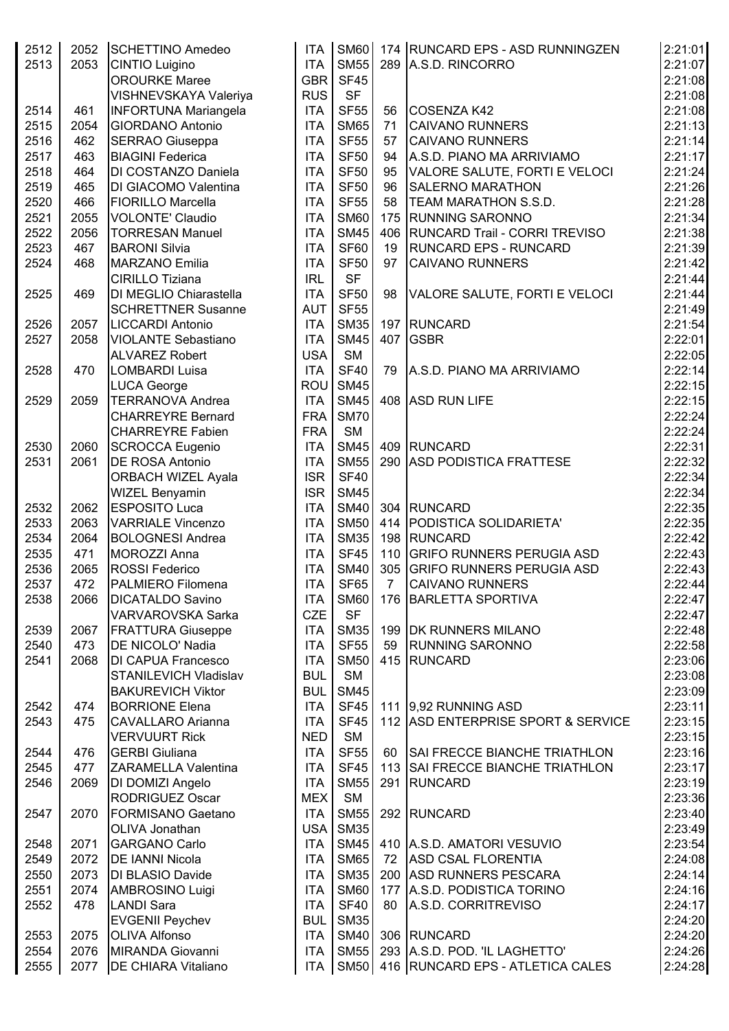| 2512<br>2513 | 2052<br>2053 | SCHETTINO Amedeo<br><b>CINTIO Luigino</b><br><b>OROURKE Maree</b> | <b>ITA</b><br><b>ITA</b><br>GBR | <b>SM55</b><br><b>SF45</b> |    | SM60 174 RUNCARD EPS - ASD RUNNINGZEN<br>289 A.S.D. RINCORRO | 2:21:01<br>2:21:07 |
|--------------|--------------|-------------------------------------------------------------------|---------------------------------|----------------------------|----|--------------------------------------------------------------|--------------------|
|              |              | VISHNEVSKAYA Valeriya                                             | <b>RUS</b>                      | <b>SF</b>                  |    |                                                              | 2:21:08<br>2:21:08 |
| 2514         | 461          | <b>INFORTUNA Mariangela</b>                                       | <b>ITA</b>                      | <b>SF55</b>                | 56 | COSENZA K42                                                  | 2:21:08            |
| 2515         | 2054         | <b>GIORDANO Antonio</b>                                           | <b>ITA</b>                      | <b>SM65</b>                | 71 | <b>CAIVANO RUNNERS</b>                                       | 2:21:13            |
| 2516         | 462          | <b>SERRAO Giuseppa</b>                                            | <b>ITA</b>                      | <b>SF55</b>                | 57 | <b>CAIVANO RUNNERS</b>                                       | 2:21:14            |
| 2517         | 463          | <b>BIAGINI Federica</b>                                           | <b>ITA</b>                      | <b>SF50</b>                | 94 | A.S.D. PIANO MA ARRIVIAMO                                    | 2:21:17            |
| 2518         | 464          | DI COSTANZO Daniela                                               | <b>ITA</b>                      | <b>SF50</b>                | 95 | VALORE SALUTE, FORTI E VELOCI                                | 2:21:24            |
| 2519         | 465          | DI GIACOMO Valentina                                              | <b>ITA</b>                      | <b>SF50</b>                | 96 | <b>SALERNO MARATHON</b>                                      | 2:21:26            |
| 2520         | 466          | <b>FIORILLO Marcella</b>                                          | <b>ITA</b>                      | <b>SF55</b>                | 58 | <b>TEAM MARATHON S.S.D.</b>                                  | 2:21:28            |
| 2521         | 2055         | VOLONTE' Claudio                                                  | <b>ITA</b>                      | <b>SM60</b>                |    | 175 RUNNING SARONNO                                          | 2:21:34            |
| 2522         | 2056         | <b>TORRESAN Manuel</b>                                            | <b>ITA</b>                      | <b>SM45</b>                |    | 406   RUNCARD Trail - CORRI TREVISO                          | 2:21:38            |
| 2523         | 467          | <b>BARONI Silvia</b>                                              | <b>ITA</b>                      | <b>SF60</b>                | 19 | <b>RUNCARD EPS - RUNCARD</b>                                 | 2:21:39            |
| 2524         | 468          | MARZANO Emilia                                                    | <b>ITA</b>                      | <b>SF50</b>                | 97 | <b>CAIVANO RUNNERS</b>                                       | 2:21:42            |
|              |              | <b>CIRILLO Tiziana</b>                                            | <b>IRL</b>                      | <b>SF</b>                  |    |                                                              | 2:21:44            |
| 2525         | 469          | DI MEGLIO Chiarastella                                            | <b>ITA</b>                      | <b>SF50</b>                | 98 | VALORE SALUTE, FORTI E VELOCI                                | 2:21:44            |
|              |              | <b>SCHRETTNER Susanne</b>                                         | <b>AUT</b>                      | <b>SF55</b>                |    |                                                              | 2:21:49            |
| 2526         | 2057         | <b>LICCARDI Antonio</b>                                           | <b>ITA</b>                      | <b>SM35</b>                |    | 197 RUNCARD                                                  | 2:21:54            |
| 2527         | 2058         | VIOLANTE Sebastiano                                               | <b>ITA</b>                      | <b>SM45</b>                |    | 407 GSBR                                                     | 2:22:01            |
|              |              | <b>ALVAREZ Robert</b>                                             | <b>USA</b>                      | <b>SM</b>                  |    |                                                              | 2:22:05            |
| 2528         | 470          | LOMBARDI Luisa                                                    | <b>ITA</b>                      | <b>SF40</b>                | 79 | A.S.D. PIANO MA ARRIVIAMO                                    | 2:22:14            |
|              |              | <b>LUCA George</b>                                                | <b>ROU</b>                      | <b>SM45</b>                |    |                                                              | 2:22:15            |
| 2529         | 2059         | <b>TERRANOVA Andrea</b>                                           | <b>ITA</b>                      | <b>SM45</b>                |    | 408 ASD RUN LIFE                                             | 2:22:15            |
|              |              | <b>CHARREYRE Bernard</b>                                          | <b>FRA</b>                      | <b>SM70</b>                |    |                                                              | 2:22:24            |
|              |              | <b>CHARREYRE Fabien</b>                                           | <b>FRA</b>                      | <b>SM</b>                  |    |                                                              | 2:22:24            |
| 2530         | 2060         | SCROCCA Eugenio                                                   | <b>ITA</b>                      | <b>SM45</b>                |    | 409 RUNCARD                                                  | 2:22:31            |
| 2531         | 2061         | <b>DE ROSA Antonio</b>                                            | <b>ITA</b>                      | <b>SM55</b>                |    | 290 ASD PODISTICA FRATTESE                                   | 2:22:32            |
|              |              | ORBACH WIZEL Ayala                                                | <b>ISR</b>                      | <b>SF40</b>                |    |                                                              | 2:22:34            |
|              |              | <b>WIZEL Benyamin</b>                                             | <b>ISR</b>                      | <b>SM45</b>                |    |                                                              | 2:22:34            |
| 2532         | 2062         | <b>ESPOSITO Luca</b>                                              | <b>ITA</b>                      | <b>SM40</b>                |    | 304 RUNCARD                                                  | 2:22:35            |
| 2533         | 2063         | <b>VARRIALE Vincenzo</b>                                          | <b>ITA</b>                      | <b>SM50</b>                |    | 414   PODISTICA SOLIDARIETA'                                 | 2:22:35            |
| 2534         | 2064         | <b>BOLOGNESI Andrea</b>                                           | <b>ITA</b>                      | <b>SM35</b>                |    | 198 RUNCARD                                                  | 2:22:42            |
| 2535         | 471          | MOROZZI Anna                                                      | <b>ITA</b>                      | <b>SF45</b>                |    | 110 GRIFO RUNNERS PERUGIA ASD                                | 2:22:43            |
| 2536         | 2065         | <b>ROSSI Federico</b>                                             | <b>ITA</b>                      | <b>SM40</b>                |    | 305 GRIFO RUNNERS PERUGIA ASD                                | 2:22:43            |
| 2537         | 472          | <b>PALMIERO Filomena</b>                                          | <b>ITA</b>                      | <b>SF65</b>                |    | 7 CAIVANO RUNNERS                                            | 2:22:44            |
| 2538         | 2066         | <b>DICATALDO Savino</b>                                           | <b>ITA</b>                      | <b>SM60</b>                |    | 176 BARLETTA SPORTIVA                                        | 2:22:47            |
|              |              | VARVAROVSKA Sarka                                                 | <b>CZE</b>                      | <b>SF</b>                  |    |                                                              | 2:22:47            |
| 2539         | 2067         | <b>FRATTURA Giuseppe</b>                                          | ITA                             | <b>SM35</b>                |    | 199 DK RUNNERS MILANO                                        | 2:22:48            |
| 2540         | 473          | DE NICOLO' Nadia                                                  | <b>ITA</b>                      | <b>SF55</b>                | 59 | <b>RUNNING SARONNO</b>                                       | 2:22:58            |
| 2541         | 2068         | <b>DI CAPUA Francesco</b>                                         | <b>ITA</b>                      | <b>SM50</b>                |    | 415 RUNCARD                                                  | 2:23:06            |
|              |              | STANILEVICH Vladislav                                             | <b>BUL</b>                      | <b>SM</b>                  |    |                                                              | 2:23:08            |
|              |              | <b>BAKUREVICH Viktor</b>                                          | <b>BUL</b>                      | <b>SM45</b>                |    |                                                              | 2:23:09            |
| 2542         | 474          | <b>BORRIONE Elena</b>                                             | <b>ITA</b>                      | SF45                       |    | 111 9,92 RUNNING ASD                                         | 2:23:11            |
| 2543         | 475          | <b>CAVALLARO</b> Arianna                                          | <b>ITA</b>                      | <b>SF45</b>                |    | 112 ASD ENTERPRISE SPORT & SERVICE                           | 2:23:15            |
|              |              | <b>VERVUURT Rick</b>                                              | <b>NED</b>                      | <b>SM</b>                  |    |                                                              | 2:23:15            |
| 2544         | 476          | <b>GERBI</b> Giuliana                                             | <b>ITA</b>                      | <b>SF55</b>                |    | 60 SAI FRECCE BIANCHE TRIATHLON                              | 2:23:16            |
| 2545         | 477          | ZARAMELLA Valentina                                               | <b>ITA</b>                      | <b>SF45</b>                |    | 113 SAI FRECCE BIANCHE TRIATHLON                             | 2:23:17            |
| 2546         | 2069         | DI DOMIZI Angelo                                                  | <b>ITA</b>                      | <b>SM55</b>                |    | 291 RUNCARD                                                  | 2:23:19            |
|              |              | <b>RODRIGUEZ Oscar</b>                                            | <b>MEX</b>                      | <b>SM</b>                  |    |                                                              | 2:23:36            |
| 2547         | 2070         | <b>FORMISANO Gaetano</b>                                          | <b>ITA</b>                      | <b>SM55</b>                |    | 292 RUNCARD                                                  | 2:23:40            |
|              |              | OLIVA Jonathan                                                    |                                 | USA SM35                   |    |                                                              | 2:23:49            |
| 2548         | 2071         | <b>GARGANO Carlo</b>                                              | <b>ITA</b>                      |                            |    | SM45 410 A.S.D. AMATORI VESUVIO                              | 2:23:54            |
| 2549         | 2072         | <b>DE IANNI Nicola</b>                                            | <b>ITA</b>                      | <b>SM65</b>                |    | 72 ASD CSAL FLORENTIA                                        | 2:24:08            |
| 2550         | 2073         | <b>DI BLASIO Davide</b>                                           | <b>ITA</b>                      | <b>SM35</b>                |    | 200 ASD RUNNERS PESCARA                                      | 2:24:14            |
| 2551         | 2074         | AMBROSINO Luigi                                                   | ITA                             | SM60                       |    | 177 A.S.D. PODISTICA TORINO                                  | 2:24:16            |
| 2552         | 478          | <b>LANDI Sara</b>                                                 | <b>ITA</b>                      | SF40                       |    | 80 A.S.D. CORRITREVISO                                       | 2:24:17            |
|              |              | <b>EVGENII Peychev</b>                                            | <b>BUL</b>                      | <b>SM35</b>                |    |                                                              | 2:24:20            |
| 2553         | 2075         | <b>OLIVA Alfonso</b>                                              | <b>ITA</b>                      |                            |    | SM40 306 RUNCARD                                             | 2:24:20            |
| 2554         | 2076         | MIRANDA Giovanni                                                  | <b>ITA</b>                      |                            |    | SM55 293 A.S.D. POD. 'IL LAGHETTO'                           | 2:24:26            |
| 2555         | 2077         | <b>DE CHIARA Vitaliano</b>                                        |                                 |                            |    | ITA   SM50   416   RUNCARD EPS - ATLETICA CALES              | 2:24:28            |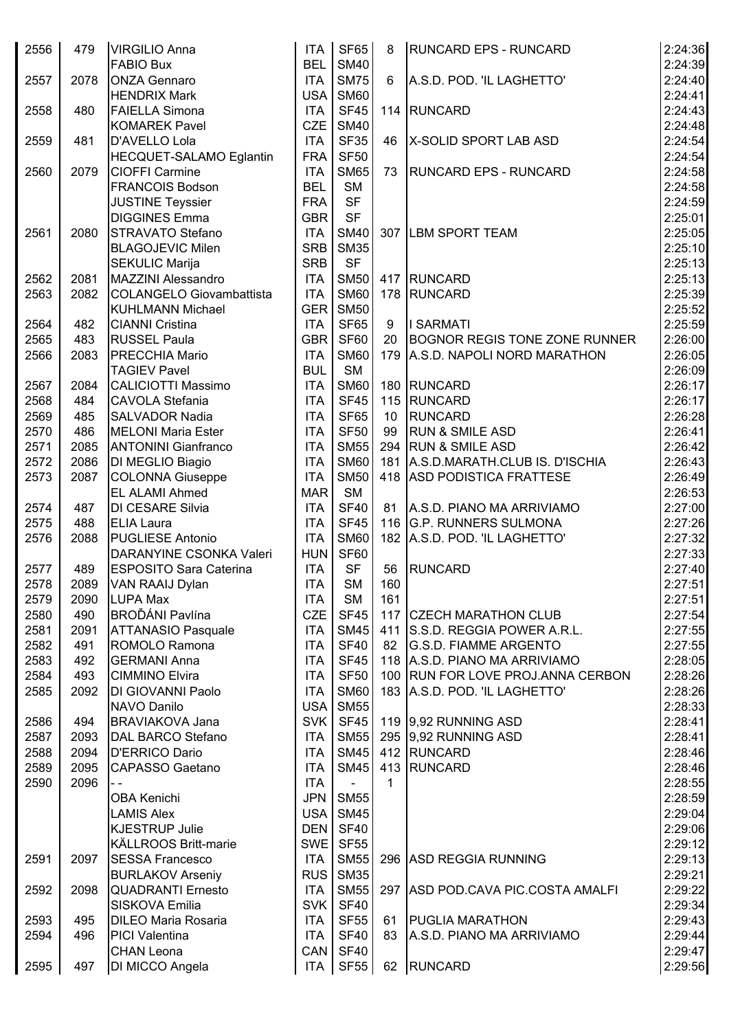| 2556         | 479  | <b>VIRGILIO Anna</b><br><b>FABIO Bux</b>         | <b>ITA</b><br><b>BEL</b> | <b>SF65</b><br><b>SM40</b> | 8               | <b>RUNCARD EPS - RUNCARD</b>         | 2:24:36<br>2:24:39 |
|--------------|------|--------------------------------------------------|--------------------------|----------------------------|-----------------|--------------------------------------|--------------------|
| 2557         | 2078 | <b>ONZA Gennaro</b>                              | <b>ITA</b>               | <b>SM75</b>                | 6               | A.S.D. POD. 'IL LAGHETTO'            | 2:24:40            |
|              |      | <b>HENDRIX Mark</b>                              | <b>USA</b>               | <b>SM60</b>                |                 |                                      | 2:24:41            |
| 2558         | 480  | <b>FAIELLA Simona</b>                            | <b>ITA</b>               | <b>SF45</b>                |                 | 114 RUNCARD                          | 2:24:43            |
|              |      | <b>KOMAREK Pavel</b>                             | <b>CZE</b>               | <b>SM40</b>                |                 |                                      | 2:24:48            |
| 2559         | 481  | D'AVELLO Lola                                    | <b>ITA</b>               | <b>SF35</b>                | 46              | X-SOLID SPORT LAB ASD                | 2:24:54            |
|              |      | <b>HECQUET-SALAMO Eglantin</b>                   | <b>FRA</b>               | <b>SF50</b>                |                 |                                      | 2:24:54            |
| 2560         | 2079 | <b>CIOFFI Carmine</b>                            | <b>ITA</b>               | <b>SM65</b>                | 73              | <b>RUNCARD EPS - RUNCARD</b>         | 2:24:58            |
|              |      | <b>FRANCOIS Bodson</b>                           | <b>BEL</b>               | <b>SM</b>                  |                 |                                      | 2:24:58            |
|              |      |                                                  | <b>FRA</b>               | <b>SF</b>                  |                 |                                      | 2:24:59            |
|              |      | <b>JUSTINE Teyssier</b><br><b>DIGGINES Emma</b>  | <b>GBR</b>               | <b>SF</b>                  |                 |                                      | 2:25:01            |
| 2561         | 2080 | <b>STRAVATO Stefano</b>                          | <b>ITA</b>               | <b>SM40</b>                |                 | 307 LBM SPORT TEAM                   | 2:25:05            |
|              |      | <b>BLAGOJEVIC Milen</b>                          | <b>SRB</b>               | <b>SM35</b>                |                 |                                      | 2:25:10            |
|              |      | <b>SEKULIC Marija</b>                            | <b>SRB</b>               | <b>SF</b>                  |                 |                                      | 2:25:13            |
| 2562         | 2081 | <b>MAZZINI Alessandro</b>                        | <b>ITA</b>               | <b>SM50</b>                |                 | 417 RUNCARD                          | 2:25:13            |
| 2563         | 2082 | COLANGELO Giovambattista                         | <b>ITA</b>               | <b>SM60</b>                |                 | 178 RUNCARD                          | 2:25:39            |
|              |      | <b>KUHLMANN Michael</b>                          | <b>GER</b>               | <b>SM50</b>                |                 |                                      | 2:25:52            |
|              | 482  | <b>CIANNI Cristina</b>                           | <b>ITA</b>               | SF65                       | 9               | I SARMATI                            | 2:25:59            |
| 2564<br>2565 | 483  |                                                  | <b>GBR</b>               | <b>SF60</b>                | 20              | <b>BOGNOR REGIS TONE ZONE RUNNER</b> | 2:26:00            |
| 2566         | 2083 | <b>RUSSEL Paula</b><br><b>PRECCHIA Mario</b>     | <b>ITA</b>               | <b>SM60</b>                |                 | 179 A.S.D. NAPOLI NORD MARATHON      | 2:26:05            |
|              |      |                                                  | <b>BUL</b>               | <b>SM</b>                  |                 |                                      | 2:26:09            |
|              |      | <b>TAGIEV Pavel</b><br><b>CALICIOTTI Massimo</b> | <b>ITA</b>               |                            |                 | 180 RUNCARD                          |                    |
| 2567         | 2084 |                                                  |                          | <b>SM60</b>                |                 |                                      | 2:26:17            |
| 2568         | 484  | <b>CAVOLA Stefania</b>                           | <b>ITA</b>               | <b>SF45</b>                |                 | 115 RUNCARD                          | 2:26:17            |
| 2569         | 485  | <b>SALVADOR Nadia</b>                            | <b>ITA</b>               | SF65                       | 10 <sup>°</sup> | <b>RUNCARD</b>                       | 2:26:28            |
| 2570         | 486  | <b>MELONI Maria Ester</b>                        | <b>ITA</b>               | <b>SF50</b>                | 99              | <b>RUN &amp; SMILE ASD</b>           | 2:26:41            |
| 2571         | 2085 | <b>ANTONINI Gianfranco</b>                       | <b>ITA</b>               | <b>SM55</b>                |                 | 294 RUN & SMILE ASD                  | 2:26:42            |
| 2572         | 2086 | DI MEGLIO Biagio                                 | <b>ITA</b>               | <b>SM60</b>                |                 | 181 A.S.D.MARATH.CLUB IS. D'ISCHIA   | 2:26:43            |
| 2573         | 2087 | <b>COLONNA Giuseppe</b>                          | <b>ITA</b>               | <b>SM50</b>                |                 | 418 ASD PODISTICA FRATTESE           | 2:26:49            |
|              |      | <b>EL ALAMI Ahmed</b>                            | <b>MAR</b>               | <b>SM</b>                  |                 |                                      | 2:26:53            |
| 2574         | 487  | DI CESARE Silvia                                 | <b>ITA</b>               | <b>SF40</b>                | 81              | A.S.D. PIANO MA ARRIVIAMO            | 2:27:00            |
| 2575         | 488  | <b>ELIA Laura</b>                                | <b>ITA</b>               | <b>SF45</b>                |                 | 116 G.P. RUNNERS SULMONA             | 2:27:26            |
| 2576         | 2088 | <b>PUGLIESE Antonio</b>                          | <b>ITA</b>               | <b>SM60</b>                |                 | 182 A.S.D. POD. 'IL LAGHETTO'        | 2:27:32            |
|              |      | DARANYINE CSONKA Valeri                          | <b>HUN</b>               | <b>SF60</b>                |                 |                                      | 2:27:33            |
| 2577         | 489  | <b>ESPOSITO Sara Caterina</b>                    | <b>ITA</b>               | <b>SF</b>                  | 56              | <b>RUNCARD</b>                       | 2:27:40            |
| 2578         | 2089 | VAN RAAIJ Dylan                                  | <b>ITA</b>               | SM                         | 160             |                                      | 2:27:51            |
| 2579         | 2090 | <b>LUPA Max</b>                                  | <b>ITA</b>               | <b>SM</b>                  | 161             |                                      | 2:27:51            |
| 2580         | 490  | <b>BROĎÁNI Pavlína</b>                           | <b>CZE</b>               | <b>SF45</b>                |                 | 117 CZECH MARATHON CLUB              | 2:27:54            |
| 2581         | 2091 | <b>ATTANASIO Pasquale</b>                        | <b>ITA</b>               | <b>SM45</b>                |                 | 411 S.S.D. REGGIA POWER A.R.L.       | 2:27:55            |
| 2582         | 491  | ROMOLO Ramona                                    | <b>ITA</b>               | <b>SF40</b>                |                 | 82 G.S.D. FIAMME ARGENTO             | 2:27:55            |
| 2583         | 492  | <b>GERMANI Anna</b>                              | <b>ITA</b>               | SF45                       |                 | 118 A.S.D. PIANO MA ARRIVIAMO        | 2:28:05            |
| 2584         | 493  | <b>CIMMINO Elvira</b>                            | <b>ITA</b>               | SF <sub>50</sub>           |                 | 100   RUN FOR LOVE PROJ. ANNA CERBON | 2:28:26            |
| 2585         | 2092 | DI GIOVANNI Paolo                                | <b>ITA</b>               | <b>SM60</b>                |                 | 183 A.S.D. POD. 'IL LAGHETTO'        | 2:28:26            |
|              |      | NAVO Danilo                                      | <b>USA</b>               | <b>SM55</b>                |                 |                                      | 2:28:33            |
| 2586         | 494  | <b>BRAVIAKOVA Jana</b>                           | <b>SVK</b>               | <b>SF45</b>                |                 | 119 9,92 RUNNING ASD                 | 2:28:41            |
| 2587         | 2093 | <b>DAL BARCO Stefano</b>                         | <b>ITA</b>               | <b>SM55</b>                |                 | 295 9.92 RUNNING ASD                 | 2:28:41            |
| 2588         | 2094 | <b>D'ERRICO Dario</b>                            | <b>ITA</b>               | <b>SM45</b>                |                 | 412 RUNCARD                          | 2:28:46            |
| 2589         | 2095 | CAPASSO Gaetano                                  | <b>ITA</b>               | <b>SM45</b>                |                 | 413 RUNCARD                          | 2:28:46            |
| 2590         | 2096 | $ -$                                             | <b>ITA</b>               |                            | 1               |                                      | 2:28:55            |
|              |      | OBA Kenichi                                      | JPN                      | <b>SM55</b>                |                 |                                      | 2:28:59            |
|              |      | <b>LAMIS Alex</b>                                | USA <sup>I</sup>         | <b>SM45</b>                |                 |                                      | 2:29:04            |
|              |      | <b>KJESTRUP Julie</b>                            | DEN <sup></sup>          | <b>SF40</b>                |                 |                                      | 2:29:06            |
|              |      | <b>KÄLLROOS Britt-marie</b>                      | SWE <sup>I</sup>         | <b>SF55</b>                |                 |                                      | 2:29:12            |
| 2591         | 2097 | <b>SESSA Francesco</b>                           | <b>ITA</b>               | <b>SM55</b>                |                 | 296 ASD REGGIA RUNNING               | 2:29:13            |
|              |      | <b>BURLAKOV Arseniy</b>                          | <b>RUS</b>               | <b>SM35</b>                |                 |                                      | 2:29:21            |
| 2592         | 2098 | <b>QUADRANTI Ernesto</b>                         | <b>ITA</b>               | <b>SM55</b>                |                 | 297 ASD POD CAVA PIC COSTA AMALFI    | 2:29:22            |
|              |      | SISKOVA Emilia                                   | <b>SVK</b>               | <b>SF40</b>                |                 |                                      | 2:29:34            |
| 2593         | 495  | <b>DILEO Maria Rosaria</b>                       | <b>ITA</b>               | <b>SF55</b>                |                 | 61   PUGLIA MARATHON                 | 2:29:43            |
| 2594         | 496  | <b>PICI Valentina</b>                            | <b>ITA</b>               | <b>SF40</b>                | 83              | A.S.D. PIANO MA ARRIVIAMO            | 2:29:44            |
|              |      | <b>CHAN Leona</b>                                | CAN                      | SF40                       |                 |                                      | 2:29:47            |
| 2595         | 497  | DI MICCO Angela                                  | <b>ITA</b>               | <b>SF55</b>                |                 | 62 RUNCARD                           | 2:29:56            |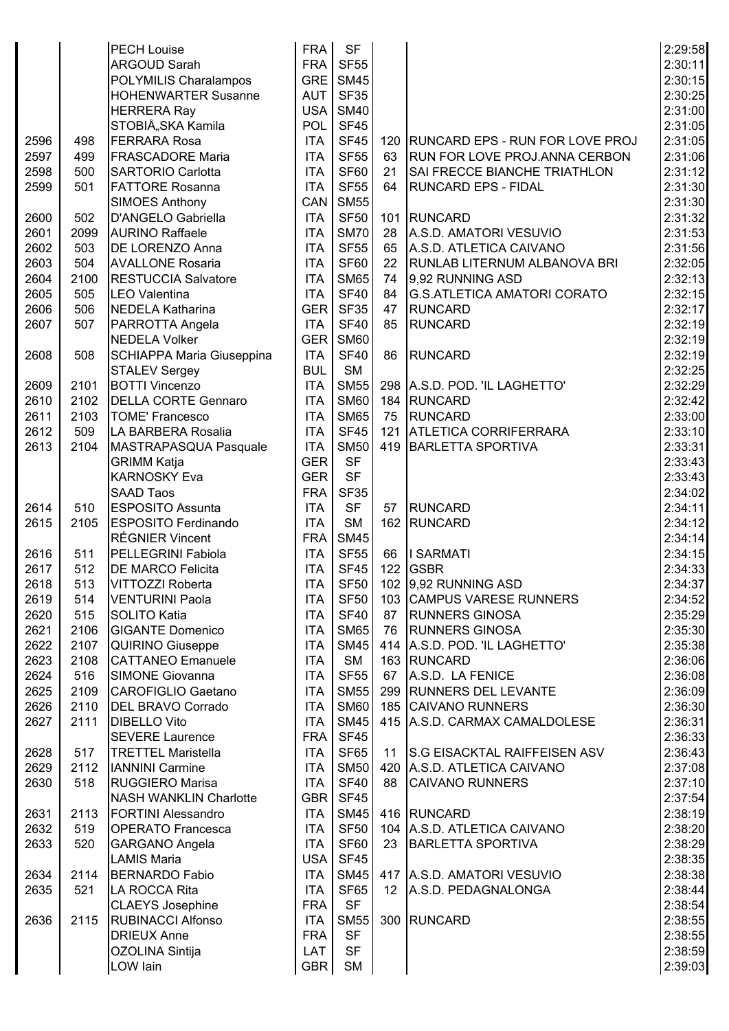|      |      | <b>PECH Louise</b>            | <b>FRA</b> | <b>SF</b>        |    |                                      | 2:29:58 |
|------|------|-------------------------------|------------|------------------|----|--------------------------------------|---------|
|      |      | <b>ARGOUD Sarah</b>           | <b>FRA</b> | <b>SF55</b>      |    |                                      | 2:30:11 |
|      |      | POLYMILIS Charalampos         | GRE        | <b>SM45</b>      |    |                                      | 2:30:15 |
|      |      | <b>HOHENWARTER Susanne</b>    | <b>AUT</b> | <b>SF35</b>      |    |                                      | 2:30:25 |
|      |      | <b>HERRERA Ray</b>            | USA        | <b>SM40</b>      |    |                                      | 2:31:00 |
|      |      | STOBIÅ, SKA Kamila            | <b>POL</b> | <b>SF45</b>      |    |                                      | 2:31:05 |
| 2596 | 498  | <b>FERRARA Rosa</b>           | <b>ITA</b> | <b>SF45</b>      |    | 120 RUNCARD EPS - RUN FOR LOVE PROJ  | 2:31:05 |
| 2597 | 499  | <b>FRASCADORE Maria</b>       | <b>ITA</b> | <b>SF55</b>      | 63 | <b>RUN FOR LOVE PROJ.ANNA CERBON</b> | 2:31:06 |
|      |      | <b>SARTORIO Carlotta</b>      | <b>ITA</b> | <b>SF60</b>      |    | <b>SAI FRECCE BIANCHE TRIATHLON</b>  | 2:31:12 |
| 2598 | 500  | <b>FATTORE Rosanna</b>        |            |                  | 21 | <b>RUNCARD EPS - FIDAL</b>           | 2:31:30 |
| 2599 | 501  |                               | <b>ITA</b> | <b>SF55</b>      | 64 |                                      |         |
|      |      | <b>SIMOES Anthony</b>         | CAN        | <b>SM55</b>      |    |                                      | 2:31:30 |
| 2600 | 502  | D'ANGELO Gabriella            | <b>ITA</b> | <b>SF50</b>      |    | 101 RUNCARD                          | 2:31:32 |
| 2601 | 2099 | <b>AURINO Raffaele</b>        | <b>ITA</b> | <b>SM70</b>      | 28 | A.S.D. AMATORI VESUVIO               | 2:31:53 |
| 2602 | 503  | DE LORENZO Anna               | <b>ITA</b> | <b>SF55</b>      | 65 | A.S.D. ATLETICA CAIVANO              | 2:31:56 |
| 2603 | 504  | <b>AVALLONE Rosaria</b>       | <b>ITA</b> | <b>SF60</b>      | 22 | <b>RUNLAB LITERNUM ALBANOVA BRI</b>  | 2:32:05 |
| 2604 | 2100 | <b>RESTUCCIA Salvatore</b>    | <b>ITA</b> | <b>SM65</b>      | 74 | 9,92 RUNNING ASD                     | 2:32:13 |
| 2605 | 505  | <b>LEO Valentina</b>          | <b>ITA</b> | <b>SF40</b>      | 84 | <b>G.S.ATLETICA AMATORI CORATO</b>   | 2:32:15 |
| 2606 | 506  | <b>NEDELA Katharina</b>       | <b>GER</b> | <b>SF35</b>      | 47 | <b>RUNCARD</b>                       | 2:32:17 |
| 2607 | 507  | PARROTTA Angela               | <b>ITA</b> | <b>SF40</b>      | 85 | <b>RUNCARD</b>                       | 2:32:19 |
|      |      | <b>NEDELA Volker</b>          | <b>GER</b> | <b>SM60</b>      |    |                                      | 2:32:19 |
| 2608 | 508  | SCHIAPPA Maria Giuseppina     | <b>ITA</b> | <b>SF40</b>      | 86 | <b>RUNCARD</b>                       | 2:32:19 |
|      |      | <b>STALEV Sergey</b>          | <b>BUL</b> | <b>SM</b>        |    |                                      | 2:32:25 |
| 2609 | 2101 | <b>BOTTI Vincenzo</b>         | <b>ITA</b> | <b>SM55</b>      |    | 298 A.S.D. POD. 'IL LAGHETTO'        | 2:32:29 |
| 2610 | 2102 | <b>DELLA CORTE Gennaro</b>    | <b>ITA</b> | <b>SM60</b>      |    | 184 RUNCARD                          | 2:32:42 |
| 2611 | 2103 | <b>TOME' Francesco</b>        | <b>ITA</b> | <b>SM65</b>      | 75 | RUNCARD                              | 2:33:00 |
| 2612 | 509  | LA BARBERA Rosalia            | <b>ITA</b> | <b>SF45</b>      |    | 121 ATLETICA CORRIFERRARA            | 2:33:10 |
| 2613 | 2104 | MASTRAPASQUA Pasquale         | <b>ITA</b> | <b>SM50</b>      |    | 419 BARLETTA SPORTIVA                | 2:33:31 |
|      |      | <b>GRIMM Katja</b>            | <b>GER</b> | <b>SF</b>        |    |                                      | 2:33:43 |
|      |      | <b>KARNOSKY Eva</b>           | <b>GER</b> | <b>SF</b>        |    |                                      | 2:33:43 |
|      |      | <b>SAAD Taos</b>              | <b>FRA</b> | <b>SF35</b>      |    |                                      | 2:34:02 |
| 2614 | 510  | <b>ESPOSITO Assunta</b>       | <b>ITA</b> | <b>SF</b>        | 57 | RUNCARD                              | 2:34:11 |
| 2615 | 2105 | <b>ESPOSITO Ferdinando</b>    | <b>ITA</b> | <b>SM</b>        |    | 162 RUNCARD                          | 2:34:12 |
|      |      | <b>RÉGNIER Vincent</b>        | <b>FRA</b> | <b>SM45</b>      |    |                                      | 2:34:14 |
| 2616 | 511  | <b>PELLEGRINI Fabiola</b>     | <b>ITA</b> | <b>SF55</b>      | 66 | I SARMATI                            | 2:34:15 |
| 2617 | 512  | <b>DE MARCO Felicita</b>      | <b>ITA</b> | <b>SF45</b>      |    | 122 GSBR                             | 2:34:33 |
| 2618 | 513  | VITTOZZI Roberta              | <b>ITA</b> | <b>SF50</b>      |    | 102 9,92 RUNNING ASD                 | 2:34:37 |
| 2619 | 514  | VENTURINI Paola               | <b>ITA</b> | <b>SF50</b>      |    | 103 CAMPUS VARESE RUNNERS            | 2:34:52 |
| 2620 | 515  | <b>SOLITO Katia</b>           | <b>ITA</b> | <b>SF40</b>      |    | 87 RUNNERS GINOSA                    | 2:35:29 |
| 2621 | 2106 | <b>GIGANTE Domenico</b>       | <b>ITA</b> | <b>SM65</b>      |    | 76 RUNNERS GINOSA                    | 2:35:30 |
| 2622 | 2107 | <b>QUIRINO Giuseppe</b>       | <b>ITA</b> | <b>SM45</b>      |    | 414 A.S.D. POD. 'IL LAGHETTO'        | 2:35:38 |
| 2623 | 2108 | <b>CATTANEO Emanuele</b>      | <b>ITA</b> | <b>SM</b>        |    | 163 RUNCARD                          | 2:36:06 |
| 2624 | 516  | SIMONE Giovanna               | <b>ITA</b> | <b>SF55</b>      |    | 67 A.S.D. LA FENICE                  | 2:36:08 |
| 2625 | 2109 | CAROFIGLIO Gaetano            | <b>ITA</b> | <b>SM55</b>      |    | 299 RUNNERS DEL LEVANTE              | 2:36:09 |
| 2626 | 2110 | <b>DEL BRAVO Corrado</b>      | <b>ITA</b> | <b>SM60</b>      |    | 185 CAIVANO RUNNERS                  | 2:36:30 |
| 2627 | 2111 | <b>DIBELLO Vito</b>           | <b>ITA</b> | <b>SM45</b>      |    | 415 A.S.D. CARMAX CAMALDOLESE        | 2:36:31 |
|      |      | <b>SEVERE Laurence</b>        | <b>FRA</b> | <b>SF45</b>      |    |                                      | 2:36:33 |
| 2628 | 517  | <b>TRETTEL Maristella</b>     | <b>ITA</b> | <b>SF65</b>      |    | 11 S.G EISACKTAL RAIFFEISEN ASV      | 2:36:43 |
| 2629 | 2112 | <b>IANNINI Carmine</b>        | <b>ITA</b> | <b>SM50</b>      |    | 420 A.S.D. ATLETICA CAIVANO          | 2:37:08 |
| 2630 | 518  | RUGGIERO Marisa               | <b>ITA</b> | <b>SF40</b>      | 88 | <b>CAIVANO RUNNERS</b>               | 2:37:10 |
|      |      | <b>NASH WANKLIN Charlotte</b> | GBR        | <b>SF45</b>      |    |                                      | 2:37:54 |
| 2631 | 2113 | <b>FORTINI Alessandro</b>     | <b>ITA</b> | <b>SM45</b>      |    | 416 RUNCARD                          | 2:38:19 |
| 2632 | 519  | <b>OPERATO Francesca</b>      | <b>ITA</b> | SF <sub>50</sub> |    | 104 A.S.D. ATLETICA CAIVANO          | 2:38:20 |
| 2633 | 520  | <b>GARGANO Angela</b>         | <b>ITA</b> | SF60             |    | 23 BARLETTA SPORTIVA                 | 2:38:29 |
|      |      | <b>LAMIS Maria</b>            | USA        | <b>SF45</b>      |    |                                      | 2:38:35 |
| 2634 | 2114 | <b>BERNARDO Fabio</b>         | ITA        | <b>SM45</b>      |    | 417 A.S.D. AMATORI VESUVIO           | 2:38:38 |
| 2635 | 521  | LA ROCCA Rita                 | <b>ITA</b> | SF65             |    | 12 A.S.D. PEDAGNALONGA               | 2:38:44 |
|      |      | <b>CLAEYS Josephine</b>       | <b>FRA</b> | <b>SF</b>        |    |                                      | 2:38:54 |
| 2636 | 2115 | <b>RUBINACCI Alfonso</b>      | <b>ITA</b> | <b>SM55</b>      |    | 300 RUNCARD                          | 2:38:55 |
|      |      | <b>DRIEUX Anne</b>            | <b>FRA</b> | <b>SF</b>        |    |                                      | 2:38:55 |
|      |      | OZOLINA Sintija               | <b>LAT</b> | <b>SF</b>        |    |                                      | 2:38:59 |
|      |      | LOW lain                      |            |                  |    |                                      | 2:39:03 |
|      |      |                               | GBR        | <b>SM</b>        |    |                                      |         |